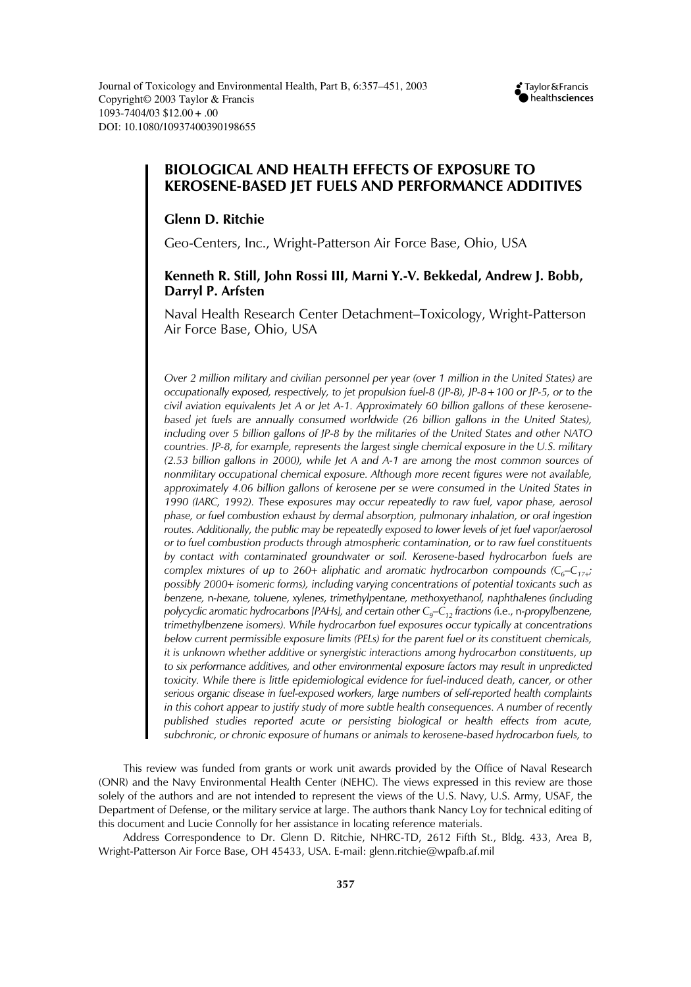## **BIOLOGICAL AND HEALTH EFFECTS OF EXPOSURE TO KEROSENE-BASED JET FUELS AND PERFORMANCE ADDITIVES**

#### **Glenn D. Ritchie**

Geo-Centers, Inc., Wright-Patterson Air Force Base, Ohio, USA

#### **Kenneth R. Still, John Rossi III, Marni Y.-V. Bekkedal, Andrew J. Bobb, Darryl P. Arfsten**

Naval Health Research Center Detachment–Toxicology, Wright-Patterson Air Force Base, Ohio, USA

*Over 2 million military and civilian personnel per year (over 1 million in the United States) are occupationally exposed, respectively, to jet propulsion fuel-8 (JP-8), JP-8 + 100 or JP-5, or to the civil aviation equivalents Jet A or Jet A-1. Approximately 60 billion gallons of these kerosenebased jet fuels are annually consumed worldwide (26 billion gallons in the United States), including over 5 billion gallons of JP-8 by the militaries of the United States and other NATO countries. JP-8, for example, represents the largest single chemical exposure in the U.S. military (2.53 billion gallons in 2000), while Jet A and A-1 are among the most common sources of nonmilitary occupational chemical exposure. Although more recent figures were not available, approximately 4.06 billion gallons of kerosene per se were consumed in the United States in 1990 (IARC, 1992). These exposures may occur repeatedly to raw fuel, vapor phase, aerosol phase, or fuel combustion exhaust by dermal absorption, pulmonary inhalation, or oral ingestion routes. Additionally, the public may be repeatedly exposed to lower levels of jet fuel vapor/aerosol or to fuel combustion products through atmospheric contamination, or to raw fuel constituents by contact with contaminated groundwater or soil. Kerosene-based hydrocarbon fuels are* complex mixtures of up to 260+ aliphatic and aromatic hydrocarbon compounds ( $C_6-C_{17+}$ *i possibly 2000+ isomeric forms), including varying concentrations of potential toxicants such as benzene,* n*-hexane, toluene, xylenes, trimethylpentane, methoxyethanol, naphthalenes (including polycyclic aromatic hydrocarbons [PAHs], and certain other C<sub>9</sub>–C<sub>12</sub> fractions (i.e., n-propylbenzene, trimethylbenzene isomers). While hydrocarbon fuel exposures occur typically at concentrations below current permissible exposure limits (PELs) for the parent fuel or its constituent chemicals, it is unknown whether additive or synergistic interactions among hydrocarbon constituents, up to six performance additives, and other environmental exposure factors may result in unpredicted toxicity. While there is little epidemiological evidence for fuel-induced death, cancer, or other serious organic disease in fuel-exposed workers, large numbers of self-reported health complaints in this cohort appear to justify study of more subtle health consequences. A number of recently published studies reported acute or persisting biological or health effects from acute, subchronic, or chronic exposure of humans or animals to kerosene-based hydrocarbon fuels, to*

This review was funded from grants or work unit awards provided by the Office of Naval Research (ONR) and the Navy Environmental Health Center (NEHC). The views expressed in this review are those solely of the authors and are not intended to represent the views of the U.S. Navy, U.S. Army, USAF, the Department of Defense, or the military service at large. The authors thank Nancy Loy for technical editing of this document and Lucie Connolly for her assistance in locating reference materials.

Address Correspondence to Dr. Glenn D. Ritchie, NHRC-TD, 2612 Fifth St., Bldg. 433, Area B, Wright-Patterson Air Force Base, OH 45433, USA. E-mail: glenn.ritchie@wpafb.af.mil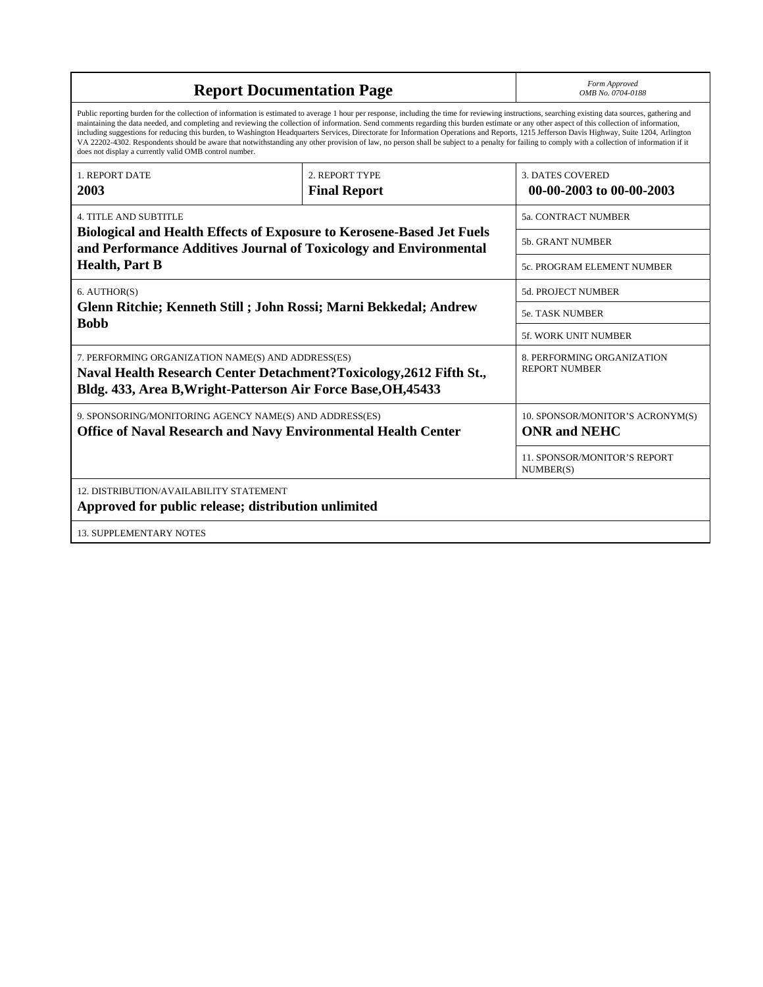# **Report Documentation Page**

*OMB No. 0704-0188*

Public reporting burden for the collection of information is estimated to average 1 hour per response, including the time for reviewing instructions, searching existing data sources, gathering and maintaining the data need

| <b>1. REPORT DATE</b><br>2003                                                                                                                                                              | 2. REPORT TYPE<br><b>Final Report</b> | <b>3. DATES COVERED</b><br>00-00-2003 to 00-00-2003     |
|--------------------------------------------------------------------------------------------------------------------------------------------------------------------------------------------|---------------------------------------|---------------------------------------------------------|
| <b>4. TITLE AND SUBTITLE</b>                                                                                                                                                               |                                       | <b>5a. CONTRACT NUMBER</b>                              |
| <b>Biological and Health Effects of Exposure to Kerosene-Based Jet Fuels</b><br>and Performance Additives Journal of Toxicology and Environmental                                          |                                       | 5b. GRANT NUMBER                                        |
| <b>Health, Part B</b>                                                                                                                                                                      |                                       | 5c. PROGRAM ELEMENT NUMBER                              |
| 6. AUTHOR(S)                                                                                                                                                                               |                                       | <b>5d. PROJECT NUMBER</b>                               |
| Glenn Ritchie; Kenneth Still; John Rossi; Marni Bekkedal; Andrew<br><b>Bobb</b>                                                                                                            |                                       | <b>5e. TASK NUMBER</b>                                  |
|                                                                                                                                                                                            |                                       | 5f. WORK UNIT NUMBER                                    |
| 7. PERFORMING ORGANIZATION NAME(S) AND ADDRESS(ES)<br>Naval Health Research Center Detachment?Toxicology, 2612 Fifth St.,<br>Bldg. 433, Area B, Wright-Patterson Air Force Base, OH, 45433 |                                       | 8. PERFORMING ORGANIZATION<br><b>REPORT NUMBER</b>      |
| 9. SPONSORING/MONITORING AGENCY NAME(S) AND ADDRESS(ES)<br><b>Office of Naval Research and Navy Environmental Health Center</b>                                                            |                                       | 10. SPONSOR/MONITOR'S ACRONYM(S)<br><b>ONR and NEHC</b> |
|                                                                                                                                                                                            |                                       | <b>11. SPONSOR/MONITOR'S REPORT</b><br>NUMBER(S)        |
| <b>12. DISTRIBUTION/AVAILABILITY STATEMENT</b><br>Approved for public release; distribution unlimited                                                                                      |                                       |                                                         |
| <b>13. SUPPLEMENTARY NOTES</b>                                                                                                                                                             |                                       |                                                         |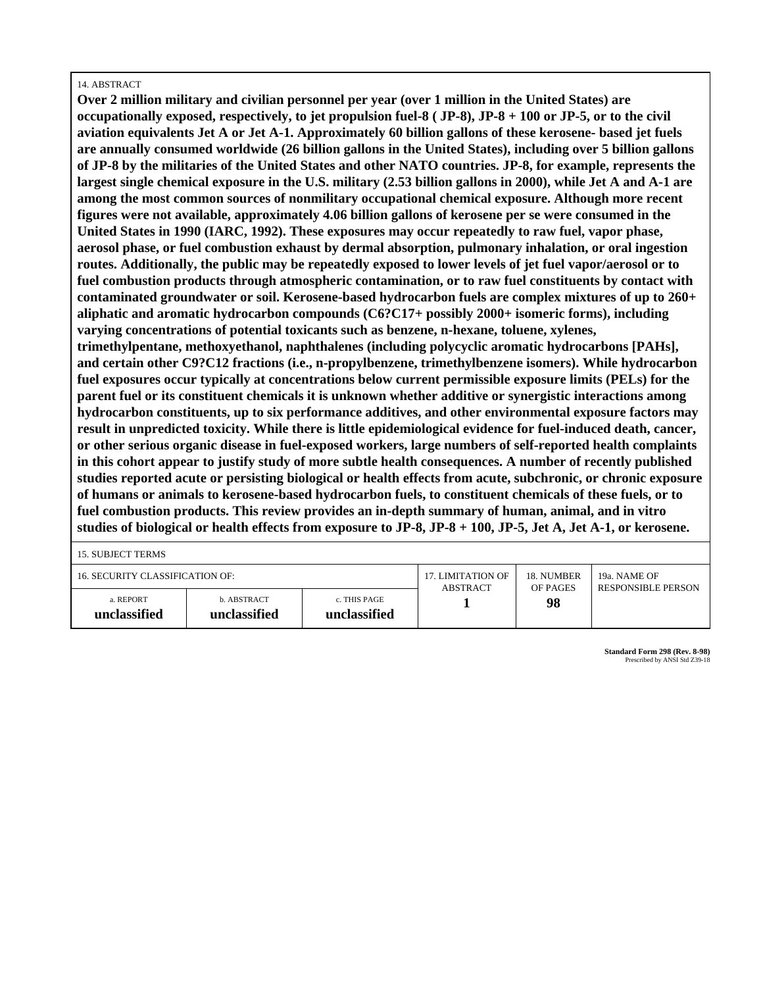### 14. ABSTRACT

**Over 2 million military and civilian personnel per year (over 1 million in the United States) are occupationally exposed, respectively, to jet propulsion fuel-8 ( JP-8), JP-8 + 100 or JP-5, or to the civil aviation equivalents Jet A or Jet A-1. Approximately 60 billion gallons of these kerosene- based jet fuels are annually consumed worldwide (26 billion gallons in the United States), including over 5 billion gallons of JP-8 by the militaries of the United States and other NATO countries. JP-8, for example, represents the largest single chemical exposure in the U.S. military (2.53 billion gallons in 2000), while Jet A and A-1 are among the most common sources of nonmilitary occupational chemical exposure. Although more recent figures were not available, approximately 4.06 billion gallons of kerosene per se were consumed in the United States in 1990 (IARC, 1992). These exposures may occur repeatedly to raw fuel, vapor phase, aerosol phase, or fuel combustion exhaust by dermal absorption, pulmonary inhalation, or oral ingestion routes. Additionally, the public may be repeatedly exposed to lower levels of jet fuel vapor/aerosol or to fuel combustion products through atmospheric contamination, or to raw fuel constituents by contact with contaminated groundwater or soil. Kerosene-based hydrocarbon fuels are complex mixtures of up to 260+ aliphatic and aromatic hydrocarbon compounds (C6?C17+ possibly 2000+ isomeric forms), including varying concentrations of potential toxicants such as benzene, n-hexane, toluene, xylenes, trimethylpentane, methoxyethanol, naphthalenes (including polycyclic aromatic hydrocarbons [PAHs], and certain other C9?C12 fractions (i.e., n-propylbenzene, trimethylbenzene isomers). While hydrocarbon fuel exposures occur typically at concentrations below current permissible exposure limits (PELs) for the parent fuel or its constituent chemicals it is unknown whether additive or synergistic interactions among hydrocarbon constituents, up to six performance additives, and other environmental exposure factors may result in unpredicted toxicity. While there is little epidemiological evidence for fuel-induced death, cancer, or other serious organic disease in fuel-exposed workers, large numbers of self-reported health complaints in this cohort appear to justify study of more subtle health consequences. A number of recently published studies reported acute or persisting biological or health effects from acute, subchronic, or chronic exposure of humans or animals to kerosene-based hydrocarbon fuels, to constituent chemicals of these fuels, or to fuel combustion products. This review provides an in-depth summary of human, animal, and in vitro studies of biological or health effects from exposure to JP-8, JP-8 + 100, JP-5, Jet A, Jet A-1, or kerosene.**

15. SUBJECT TERMS

| 16. SECURITY CLASSIFICATION OF: |                             |                              | 17. LIMITATION OF<br>ABSTRACT | 18. NUMBER<br>OF PAGES | 19a. NAME OF<br><b>RESPONSIBLE PERSON</b> |
|---------------------------------|-----------------------------|------------------------------|-------------------------------|------------------------|-------------------------------------------|
| a. REPORT<br>unclassified       | b. ABSTRACT<br>unclassified | c. THIS PAGE<br>unclassified |                               | 98                     |                                           |

**Standard Form 298 (Rev. 8-98)** Prescribed by ANSI Std Z39-18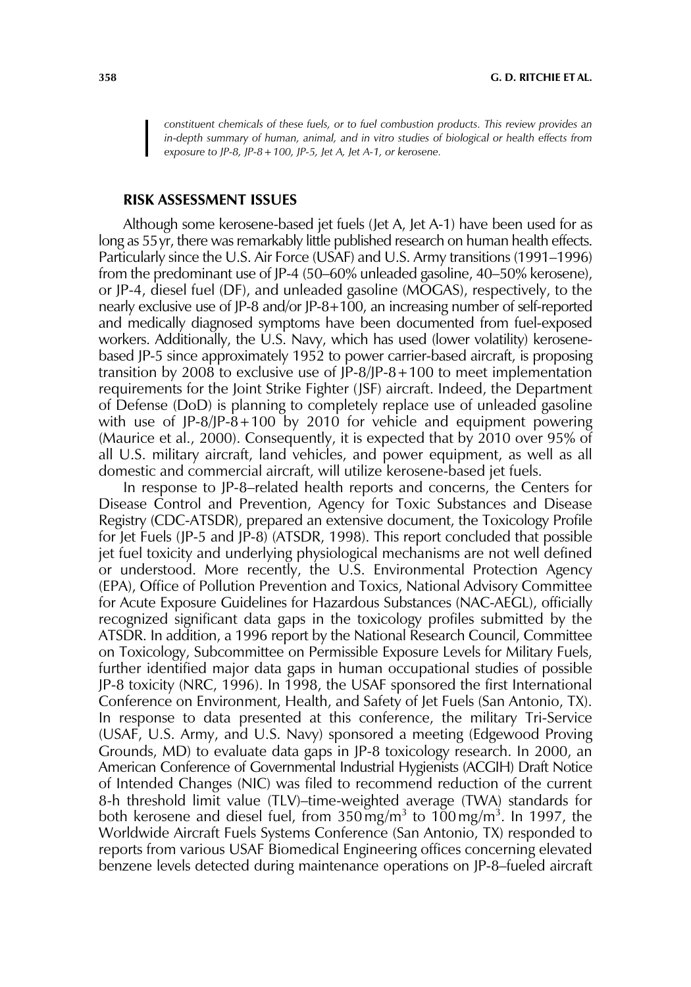*constituent chemicals of these fuels, or to fuel combustion products. This review provides an in-depth summary of human, animal, and in vitro studies of biological or health effects from exposure to JP-8, JP-8 + 100, JP-5, Jet A, Jet A-1, or kerosene.* 

### **RISK ASSESSMENT ISSUES**

Although some kerosene-based jet fuels (Jet A, Jet A-1) have been used for as long as 55yr, there was remarkably little published research on human health effects. Particularly since the U.S. Air Force (USAF) and U.S. Army transitions (1991–1996) from the predominant use of JP-4 (50–60% unleaded gasoline, 40–50% kerosene), or JP-4, diesel fuel (DF), and unleaded gasoline (MOGAS), respectively, to the nearly exclusive use of JP-8 and/or JP-8+100, an increasing number of self-reported and medically diagnosed symptoms have been documented from fuel-exposed workers. Additionally, the U.S. Navy, which has used (lower volatility) kerosenebased JP-5 since approximately 1952 to power carrier-based aircraft, is proposing transition by 2008 to exclusive use of JP-8/JP-8 +100 to meet implementation requirements for the Joint Strike Fighter (JSF) aircraft. Indeed, the Department of Defense (DoD) is planning to completely replace use of unleaded gasoline with use of  $IP-8/IP-8+100$  by 2010 for vehicle and equipment powering (Maurice et al., 2000). Consequently, it is expected that by 2010 over 95% of all U.S. military aircraft, land vehicles, and power equipment, as well as all domestic and commercial aircraft, will utilize kerosene-based jet fuels.

In response to JP-8–related health reports and concerns, the Centers for Disease Control and Prevention, Agency for Toxic Substances and Disease Registry (CDC-ATSDR), prepared an extensive document, the Toxicology Profile for Jet Fuels (JP-5 and JP-8) (ATSDR, 1998). This report concluded that possible jet fuel toxicity and underlying physiological mechanisms are not well defined or understood. More recently, the U.S. Environmental Protection Agency (EPA), Office of Pollution Prevention and Toxics, National Advisory Committee for Acute Exposure Guidelines for Hazardous Substances (NAC-AEGL), officially recognized significant data gaps in the toxicology profiles submitted by the ATSDR. In addition, a 1996 report by the National Research Council, Committee on Toxicology, Subcommittee on Permissible Exposure Levels for Military Fuels, further identified major data gaps in human occupational studies of possible JP-8 toxicity (NRC, 1996). In 1998, the USAF sponsored the first International Conference on Environment, Health, and Safety of Jet Fuels (San Antonio, TX). In response to data presented at this conference, the military Tri-Service (USAF, U.S. Army, and U.S. Navy) sponsored a meeting (Edgewood Proving Grounds, MD) to evaluate data gaps in JP-8 toxicology research. In 2000, an American Conference of Governmental Industrial Hygienists (ACGIH) Draft Notice of Intended Changes (NIC) was filed to recommend reduction of the current 8-h threshold limit value (TLV)–time-weighted average (TWA) standards for both kerosene and diesel fuel, from  $350 \text{ mg/m}^3$  to  $100 \text{ mg/m}^3$ . In 1997, the Worldwide Aircraft Fuels Systems Conference (San Antonio, TX) responded to reports from various USAF Biomedical Engineering offices concerning elevated benzene levels detected during maintenance operations on JP-8–fueled aircraft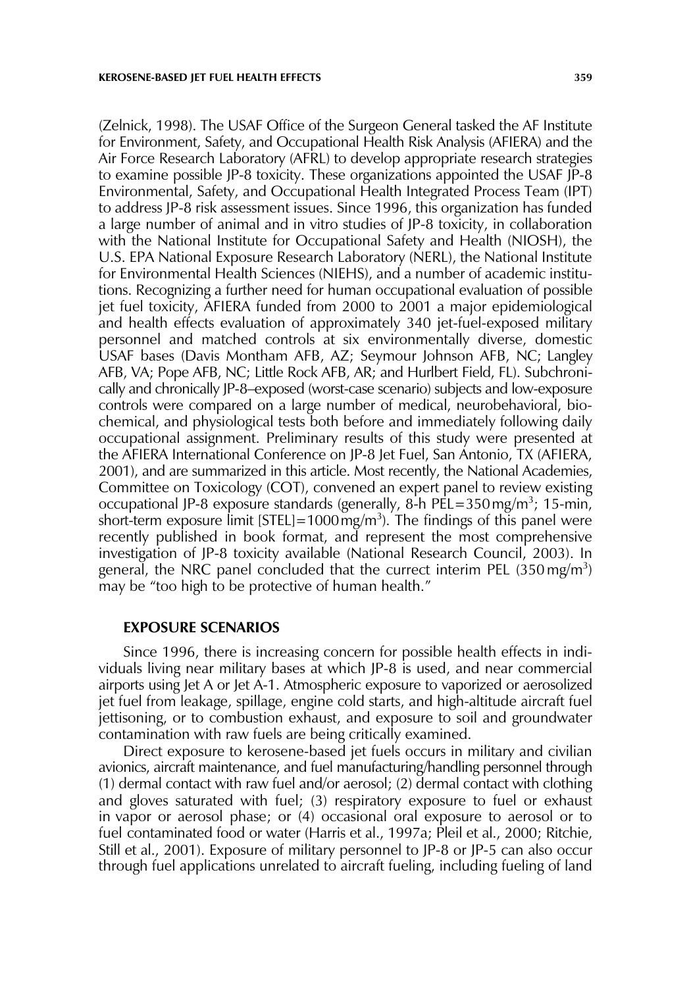(Zelnick, 1998). The USAF Office of the Surgeon General tasked the AF Institute for Environment, Safety, and Occupational Health Risk Analysis (AFIERA) and the Air Force Research Laboratory (AFRL) to develop appropriate research strategies to examine possible JP-8 toxicity. These organizations appointed the USAF JP-8 Environmental, Safety, and Occupational Health Integrated Process Team (IPT) to address JP-8 risk assessment issues. Since 1996, this organization has funded a large number of animal and in vitro studies of JP-8 toxicity, in collaboration with the National Institute for Occupational Safety and Health (NIOSH), the U.S. EPA National Exposure Research Laboratory (NERL), the National Institute for Environmental Health Sciences (NIEHS), and a number of academic institutions. Recognizing a further need for human occupational evaluation of possible jet fuel toxicity, AFIERA funded from 2000 to 2001 a major epidemiological and health effects evaluation of approximately 340 jet-fuel-exposed military personnel and matched controls at six environmentally diverse, domestic USAF bases (Davis Montham AFB, AZ; Seymour Johnson AFB, NC; Langley AFB, VA; Pope AFB, NC; Little Rock AFB, AR; and Hurlbert Field, FL). Subchronically and chronically JP-8–exposed (worst-case scenario) subjects and low-exposure controls were compared on a large number of medical, neurobehavioral, biochemical, and physiological tests both before and immediately following daily occupational assignment. Preliminary results of this study were presented at the AFIERA International Conference on JP-8 Jet Fuel, San Antonio, TX (AFIERA, 2001), and are summarized in this article. Most recently, the National Academies, Committee on Toxicology (COT), convened an expert panel to review existing occupational JP-8 exposure standards (generally, 8-h PEL=350mg/m<sup>3</sup>; 15-min, short-term exposure limit [STEL]=1000mg/m<sup>3</sup>). The findings of this panel were recently published in book format, and represent the most comprehensive investigation of JP-8 toxicity available (National Research Council, 2003). In general, the NRC panel concluded that the currect interim PEL (350 mg/m<sup>3</sup>) may be "too high to be protective of human health."

### **EXPOSURE SCENARIOS**

Since 1996, there is increasing concern for possible health effects in individuals living near military bases at which JP-8 is used, and near commercial airports using Jet A or Jet A-1. Atmospheric exposure to vaporized or aerosolized jet fuel from leakage, spillage, engine cold starts, and high-altitude aircraft fuel jettisoning, or to combustion exhaust, and exposure to soil and groundwater contamination with raw fuels are being critically examined.

Direct exposure to kerosene-based jet fuels occurs in military and civilian avionics, aircraft maintenance, and fuel manufacturing/handling personnel through (1) dermal contact with raw fuel and/or aerosol; (2) dermal contact with clothing and gloves saturated with fuel; (3) respiratory exposure to fuel or exhaust in vapor or aerosol phase; or (4) occasional oral exposure to aerosol or to fuel contaminated food or water (Harris et al., 1997a; Pleil et al., 2000; Ritchie, Still et al., 2001). Exposure of military personnel to JP-8 or JP-5 can also occur through fuel applications unrelated to aircraft fueling, including fueling of land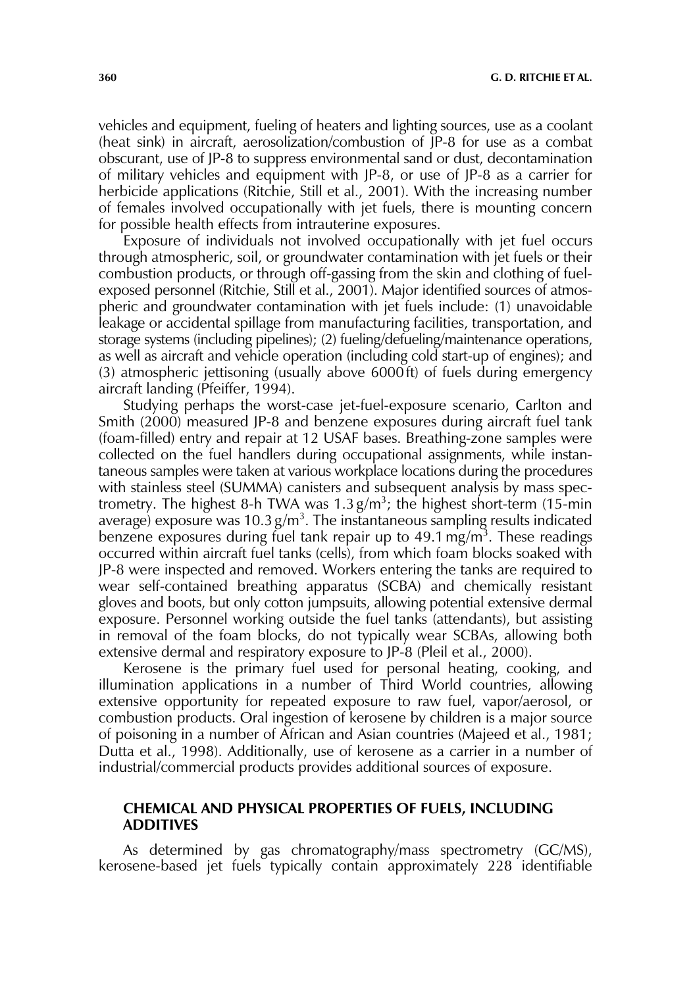vehicles and equipment, fueling of heaters and lighting sources, use as a coolant (heat sink) in aircraft, aerosolization/combustion of JP-8 for use as a combat obscurant, use of JP-8 to suppress environmental sand or dust, decontamination of military vehicles and equipment with JP-8, or use of JP-8 as a carrier for herbicide applications (Ritchie, Still et al., 2001). With the increasing number of females involved occupationally with jet fuels, there is mounting concern for possible health effects from intrauterine exposures.

Exposure of individuals not involved occupationally with jet fuel occurs through atmospheric, soil, or groundwater contamination with jet fuels or their combustion products, or through off-gassing from the skin and clothing of fuelexposed personnel (Ritchie, Still et al., 2001). Major identified sources of atmospheric and groundwater contamination with jet fuels include: (1) unavoidable leakage or accidental spillage from manufacturing facilities, transportation, and storage systems (including pipelines); (2) fueling/defueling/maintenance operations, as well as aircraft and vehicle operation (including cold start-up of engines); and (3) atmospheric jettisoning (usually above 6000ft) of fuels during emergency aircraft landing (Pfeiffer, 1994).

Studying perhaps the worst-case jet-fuel-exposure scenario, Carlton and Smith (2000) measured JP-8 and benzene exposures during aircraft fuel tank (foam-filled) entry and repair at 12 USAF bases. Breathing-zone samples were collected on the fuel handlers during occupational assignments, while instantaneous samples were taken at various workplace locations during the procedures with stainless steel (SUMMA) canisters and subsequent analysis by mass spectrometry. The highest 8-h TWA was 1.3 g/m<sup>3</sup>; the highest short-term (15-min average) exposure was 10.3 g/m<sup>3</sup>. The instantaneous sampling results indicated benzene exposures during fuel tank repair up to  $49.1 \,\mathrm{mg/m^3}$ . These readings occurred within aircraft fuel tanks (cells), from which foam blocks soaked with JP-8 were inspected and removed. Workers entering the tanks are required to wear self-contained breathing apparatus (SCBA) and chemically resistant gloves and boots, but only cotton jumpsuits, allowing potential extensive dermal exposure. Personnel working outside the fuel tanks (attendants), but assisting in removal of the foam blocks, do not typically wear SCBAs, allowing both extensive dermal and respiratory exposure to JP-8 (Pleil et al., 2000).

Kerosene is the primary fuel used for personal heating, cooking, and illumination applications in a number of Third World countries, allowing extensive opportunity for repeated exposure to raw fuel, vapor/aerosol, or combustion products. Oral ingestion of kerosene by children is a major source of poisoning in a number of African and Asian countries (Majeed et al., 1981; Dutta et al., 1998). Additionally, use of kerosene as a carrier in a number of industrial/commercial products provides additional sources of exposure.

### **CHEMICAL AND PHYSICAL PROPERTIES OF FUELS, INCLUDING ADDITIVES**

As determined by gas chromatography/mass spectrometry (GC/MS), kerosene-based jet fuels typically contain approximately 228 identifiable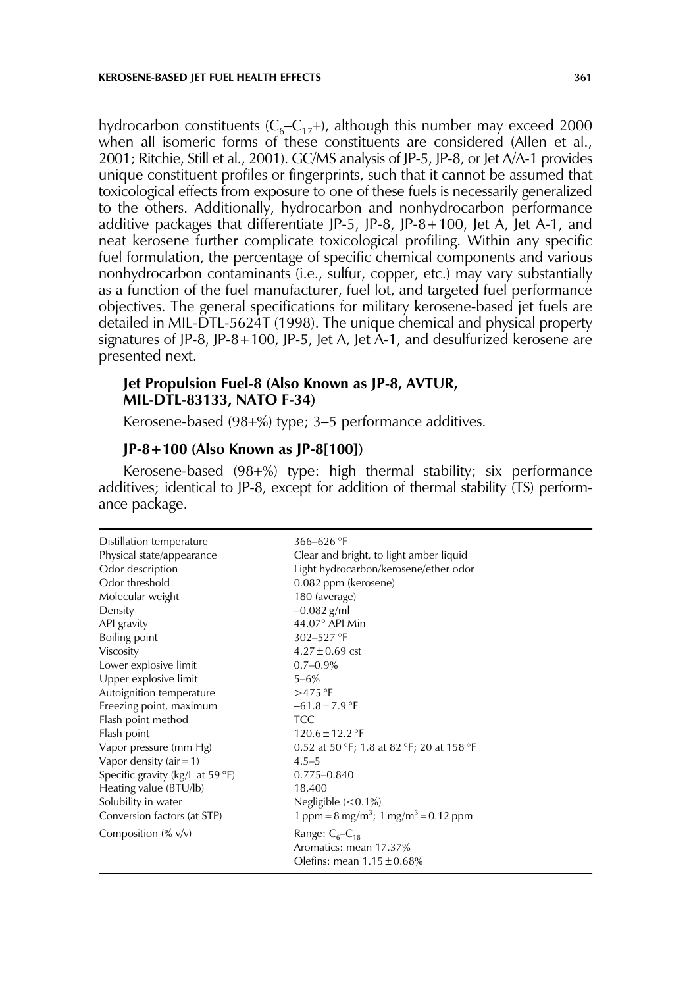hydrocarbon constituents ( $C_6-C_{17}$ +), although this number may exceed 2000 when all isomeric forms of these constituents are considered (Allen et al., 2001; Ritchie, Still et al., 2001). GC/MS analysis of JP-5, JP-8, or Jet A/A-1 provides unique constituent profiles or fingerprints, such that it cannot be assumed that toxicological effects from exposure to one of these fuels is necessarily generalized to the others. Additionally, hydrocarbon and nonhydrocarbon performance additive packages that differentiate JP-5, JP-8, JP-8+100, Jet A, Jet A-1, and neat kerosene further complicate toxicological profiling. Within any specific fuel formulation, the percentage of specific chemical components and various nonhydrocarbon contaminants (i.e., sulfur, copper, etc.) may vary substantially as a function of the fuel manufacturer, fuel lot, and targeted fuel performance objectives. The general specifications for military kerosene-based jet fuels are detailed in MIL-DTL-5624T (1998). The unique chemical and physical property signatures of JP-8, JP-8+100, JP-5, Jet A, Jet A-1, and desulfurized kerosene are presented next.

### **Jet Propulsion Fuel-8 (Also Known as JP-8, AVTUR, MIL-DTL-83133, NATO F-34)**

Kerosene-based (98+%) type; 3–5 performance additives.

### **JP-8+100 (Also Known as JP-8[100])**

Kerosene-based (98+%) type: high thermal stability; six performance additives; identical to JP-8, except for addition of thermal stability (TS) performance package.

| Distillation temperature<br>Physical state/appearance<br>Odor description<br>Odor threshold<br>Molecular weight<br>Density<br>API gravity<br>Boiling point<br>Viscosity<br>Lower explosive limit<br>Upper explosive limit<br>Autoignition temperature<br>Freezing point, maximum<br>Flash point method<br>Flash point<br>Vapor pressure (mm Hg)<br>Vapor density $(air = 1)$<br>Specific gravity ( $kg/L$ at 59 $\degree$ F)<br>Heating value (BTU/lb)<br>Solubility in water | 366-626 °F<br>Clear and bright, to light amber liquid<br>Light hydrocarbon/kerosene/ether odor<br>0.082 ppm (kerosene)<br>180 (average)<br>$-0.082$ g/ml<br>44.07° API Min<br>302-527 °F<br>$4.27 \pm 0.69$ cst<br>$0.7 - 0.9\%$<br>$5 - 6\%$<br>$>475$ °F<br>$-61.8 \pm 7.9$ °F<br><b>TCC</b><br>$120.6 \pm 12.2$ °F<br>0.52 at 50 °F; 1.8 at 82 °F; 20 at 158 °F<br>$4.5 - 5$<br>$0.775 - 0.840$<br>18,400<br>Negligible $(<0.1\%)$ |
|-------------------------------------------------------------------------------------------------------------------------------------------------------------------------------------------------------------------------------------------------------------------------------------------------------------------------------------------------------------------------------------------------------------------------------------------------------------------------------|---------------------------------------------------------------------------------------------------------------------------------------------------------------------------------------------------------------------------------------------------------------------------------------------------------------------------------------------------------------------------------------------------------------------------------------|
| Conversion factors (at STP)                                                                                                                                                                                                                                                                                                                                                                                                                                                   | 1 ppm = $8 \text{ mg/m}^3$ ; 1 mg/m <sup>3</sup> = 0.12 ppm                                                                                                                                                                                                                                                                                                                                                                           |
| Composition $(\% v/v)$                                                                                                                                                                                                                                                                                                                                                                                                                                                        | Range: $C_6 - C_{18}$<br>Aromatics: mean 17.37%<br>Olefins: mean $1.15 \pm 0.68\%$                                                                                                                                                                                                                                                                                                                                                    |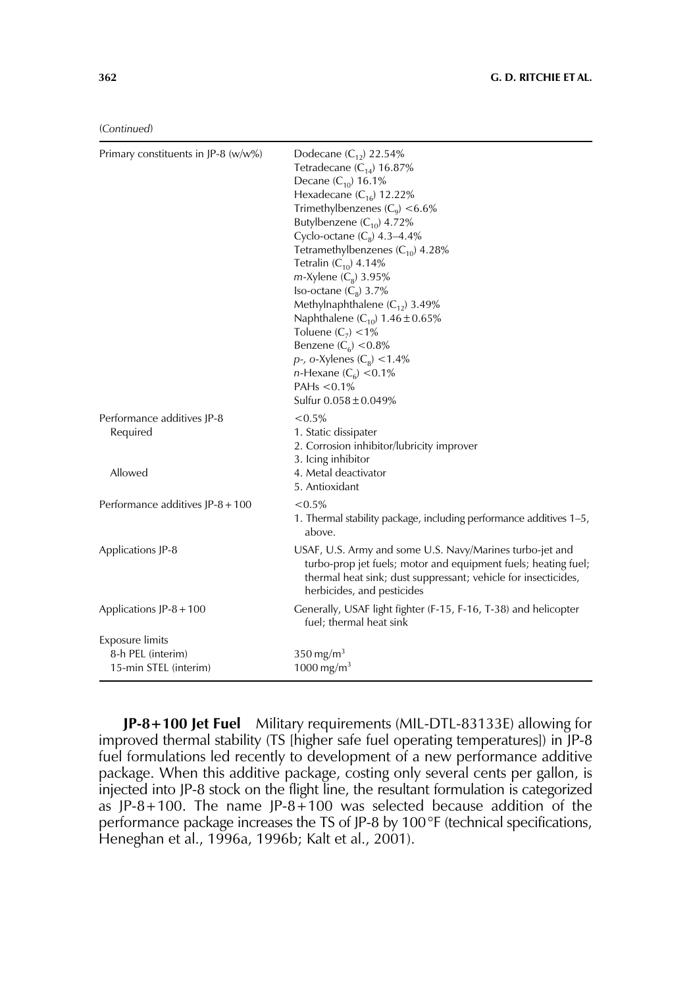(*Continued*)

| Primary constituents in JP-8 (w/w%)                                  | Dodecane $(C_{12})$ 22.54%<br>Tetradecane $(C_{14})$ 16.87%<br>Decane $(C_{10})$ 16.1%<br>Hexadecane $(C_{16})$ 12.22%<br>Trimethylbenzenes $(C_q)$ <6.6%<br>Butylbenzene $(C_{10})$ 4.72%<br>Cyclo-octane $(C_8)$ 4.3–4.4%<br>Tetramethylbenzenes $(C_{10})$ 4.28%<br>Tetralin $(C_{10})$ 4.14%<br>$m$ -Xylene (C <sub>8</sub> ) 3.95%<br>$\textsf{Iso-octane}$ (C <sub>s</sub> ) 3.7%<br>Methylnaphthalene $(C_{12})$ 3.49%<br>Naphthalene $(C_{10})$ 1.46 ± 0.65%<br>Toluene $(C_7)$ <1%<br>Benzene $(C_6)$ < 0.8%<br>$p$ -, o-Xylenes (C <sub>8</sub> ) < 1.4%<br><i>n</i> -Hexane $(C_6)$ < 0.1%<br>PAHs $< 0.1\%$<br>Sulfur 0.058 ± 0.049% |
|----------------------------------------------------------------------|--------------------------------------------------------------------------------------------------------------------------------------------------------------------------------------------------------------------------------------------------------------------------------------------------------------------------------------------------------------------------------------------------------------------------------------------------------------------------------------------------------------------------------------------------------------------------------------------------------------------------------------------------|
| Performance additives JP-8<br>Required<br>Allowed                    | $< 0.5\%$<br>1. Static dissipater<br>2. Corrosion inhibitor/lubricity improver<br>3. Icing inhibitor<br>4. Metal deactivator<br>5. Antioxidant                                                                                                                                                                                                                                                                                                                                                                                                                                                                                                   |
| Performance additives JP-8 + 100                                     | $< 0.5\%$<br>1. Thermal stability package, including performance additives 1–5,<br>above.                                                                                                                                                                                                                                                                                                                                                                                                                                                                                                                                                        |
| Applications JP-8                                                    | USAF, U.S. Army and some U.S. Navy/Marines turbo-jet and<br>turbo-prop jet fuels; motor and equipment fuels; heating fuel;<br>thermal heat sink; dust suppressant; vehicle for insecticides,<br>herbicides, and pesticides                                                                                                                                                                                                                                                                                                                                                                                                                       |
| Applications JP-8 + 100                                              | Generally, USAF light fighter (F-15, F-16, T-38) and helicopter<br>fuel; thermal heat sink                                                                                                                                                                                                                                                                                                                                                                                                                                                                                                                                                       |
| <b>Exposure limits</b><br>8-h PEL (interim)<br>15-min STEL (interim) | 350 mg/m <sup>3</sup><br>1000 mg/m <sup>3</sup>                                                                                                                                                                                                                                                                                                                                                                                                                                                                                                                                                                                                  |

**JP-8+100 Jet Fuel** Military requirements (MIL-DTL-83133E) allowing for improved thermal stability (TS [higher safe fuel operating temperatures]) in JP-8 fuel formulations led recently to development of a new performance additive package. When this additive package, costing only several cents per gallon, is injected into JP-8 stock on the flight line, the resultant formulation is categorized as JP-8+100. The name JP-8+100 was selected because addition of the performance package increases the TS of JP-8 by 100°F (technical specifications, Heneghan et al., 1996a, 1996b; Kalt et al., 2001).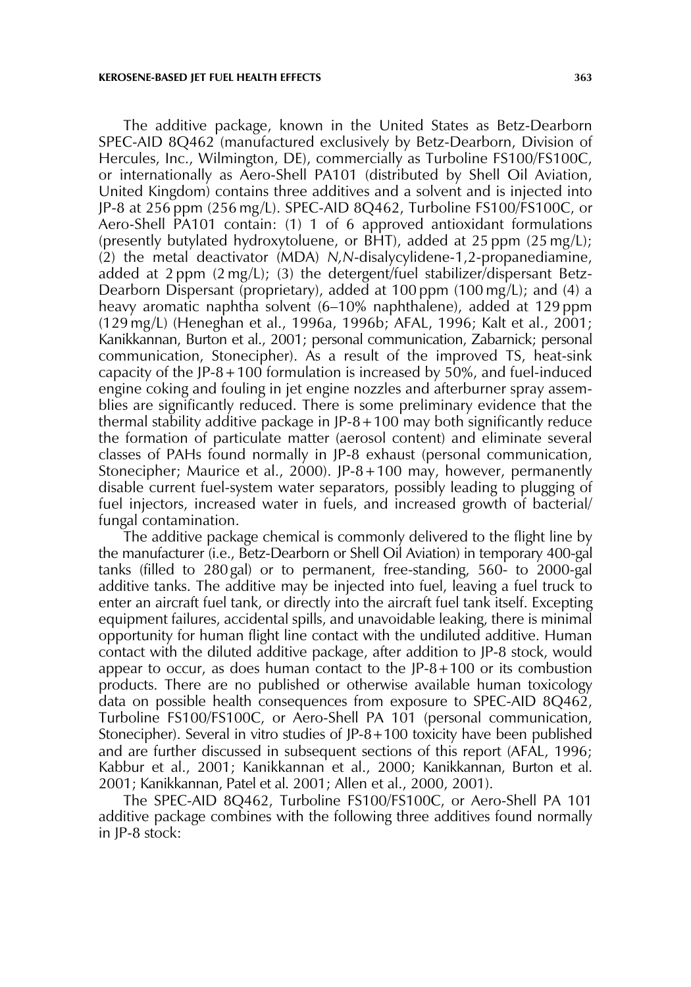The additive package, known in the United States as Betz-Dearborn SPEC-AID 8Q462 (manufactured exclusively by Betz-Dearborn, Division of Hercules, Inc., Wilmington, DE), commercially as Turboline FS100/FS100C, or internationally as Aero-Shell PA101 (distributed by Shell Oil Aviation, United Kingdom) contains three additives and a solvent and is injected into JP-8 at 256 ppm (256 mg/L). SPEC-AID 8Q462, Turboline FS100/FS100C, or Aero-Shell PA101 contain: (1) 1 of 6 approved antioxidant formulations (presently butylated hydroxytoluene, or  $BHT$ ), added at 25 ppm (25 mg/L); (2) the metal deactivator (MDA) *N,N*-disalycylidene-1,2-propanediamine, added at 2 ppm (2 mg/L); (3) the detergent/fuel stabilizer/dispersant Betz-Dearborn Dispersant (proprietary), added at 100 ppm (100 mg/L); and (4) a heavy aromatic naphtha solvent (6–10% naphthalene), added at 129 ppm (129 mg/L) (Heneghan et al., 1996a, 1996b; AFAL, 1996; Kalt et al., 2001; Kanikkannan, Burton et al., 2001; personal communication, Zabarnick; personal communication, Stonecipher). As a result of the improved TS, heat-sink capacity of the JP-8 + 100 formulation is increased by 50%, and fuel-induced engine coking and fouling in jet engine nozzles and afterburner spray assemblies are significantly reduced. There is some preliminary evidence that the thermal stability additive package in JP-8 + 100 may both significantly reduce the formation of particulate matter (aerosol content) and eliminate several classes of PAHs found normally in JP-8 exhaust (personal communication, Stonecipher; Maurice et al., 2000). JP-8 + 100 may, however, permanently disable current fuel-system water separators, possibly leading to plugging of fuel injectors, increased water in fuels, and increased growth of bacterial/ fungal contamination.

The additive package chemical is commonly delivered to the flight line by the manufacturer (i.e., Betz-Dearborn or Shell Oil Aviation) in temporary 400-gal tanks (filled to 280gal) or to permanent, free-standing, 560- to 2000-gal additive tanks. The additive may be injected into fuel, leaving a fuel truck to enter an aircraft fuel tank, or directly into the aircraft fuel tank itself. Excepting equipment failures, accidental spills, and unavoidable leaking, there is minimal opportunity for human flight line contact with the undiluted additive. Human contact with the diluted additive package, after addition to JP-8 stock, would appear to occur, as does human contact to the  $IP-8+100$  or its combustion products. There are no published or otherwise available human toxicology data on possible health consequences from exposure to SPEC-AID 8Q462, Turboline FS100/FS100C, or Aero-Shell PA 101 (personal communication, Stonecipher). Several in vitro studies of JP-8+100 toxicity have been published and are further discussed in subsequent sections of this report (AFAL, 1996; Kabbur et al., 2001; Kanikkannan et al., 2000; Kanikkannan, Burton et al. 2001; Kanikkannan, Patel et al. 2001; Allen et al., 2000, 2001).

The SPEC-AID 8Q462, Turboline FS100/FS100C, or Aero-Shell PA 101 additive package combines with the following three additives found normally in JP-8 stock: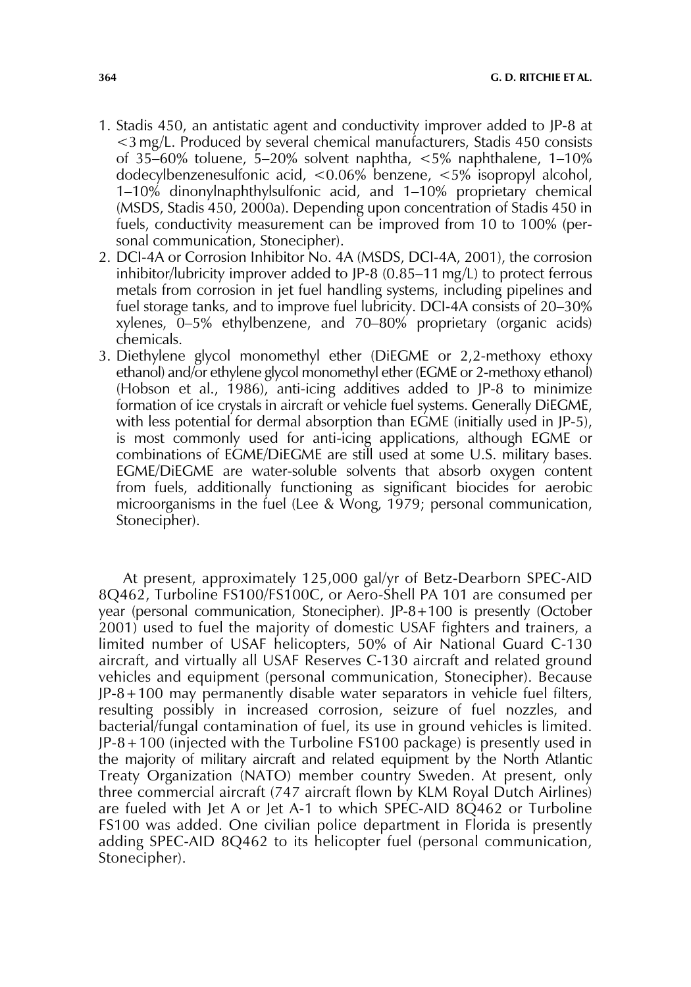- 1. Stadis 450, an antistatic agent and conductivity improver added to JP-8 at <3mg/L. Produced by several chemical manufacturers, Stadis 450 consists of 35–60% toluene, 5–20% solvent naphtha, <5% naphthalene, 1–10% dodecylbenzenesulfonic acid, <0.06% benzene, <5% isopropyl alcohol, 1–10% dinonylnaphthylsulfonic acid, and 1–10% proprietary chemical (MSDS, Stadis 450, 2000a). Depending upon concentration of Stadis 450 in fuels, conductivity measurement can be improved from 10 to 100% (personal communication, Stonecipher).
- 2. DCI-4A or Corrosion Inhibitor No. 4A (MSDS, DCI-4A, 2001), the corrosion inhibitor/lubricity improver added to JP-8 (0.85–11 mg/L) to protect ferrous metals from corrosion in jet fuel handling systems, including pipelines and fuel storage tanks, and to improve fuel lubricity. DCI-4A consists of 20–30% xylenes, 0–5% ethylbenzene, and 70–80% proprietary (organic acids) chemicals.
- 3. Diethylene glycol monomethyl ether (DiEGME or 2,2-methoxy ethoxy ethanol) and/or ethylene glycol monomethyl ether (EGME or 2-methoxy ethanol) (Hobson et al., 1986), anti-icing additives added to JP-8 to minimize formation of ice crystals in aircraft or vehicle fuel systems. Generally DiEGME, with less potential for dermal absorption than EGME (initially used in JP-5), is most commonly used for anti-icing applications, although EGME or combinations of EGME/DiEGME are still used at some U.S. military bases. EGME/DiEGME are water-soluble solvents that absorb oxygen content from fuels, additionally functioning as significant biocides for aerobic microorganisms in the fuel (Lee & Wong, 1979; personal communication, Stonecipher).

At present, approximately 125,000 gal/yr of Betz-Dearborn SPEC-AID 8Q462, Turboline FS100/FS100C, or Aero-Shell PA 101 are consumed per year (personal communication, Stonecipher). JP-8+100 is presently (October 2001) used to fuel the majority of domestic USAF fighters and trainers, a limited number of USAF helicopters, 50% of Air National Guard C-130 aircraft, and virtually all USAF Reserves C-130 aircraft and related ground vehicles and equipment (personal communication, Stonecipher). Because JP-8 + 100 may permanently disable water separators in vehicle fuel filters, resulting possibly in increased corrosion, seizure of fuel nozzles, and bacterial/fungal contamination of fuel, its use in ground vehicles is limited. JP-8 + 100 (injected with the Turboline FS100 package) is presently used in the majority of military aircraft and related equipment by the North Atlantic Treaty Organization (NATO) member country Sweden. At present, only three commercial aircraft (747 aircraft flown by KLM Royal Dutch Airlines) are fueled with Jet A or Jet A-1 to which SPEC-AID 8Q462 or Turboline FS100 was added. One civilian police department in Florida is presently adding SPEC-AID 8Q462 to its helicopter fuel (personal communication, Stonecipher).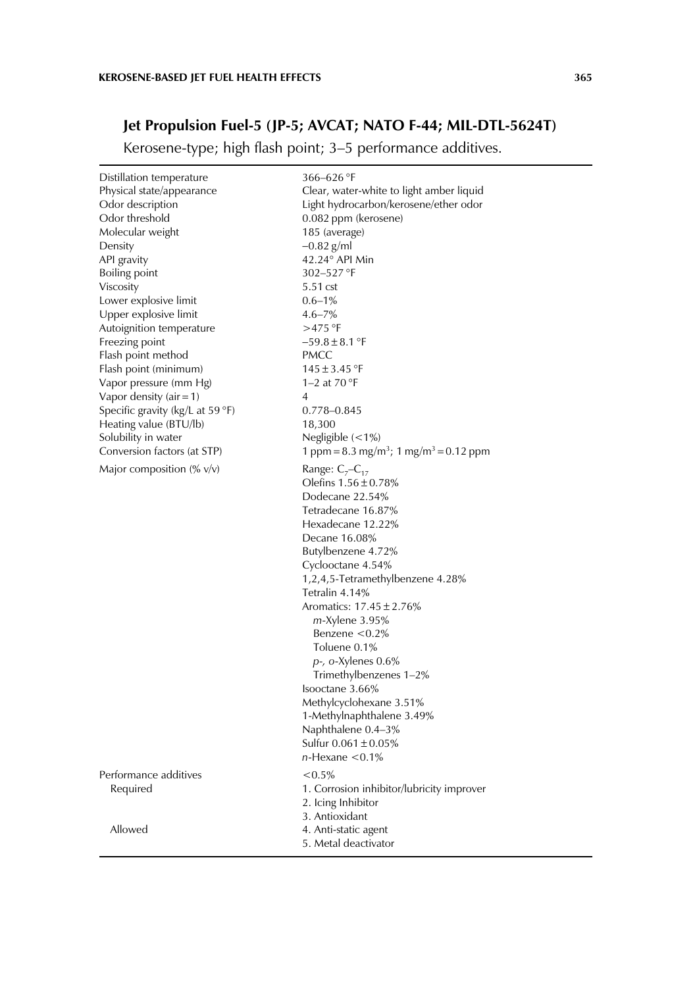# **Jet Propulsion Fuel-5 (JP-5; AVCAT; NATO F-44; MIL-DTL-5624T)**

| Distillation temperature<br>Physical state/appearance<br>Odor description<br>Odor threshold<br>Molecular weight<br>Density<br>API gravity<br>Boiling point<br>Viscosity<br>Lower explosive limit<br>Upper explosive limit<br>Autoignition temperature<br>Freezing point<br>Flash point method<br>Flash point (minimum)<br>Vapor pressure (mm Hg)<br>Vapor density $(air = 1)$<br>Specific gravity ( $kg/L$ at 59 $\degree$ F)<br>Heating value (BTU/lb)<br>Solubility in water<br>Conversion factors (at STP)<br>Major composition $(\% v/v)$ | 366-626 °F<br>Clear, water-white to light amber liquid<br>Light hydrocarbon/kerosene/ether odor<br>0.082 ppm (kerosene)<br>185 (average)<br>$-0.82$ g/ml<br>42.24° API Min<br>302-527 °F<br>5.51 cst<br>$0.6 - 1\%$<br>$4.6 - 7\%$<br>$>475$ °F<br>$-59.8 \pm 8.1$ °F<br><b>PMCC</b><br>$145 \pm 3.45$ °F<br>1–2 at 70 $\degree$ F<br>4<br>0.778-0.845<br>18,300<br>Negligible $(< 1\%)$<br>1 ppm = $8.3 \text{ mg/m}^3$ ; 1 mg/m <sup>3</sup> = $0.12 \text{ ppm}$<br>Range: $C_7 - C_{17}$<br>Olefins $1.56 \pm 0.78\%$<br>Dodecane 22.54%<br>Tetradecane 16.87%<br>Hexadecane 12.22%<br>Decane 16.08%<br>Butylbenzene 4.72%<br>Cyclooctane 4.54%<br>1,2,4,5-Tetramethylbenzene 4.28%<br>Tetralin 4.14%<br>Aromatics: $17.45 \pm 2.76\%$<br><i>m-</i> Xylene 3.95%<br>Benzene $< 0.2\%$<br>Toluene 0.1%<br>$p7$ , o-Xylenes 0.6%<br>Trimethylbenzenes 1-2%<br>Isooctane 3.66%<br>Methylcyclohexane 3.51%<br>1-Methylnaphthalene 3.49%<br>Naphthalene 0.4–3%<br>Sulfur $0.061 \pm 0.05\%$<br>$n$ -Hexane $\leq 0.1\%$ |
|-----------------------------------------------------------------------------------------------------------------------------------------------------------------------------------------------------------------------------------------------------------------------------------------------------------------------------------------------------------------------------------------------------------------------------------------------------------------------------------------------------------------------------------------------|------------------------------------------------------------------------------------------------------------------------------------------------------------------------------------------------------------------------------------------------------------------------------------------------------------------------------------------------------------------------------------------------------------------------------------------------------------------------------------------------------------------------------------------------------------------------------------------------------------------------------------------------------------------------------------------------------------------------------------------------------------------------------------------------------------------------------------------------------------------------------------------------------------------------------------------------------------------------------------------------------------------------|
| Performance additives<br>Required                                                                                                                                                                                                                                                                                                                                                                                                                                                                                                             | $< 0.5\%$<br>1. Corrosion inhibitor/lubricity improver<br>2. Icing Inhibitor<br>3. Antioxidant                                                                                                                                                                                                                                                                                                                                                                                                                                                                                                                                                                                                                                                                                                                                                                                                                                                                                                                         |
| Allowed                                                                                                                                                                                                                                                                                                                                                                                                                                                                                                                                       | 4. Anti-static agent<br>5. Metal deactivator                                                                                                                                                                                                                                                                                                                                                                                                                                                                                                                                                                                                                                                                                                                                                                                                                                                                                                                                                                           |

Kerosene-type; high flash point; 3–5 performance additives.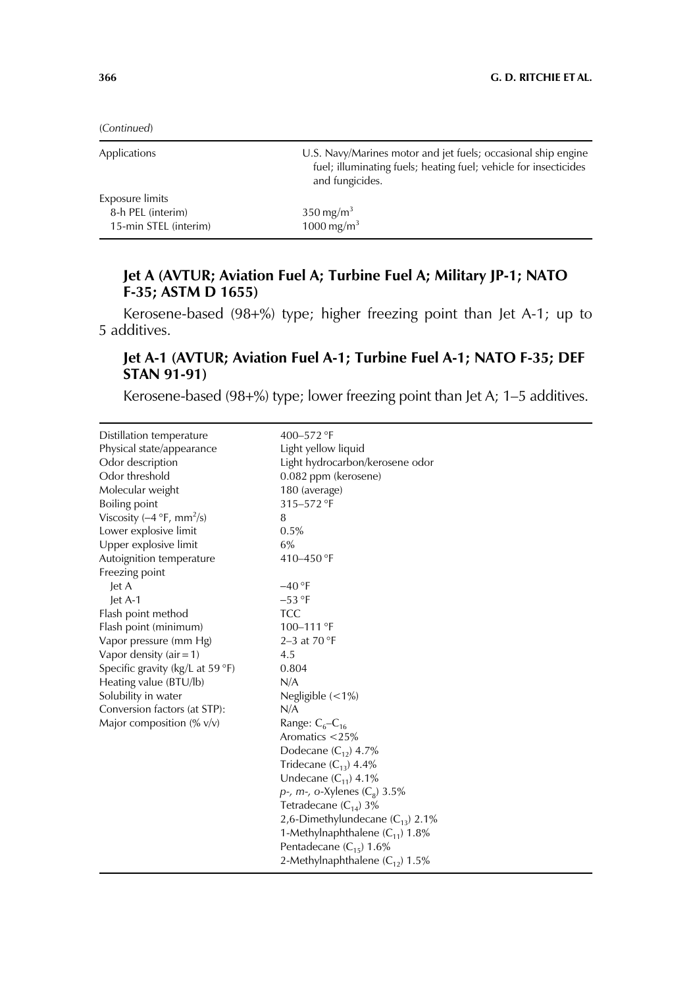| (Continued)                                                   |                                                                                                                                                      |
|---------------------------------------------------------------|------------------------------------------------------------------------------------------------------------------------------------------------------|
| Applications                                                  | U.S. Navy/Marines motor and jet fuels; occasional ship engine<br>fuel; illuminating fuels; heating fuel; vehicle for insecticides<br>and fungicides. |
| Exposure limits<br>8-h PEL (interim)<br>15-min STEL (interim) | 350 mg/m <sup>3</sup><br>1000 mg/m <sup>3</sup>                                                                                                      |

## **Jet A (AVTUR; Aviation Fuel A; Turbine Fuel A; Military JP-1; NATO F-35; ASTM D 1655)**

Kerosene-based (98+%) type; higher freezing point than Jet A-1; up to 5 additives.

# **Jet A-1 (AVTUR; Aviation Fuel A-1; Turbine Fuel A-1; NATO F-35; DEF STAN 91-91)**

Kerosene-based (98+%) type; lower freezing point than Jet A; 1–5 additives.

| Distillation temperature<br>Physical state/appearance<br>Odor description<br>Odor threshold<br>Molecular weight<br>Boiling point<br>Viscosity $(-4 \degree F, \text{mm}^2/\text{s})$<br>Lower explosive limit<br>Upper explosive limit<br>Autoignition temperature                                        | 400-572 °F<br>Light yellow liquid<br>Light hydrocarbon/kerosene odor<br>0.082 ppm (kerosene)<br>180 (average)<br>315-572 °F<br>8<br>0.5%<br>6%<br>410-450°F                                                                                                                                                                                                                                                                                             |  |
|-----------------------------------------------------------------------------------------------------------------------------------------------------------------------------------------------------------------------------------------------------------------------------------------------------------|---------------------------------------------------------------------------------------------------------------------------------------------------------------------------------------------------------------------------------------------------------------------------------------------------------------------------------------------------------------------------------------------------------------------------------------------------------|--|
| Freezing point<br>Jet A<br>let A-1<br>Flash point method<br>Flash point (minimum)<br>Vapor pressure (mm Hg)<br>Vapor density $(air = 1)$<br>Specific gravity ( $kg/L$ at 59 $\degree$ F)<br>Heating value (BTU/lb)<br>Solubility in water<br>Conversion factors (at STP):<br>Major composition $(\% v/v)$ | $-40$ °F<br>$-53$ °F<br><b>TCC</b><br>$100 - 111$ °F<br>2-3 at 70 °F<br>4.5<br>0.804<br>N/A<br>Negligible $(< 1\%)$<br>N/A<br>Range: $C_6 - C_{16}$<br>Aromatics $<$ 25%<br>Dodecane $(C_{12})$ 4.7%<br>Tridecane $(C_{13})$ 4.4%<br>Undecane $(C_{11})$ 4.1%<br>$p$ -, m-, o-Xylenes (C <sub>8</sub> ) 3.5%<br>Tetradecane $(C_{14})$ 3%<br>2,6-Dimethylundecane $(C_{13})$ 2.1%<br>1-Methylnaphthalene $(C_{11})$ 1.8%<br>Pentadecane $(C_{15})$ 1.6% |  |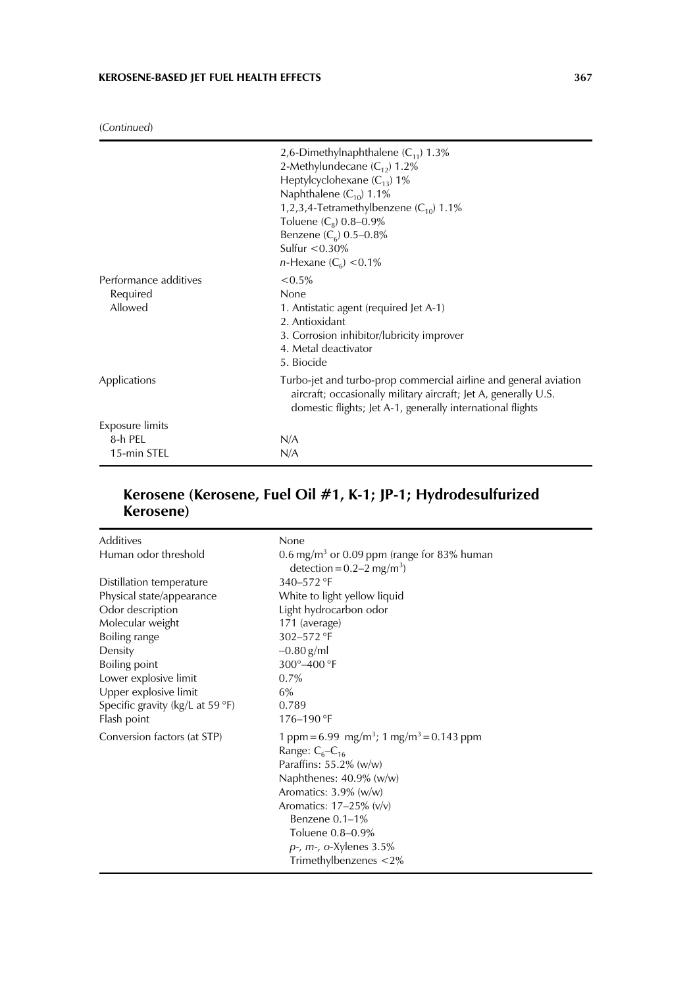(*Continued*)

|                                              | 2,6-Dimethylnaphthalene $(C_{11})$ 1.3%<br>2-Methylundecane $(C_{12})$ 1.2%<br>Heptylcyclohexane $(C_{13})$ 1%<br>Naphthalene $(C_{10})$ 1.1%<br>1,2,3,4-Tetramethylbenzene $(C_{10})$ 1.1%<br>Toluene $(C_8)$ 0.8–0.9%<br>Benzene ( $C_6$ ) 0.5-0.8%<br>Sulfur $< 0.30\%$<br><i>n</i> -Hexane $(C_6)$ < 0.1% |
|----------------------------------------------|---------------------------------------------------------------------------------------------------------------------------------------------------------------------------------------------------------------------------------------------------------------------------------------------------------------|
| Performance additives<br>Required<br>Allowed | $< 0.5\%$<br>None<br>1. Antistatic agent (required Jet A-1)<br>2. Antioxidant<br>3. Corrosion inhibitor/lubricity improver<br>4. Metal deactivator<br>5. Biocide                                                                                                                                              |
| Applications                                 | Turbo-jet and turbo-prop commercial airline and general aviation<br>aircraft; occasionally military aircraft; Jet A, generally U.S.<br>domestic flights; Jet A-1, generally international flights                                                                                                             |
| <b>Exposure limits</b>                       |                                                                                                                                                                                                                                                                                                               |
| 8-h PEL                                      | N/A                                                                                                                                                                                                                                                                                                           |
| 15-min STEL                                  | N/A                                                                                                                                                                                                                                                                                                           |

### **Kerosene (Kerosene, Fuel Oil #1, K-1; JP-1; Hydrodesulfurized Kerosene)**

| Additives                                 | <b>None</b>                                                                                                                                                                                                                                                                                  |
|-------------------------------------------|----------------------------------------------------------------------------------------------------------------------------------------------------------------------------------------------------------------------------------------------------------------------------------------------|
| Human odor threshold                      | 0.6 mg/m <sup>3</sup> or 0.09 ppm (range for 83% human<br>detection = $0.2-2$ mg/m <sup>3</sup> )                                                                                                                                                                                            |
| Distillation temperature                  | 340-572 °F                                                                                                                                                                                                                                                                                   |
| Physical state/appearance                 | White to light yellow liquid                                                                                                                                                                                                                                                                 |
| Odor description                          | Light hydrocarbon odor                                                                                                                                                                                                                                                                       |
| Molecular weight                          | 171 (average)                                                                                                                                                                                                                                                                                |
| Boiling range                             | 302-572 °F                                                                                                                                                                                                                                                                                   |
| Density                                   | $-0.80$ g/ml                                                                                                                                                                                                                                                                                 |
| Boiling point                             | 300°-400 °F                                                                                                                                                                                                                                                                                  |
| Lower explosive limit                     | 0.7%                                                                                                                                                                                                                                                                                         |
| Upper explosive limit                     | 6%                                                                                                                                                                                                                                                                                           |
| Specific gravity (kg/L at 59 $\degree$ F) | 0.789                                                                                                                                                                                                                                                                                        |
| Flash point                               | $176 - 190$ °F                                                                                                                                                                                                                                                                               |
| Conversion factors (at STP)               | 1 ppm = 6.99 mg/m <sup>3</sup> ; 1 mg/m <sup>3</sup> = 0.143 ppm<br>Range: $C_6-C_{16}$<br>Paraffins: 55.2% (w/w)<br>Naphthenes: 40.9% (w/w)<br>Aromatics: $3.9\%$ (w/w)<br>Aromatics: 17-25% (v/v)<br>Benzene 0.1-1%<br>Toluene 0.8-0.9%<br>p-, m-, o-Xylenes 3.5%<br>Trimethylbenzenes <2% |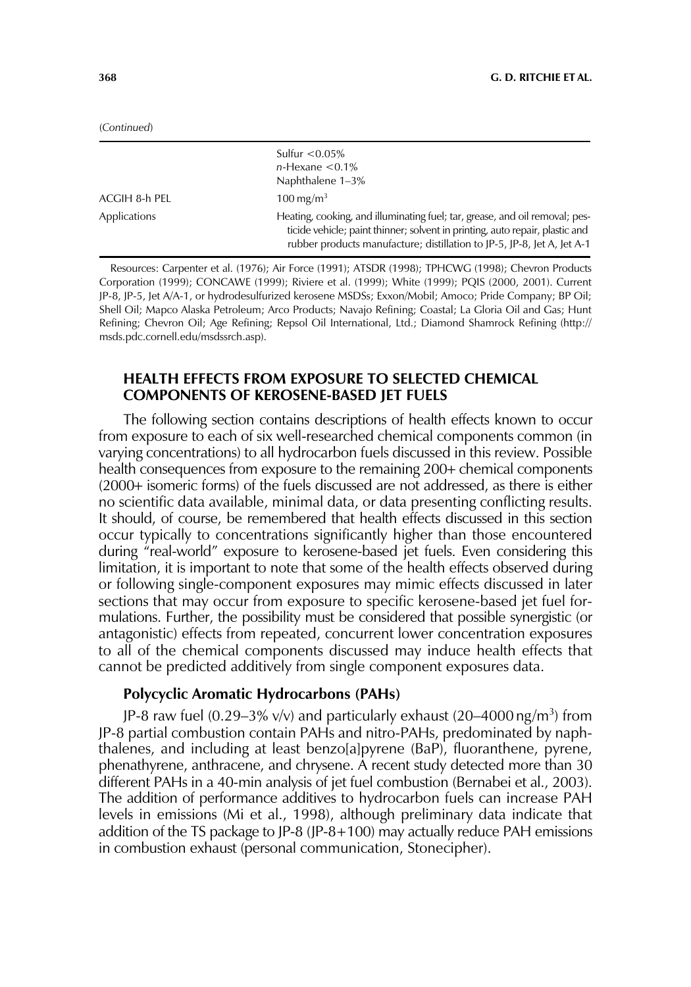(*Continued*)

|               | Sulfur $< 0.05\%$<br>$n$ -Hexane $\leq 0.1\%$<br>Naphthalene 1-3%                                                                                                                                                                      |
|---------------|----------------------------------------------------------------------------------------------------------------------------------------------------------------------------------------------------------------------------------------|
| ACGIH 8-h PEL | $100 \,\mathrm{mg/m^3}$                                                                                                                                                                                                                |
| Applications  | Heating, cooking, and illuminating fuel; tar, grease, and oil removal; pes-<br>ticide vehicle; paint thinner; solvent in printing, auto repair, plastic and<br>rubber products manufacture; distillation to JP-5, JP-8, Jet A, Jet A-1 |

Resources: Carpenter et al. (1976); Air Force (1991); ATSDR (1998); TPHCWG (1998); Chevron Products Corporation (1999); CONCAWE (1999); Riviere et al. (1999); White (1999); PQIS (2000, 2001). Current JP-8, JP-5, Jet A/A-1, or hydrodesulfurized kerosene MSDSs; Exxon/Mobil; Amoco; Pride Company; BP Oil; Shell Oil; Mapco Alaska Petroleum; Arco Products; Navajo Refining; Coastal; La Gloria Oil and Gas; Hunt Refining; Chevron Oil; Age Refining; Repsol Oil International, Ltd.; Diamond Shamrock Refining (http:// msds.pdc.cornell.edu/msdssrch.asp).

### **HEALTH EFFECTS FROM EXPOSURE TO SELECTED CHEMICAL COMPONENTS OF KEROSENE-BASED JET FUELS**

The following section contains descriptions of health effects known to occur from exposure to each of six well-researched chemical components common (in varying concentrations) to all hydrocarbon fuels discussed in this review. Possible health consequences from exposure to the remaining 200+ chemical components (2000+ isomeric forms) of the fuels discussed are not addressed, as there is either no scientific data available, minimal data, or data presenting conflicting results. It should, of course, be remembered that health effects discussed in this section occur typically to concentrations significantly higher than those encountered during "real-world" exposure to kerosene-based jet fuels. Even considering this limitation, it is important to note that some of the health effects observed during or following single-component exposures may mimic effects discussed in later sections that may occur from exposure to specific kerosene-based jet fuel formulations. Further, the possibility must be considered that possible synergistic (or antagonistic) effects from repeated, concurrent lower concentration exposures to all of the chemical components discussed may induce health effects that cannot be predicted additively from single component exposures data.

### **Polycyclic Aromatic Hydrocarbons (PAHs)**

JP-8 raw fuel (0.29–3% v/v) and particularly exhaust (20–4000 ng/m<sup>3</sup>) from JP-8 partial combustion contain PAHs and nitro-PAHs, predominated by naphthalenes, and including at least benzo[a]pyrene (BaP), fluoranthene, pyrene, phenathyrene, anthracene, and chrysene. A recent study detected more than 30 different PAHs in a 40-min analysis of jet fuel combustion (Bernabei et al., 2003). The addition of performance additives to hydrocarbon fuels can increase PAH levels in emissions (Mi et al., 1998), although preliminary data indicate that addition of the TS package to JP-8 (JP-8+100) may actually reduce PAH emissions in combustion exhaust (personal communication, Stonecipher).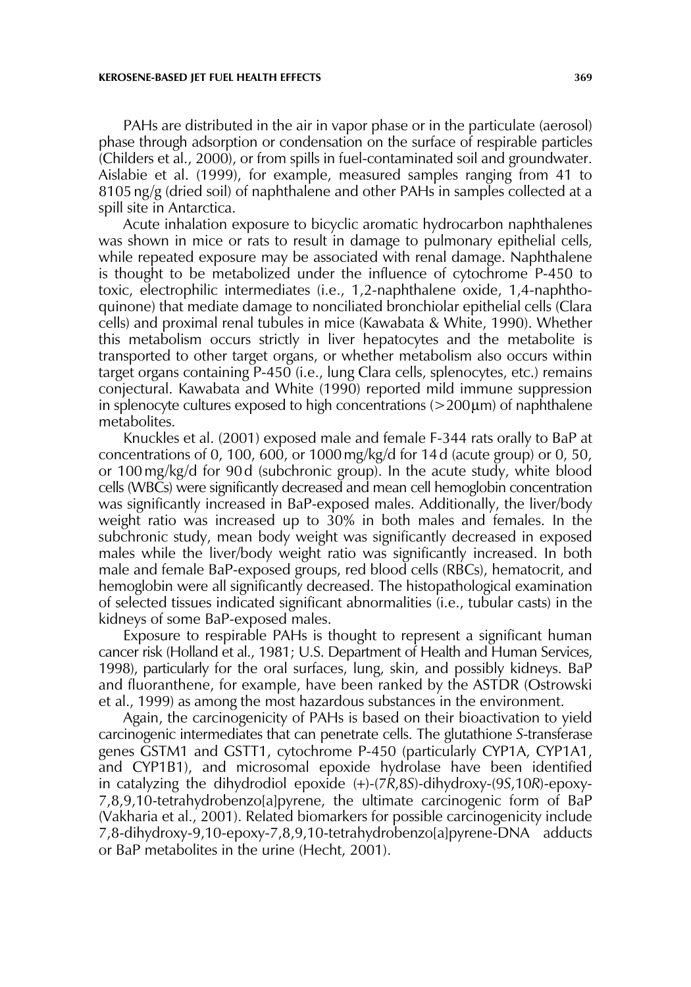#### **KEROSENE-BASED JET FUEL HEALTH EFFECTS 369**

PAHs are distributed in the air in vapor phase or in the particulate (aerosol) phase through adsorption or condensation on the surface of respirable particles (Childers et al., 2000), or from spills in fuel-contaminated soil and groundwater. Aislabie et al. (1999), for example, measured samples ranging from 41 to 8105ng/g (dried soil) of naphthalene and other PAHs in samples collected at a spill site in Antarctica.

Acute inhalation exposure to bicyclic aromatic hydrocarbon naphthalenes was shown in mice or rats to result in damage to pulmonary epithelial cells, while repeated exposure may be associated with renal damage. Naphthalene is thought to be metabolized under the influence of cytochrome P-450 to toxic, electrophilic intermediates (i.e., 1,2-naphthalene oxide, 1,4-naphthoquinone) that mediate damage to nonciliated bronchiolar epithelial cells (Clara cells) and proximal renal tubules in mice (Kawabata & White, 1990). Whether this metabolism occurs strictly in liver hepatocytes and the metabolite is transported to other target organs, or whether metabolism also occurs within target organs containing P-450 (i.e., lung Clara cells, splenocytes, etc.) remains conjectural. Kawabata and White (1990) reported mild immune suppression in splenocyte cultures exposed to high concentrations ( $>$ 200 $\mu$ m) of naphthalene metabolites.

Knuckles et al. (2001) exposed male and female F-344 rats orally to BaP at concentrations of 0, 100, 600, or 1000mg/kg/d for 14d (acute group) or 0, 50, or 100 mg/kg/d for 90d (subchronic group). In the acute study, white blood cells (WBCs) were significantly decreased and mean cell hemoglobin concentration was significantly increased in BaP-exposed males. Additionally, the liver/body weight ratio was increased up to 30% in both males and females. In the subchronic study, mean body weight was significantly decreased in exposed males while the liver/body weight ratio was significantly increased. In both male and female BaP-exposed groups, red blood cells (RBCs), hematocrit, and hemoglobin were all significantly decreased. The histopathological examination of selected tissues indicated significant abnormalities (i.e., tubular casts) in the kidneys of some BaP-exposed males.

Exposure to respirable PAHs is thought to represent a significant human cancer risk (Holland et al., 1981; U.S. Department of Health and Human Services, 1998), particularly for the oral surfaces, lung, skin, and possibly kidneys. BaP and fluoranthene, for example, have been ranked by the ASTDR (Ostrowski et al., 1999) as among the most hazardous substances in the environment.

Again, the carcinogenicity of PAHs is based on their bioactivation to yield carcinogenic intermediates that can penetrate cells. The glutathione *S*-transferase genes GSTM1 and GSTT1, cytochrome P-450 (particularly CYP1A, CYP1A1, and CYP1B1), and microsomal epoxide hydrolase have been identified in catalyzing the dihydrodiol epoxide (+)-(7*R*,8*S*)-dihydroxy-(9*S*,10*R*)-epoxy-7,8,9,10-tetrahydrobenzo[a]pyrene, the ultimate carcinogenic form of BaP (Vakharia et al., 2001). Related biomarkers for possible carcinogenicity include 7,8-dihydroxy-9,10-epoxy-7,8,9,10-tetrahydrobenzo[a]pyrene-DNA adducts or BaP metabolites in the urine (Hecht, 2001).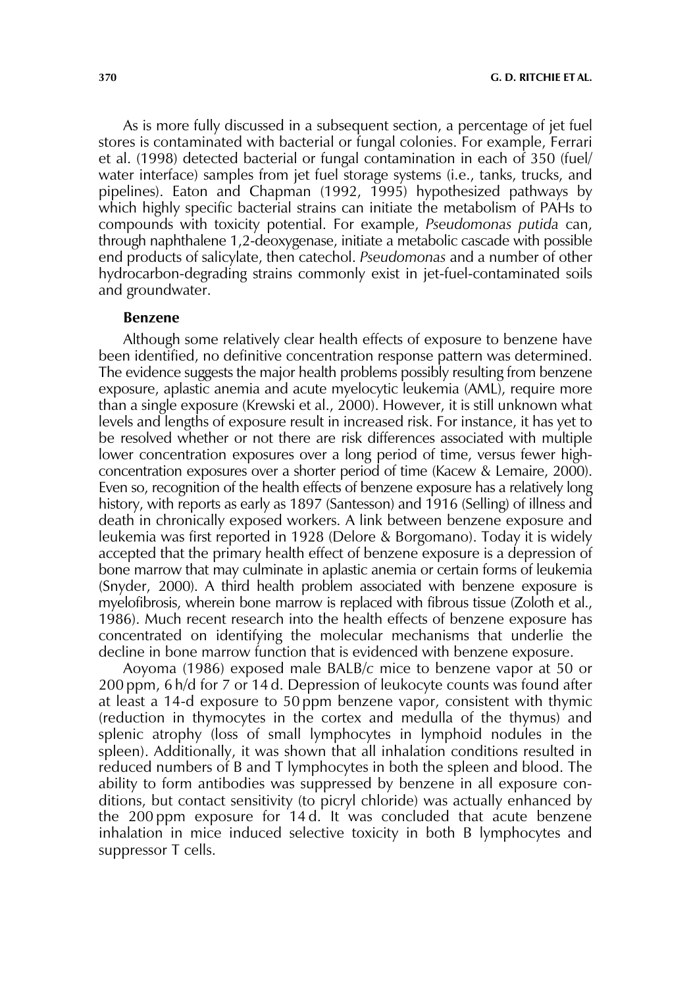As is more fully discussed in a subsequent section, a percentage of jet fuel stores is contaminated with bacterial or fungal colonies. For example, Ferrari et al. (1998) detected bacterial or fungal contamination in each of 350 (fuel/ water interface) samples from jet fuel storage systems (i.e., tanks, trucks, and pipelines). Eaton and Chapman (1992, 1995) hypothesized pathways by which highly specific bacterial strains can initiate the metabolism of PAHs to compounds with toxicity potential. For example, *Pseudomonas putida* can, through naphthalene 1,2-deoxygenase, initiate a metabolic cascade with possible end products of salicylate, then catechol. *Pseudomonas* and a number of other hydrocarbon-degrading strains commonly exist in jet-fuel-contaminated soils and groundwater.

#### **Benzene**

Although some relatively clear health effects of exposure to benzene have been identified, no definitive concentration response pattern was determined. The evidence suggests the major health problems possibly resulting from benzene exposure, aplastic anemia and acute myelocytic leukemia (AML), require more than a single exposure (Krewski et al., 2000). However, it is still unknown what levels and lengths of exposure result in increased risk. For instance, it has yet to be resolved whether or not there are risk differences associated with multiple lower concentration exposures over a long period of time, versus fewer highconcentration exposures over a shorter period of time (Kacew & Lemaire, 2000). Even so, recognition of the health effects of benzene exposure has a relatively long history, with reports as early as 1897 (Santesson) and 1916 (Selling) of illness and death in chronically exposed workers. A link between benzene exposure and leukemia was first reported in 1928 (Delore & Borgomano). Today it is widely accepted that the primary health effect of benzene exposure is a depression of bone marrow that may culminate in aplastic anemia or certain forms of leukemia (Snyder, 2000). A third health problem associated with benzene exposure is myelofibrosis, wherein bone marrow is replaced with fibrous tissue (Zoloth et al., 1986). Much recent research into the health effects of benzene exposure has concentrated on identifying the molecular mechanisms that underlie the decline in bone marrow function that is evidenced with benzene exposure.

Aoyoma (1986) exposed male BALB/*c* mice to benzene vapor at 50 or 200 ppm, 6 h/d for 7 or 14 d. Depression of leukocyte counts was found after at least a 14-d exposure to 50 ppm benzene vapor, consistent with thymic (reduction in thymocytes in the cortex and medulla of the thymus) and splenic atrophy (loss of small lymphocytes in lymphoid nodules in the spleen). Additionally, it was shown that all inhalation conditions resulted in reduced numbers of B and T lymphocytes in both the spleen and blood. The ability to form antibodies was suppressed by benzene in all exposure conditions, but contact sensitivity (to picryl chloride) was actually enhanced by the 200 ppm exposure for 14 d. It was concluded that acute benzene inhalation in mice induced selective toxicity in both B lymphocytes and suppressor T cells.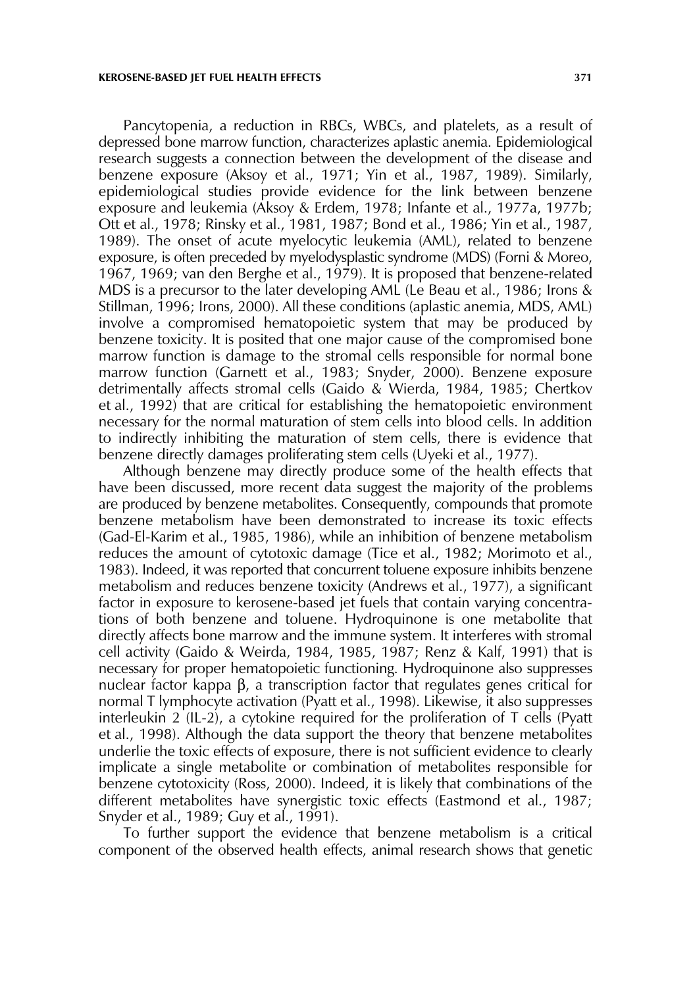Pancytopenia, a reduction in RBCs, WBCs, and platelets, as a result of depressed bone marrow function, characterizes aplastic anemia. Epidemiological research suggests a connection between the development of the disease and benzene exposure (Aksoy et al., 1971; Yin et al., 1987, 1989). Similarly, epidemiological studies provide evidence for the link between benzene exposure and leukemia (Aksoy & Erdem, 1978; Infante et al., 1977a, 1977b; Ott et al., 1978; Rinsky et al., 1981, 1987; Bond et al., 1986; Yin et al., 1987, 1989). The onset of acute myelocytic leukemia (AML), related to benzene exposure, is often preceded by myelodysplastic syndrome (MDS) (Forni & Moreo, 1967, 1969; van den Berghe et al., 1979). It is proposed that benzene-related MDS is a precursor to the later developing AML (Le Beau et al., 1986; Irons & Stillman, 1996; Irons, 2000). All these conditions (aplastic anemia, MDS, AML) involve a compromised hematopoietic system that may be produced by benzene toxicity. It is posited that one major cause of the compromised bone marrow function is damage to the stromal cells responsible for normal bone marrow function (Garnett et al., 1983; Snyder, 2000). Benzene exposure detrimentally affects stromal cells (Gaido & Wierda, 1984, 1985; Chertkov et al., 1992) that are critical for establishing the hematopoietic environment necessary for the normal maturation of stem cells into blood cells. In addition to indirectly inhibiting the maturation of stem cells, there is evidence that benzene directly damages proliferating stem cells (Uyeki et al., 1977).

Although benzene may directly produce some of the health effects that have been discussed, more recent data suggest the majority of the problems are produced by benzene metabolites. Consequently, compounds that promote benzene metabolism have been demonstrated to increase its toxic effects (Gad-El-Karim et al., 1985, 1986), while an inhibition of benzene metabolism reduces the amount of cytotoxic damage (Tice et al., 1982; Morimoto et al., 1983). Indeed, it was reported that concurrent toluene exposure inhibits benzene metabolism and reduces benzene toxicity (Andrews et al., 1977), a significant factor in exposure to kerosene-based jet fuels that contain varying concentrations of both benzene and toluene. Hydroquinone is one metabolite that directly affects bone marrow and the immune system. It interferes with stromal cell activity (Gaido & Weirda, 1984, 1985, 1987; Renz & Kalf, 1991) that is necessary for proper hematopoietic functioning. Hydroquinone also suppresses nuclear factor kappa β, a transcription factor that regulates genes critical for normal T lymphocyte activation (Pyatt et al., 1998). Likewise, it also suppresses interleukin 2 (IL-2), a cytokine required for the proliferation of T cells (Pyatt et al., 1998). Although the data support the theory that benzene metabolites underlie the toxic effects of exposure, there is not sufficient evidence to clearly implicate a single metabolite or combination of metabolites responsible for benzene cytotoxicity (Ross, 2000). Indeed, it is likely that combinations of the different metabolites have synergistic toxic effects (Eastmond et al., 1987; Snyder et al., 1989; Guy et al., 1991).

To further support the evidence that benzene metabolism is a critical component of the observed health effects, animal research shows that genetic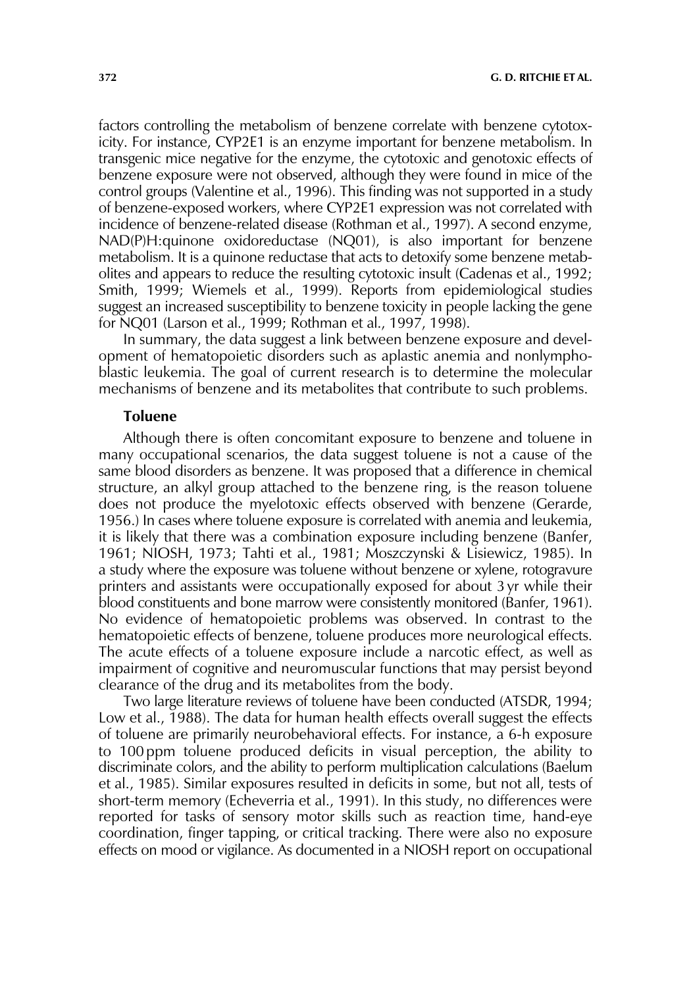factors controlling the metabolism of benzene correlate with benzene cytotoxicity. For instance, CYP2E1 is an enzyme important for benzene metabolism. In transgenic mice negative for the enzyme, the cytotoxic and genotoxic effects of benzene exposure were not observed, although they were found in mice of the control groups (Valentine et al., 1996). This finding was not supported in a study of benzene-exposed workers, where CYP2E1 expression was not correlated with incidence of benzene-related disease (Rothman et al., 1997). A second enzyme, NAD(P)H:quinone oxidoreductase (NQ01), is also important for benzene metabolism. It is a quinone reductase that acts to detoxify some benzene metabolites and appears to reduce the resulting cytotoxic insult (Cadenas et al., 1992; Smith, 1999; Wiemels et al., 1999). Reports from epidemiological studies suggest an increased susceptibility to benzene toxicity in people lacking the gene for NQ01 (Larson et al., 1999; Rothman et al., 1997, 1998).

In summary, the data suggest a link between benzene exposure and development of hematopoietic disorders such as aplastic anemia and nonlymphoblastic leukemia. The goal of current research is to determine the molecular mechanisms of benzene and its metabolites that contribute to such problems.

### **Toluene**

Although there is often concomitant exposure to benzene and toluene in many occupational scenarios, the data suggest toluene is not a cause of the same blood disorders as benzene. It was proposed that a difference in chemical structure, an alkyl group attached to the benzene ring, is the reason toluene does not produce the myelotoxic effects observed with benzene (Gerarde, 1956.) In cases where toluene exposure is correlated with anemia and leukemia, it is likely that there was a combination exposure including benzene (Banfer, 1961; NIOSH, 1973; Tahti et al., 1981; Moszczynski & Lisiewicz, 1985). In a study where the exposure was toluene without benzene or xylene, rotogravure printers and assistants were occupationally exposed for about 3yr while their blood constituents and bone marrow were consistently monitored (Banfer, 1961). No evidence of hematopoietic problems was observed. In contrast to the hematopoietic effects of benzene, toluene produces more neurological effects. The acute effects of a toluene exposure include a narcotic effect, as well as impairment of cognitive and neuromuscular functions that may persist beyond clearance of the drug and its metabolites from the body.

Two large literature reviews of toluene have been conducted (ATSDR, 1994; Low et al., 1988). The data for human health effects overall suggest the effects of toluene are primarily neurobehavioral effects. For instance, a 6-h exposure to 100 ppm toluene produced deficits in visual perception, the ability to discriminate colors, and the ability to perform multiplication calculations (Baelum et al., 1985). Similar exposures resulted in deficits in some, but not all, tests of short-term memory (Echeverria et al., 1991). In this study, no differences were reported for tasks of sensory motor skills such as reaction time, hand-eye coordination, finger tapping, or critical tracking. There were also no exposure effects on mood or vigilance. As documented in a NIOSH report on occupational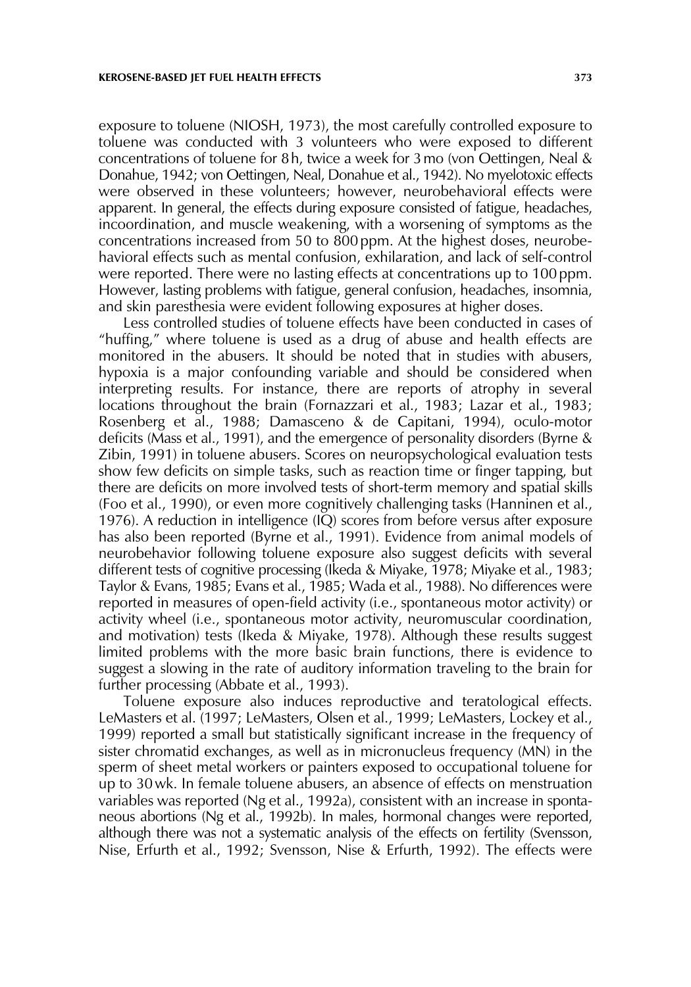exposure to toluene (NIOSH, 1973), the most carefully controlled exposure to toluene was conducted with 3 volunteers who were exposed to different concentrations of toluene for 8h, twice a week for 3mo (von Oettingen, Neal & Donahue, 1942; von Oettingen, Neal, Donahue et al., 1942). No myelotoxic effects were observed in these volunteers; however, neurobehavioral effects were apparent. In general, the effects during exposure consisted of fatigue, headaches, incoordination, and muscle weakening, with a worsening of symptoms as the concentrations increased from 50 to 800ppm. At the highest doses, neurobehavioral effects such as mental confusion, exhilaration, and lack of self-control were reported. There were no lasting effects at concentrations up to 100 ppm. However, lasting problems with fatigue, general confusion, headaches, insomnia, and skin paresthesia were evident following exposures at higher doses.

Less controlled studies of toluene effects have been conducted in cases of "huffing," where toluene is used as a drug of abuse and health effects are monitored in the abusers. It should be noted that in studies with abusers, hypoxia is a major confounding variable and should be considered when interpreting results. For instance, there are reports of atrophy in several locations throughout the brain (Fornazzari et al., 1983; Lazar et al., 1983; Rosenberg et al., 1988; Damasceno & de Capitani, 1994), oculo-motor deficits (Mass et al., 1991), and the emergence of personality disorders (Byrne & Zibin, 1991) in toluene abusers. Scores on neuropsychological evaluation tests show few deficits on simple tasks, such as reaction time or finger tapping, but there are deficits on more involved tests of short-term memory and spatial skills (Foo et al., 1990), or even more cognitively challenging tasks (Hanninen et al., 1976). A reduction in intelligence (IQ) scores from before versus after exposure has also been reported (Byrne et al., 1991). Evidence from animal models of neurobehavior following toluene exposure also suggest deficits with several different tests of cognitive processing (Ikeda & Miyake, 1978; Miyake et al., 1983; Taylor & Evans, 1985; Evans et al., 1985; Wada et al., 1988). No differences were reported in measures of open-field activity (i.e., spontaneous motor activity) or activity wheel (i.e., spontaneous motor activity, neuromuscular coordination, and motivation) tests (Ikeda & Miyake, 1978). Although these results suggest limited problems with the more basic brain functions, there is evidence to suggest a slowing in the rate of auditory information traveling to the brain for further processing (Abbate et al., 1993).

Toluene exposure also induces reproductive and teratological effects. LeMasters et al. (1997; LeMasters, Olsen et al., 1999; LeMasters, Lockey et al., 1999) reported a small but statistically significant increase in the frequency of sister chromatid exchanges, as well as in micronucleus frequency (MN) in the sperm of sheet metal workers or painters exposed to occupational toluene for up to 30wk. In female toluene abusers, an absence of effects on menstruation variables was reported (Ng et al., 1992a), consistent with an increase in spontaneous abortions (Ng et al., 1992b). In males, hormonal changes were reported, although there was not a systematic analysis of the effects on fertility (Svensson, Nise, Erfurth et al., 1992; Svensson, Nise & Erfurth, 1992). The effects were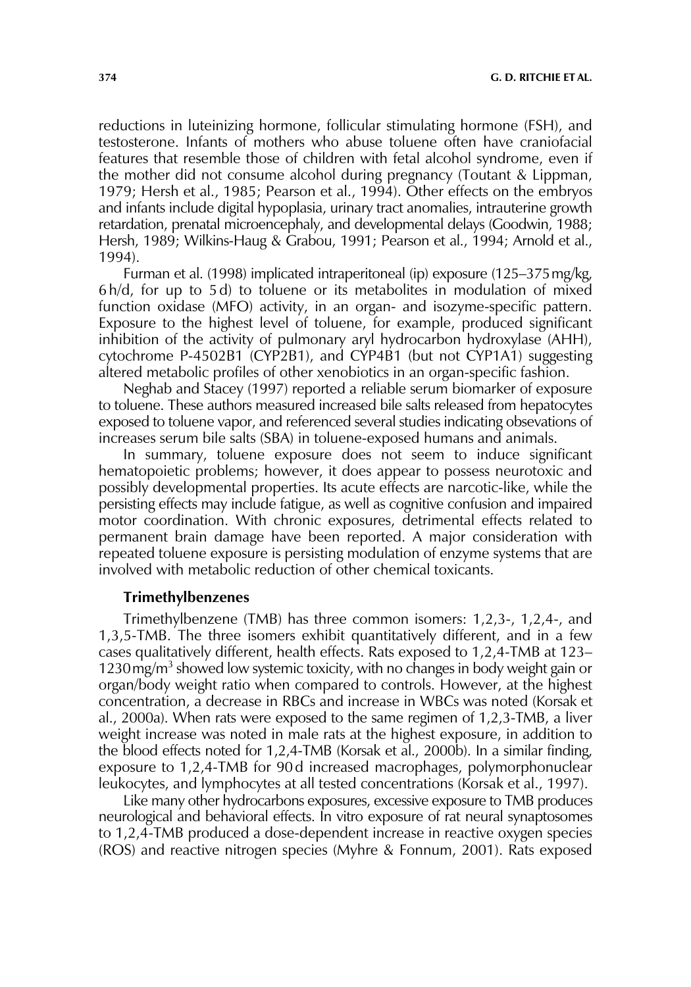reductions in luteinizing hormone, follicular stimulating hormone (FSH), and testosterone. Infants of mothers who abuse toluene often have craniofacial features that resemble those of children with fetal alcohol syndrome, even if the mother did not consume alcohol during pregnancy (Toutant & Lippman, 1979; Hersh et al., 1985; Pearson et al., 1994). Other effects on the embryos and infants include digital hypoplasia, urinary tract anomalies, intrauterine growth retardation, prenatal microencephaly, and developmental delays (Goodwin, 1988; Hersh, 1989; Wilkins-Haug & Grabou, 1991; Pearson et al., 1994; Arnold et al., 1994).

Furman et al. (1998) implicated intraperitoneal (ip) exposure (125–375mg/kg, 6h/d, for up to 5 d) to toluene or its metabolites in modulation of mixed function oxidase (MFO) activity, in an organ- and isozyme-specific pattern. Exposure to the highest level of toluene, for example, produced significant inhibition of the activity of pulmonary aryl hydrocarbon hydroxylase (AHH), cytochrome P-4502B1 (CYP2B1), and CYP4B1 (but not CYP1A1) suggesting altered metabolic profiles of other xenobiotics in an organ-specific fashion.

Neghab and Stacey (1997) reported a reliable serum biomarker of exposure to toluene. These authors measured increased bile salts released from hepatocytes exposed to toluene vapor, and referenced several studies indicating obsevations of increases serum bile salts (SBA) in toluene-exposed humans and animals.

In summary, toluene exposure does not seem to induce significant hematopoietic problems; however, it does appear to possess neurotoxic and possibly developmental properties. Its acute effects are narcotic-like, while the persisting effects may include fatigue, as well as cognitive confusion and impaired motor coordination. With chronic exposures, detrimental effects related to permanent brain damage have been reported. A major consideration with repeated toluene exposure is persisting modulation of enzyme systems that are involved with metabolic reduction of other chemical toxicants.

#### **Trimethylbenzenes**

Trimethylbenzene (TMB) has three common isomers: 1,2,3-, 1,2,4-, and 1,3,5-TMB. The three isomers exhibit quantitatively different, and in a few cases qualitatively different, health effects. Rats exposed to 1,2,4-TMB at 123– 1230 mg/m<sup>3</sup> showed low systemic toxicity, with no changes in body weight gain or organ/body weight ratio when compared to controls. However, at the highest concentration, a decrease in RBCs and increase in WBCs was noted (Korsak et al., 2000a). When rats were exposed to the same regimen of 1,2,3-TMB, a liver weight increase was noted in male rats at the highest exposure, in addition to the blood effects noted for 1,2,4-TMB (Korsak et al., 2000b). In a similar finding, exposure to 1,2,4-TMB for 90 d increased macrophages, polymorphonuclear leukocytes, and lymphocytes at all tested concentrations (Korsak et al., 1997).

Like many other hydrocarbons exposures, excessive exposure to TMB produces neurological and behavioral effects. In vitro exposure of rat neural synaptosomes to 1,2,4-TMB produced a dose-dependent increase in reactive oxygen species (ROS) and reactive nitrogen species (Myhre & Fonnum, 2001). Rats exposed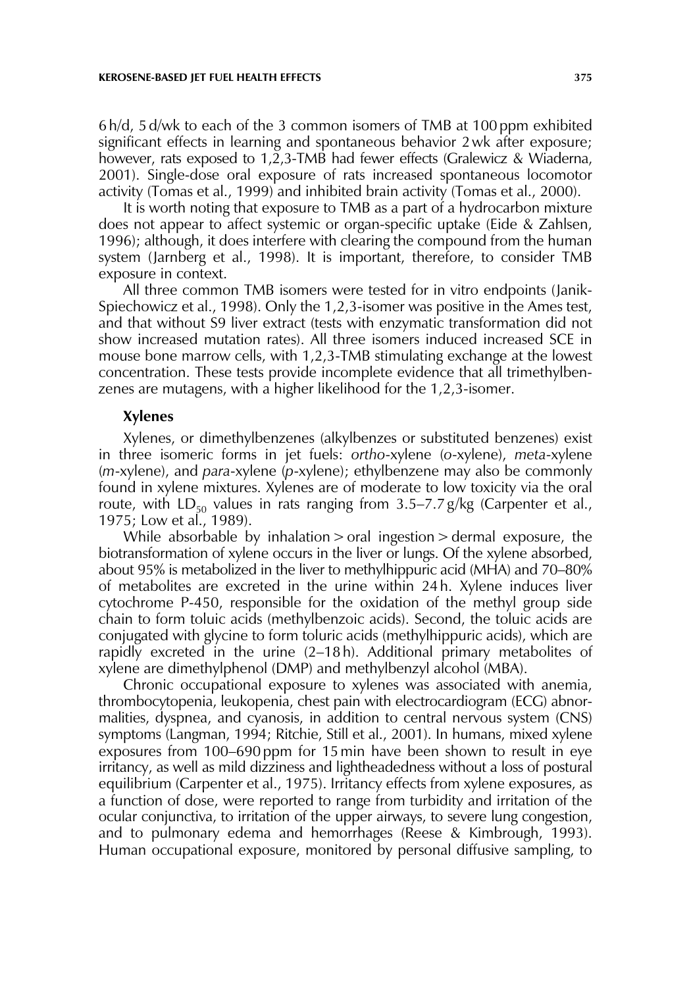#### **KEROSENE-BASED JET FUEL HEALTH EFFECTS 375**

6h/d, 5d/wk to each of the 3 common isomers of TMB at 100 ppm exhibited significant effects in learning and spontaneous behavior 2wk after exposure; however, rats exposed to 1,2,3-TMB had fewer effects (Gralewicz & Wiaderna, 2001). Single-dose oral exposure of rats increased spontaneous locomotor activity (Tomas et al., 1999) and inhibited brain activity (Tomas et al., 2000).

It is worth noting that exposure to TMB as a part of a hydrocarbon mixture does not appear to affect systemic or organ-specific uptake (Eide & Zahlsen, 1996); although, it does interfere with clearing the compound from the human system (Jarnberg et al., 1998). It is important, therefore, to consider TMB exposure in context.

All three common TMB isomers were tested for in vitro endpoints (Janik-Spiechowicz et al., 1998). Only the 1,2,3-isomer was positive in the Ames test, and that without S9 liver extract (tests with enzymatic transformation did not show increased mutation rates). All three isomers induced increased SCE in mouse bone marrow cells, with 1,2,3-TMB stimulating exchange at the lowest concentration. These tests provide incomplete evidence that all trimethylbenzenes are mutagens, with a higher likelihood for the 1,2,3-isomer.

### **Xylenes**

Xylenes, or dimethylbenzenes (alkylbenzes or substituted benzenes) exist in three isomeric forms in jet fuels: *ortho*-xylene (*o*-xylene), *meta*-xylene (*m*-xylene), and *para*-xylene (*p*-xylene); ethylbenzene may also be commonly found in xylene mixtures. Xylenes are of moderate to low toxicity via the oral route, with  $LD_{50}$  values in rats ranging from 3.5–7.7g/kg (Carpenter et al., 1975; Low et al., 1989).

While absorbable by inhalation  $>$  oral ingestion  $>$  dermal exposure, the biotransformation of xylene occurs in the liver or lungs. Of the xylene absorbed, about 95% is metabolized in the liver to methylhippuric acid (MHA) and 70–80% of metabolites are excreted in the urine within 24h. Xylene induces liver cytochrome P-450, responsible for the oxidation of the methyl group side chain to form toluic acids (methylbenzoic acids). Second, the toluic acids are conjugated with glycine to form toluric acids (methylhippuric acids), which are rapidly excreted in the urine (2–18 h). Additional primary metabolites of xylene are dimethylphenol (DMP) and methylbenzyl alcohol (MBA).

Chronic occupational exposure to xylenes was associated with anemia, thrombocytopenia, leukopenia, chest pain with electrocardiogram (ECG) abnormalities, dyspnea, and cyanosis, in addition to central nervous system (CNS) symptoms (Langman, 1994; Ritchie, Still et al., 2001). In humans, mixed xylene exposures from 100–690ppm for 15min have been shown to result in eye irritancy, as well as mild dizziness and lightheadedness without a loss of postural equilibrium (Carpenter et al., 1975). Irritancy effects from xylene exposures, as a function of dose, were reported to range from turbidity and irritation of the ocular conjunctiva, to irritation of the upper airways, to severe lung congestion, and to pulmonary edema and hemorrhages (Reese & Kimbrough, 1993). Human occupational exposure, monitored by personal diffusive sampling, to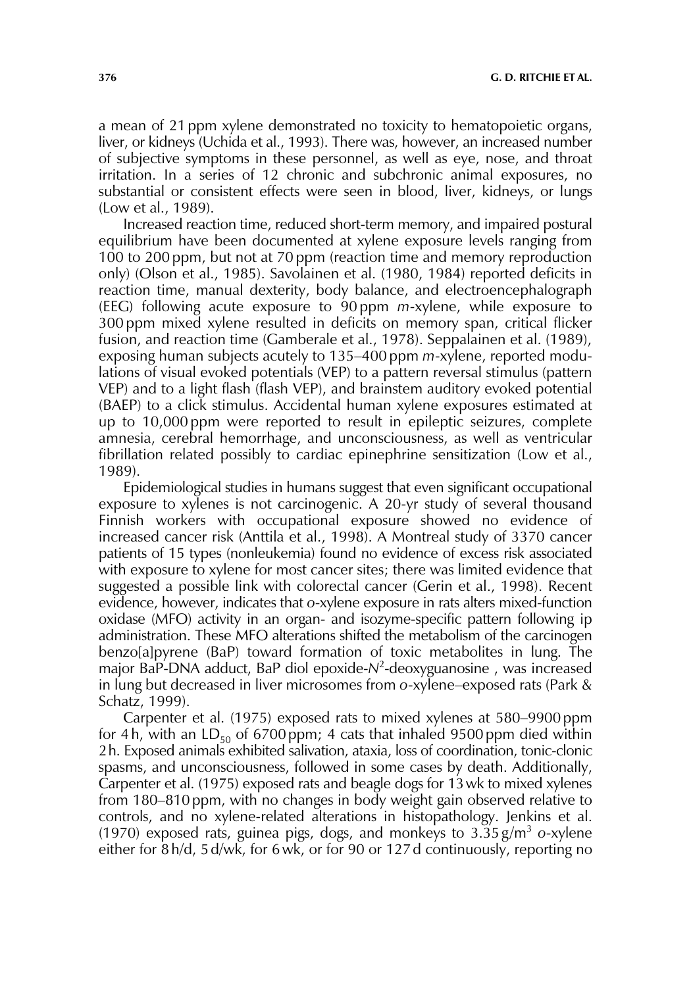a mean of 21 ppm xylene demonstrated no toxicity to hematopoietic organs, liver, or kidneys (Uchida et al., 1993). There was, however, an increased number of subjective symptoms in these personnel, as well as eye, nose, and throat irritation. In a series of 12 chronic and subchronic animal exposures, no substantial or consistent effects were seen in blood, liver, kidneys, or lungs (Low et al., 1989).

Increased reaction time, reduced short-term memory, and impaired postural equilibrium have been documented at xylene exposure levels ranging from 100 to 200 ppm, but not at 70 ppm (reaction time and memory reproduction only) (Olson et al., 1985). Savolainen et al. (1980, 1984) reported deficits in reaction time, manual dexterity, body balance, and electroencephalograph (EEG) following acute exposure to 90 ppm *m*-xylene, while exposure to 300 ppm mixed xylene resulted in deficits on memory span, critical flicker fusion, and reaction time (Gamberale et al., 1978). Seppalainen et al. (1989), exposing human subjects acutely to 135–400 ppm *m*-xylene, reported modulations of visual evoked potentials (VEP) to a pattern reversal stimulus (pattern VEP) and to a light flash (flash VEP), and brainstem auditory evoked potential (BAEP) to a click stimulus. Accidental human xylene exposures estimated at up to 10,000 ppm were reported to result in epileptic seizures, complete amnesia, cerebral hemorrhage, and unconsciousness, as well as ventricular fibrillation related possibly to cardiac epinephrine sensitization (Low et al., 1989).

Epidemiological studies in humans suggest that even significant occupational exposure to xylenes is not carcinogenic. A 20-yr study of several thousand Finnish workers with occupational exposure showed no evidence of increased cancer risk (Anttila et al., 1998). A Montreal study of 3370 cancer patients of 15 types (nonleukemia) found no evidence of excess risk associated with exposure to xylene for most cancer sites; there was limited evidence that suggested a possible link with colorectal cancer (Gerin et al., 1998). Recent evidence, however, indicates that *o*-xylene exposure in rats alters mixed-function oxidase (MFO) activity in an organ- and isozyme-specific pattern following ip administration. These MFO alterations shifted the metabolism of the carcinogen benzo[a]pyrene (BaP) toward formation of toxic metabolites in lung. The major BaP-DNA adduct, BaP diol epoxide-*N*<sup>2</sup> -deoxyguanosine , was increased in lung but decreased in liver microsomes from *o*-xylene–exposed rats (Park & Schatz, 1999).

Carpenter et al. (1975) exposed rats to mixed xylenes at 580–9900 ppm for 4h, with an  $LD_{50}$  of 6700 ppm; 4 cats that inhaled 9500 ppm died within 2h. Exposed animals exhibited salivation, ataxia, loss of coordination, tonic-clonic spasms, and unconsciousness, followed in some cases by death. Additionally, Carpenter et al. (1975) exposed rats and beagle dogs for 13wk to mixed xylenes from 180–810 ppm, with no changes in body weight gain observed relative to controls, and no xylene-related alterations in histopathology. Jenkins et al. (1970) exposed rats, guinea pigs, dogs, and monkeys to  $3.35 \text{ g/m}^3$  *o-xylene* either for 8 h/d, 5d/wk, for 6wk, or for 90 or 127d continuously, reporting no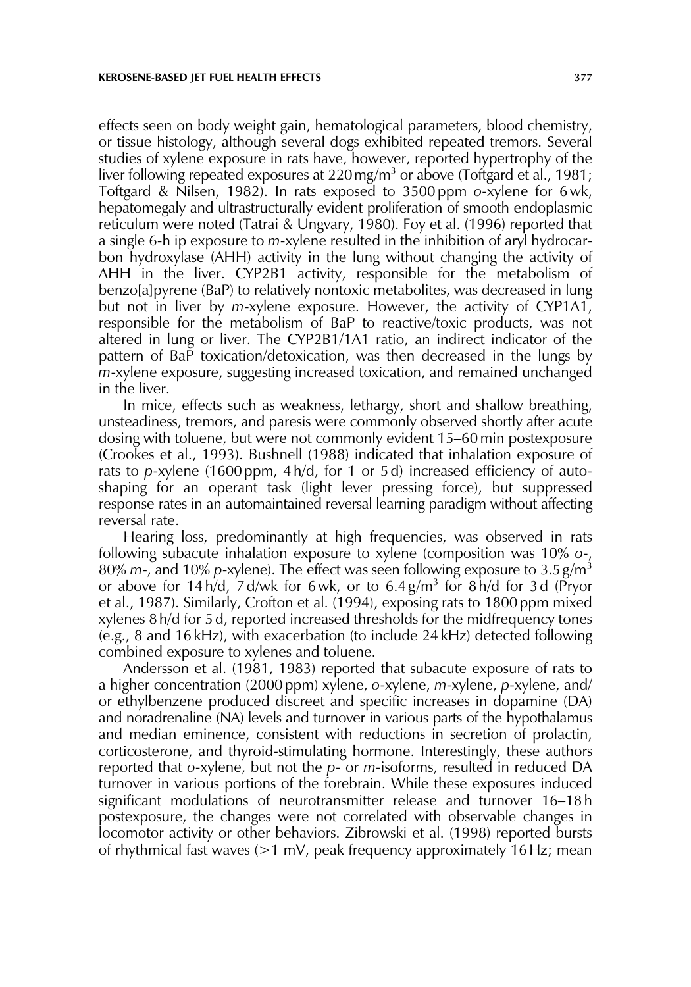effects seen on body weight gain, hematological parameters, blood chemistry, or tissue histology, although several dogs exhibited repeated tremors. Several studies of xylene exposure in rats have, however, reported hypertrophy of the liver following repeated exposures at 220 mg/m<sup>3</sup> or above (Toftgard et al., 1981; Toftgard & Nilsen, 1982). In rats exposed to 3500 ppm *o*-xylene for 6wk, hepatomegaly and ultrastructurally evident proliferation of smooth endoplasmic reticulum were noted (Tatrai & Ungvary, 1980). Foy et al. (1996) reported that a single 6-h ip exposure to *m*-xylene resulted in the inhibition of aryl hydrocarbon hydroxylase (AHH) activity in the lung without changing the activity of AHH in the liver. CYP2B1 activity, responsible for the metabolism of benzo[a]pyrene (BaP) to relatively nontoxic metabolites, was decreased in lung but not in liver by *m*-xylene exposure. However, the activity of CYP1A1, responsible for the metabolism of BaP to reactive/toxic products, was not altered in lung or liver. The CYP2B1/1A1 ratio, an indirect indicator of the pattern of BaP toxication/detoxication, was then decreased in the lungs by *m*-xylene exposure, suggesting increased toxication, and remained unchanged in the liver.

In mice, effects such as weakness, lethargy, short and shallow breathing, unsteadiness, tremors, and paresis were commonly observed shortly after acute dosing with toluene, but were not commonly evident 15–60 min postexposure (Crookes et al., 1993). Bushnell (1988) indicated that inhalation exposure of rats to *p*-xylene (1600 ppm, 4 h/d, for 1 or 5 d) increased efficiency of autoshaping for an operant task (light lever pressing force), but suppressed response rates in an automaintained reversal learning paradigm without affecting reversal rate.

Hearing loss, predominantly at high frequencies, was observed in rats following subacute inhalation exposure to xylene (composition was 10% *o*-, 80% *m*-, and 10% *p*-xylene). The effect was seen following exposure to 3.5g/m<sup>3</sup> or above for 14 h/d, 7 d/wk for 6 wk, or to 6.4 g/m<sup>3</sup> for 8 h/d for 3 d (Pryor et al., 1987). Similarly, Crofton et al. (1994), exposing rats to 1800ppm mixed xylenes 8h/d for 5d, reported increased thresholds for the midfrequency tones (e.g., 8 and 16kHz), with exacerbation (to include 24 kHz) detected following combined exposure to xylenes and toluene.

Andersson et al. (1981, 1983) reported that subacute exposure of rats to a higher concentration (2000 ppm) xylene, *o*-xylene, *m*-xylene, *p*-xylene, and/ or ethylbenzene produced discreet and specific increases in dopamine (DA) and noradrenaline (NA) levels and turnover in various parts of the hypothalamus and median eminence, consistent with reductions in secretion of prolactin, corticosterone, and thyroid-stimulating hormone. Interestingly, these authors reported that *o*-xylene, but not the *p*- or *m*-isoforms, resulted in reduced DA turnover in various portions of the forebrain. While these exposures induced significant modulations of neurotransmitter release and turnover 16–18h postexposure, the changes were not correlated with observable changes in locomotor activity or other behaviors. Zibrowski et al. (1998) reported bursts of rhythmical fast waves (>1 mV, peak frequency approximately 16 Hz; mean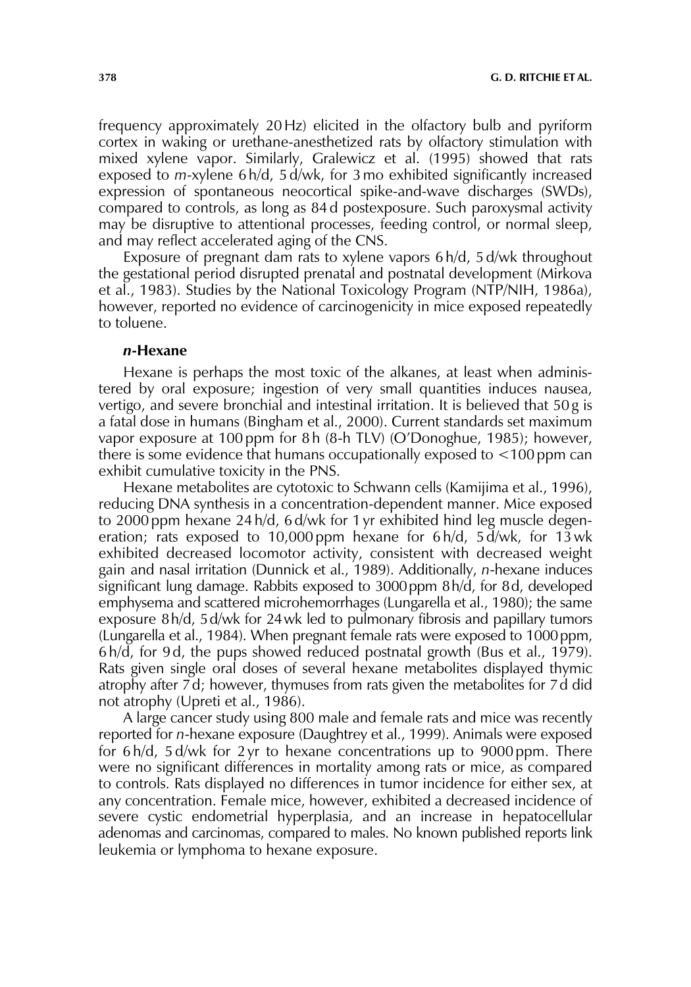**378 G. D. RITCHIE ET AL.**

frequency approximately 20Hz) elicited in the olfactory bulb and pyriform cortex in waking or urethane-anesthetized rats by olfactory stimulation with mixed xylene vapor. Similarly, Gralewicz et al. (1995) showed that rats exposed to *m*-xylene 6h/d, 5 d/wk, for 3mo exhibited significantly increased expression of spontaneous neocortical spike-and-wave discharges (SWDs), compared to controls, as long as 84 d postexposure. Such paroxysmal activity may be disruptive to attentional processes, feeding control, or normal sleep, and may reflect accelerated aging of the CNS.

Exposure of pregnant dam rats to xylene vapors 6 h/d, 5d/wk throughout the gestational period disrupted prenatal and postnatal development (Mirkova et al., 1983). Studies by the National Toxicology Program (NTP/NIH, 1986a), however, reported no evidence of carcinogenicity in mice exposed repeatedly to toluene.

#### *n***-Hexane**

Hexane is perhaps the most toxic of the alkanes, at least when administered by oral exposure; ingestion of very small quantities induces nausea, vertigo, and severe bronchial and intestinal irritation. It is believed that 50g is a fatal dose in humans (Bingham et al., 2000). Current standards set maximum vapor exposure at 100 ppm for 8h (8-h TLV) (O'Donoghue, 1985); however, there is some evidence that humans occupationally exposed to  $<$ 100 ppm can exhibit cumulative toxicity in the PNS.

Hexane metabolites are cytotoxic to Schwann cells (Kamijima et al., 1996), reducing DNA synthesis in a concentration-dependent manner. Mice exposed to 2000ppm hexane 24 h/d, 6d/wk for 1yr exhibited hind leg muscle degeneration; rats exposed to 10,000 ppm hexane for  $6h/d$ ,  $5d/wk$ , for  $13wk$ exhibited decreased locomotor activity, consistent with decreased weight gain and nasal irritation (Dunnick et al., 1989). Additionally, *n*-hexane induces significant lung damage. Rabbits exposed to 3000ppm 8h/d, for 8d, developed emphysema and scattered microhemorrhages (Lungarella et al., 1980); the same exposure 8h/d, 5d/wk for 24wk led to pulmonary fibrosis and papillary tumors (Lungarella et al., 1984). When pregnant female rats were exposed to 1000ppm, 6h/d, for 9d, the pups showed reduced postnatal growth (Bus et al., 1979). Rats given single oral doses of several hexane metabolites displayed thymic atrophy after 7d; however, thymuses from rats given the metabolites for 7d did not atrophy (Upreti et al., 1986).

A large cancer study using 800 male and female rats and mice was recently reported for *n*-hexane exposure (Daughtrey et al., 1999). Animals were exposed for 6h/d, 5 d/wk for 2yr to hexane concentrations up to 9000ppm. There were no significant differences in mortality among rats or mice, as compared to controls. Rats displayed no differences in tumor incidence for either sex, at any concentration. Female mice, however, exhibited a decreased incidence of severe cystic endometrial hyperplasia, and an increase in hepatocellular adenomas and carcinomas, compared to males. No known published reports link leukemia or lymphoma to hexane exposure.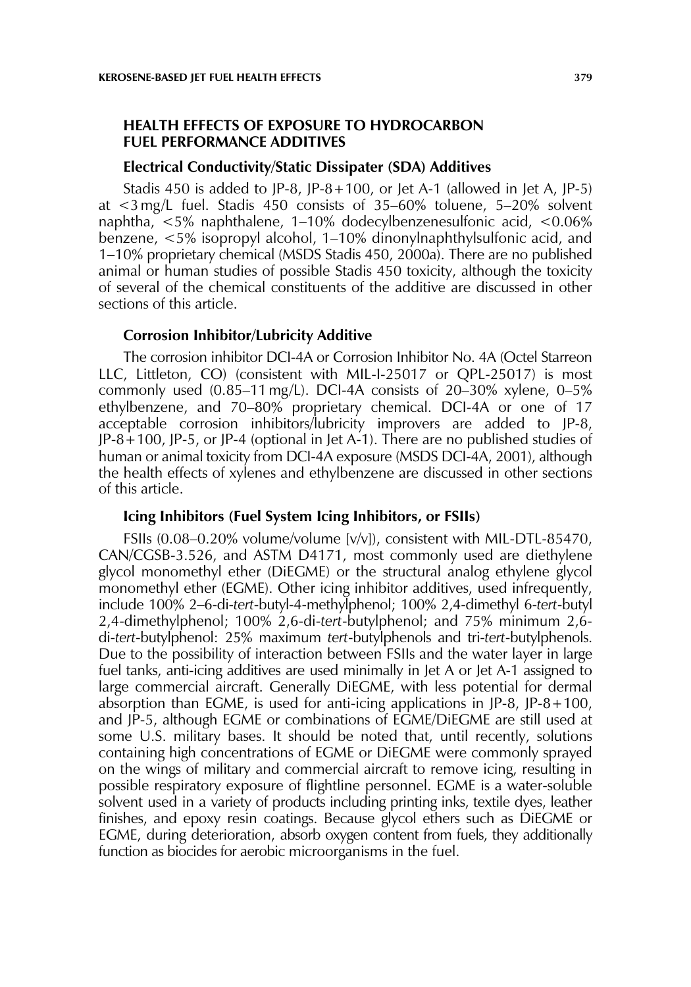### **HEALTH EFFECTS OF EXPOSURE TO HYDROCARBON FUEL PERFORMANCE ADDITIVES**

### **Electrical Conductivity/Static Dissipater (SDA) Additives**

Stadis 450 is added to JP-8, JP-8+100, or Jet A-1 (allowed in Jet A, JP-5) at <3mg/L fuel. Stadis 450 consists of 35–60% toluene, 5–20% solvent naphtha, <5% naphthalene, 1–10% dodecylbenzenesulfonic acid, <0.06% benzene, <5% isopropyl alcohol, 1–10% dinonylnaphthylsulfonic acid, and 1–10% proprietary chemical (MSDS Stadis 450, 2000a). There are no published animal or human studies of possible Stadis 450 toxicity, although the toxicity of several of the chemical constituents of the additive are discussed in other sections of this article.

### **Corrosion Inhibitor/Lubricity Additive**

The corrosion inhibitor DCI-4A or Corrosion Inhibitor No. 4A (Octel Starreon LLC, Littleton, CO) (consistent with MIL-I-25017 or QPL-25017) is most commonly used  $(0.85-11 \text{ mg/L})$ . DCI-4A consists of 20-30% xylene, 0-5% ethylbenzene, and 70–80% proprietary chemical. DCI-4A or one of 17 acceptable corrosion inhibitors/lubricity improvers are added to JP-8, JP-8 +100, JP-5, or JP-4 (optional in Jet A-1). There are no published studies of human or animal toxicity from DCI-4A exposure (MSDS DCI-4A, 2001), although the health effects of xylenes and ethylbenzene are discussed in other sections of this article.

### **Icing Inhibitors (Fuel System Icing Inhibitors, or FSIIs)**

FSIIs (0.08–0.20% volume/volume [v/v]), consistent with MIL-DTL-85470, CAN/CGSB-3.526, and ASTM D4171, most commonly used are diethylene glycol monomethyl ether (DiEGME) or the structural analog ethylene glycol monomethyl ether (EGME). Other icing inhibitor additives, used infrequently, include 100% 2–6-di-*tert*-butyl-4-methylphenol; 100% 2,4-dimethyl 6-*tert*-butyl 2,4-dimethylphenol; 100% 2,6-di-*tert*-butylphenol; and 75% minimum 2,6 di-*tert*-butylphenol: 25% maximum *tert*-butylphenols and tri-*tert*-butylphenols. Due to the possibility of interaction between FSIIs and the water layer in large fuel tanks, anti-icing additives are used minimally in Jet A or Jet A-1 assigned to large commercial aircraft. Generally DiEGME, with less potential for dermal absorption than EGME, is used for anti-icing applications in JP-8, JP-8 + 100, and JP-5, although EGME or combinations of EGME/DiEGME are still used at some U.S. military bases. It should be noted that, until recently, solutions containing high concentrations of EGME or DiEGME were commonly sprayed on the wings of military and commercial aircraft to remove icing, resulting in possible respiratory exposure of flightline personnel. EGME is a water-soluble solvent used in a variety of products including printing inks, textile dyes, leather finishes, and epoxy resin coatings. Because glycol ethers such as DiEGME or EGME, during deterioration, absorb oxygen content from fuels, they additionally function as biocides for aerobic microorganisms in the fuel.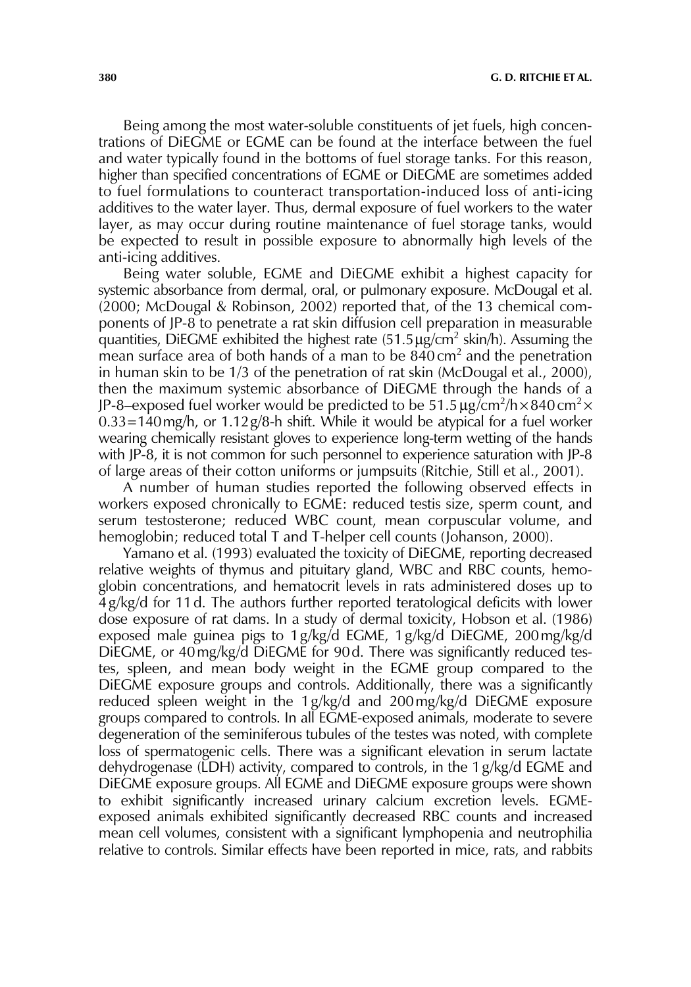Being among the most water-soluble constituents of jet fuels, high concentrations of DiEGME or EGME can be found at the interface between the fuel and water typically found in the bottoms of fuel storage tanks. For this reason, higher than specified concentrations of EGME or DiEGME are sometimes added to fuel formulations to counteract transportation-induced loss of anti-icing additives to the water layer. Thus, dermal exposure of fuel workers to the water layer, as may occur during routine maintenance of fuel storage tanks, would be expected to result in possible exposure to abnormally high levels of the anti-icing additives.

Being water soluble, EGME and DiEGME exhibit a highest capacity for systemic absorbance from dermal, oral, or pulmonary exposure. McDougal et al. (2000; McDougal & Robinson, 2002) reported that, of the 13 chemical components of JP-8 to penetrate a rat skin diffusion cell preparation in measurable quantities, DiEGME exhibited the highest rate  $(51.5 \mu g/cm^2)$  skin/h). Assuming the mean surface area of both hands of a man to be  $840 \text{ cm}^2$  and the penetration in human skin to be 1/3 of the penetration of rat skin (McDougal et al., 2000), then the maximum systemic absorbance of DiEGME through the hands of a JP-8–exposed fuel worker would be predicted to be 51.5  $\mu$ g/̄cm²/h $\times$ 840 cm² $\times$  $0.33 = 140$  mg/h, or  $1.12$  g/8-h shift. While it would be atypical for a fuel worker wearing chemically resistant gloves to experience long-term wetting of the hands with JP-8, it is not common for such personnel to experience saturation with JP-8 of large areas of their cotton uniforms or jumpsuits (Ritchie, Still et al., 2001).

A number of human studies reported the following observed effects in workers exposed chronically to EGME: reduced testis size, sperm count, and serum testosterone; reduced WBC count, mean corpuscular volume, and hemoglobin; reduced total T and T-helper cell counts (Johanson, 2000).

Yamano et al. (1993) evaluated the toxicity of DiEGME, reporting decreased relative weights of thymus and pituitary gland, WBC and RBC counts, hemoglobin concentrations, and hematocrit levels in rats administered doses up to 4g/kg/d for 11d. The authors further reported teratological deficits with lower dose exposure of rat dams. In a study of dermal toxicity, Hobson et al. (1986) exposed male guinea pigs to  $1g/kg/d$  EGME,  $1g/kg/d$  DiEGME,  $200 \text{mg/kg/d}$ DiEGME, or 40mg/kg/d DiEGME for 90d. There was significantly reduced testes, spleen, and mean body weight in the EGME group compared to the DiEGME exposure groups and controls. Additionally, there was a significantly reduced spleen weight in the 1g/kg/d and 200mg/kg/d DiEGME exposure groups compared to controls. In all EGME-exposed animals, moderate to severe degeneration of the seminiferous tubules of the testes was noted, with complete loss of spermatogenic cells. There was a significant elevation in serum lactate dehydrogenase (LDH) activity, compared to controls, in the 1g/kg/d EGME and DiEGME exposure groups. All EGME and DiEGME exposure groups were shown to exhibit significantly increased urinary calcium excretion levels. EGMEexposed animals exhibited significantly decreased RBC counts and increased mean cell volumes, consistent with a significant lymphopenia and neutrophilia relative to controls. Similar effects have been reported in mice, rats, and rabbits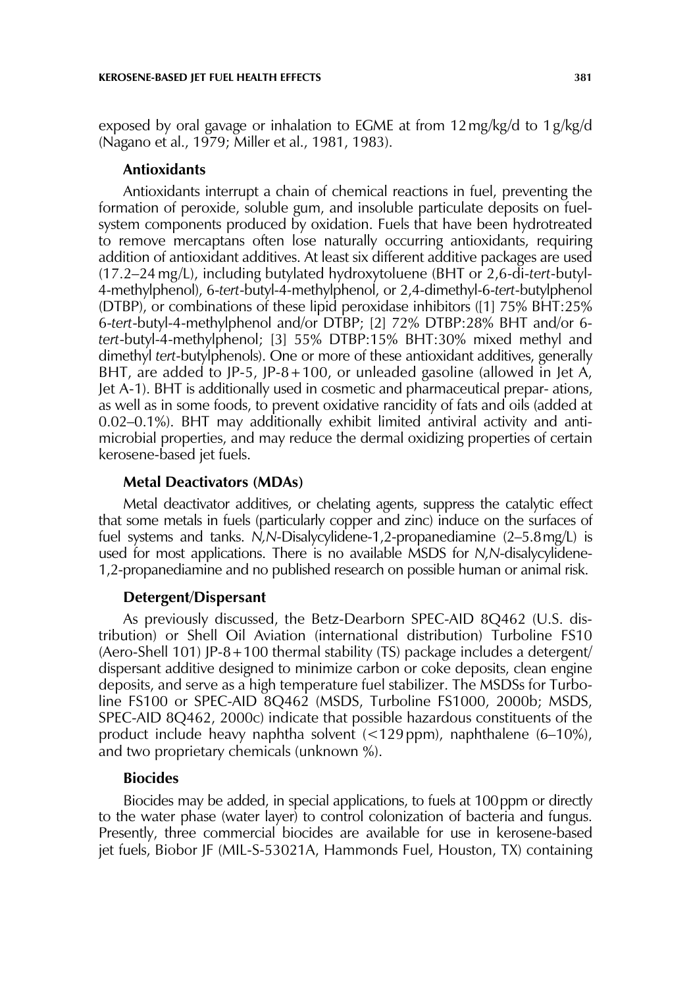exposed by oral gavage or inhalation to EGME at from 12mg/kg/d to 1g/kg/d (Nagano et al., 1979; Miller et al., 1981, 1983).

### **Antioxidants**

Antioxidants interrupt a chain of chemical reactions in fuel, preventing the formation of peroxide, soluble gum, and insoluble particulate deposits on fuelsystem components produced by oxidation. Fuels that have been hydrotreated to remove mercaptans often lose naturally occurring antioxidants, requiring addition of antioxidant additives. At least six different additive packages are used (17.2–24 mg/L), including butylated hydroxytoluene (BHT or 2,6-di-*tert*-butyl-4-methylphenol), 6-*tert*-butyl-4-methylphenol, or 2,4-dimethyl-6-*tert*-butylphenol (DTBP), or combinations of these lipid peroxidase inhibitors ([1] 75% BHT:25% 6-*tert*-butyl-4-methylphenol and/or DTBP; [2] 72% DTBP:28% BHT and/or 6 *tert*-butyl-4-methylphenol; [3] 55% DTBP:15% BHT:30% mixed methyl and dimethyl *tert*-butylphenols). One or more of these antioxidant additives, generally BHT, are added to JP-5, JP-8 + 100, or unleaded gasoline (allowed in Jet A, Jet A-1). BHT is additionally used in cosmetic and pharmaceutical prepar- ations, as well as in some foods, to prevent oxidative rancidity of fats and oils (added at 0.02–0.1%). BHT may additionally exhibit limited antiviral activity and antimicrobial properties, and may reduce the dermal oxidizing properties of certain kerosene-based jet fuels.

### **Metal Deactivators (MDAs)**

Metal deactivator additives, or chelating agents, suppress the catalytic effect that some metals in fuels (particularly copper and zinc) induce on the surfaces of fuel systems and tanks. *N,N*-Disalycylidene-1,2-propanediamine (2–5.8mg/L) is used for most applications. There is no available MSDS for *N,N*-disalycylidene-1,2-propanediamine and no published research on possible human or animal risk.

### **Detergent/Dispersant**

As previously discussed, the Betz-Dearborn SPEC-AID 8Q462 (U.S. distribution) or Shell Oil Aviation (international distribution) Turboline FS10 (Aero-Shell 101) JP-8 +100 thermal stability (TS) package includes a detergent/ dispersant additive designed to minimize carbon or coke deposits, clean engine deposits, and serve as a high temperature fuel stabilizer. The MSDSs for Turboline FS100 or SPEC-AID 8Q462 (MSDS, Turboline FS1000, 2000b; MSDS, SPEC-AID 8Q462, 2000c) indicate that possible hazardous constituents of the product include heavy naphtha solvent (<129ppm), naphthalene (6–10%), and two proprietary chemicals (unknown %).

#### **Biocides**

Biocides may be added, in special applications, to fuels at 100ppm or directly to the water phase (water layer) to control colonization of bacteria and fungus. Presently, three commercial biocides are available for use in kerosene-based jet fuels, Biobor JF (MIL-S-53021A, Hammonds Fuel, Houston, TX) containing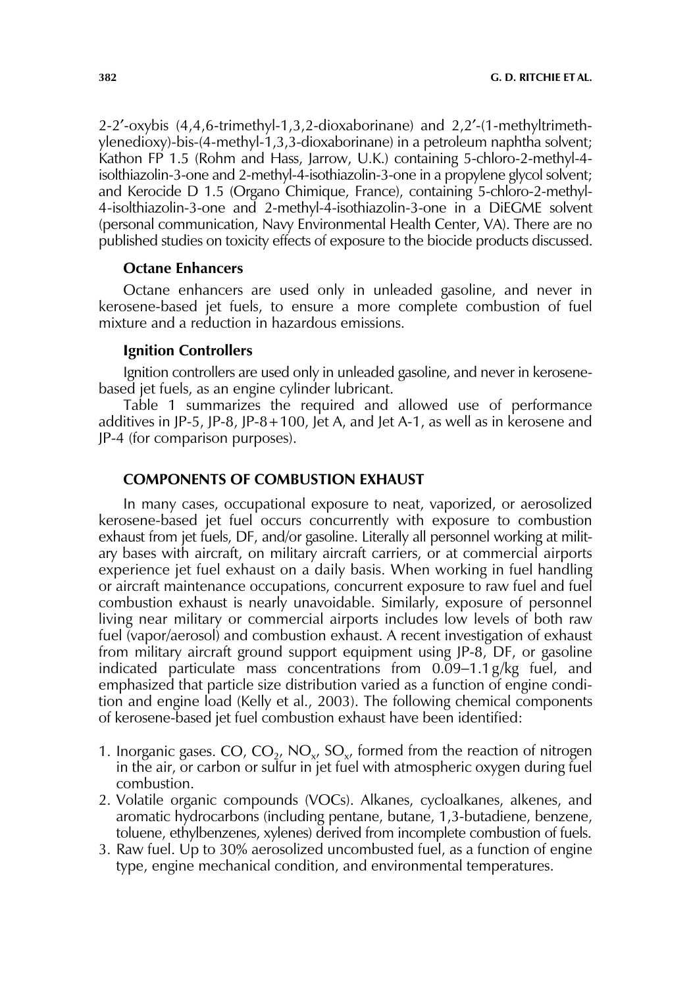2-2′-oxybis (4,4,6-trimethyl-1,3,2-dioxaborinane) and 2,2′-(1-methyltrimethylenedioxy)-bis-(4-methyl-1,3,3-dioxaborinane) in a petroleum naphtha solvent; Kathon FP 1.5 (Rohm and Hass, Jarrow, U.K.) containing 5-chloro-2-methyl-4 isolthiazolin-3-one and 2-methyl-4-isothiazolin-3-one in a propylene glycol solvent; and Kerocide D 1.5 (Organo Chimique, France), containing 5-chloro-2-methyl-4-isolthiazolin-3-one and 2-methyl-4-isothiazolin-3-one in a DiEGME solvent (personal communication, Navy Environmental Health Center, VA). There are no published studies on toxicity effects of exposure to the biocide products discussed.

### **Octane Enhancers**

Octane enhancers are used only in unleaded gasoline, and never in kerosene-based jet fuels, to ensure a more complete combustion of fuel mixture and a reduction in hazardous emissions.

#### **Ignition Controllers**

Ignition controllers are used only in unleaded gasoline, and never in kerosenebased jet fuels, as an engine cylinder lubricant.

Table 1 summarizes the required and allowed use of performance additives in JP-5, JP-8, JP-8+100, Jet A, and Jet A-1, as well as in kerosene and JP-4 (for comparison purposes).

### **COMPONENTS OF COMBUSTION EXHAUST**

In many cases, occupational exposure to neat, vaporized, or aerosolized kerosene-based jet fuel occurs concurrently with exposure to combustion exhaust from jet fuels, DF, and/or gasoline. Literally all personnel working at military bases with aircraft, on military aircraft carriers, or at commercial airports experience jet fuel exhaust on a daily basis. When working in fuel handling or aircraft maintenance occupations, concurrent exposure to raw fuel and fuel combustion exhaust is nearly unavoidable. Similarly, exposure of personnel living near military or commercial airports includes low levels of both raw fuel (vapor/aerosol) and combustion exhaust. A recent investigation of exhaust from military aircraft ground support equipment using JP-8, DF, or gasoline indicated particulate mass concentrations from 0.09−1.1g/kg fuel, and emphasized that particle size distribution varied as a function of engine condition and engine load (Kelly et al., 2003). The following chemical components of kerosene-based jet fuel combustion exhaust have been identified:

- 1. Inorganic gases. CO, CO<sub>2</sub>, NO<sub> $x$ </sub>, SO<sub> $x$ </sub> formed from the reaction of nitrogen in the air, or carbon or sulfur in jet fuel with atmospheric oxygen during fuel combustion.
- 2. Volatile organic compounds (VOCs). Alkanes, cycloalkanes, alkenes, and aromatic hydrocarbons (including pentane, butane, 1,3-butadiene, benzene, toluene, ethylbenzenes, xylenes) derived from incomplete combustion of fuels.
- 3. Raw fuel. Up to 30% aerosolized uncombusted fuel, as a function of engine type, engine mechanical condition, and environmental temperatures.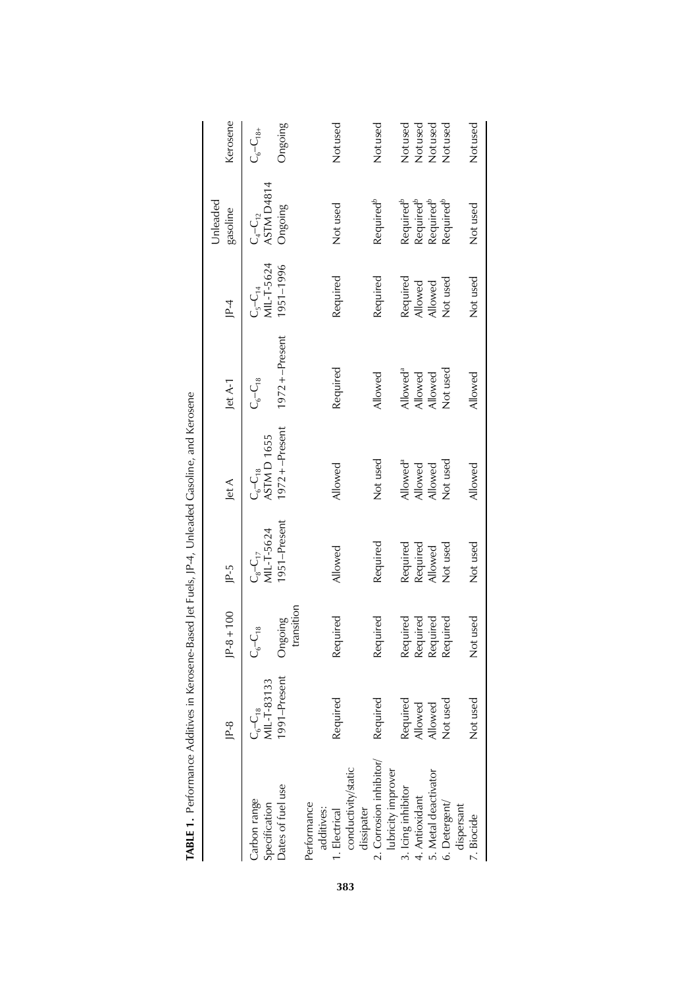|                                                            | $P-8$               | $P-8+100$             | $P-5$                                                                    | Jet A                         | Jet A-1              | $P-4$                                         | Unleaded<br>gasoline         | Kerosene     |
|------------------------------------------------------------|---------------------|-----------------------|--------------------------------------------------------------------------|-------------------------------|----------------------|-----------------------------------------------|------------------------------|--------------|
| arbon range<br>Specification                               | VIL-T-83133<br>င်္  | ၟၟႝ                   | $\frac{\mathsf{C_8-G_{17}}}{\mathsf{MIL}\text{-}\mathsf{T}\text{-}5624}$ | ASTM D 1655<br>$C_6 - C_{18}$ | င်္ကာ                | C <sub>5</sub> -C <sub>14</sub><br>MIL-T-5624 | $C_4 - C_{12}$<br>ASTM D4814 | $C_6C_{18+}$ |
| Dates of fuel use                                          | 1991-Present        | transitior<br>Ongoing | 1951-Present                                                             | $1972 + -$ Present            | $1972 + -$ Present   | 1951-1996                                     | <b>Ongoing</b>               | Jngoing      |
| Performance<br>additives:                                  |                     |                       |                                                                          |                               |                      |                                               |                              |              |
| . Electrical<br>conductivity/static                        | Required            | Required              | Allowed                                                                  | Allowed                       | Required             | Required                                      | Not used                     | Notused      |
|                                                            |                     |                       |                                                                          |                               |                      |                                               |                              |              |
| dissipater<br>2. Corrosion inhibitor/                      | Required            | Required              | Required                                                                 | Not used                      | Allowed              | Required                                      | Required <sup>b</sup>        | Notused      |
|                                                            |                     |                       |                                                                          |                               |                      |                                               |                              |              |
| lubricity improver<br>3. Icing inhibitor<br>4. Antioxidant |                     | Required              | Required                                                                 | Allowed <sup>a</sup>          | Allowed <sup>a</sup> | Required                                      | Required <sup>b</sup>        | Notused      |
|                                                            | Required<br>Allowed | Required              | Required                                                                 | Allowed                       | Allowed              | Allowed                                       | Required <sup>b</sup>        | Notused      |
| 5. Metal deactivator                                       | Allowed             | Required              | Allowed                                                                  | Allowed                       | Allowed              | Allowed                                       | Required <sup>b</sup>        | Notused      |
| 6. Detergent/                                              | Not used            | Required              | Not used                                                                 | Not used                      | Not used             | Not used                                      | Required <sup>b</sup>        | Notused      |
| dispersant<br>7. Biocide                                   |                     |                       |                                                                          |                               |                      |                                               |                              |              |
|                                                            | <b>Vot used</b>     | Not used              | Not used                                                                 | Allowed                       | Allowed              | Not used                                      | Not used                     | Notused      |
|                                                            |                     |                       |                                                                          |                               |                      |                                               |                              |              |

TABLE 1. Performance Additives in Kerosene-Based Jet Fuels, JP-4, Unleaded Gasoline, and Kerosene **TABLE 1.** Performance Additives in Kerosene-Based Jet Fuels, JP-4, Unleaded Gasoline, and Kerosene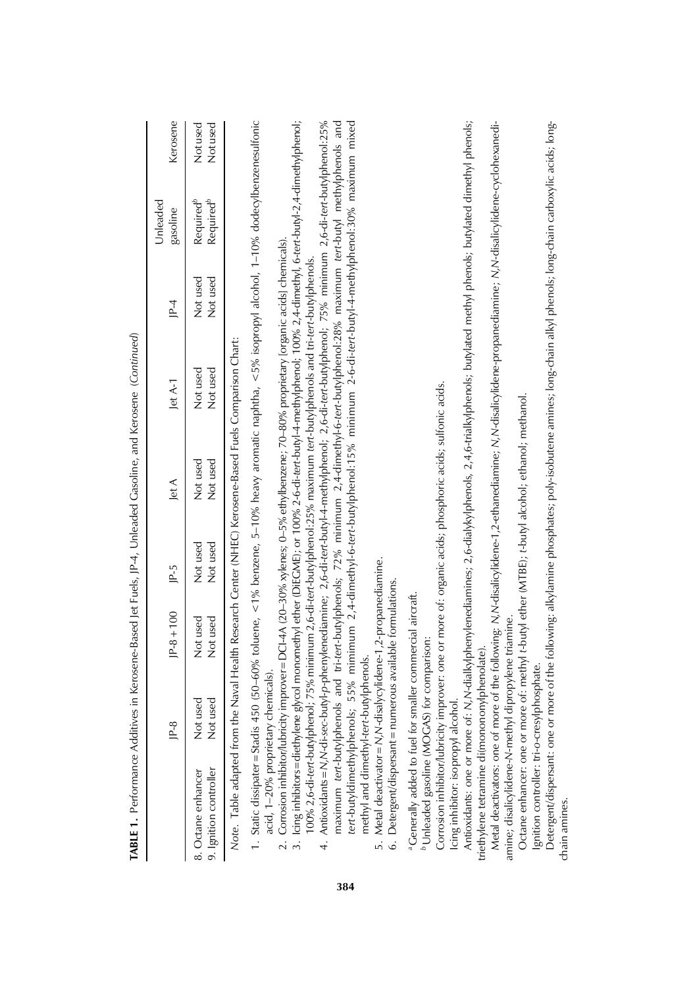| TABLE 1. Performance Additives in Kerosene-Based Jet Fuels, JP-4, Unleaded Gasoline, and Kerosene (Continued)                                                                                                 |                                        |                                  |                      |                                                                           |                                                                                                                                                                                                                                   |                      |                                                |                    |
|---------------------------------------------------------------------------------------------------------------------------------------------------------------------------------------------------------------|----------------------------------------|----------------------------------|----------------------|---------------------------------------------------------------------------|-----------------------------------------------------------------------------------------------------------------------------------------------------------------------------------------------------------------------------------|----------------------|------------------------------------------------|--------------------|
|                                                                                                                                                                                                               | $\infty$                               | $P-8+100$                        | $P-5$                | Jet A                                                                     | let A-1                                                                                                                                                                                                                           | $P-4$                | Unleaded<br>gasoline                           | Kerosene           |
| 9. Ignition controller<br>8. Octane enhancer                                                                                                                                                                  | Not used<br>Not used                   | Not used<br>Not used             | Not used<br>Not used | Not used<br>Not used                                                      | Not used<br>Not used                                                                                                                                                                                                              | Not used<br>Not used | Required <sup>b</sup><br>Required <sup>b</sup> | Notused<br>Notused |
| Note. Table adapted from                                                                                                                                                                                      |                                        |                                  |                      |                                                                           | the Naval Health Research Center (NHEC) Kerosene-Based Fuels Comparison Chart:                                                                                                                                                    |                      |                                                |                    |
| 1. Static dissipater = Stadis 450 (50-60% toluene, <1% benzene, 5-10% heavy aromatic naphtha, <5% isopropyl alcohol, 1-10% dodecylbenzenesulfonic                                                             | acid, 1-20% proprietary chemicals).    |                                  |                      |                                                                           |                                                                                                                                                                                                                                   |                      |                                                |                    |
| 3. Icing inhibitors=diethylene glycol monomethyl ether (DiEGME); or 100% 2-6-di-tert-butylphenol; 100% 2,4-dimethyl, 6-tert-butyl-2,4-dimethylphenol;<br>2. Corrosion inhibitor/lubri                         |                                        |                                  |                      |                                                                           | icity improver = DCl-4A (20-30% xylenes; 0-5% ethylbenzene; 70-80% proprietary lorganic acids) chemicals).                                                                                                                        |                      |                                                |                    |
|                                                                                                                                                                                                               |                                        |                                  |                      |                                                                           | 100% 2,6-di-tert-butylphenol; 75% minimum 2,6-di-tert-butylphenol:25% maximum tert-butylphenols and tri-tert-butylphenols.                                                                                                        |                      |                                                |                    |
| 4. Antioxidants=N,N-di-sec-butyl-p-phenylenediamine; 2,6-di-tert-butyl-4-methylphenol; 2,6-di-tert-butylphenol; 75% minimum 2,6-di-tert-butylphenol:25%                                                       |                                        |                                  |                      |                                                                           |                                                                                                                                                                                                                                   |                      |                                                |                    |
|                                                                                                                                                                                                               | methyl and dimethyl-tert-butylphenols. |                                  |                      |                                                                           | maximum tert-butylphenols and tri-tert-butylphenols; 72% minimum 2,4-dimethyl-6-tert-butylphenol:28% maximum tert-butyl methylphenols and<br>tert-butyldimethylphenols; 55% minimum 2,4-dimethyl-6-tert-butylphenol:15% minimum 2 |                      |                                                |                    |
| 5. Metal deactivator = N, N-disalycylidene-1,2-propanediamine.<br>6. Detergent/dispersant=                                                                                                                    |                                        | numerous available formulations. |                      |                                                                           |                                                                                                                                                                                                                                   |                      |                                                |                    |
| <sup>a</sup> Generally added to fuel for smaller commercial aircraft.<br><sup>b</sup> Unleaded gasoline (MOGAS) for comparison:                                                                               |                                        |                                  |                      |                                                                           |                                                                                                                                                                                                                                   |                      |                                                |                    |
| Corrosion inhibitor/lubricity improver: one or more of: organic acids; phosphoric acids; sulfonic acids.<br>Icing inhibitor: isopropyl alcohol                                                                |                                        |                                  |                      |                                                                           |                                                                                                                                                                                                                                   |                      |                                                |                    |
| Antioxidants: one or more of: N,N-dialkylphenylenediamines; 2,6-dialykylphenols, 2,4,6-trialkylphenols; butylated methyl phenols; butylated dimethyl phenols;                                                 |                                        |                                  |                      |                                                                           |                                                                                                                                                                                                                                   |                      |                                                |                    |
| triethylene tetramine di(monononylphenolate)<br>Metal deactivators: one of                                                                                                                                    |                                        |                                  |                      |                                                                           | more of the following: N,N-disalicylidene-1,2-ethanediamine; N,N-disalicylidene-propanediamine; N,N-disalicylidene-cyclohexanedi-                                                                                                 |                      |                                                |                    |
| amine; disalicylidene-N-methyl dipropylene triamine                                                                                                                                                           |                                        |                                  |                      |                                                                           |                                                                                                                                                                                                                                   |                      |                                                |                    |
| Octane enhancer: one or                                                                                                                                                                                       |                                        |                                  |                      | more of: methyl t-butyl ether (MTBE); t-butyl alcohol; ethanol; methanol. |                                                                                                                                                                                                                                   |                      |                                                |                    |
| Detergent/dispersant: one or more of the following: alkylamine phosphates; poly-isobutene amines; long-chain alkyl phenols; long-chain carboxylic acids; long-<br>Ignition controller: tri-o-cresylphosphate. |                                        |                                  |                      |                                                                           |                                                                                                                                                                                                                                   |                      |                                                |                    |
| chain amines.                                                                                                                                                                                                 |                                        |                                  |                      |                                                                           |                                                                                                                                                                                                                                   |                      |                                                |                    |

**384**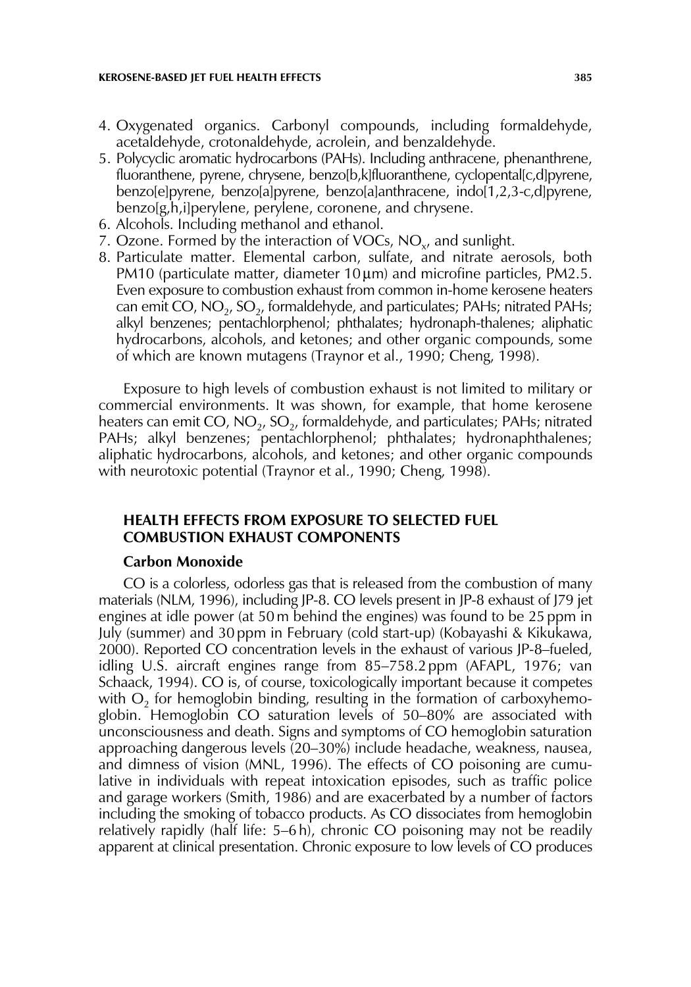#### **KEROSENE-BASED JET FUEL HEALTH EFFECTS 385**

- 4. Oxygenated organics. Carbonyl compounds, including formaldehyde, acetaldehyde, crotonaldehyde, acrolein, and benzaldehyde.
- 5. Polycyclic aromatic hydrocarbons (PAHs). Including anthracene, phenanthrene, fluoranthene, pyrene, chrysene, benzo[b,k]fluoranthene, cyclopental[c,d]pyrene, benzo[e]pyrene, benzo[a]pyrene, benzo[a]anthracene, indo[1,2,3-c,d]pyrene, benzo[g,h,i]perylene, perylene, coronene, and chrysene.
- 6. Alcohols. Including methanol and ethanol.
- 7. Ozone. Formed by the interaction of VOCs, NO<sub>y</sub>, and sunlight.
- 8. Particulate matter. Elemental carbon, sulfate, and nitrate aerosols, both PM10 (particulate matter, diameter 10  $\mu$ m) and microfine particles, PM2.5. Even exposure to combustion exhaust from common in-home kerosene heaters can emit CO,  $NO<sub>2</sub>$ ,  $SO<sub>2</sub>$ , formaldehyde, and particulates; PAHs; nitrated PAHs; alkyl benzenes; pentachlorphenol; phthalates; hydronaph-thalenes; aliphatic hydrocarbons, alcohols, and ketones; and other organic compounds, some of which are known mutagens (Traynor et al., 1990; Cheng, 1998).

Exposure to high levels of combustion exhaust is not limited to military or commercial environments. It was shown, for example, that home kerosene heaters can emit CO,  $NO<sub>2</sub>$ , SO<sub>2</sub>, formaldehyde, and particulates; PAHs; nitrated PAHs; alkyl benzenes; pentachlorphenol; phthalates; hydronaphthalenes; aliphatic hydrocarbons, alcohols, and ketones; and other organic compounds with neurotoxic potential (Traynor et al., 1990; Cheng, 1998).

### **HEALTH EFFECTS FROM EXPOSURE TO SELECTED FUEL COMBUSTION EXHAUST COMPONENTS**

#### **Carbon Monoxide**

CO is a colorless, odorless gas that is released from the combustion of many materials (NLM, 1996), including JP-8. CO levels present in JP-8 exhaust of J79 jet engines at idle power (at 50m behind the engines) was found to be 25ppm in July (summer) and 30 ppm in February (cold start-up) (Kobayashi & Kikukawa, 2000). Reported CO concentration levels in the exhaust of various JP-8–fueled, idling U.S. aircraft engines range from 85–758.2ppm (AFAPL, 1976; van Schaack, 1994). CO is, of course, toxicologically important because it competes with  $O<sub>2</sub>$  for hemoglobin binding, resulting in the formation of carboxyhemoglobin. Hemoglobin CO saturation levels of 50–80% are associated with unconsciousness and death. Signs and symptoms of CO hemoglobin saturation approaching dangerous levels (20–30%) include headache, weakness, nausea, and dimness of vision (MNL, 1996). The effects of CO poisoning are cumulative in individuals with repeat intoxication episodes, such as traffic police and garage workers (Smith, 1986) and are exacerbated by a number of factors including the smoking of tobacco products. As CO dissociates from hemoglobin relatively rapidly (half life: 5–6h), chronic CO poisoning may not be readily apparent at clinical presentation. Chronic exposure to low levels of CO produces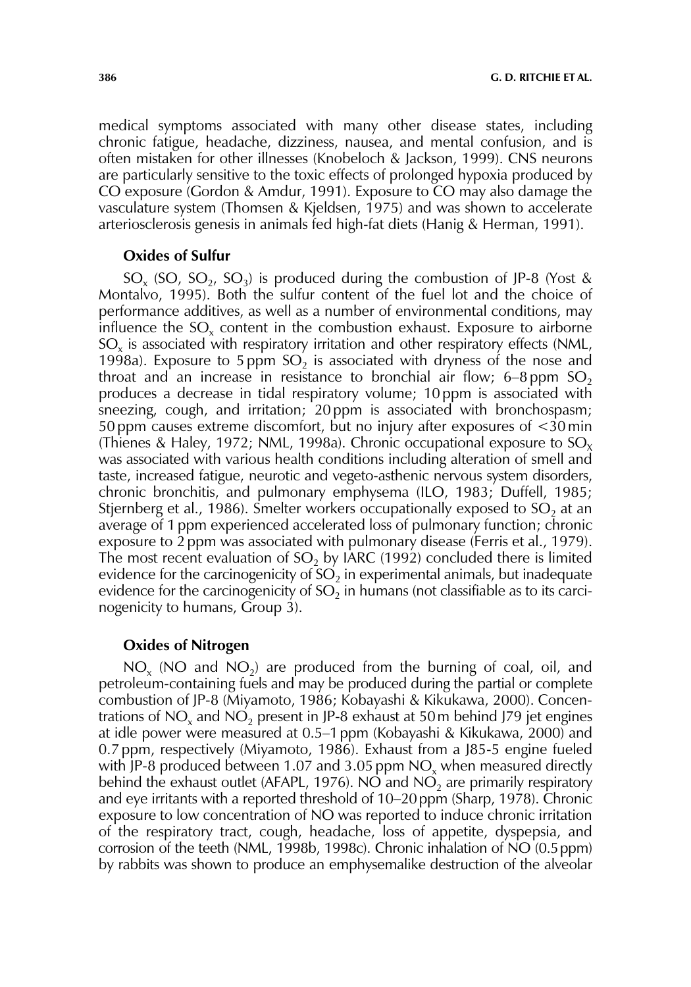medical symptoms associated with many other disease states, including chronic fatigue, headache, dizziness, nausea, and mental confusion, and is often mistaken for other illnesses (Knobeloch & Jackson, 1999). CNS neurons are particularly sensitive to the toxic effects of prolonged hypoxia produced by CO exposure (Gordon & Amdur, 1991). Exposure to CO may also damage the vasculature system (Thomsen & Kjeldsen, 1975) and was shown to accelerate arteriosclerosis genesis in animals fed high-fat diets (Hanig & Herman, 1991).

#### **Oxides of Sulfur**

SO<sub>x</sub> (SO, SO<sub>2</sub>, SO<sub>2</sub>) is produced during the combustion of JP-8 (Yost & Montalvo, 1995). Both the sulfur content of the fuel lot and the choice of performance additives, as well as a number of environmental conditions, may influence the SO<sub>y</sub> content in the combustion exhaust. Exposure to airborne SO<sub>y</sub> is associated with respiratory irritation and other respiratory effects (NML, 1998a). Exposure to 5 ppm  $SO<sub>2</sub>$  is associated with dryness of the nose and throat and an increase in resistance to bronchial air flow;  $6-8$  ppm SO<sub>2</sub> produces a decrease in tidal respiratory volume; 10 ppm is associated with sneezing, cough, and irritation; 20ppm is associated with bronchospasm; 50ppm causes extreme discomfort, but no injury after exposures of <30 min (Thienes & Haley, 1972; NML, 1998a). Chronic occupational exposure to  $SO_{v}$ was associated with various health conditions including alteration of smell and taste, increased fatigue, neurotic and vegeto-asthenic nervous system disorders, chronic bronchitis, and pulmonary emphysema (ILO, 1983; Duffell, 1985; Stjernberg et al., 1986). Smelter workers occupationally exposed to  $SO<sub>2</sub>$  at an average of 1ppm experienced accelerated loss of pulmonary function; chronic exposure to 2 ppm was associated with pulmonary disease (Ferris et al., 1979). The most recent evaluation of  $SO<sub>2</sub>$  by IARC (1992) concluded there is limited evidence for the carcinogenicity of  $SO<sub>2</sub>$  in experimental animals, but inadequate evidence for the carcinogenicity of  $SO<sub>2</sub>$  in humans (not classifiable as to its carcinogenicity to humans, Group 3).

#### **Oxides of Nitrogen**

 $NO<sub>x</sub>$  (NO and NO<sub>2</sub>) are produced from the burning of coal, oil, and petroleum-containing fuels and may be produced during the partial or complete combustion of JP-8 (Miyamoto, 1986; Kobayashi & Kikukawa, 2000). Concentrations of NO<sub>x</sub> and NO<sub>2</sub> present in JP-8 exhaust at 50 m behind J79 jet engines at idle power were measured at 0.5–1ppm (Kobayashi & Kikukawa, 2000) and 0.7 ppm, respectively (Miyamoto, 1986). Exhaust from a J85-5 engine fueled with JP-8 produced between 1.07 and 3.05 ppm  $NO_x$  when measured directly behind the exhaust outlet (AFAPL, 1976). NO and  $NO<sub>2</sub>$  are primarily respiratory and eye irritants with a reported threshold of 10–20ppm (Sharp, 1978). Chronic exposure to low concentration of NO was reported to induce chronic irritation of the respiratory tract, cough, headache, loss of appetite, dyspepsia, and corrosion of the teeth (NML, 1998b, 1998c). Chronic inhalation of NO (0.5ppm) by rabbits was shown to produce an emphysemalike destruction of the alveolar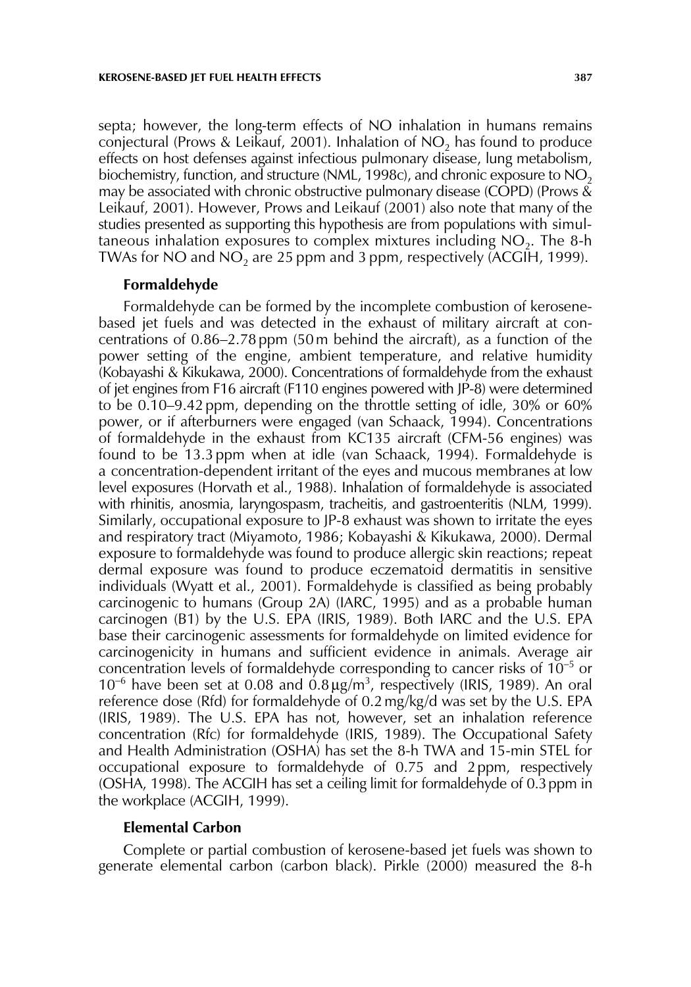septa; however, the long-term effects of NO inhalation in humans remains conjectural (Prows & Leikauf, 2001). Inhalation of  $NO<sub>2</sub>$  has found to produce effects on host defenses against infectious pulmonary disease, lung metabolism, biochemistry, function, and structure (NML, 1998c), and chronic exposure to  $NO<sub>2</sub>$ may be associated with chronic obstructive pulmonary disease (COPD) (Prows & Leikauf, 2001). However, Prows and Leikauf (2001) also note that many of the studies presented as supporting this hypothesis are from populations with simultaneous inhalation exposures to complex mixtures including NO<sub>2</sub>. The 8-h TWAs for NO and NO<sub>2</sub> are 25 ppm and 3 ppm, respectively  $\overline{(ACGIH, 1999)}$ .

### **Formaldehyde**

Formaldehyde can be formed by the incomplete combustion of kerosenebased jet fuels and was detected in the exhaust of military aircraft at concentrations of 0.86–2.78 ppm (50m behind the aircraft), as a function of the power setting of the engine, ambient temperature, and relative humidity (Kobayashi & Kikukawa, 2000). Concentrations of formaldehyde from the exhaust of jet engines from F16 aircraft (F110 engines powered with JP-8) were determined to be  $0.10-9.42$  ppm, depending on the throttle setting of idle, 30% or 60% power, or if afterburners were engaged (van Schaack, 1994). Concentrations of formaldehyde in the exhaust from KC135 aircraft (CFM-56 engines) was found to be 13.3ppm when at idle (van Schaack, 1994). Formaldehyde is a concentration-dependent irritant of the eyes and mucous membranes at low level exposures (Horvath et al., 1988). Inhalation of formaldehyde is associated with rhinitis, anosmia, laryngospasm, tracheitis, and gastroenteritis (NLM, 1999). Similarly, occupational exposure to JP-8 exhaust was shown to irritate the eyes and respiratory tract (Miyamoto, 1986; Kobayashi & Kikukawa, 2000). Dermal exposure to formaldehyde was found to produce allergic skin reactions; repeat dermal exposure was found to produce eczematoid dermatitis in sensitive individuals (Wyatt et al., 2001). Formaldehyde is classified as being probably carcinogenic to humans (Group 2A) (IARC, 1995) and as a probable human carcinogen (B1) by the U.S. EPA (IRIS, 1989). Both IARC and the U.S. EPA base their carcinogenic assessments for formaldehyde on limited evidence for carcinogenicity in humans and sufficient evidence in animals. Average air concentration levels of formaldehyde corresponding to cancer risks of  $10^{-5}$  or 10<sup>-6</sup> have been set at 0.08 and 0.8 μg/m<sup>3</sup>, respectively (IRIS, 1989). An oral reference dose (Rfd) for formaldehyde of 0.2mg/kg/d was set by the U.S. EPA (IRIS, 1989). The U.S. EPA has not, however, set an inhalation reference concentration (Rfc) for formaldehyde (IRIS, 1989). The Occupational Safety and Health Administration (OSHA) has set the 8-h TWA and 15-min STEL for occupational exposure to formaldehyde of 0.75 and 2ppm, respectively (OSHA, 1998). The ACGIH has set a ceiling limit for formaldehyde of 0.3ppm in the workplace (ACGIH, 1999).

### **Elemental Carbon**

Complete or partial combustion of kerosene-based jet fuels was shown to generate elemental carbon (carbon black). Pirkle (2000) measured the 8-h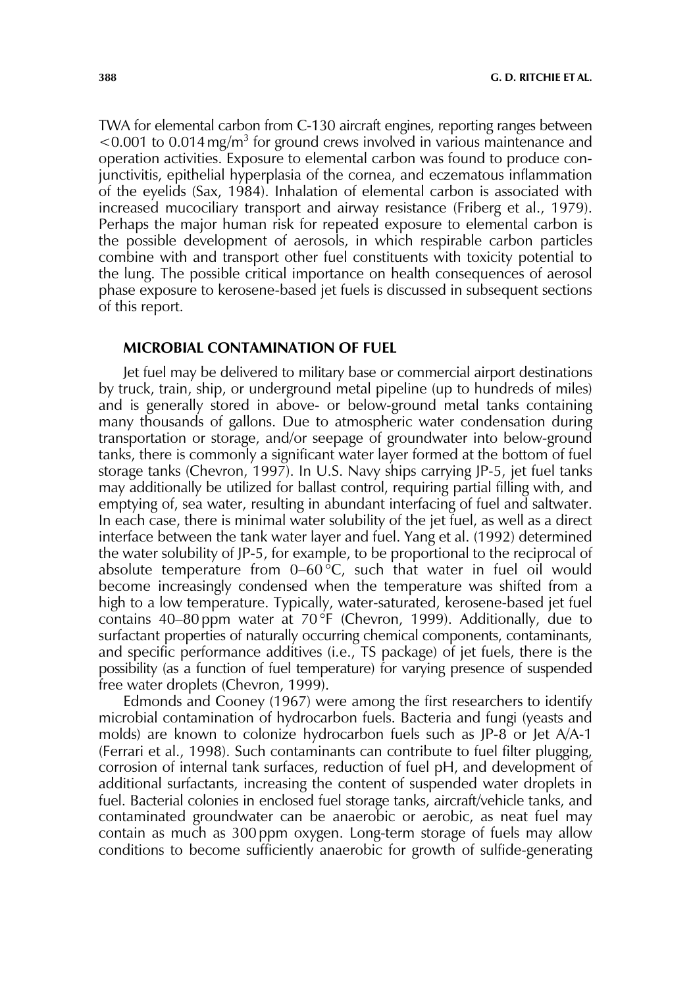TWA for elemental carbon from C-130 aircraft engines, reporting ranges between  $<$  0.001 to 0.014 mg/m<sup>3</sup> for ground crews involved in various maintenance and operation activities. Exposure to elemental carbon was found to produce conjunctivitis, epithelial hyperplasia of the cornea, and eczematous inflammation of the eyelids (Sax, 1984). Inhalation of elemental carbon is associated with increased mucociliary transport and airway resistance (Friberg et al., 1979). Perhaps the major human risk for repeated exposure to elemental carbon is the possible development of aerosols, in which respirable carbon particles combine with and transport other fuel constituents with toxicity potential to the lung. The possible critical importance on health consequences of aerosol phase exposure to kerosene-based jet fuels is discussed in subsequent sections of this report.

### **MICROBIAL CONTAMINATION OF FUEL**

Jet fuel may be delivered to military base or commercial airport destinations by truck, train, ship, or underground metal pipeline (up to hundreds of miles) and is generally stored in above- or below-ground metal tanks containing many thousands of gallons. Due to atmospheric water condensation during transportation or storage, and/or seepage of groundwater into below-ground tanks, there is commonly a significant water layer formed at the bottom of fuel storage tanks (Chevron, 1997). In U.S. Navy ships carrying JP-5, jet fuel tanks may additionally be utilized for ballast control, requiring partial filling with, and emptying of, sea water, resulting in abundant interfacing of fuel and saltwater. In each case, there is minimal water solubility of the jet fuel, as well as a direct interface between the tank water layer and fuel. Yang et al. (1992) determined the water solubility of JP-5, for example, to be proportional to the reciprocal of absolute temperature from  $0-60^{\circ}$ C, such that water in fuel oil would become increasingly condensed when the temperature was shifted from a high to a low temperature. Typically, water-saturated, kerosene-based jet fuel contains 40–80ppm water at 70°F (Chevron, 1999). Additionally, due to surfactant properties of naturally occurring chemical components, contaminants, and specific performance additives (i.e., TS package) of jet fuels, there is the possibility (as a function of fuel temperature) for varying presence of suspended free water droplets (Chevron, 1999).

Edmonds and Cooney (1967) were among the first researchers to identify microbial contamination of hydrocarbon fuels. Bacteria and fungi (yeasts and molds) are known to colonize hydrocarbon fuels such as JP-8 or Jet A/A-1 (Ferrari et al., 1998). Such contaminants can contribute to fuel filter plugging, corrosion of internal tank surfaces, reduction of fuel pH, and development of additional surfactants, increasing the content of suspended water droplets in fuel. Bacterial colonies in enclosed fuel storage tanks, aircraft/vehicle tanks, and contaminated groundwater can be anaerobic or aerobic, as neat fuel may contain as much as 300ppm oxygen. Long-term storage of fuels may allow conditions to become sufficiently anaerobic for growth of sulfide-generating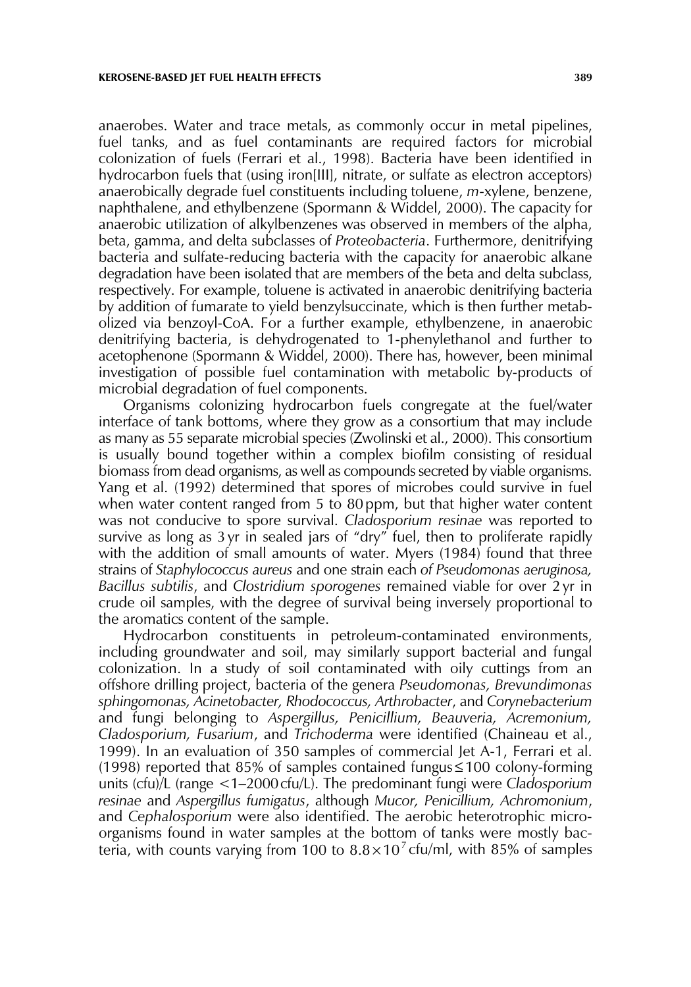anaerobes. Water and trace metals, as commonly occur in metal pipelines, fuel tanks, and as fuel contaminants are required factors for microbial colonization of fuels (Ferrari et al., 1998). Bacteria have been identified in hydrocarbon fuels that (using iron[III], nitrate, or sulfate as electron acceptors) anaerobically degrade fuel constituents including toluene, *m*-xylene, benzene, naphthalene, and ethylbenzene (Spormann & Widdel, 2000). The capacity for anaerobic utilization of alkylbenzenes was observed in members of the alpha, beta, gamma, and delta subclasses of *Proteobacteria*. Furthermore, denitrifying bacteria and sulfate-reducing bacteria with the capacity for anaerobic alkane degradation have been isolated that are members of the beta and delta subclass, respectively. For example, toluene is activated in anaerobic denitrifying bacteria by addition of fumarate to yield benzylsuccinate, which is then further metabolized via benzoyl-CoA. For a further example, ethylbenzene, in anaerobic denitrifying bacteria, is dehydrogenated to 1-phenylethanol and further to acetophenone (Spormann & Widdel, 2000). There has, however, been minimal investigation of possible fuel contamination with metabolic by-products of microbial degradation of fuel components.

Organisms colonizing hydrocarbon fuels congregate at the fuel/water interface of tank bottoms, where they grow as a consortium that may include as many as 55 separate microbial species (Zwolinski et al., 2000). This consortium is usually bound together within a complex biofilm consisting of residual biomass from dead organisms, as well as compounds secreted by viable organisms. Yang et al. (1992) determined that spores of microbes could survive in fuel when water content ranged from 5 to 80 ppm, but that higher water content was not conducive to spore survival. *Cladosporium resinae* was reported to survive as long as 3 yr in sealed jars of "dry" fuel, then to proliferate rapidly with the addition of small amounts of water. Myers (1984) found that three strains of *Staphylococcus aureus* and one strain each *of Pseudomonas aeruginosa, Bacillus subtilis*, and *Clostridium sporogenes* remained viable for over 2yr in crude oil samples, with the degree of survival being inversely proportional to the aromatics content of the sample.

Hydrocarbon constituents in petroleum-contaminated environments, including groundwater and soil, may similarly support bacterial and fungal colonization. In a study of soil contaminated with oily cuttings from an offshore drilling project, bacteria of the genera *Pseudomonas, Brevundimonas sphingomonas, Acinetobacter, Rhodococcus, Arthrobacter*, and *Corynebacterium* and fungi belonging to *Aspergillus, Penicillium, Beauveria, Acremonium, Cladosporium, Fusarium*, and *Trichoderma* were identified (Chaineau et al., 1999). In an evaluation of 350 samples of commercial Jet A-1, Ferrari et al. (1998) reported that 85% of samples contained fungus ≤ 100 colony-forming units (cfu)/L (range <1–2000cfu/L). The predominant fungi were *Cladosporium resinae* and *Aspergillus fumigatus*, although *Mucor, Penicillium, Achromonium*, and *Cephalosporium* were also identified. The aerobic heterotrophic microorganisms found in water samples at the bottom of tanks were mostly bacteria, with counts varying from 100 to  $8.8 \times 10^7$  cfu/ml, with 85% of samples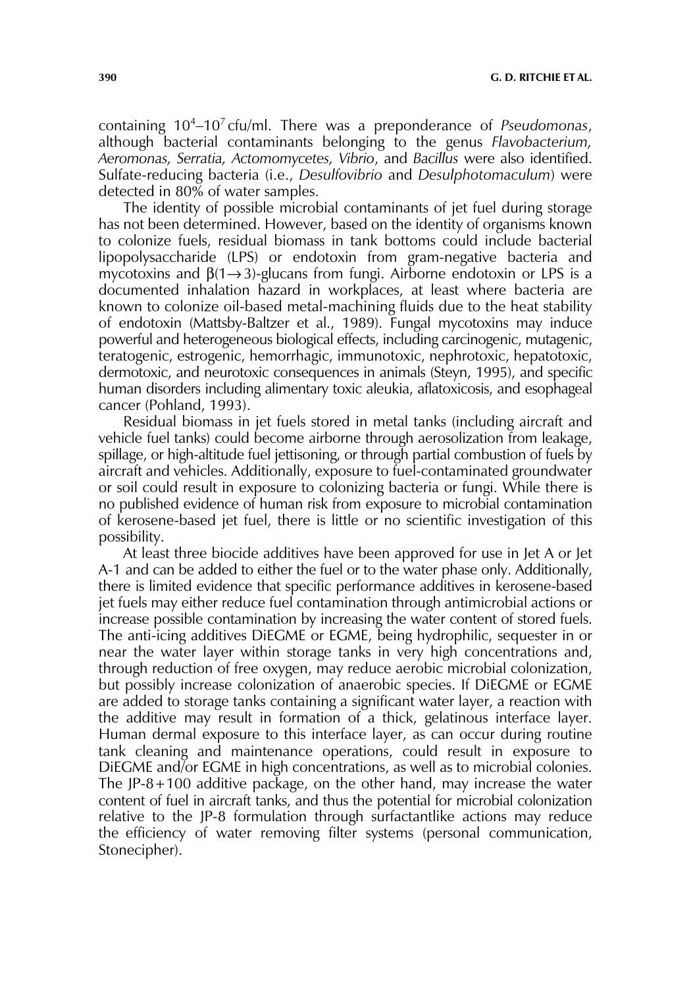containing 10<sup>4</sup> –10<sup>7</sup> cfu/ml. There was a preponderance of *Pseudomonas*, although bacterial contaminants belonging to the genus *Flavobacterium, Aeromonas, Serratia, Actomomycetes, Vibrio*, and *Bacillus* were also identified. Sulfate-reducing bacteria (i.e., *Desulfovibrio* and *Desulphotomaculum*) were detected in 80% of water samples.

The identity of possible microbial contaminants of jet fuel during storage has not been determined. However, based on the identity of organisms known to colonize fuels, residual biomass in tank bottoms could include bacterial lipopolysaccharide (LPS) or endotoxin from gram-negative bacteria and mycotoxins and  $\beta(1\rightarrow3)$ -glucans from fungi. Airborne endotoxin or LPS is a documented inhalation hazard in workplaces, at least where bacteria are known to colonize oil-based metal-machining fluids due to the heat stability of endotoxin (Mattsby-Baltzer et al., 1989). Fungal mycotoxins may induce powerful and heterogeneous biological effects, including carcinogenic, mutagenic, teratogenic, estrogenic, hemorrhagic, immunotoxic, nephrotoxic, hepatotoxic, dermotoxic, and neurotoxic consequences in animals (Steyn, 1995), and specific human disorders including alimentary toxic aleukia, aflatoxicosis, and esophageal cancer (Pohland, 1993).

Residual biomass in jet fuels stored in metal tanks (including aircraft and vehicle fuel tanks) could become airborne through aerosolization from leakage, spillage, or high-altitude fuel jettisoning, or through partial combustion of fuels by aircraft and vehicles. Additionally, exposure to fuel-contaminated groundwater or soil could result in exposure to colonizing bacteria or fungi. While there is no published evidence of human risk from exposure to microbial contamination of kerosene-based jet fuel, there is little or no scientific investigation of this possibility.

At least three biocide additives have been approved for use in Jet A or Jet A-1 and can be added to either the fuel or to the water phase only. Additionally, there is limited evidence that specific performance additives in kerosene-based jet fuels may either reduce fuel contamination through antimicrobial actions or increase possible contamination by increasing the water content of stored fuels. The anti-icing additives DiEGME or EGME, being hydrophilic, sequester in or near the water layer within storage tanks in very high concentrations and, through reduction of free oxygen, may reduce aerobic microbial colonization, but possibly increase colonization of anaerobic species. If DiEGME or EGME are added to storage tanks containing a significant water layer, a reaction with the additive may result in formation of a thick, gelatinous interface layer. Human dermal exposure to this interface layer, as can occur during routine tank cleaning and maintenance operations, could result in exposure to DiEGME and/or EGME in high concentrations, as well as to microbial colonies. The  $IP-8+100$  additive package, on the other hand, may increase the water content of fuel in aircraft tanks, and thus the potential for microbial colonization relative to the JP-8 formulation through surfactantlike actions may reduce the efficiency of water removing filter systems (personal communication, Stonecipher).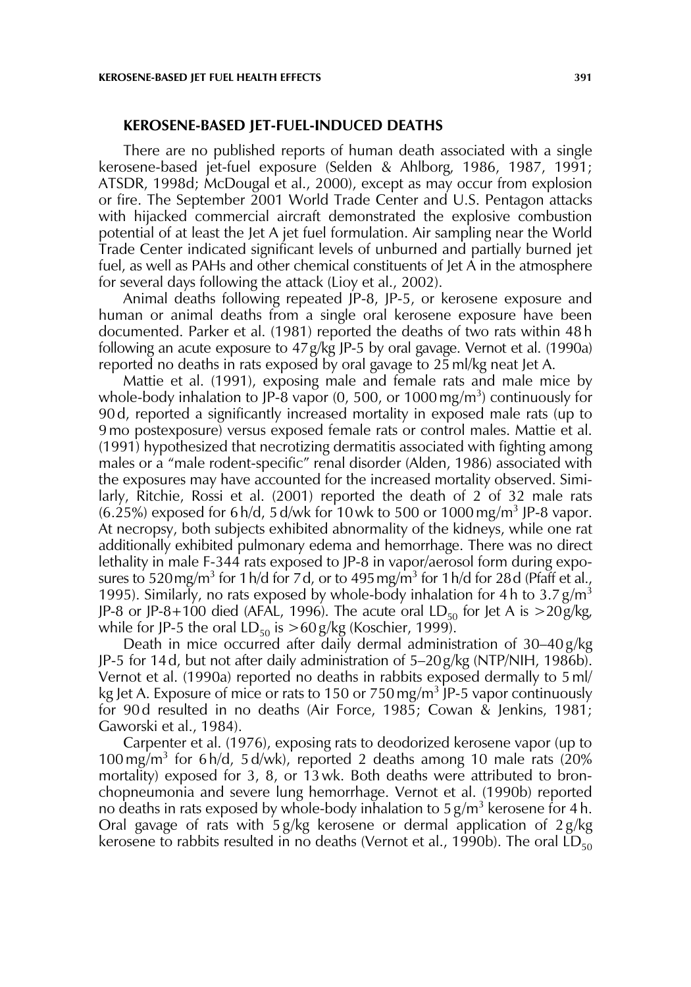## **KEROSENE-BASED JET-FUEL-INDUCED DEATHS**

There are no published reports of human death associated with a single kerosene-based jet-fuel exposure (Selden & Ahlborg, 1986, 1987, 1991; ATSDR, 1998d; McDougal et al., 2000), except as may occur from explosion or fire. The September 2001 World Trade Center and U.S. Pentagon attacks with hijacked commercial aircraft demonstrated the explosive combustion potential of at least the Jet A jet fuel formulation. Air sampling near the World Trade Center indicated significant levels of unburned and partially burned jet fuel, as well as PAHs and other chemical constituents of Jet A in the atmosphere for several days following the attack (Lioy et al., 2002).

Animal deaths following repeated JP-8, JP-5, or kerosene exposure and human or animal deaths from a single oral kerosene exposure have been documented. Parker et al. (1981) reported the deaths of two rats within 48h following an acute exposure to 47g/kg JP-5 by oral gavage. Vernot et al. (1990a) reported no deaths in rats exposed by oral gavage to 25ml/kg neat Jet A.

Mattie et al. (1991), exposing male and female rats and male mice by whole-body inhalation to JP-8 vapor (0, 500, or 1000 mg/m<sup>3</sup>) continuously for 90d, reported a significantly increased mortality in exposed male rats (up to 9mo postexposure) versus exposed female rats or control males. Mattie et al. (1991) hypothesized that necrotizing dermatitis associated with fighting among males or a "male rodent-specific" renal disorder (Alden, 1986) associated with the exposures may have accounted for the increased mortality observed. Similarly, Ritchie, Rossi et al. (2001) reported the death of 2 of 32 male rats  $(6.25%)$  exposed for 6 h/d, 5 d/wk for 10 wk to 500 or 1000 mg/m<sup>3</sup> JP-8 vapor. At necropsy, both subjects exhibited abnormality of the kidneys, while one rat additionally exhibited pulmonary edema and hemorrhage. There was no direct lethality in male F-344 rats exposed to JP-8 in vapor/aerosol form during exposures to 520mg/m $^3$  for 1 h/d for 7d, or to 495 mg/m $^3$  for 1 h/d for 28d (Pfaff et al., 1995). Similarly, no rats exposed by whole-body inhalation for 4 h to 3.7 g/m<sup>3</sup> JP-8 or JP-8+100 died (AFAL, 1996). The acute oral  $LD_{50}$  for Jet A is  $>$ 20g/kg, while for JP-5 the oral  $LD_{50}$  is  $> 60 g/kg$  (Koschier, 1999).

Death in mice occurred after daily dermal administration of 30–40g/kg JP-5 for 14d, but not after daily administration of 5–20g/kg (NTP/NIH, 1986b). Vernot et al. (1990a) reported no deaths in rabbits exposed dermally to 5ml/ kg Jet A. Exposure of mice or rats to 150 or 750 mg/m<sup>3</sup> JP-5 vapor continuously for 90d resulted in no deaths (Air Force, 1985; Cowan & Jenkins, 1981; Gaworski et al., 1984).

Carpenter et al. (1976), exposing rats to deodorized kerosene vapor (up to 100 mg/m<sup>3</sup> for 6 h/d, 5 d/wk), reported 2 deaths among 10 male rats  $(20\%)$ mortality) exposed for 3, 8, or 13wk. Both deaths were attributed to bronchopneumonia and severe lung hemorrhage. Vernot et al. (1990b) reported no deaths in rats exposed by whole-body inhalation to 5  $\rm g/m^3$  kerosene for 4 h. Oral gavage of rats with 5g/kg kerosene or dermal application of 2g/kg kerosene to rabbits resulted in no deaths (Vernot et al., 1990b). The oral  $LD_{50}$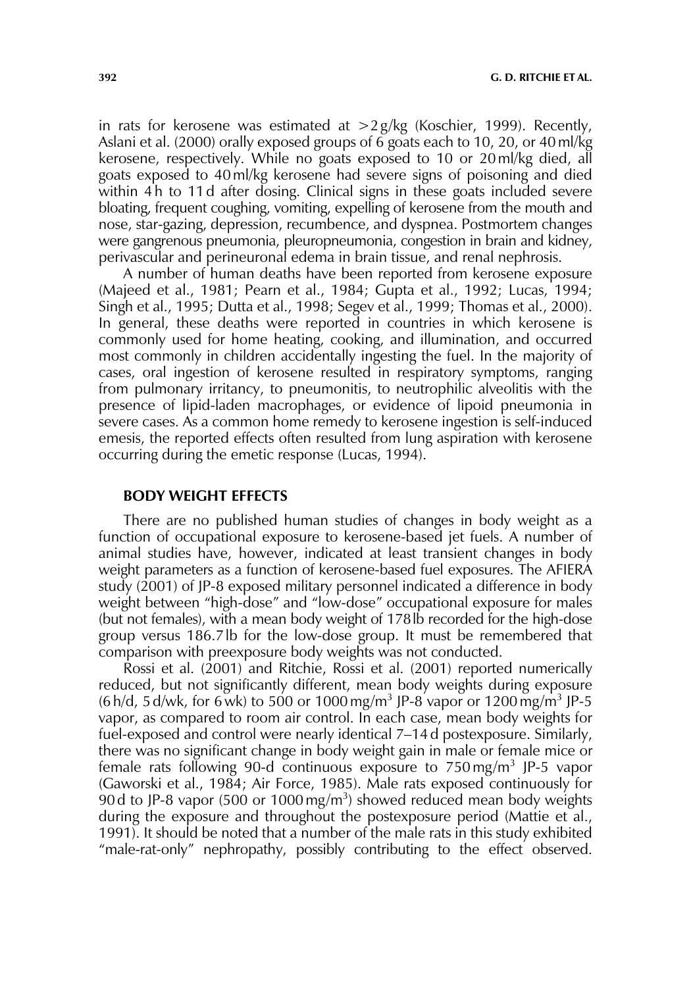**392 G. D. RITCHIE ET AL.**

in rats for kerosene was estimated at  $>2g/kg$  (Koschier, 1999). Recently, Aslani et al. (2000) orally exposed groups of 6 goats each to 10, 20, or 40ml/kg kerosene, respectively. While no goats exposed to 10 or 20ml/kg died, all goats exposed to 40ml/kg kerosene had severe signs of poisoning and died within 4h to 11d after dosing. Clinical signs in these goats included severe bloating, frequent coughing, vomiting, expelling of kerosene from the mouth and nose, star-gazing, depression, recumbence, and dyspnea. Postmortem changes were gangrenous pneumonia, pleuropneumonia, congestion in brain and kidney, perivascular and perineuronal edema in brain tissue, and renal nephrosis.

A number of human deaths have been reported from kerosene exposure (Majeed et al., 1981; Pearn et al., 1984; Gupta et al., 1992; Lucas, 1994; Singh et al., 1995; Dutta et al., 1998; Segev et al., 1999; Thomas et al., 2000). In general, these deaths were reported in countries in which kerosene is commonly used for home heating, cooking, and illumination, and occurred most commonly in children accidentally ingesting the fuel. In the majority of cases, oral ingestion of kerosene resulted in respiratory symptoms, ranging from pulmonary irritancy, to pneumonitis, to neutrophilic alveolitis with the presence of lipid-laden macrophages, or evidence of lipoid pneumonia in severe cases. As a common home remedy to kerosene ingestion is self-induced emesis, the reported effects often resulted from lung aspiration with kerosene occurring during the emetic response (Lucas, 1994).

## **BODY WEIGHT EFFECTS**

There are no published human studies of changes in body weight as a function of occupational exposure to kerosene-based jet fuels. A number of animal studies have, however, indicated at least transient changes in body weight parameters as a function of kerosene-based fuel exposures. The AFIERA study (2001) of JP-8 exposed military personnel indicated a difference in body weight between "high-dose" and "low-dose" occupational exposure for males (but not females), with a mean body weight of 178lb recorded for the high-dose group versus 186.7lb for the low-dose group. It must be remembered that comparison with preexposure body weights was not conducted.

Rossi et al. (2001) and Ritchie, Rossi et al. (2001) reported numerically reduced, but not significantly different, mean body weights during exposure (6 h/d, 5 d/wk, for 6 wk) to 500 or 1000 mg/m<sup>3</sup> JP-8 vapor or 1200 mg/m<sup>3</sup> JP-5 vapor, as compared to room air control. In each case, mean body weights for fuel-exposed and control were nearly identical 7–14 d postexposure. Similarly, there was no significant change in body weight gain in male or female mice or female rats following 90-d continuous exposure to 750 mg/m<sup>3</sup> JP-5 vapor (Gaworski et al., 1984; Air Force, 1985). Male rats exposed continuously for 90 d to JP-8 vapor (500 or 1000 mg/m<sup>3</sup>) showed reduced mean body weights during the exposure and throughout the postexposure period (Mattie et al., 1991). It should be noted that a number of the male rats in this study exhibited "male-rat-only" nephropathy, possibly contributing to the effect observed.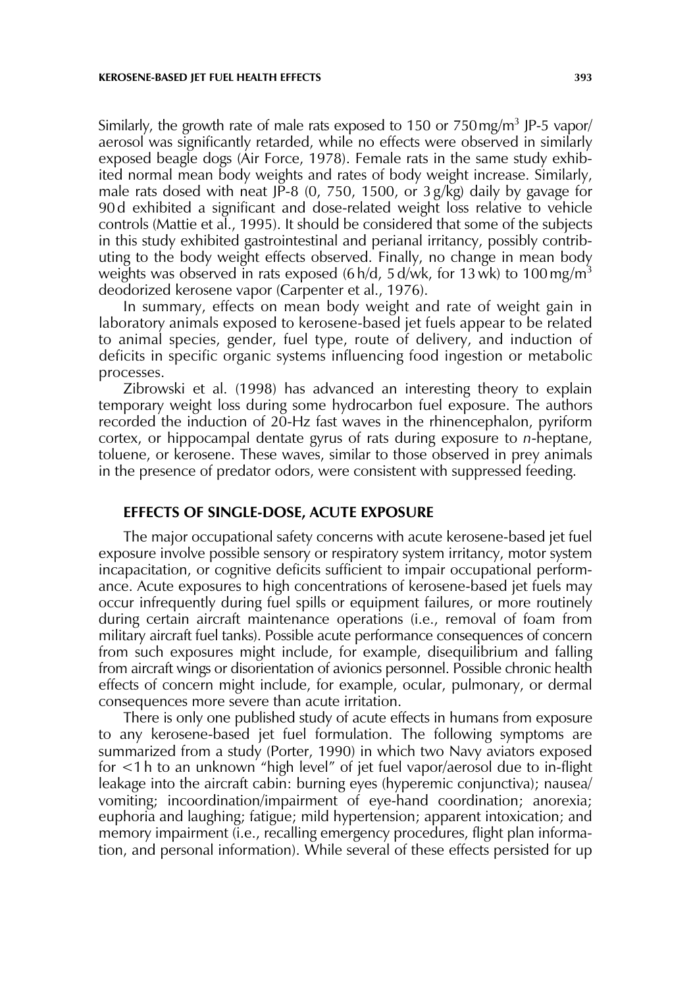Similarly, the growth rate of male rats exposed to 150 or 750mg/m<sup>3</sup> JP-5 vapor/ aerosol was significantly retarded, while no effects were observed in similarly exposed beagle dogs (Air Force, 1978). Female rats in the same study exhibited normal mean body weights and rates of body weight increase. Similarly, male rats dosed with neat JP-8 (0, 750, 1500, or  $3 \frac{g}{kg}$  daily by gavage for 90d exhibited a significant and dose-related weight loss relative to vehicle controls (Mattie et al., 1995). It should be considered that some of the subjects in this study exhibited gastrointestinal and perianal irritancy, possibly contributing to the body weight effects observed. Finally, no change in mean body weights was observed in rats exposed (6 h/d, 5 d/wk, for 13 wk) to 100 mg/m<sup>3</sup> deodorized kerosene vapor (Carpenter et al., 1976).

In summary, effects on mean body weight and rate of weight gain in laboratory animals exposed to kerosene-based jet fuels appear to be related to animal species, gender, fuel type, route of delivery, and induction of deficits in specific organic systems influencing food ingestion or metabolic processes.

Zibrowski et al. (1998) has advanced an interesting theory to explain temporary weight loss during some hydrocarbon fuel exposure. The authors recorded the induction of 20-Hz fast waves in the rhinencephalon, pyriform cortex, or hippocampal dentate gyrus of rats during exposure to *n*-heptane, toluene, or kerosene. These waves, similar to those observed in prey animals in the presence of predator odors, were consistent with suppressed feeding.

### **EFFECTS OF SINGLE-DOSE, ACUTE EXPOSURE**

The major occupational safety concerns with acute kerosene-based jet fuel exposure involve possible sensory or respiratory system irritancy, motor system incapacitation, or cognitive deficits sufficient to impair occupational performance. Acute exposures to high concentrations of kerosene-based jet fuels may occur infrequently during fuel spills or equipment failures, or more routinely during certain aircraft maintenance operations (i.e., removal of foam from military aircraft fuel tanks). Possible acute performance consequences of concern from such exposures might include, for example, disequilibrium and falling from aircraft wings or disorientation of avionics personnel. Possible chronic health effects of concern might include, for example, ocular, pulmonary, or dermal consequences more severe than acute irritation.

There is only one published study of acute effects in humans from exposure to any kerosene-based jet fuel formulation. The following symptoms are summarized from a study (Porter, 1990) in which two Navy aviators exposed for <1 h to an unknown "high level" of jet fuel vapor/aerosol due to in-flight leakage into the aircraft cabin: burning eyes (hyperemic conjunctiva); nausea/ vomiting; incoordination/impairment of eye-hand coordination; anorexia; euphoria and laughing; fatigue; mild hypertension; apparent intoxication; and memory impairment (i.e., recalling emergency procedures, flight plan information, and personal information). While several of these effects persisted for up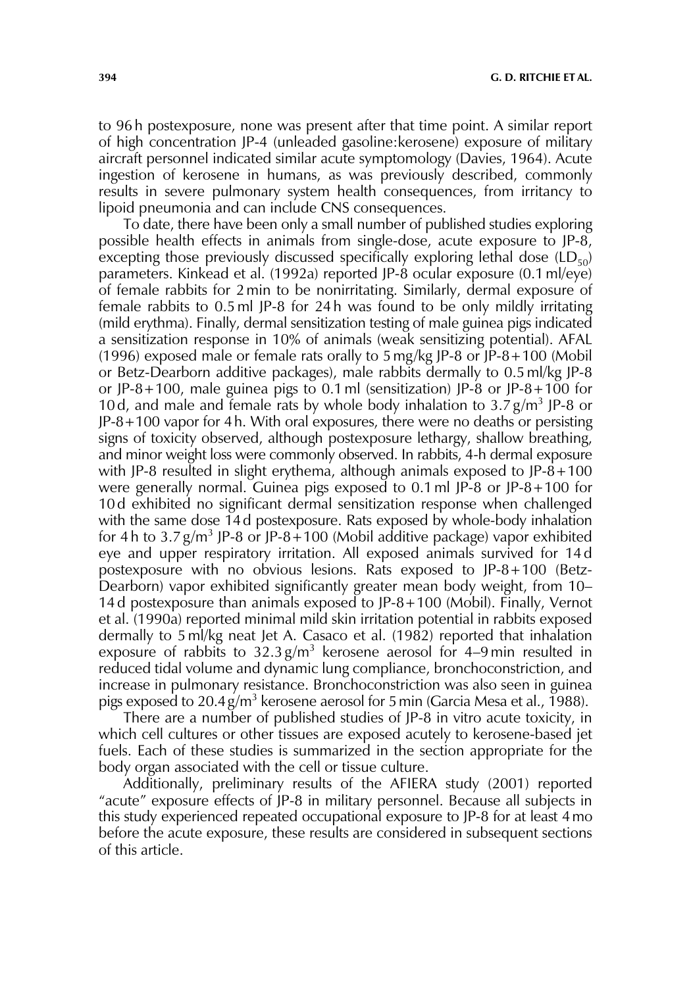to 96h postexposure, none was present after that time point. A similar report of high concentration JP-4 (unleaded gasoline:kerosene) exposure of military aircraft personnel indicated similar acute symptomology (Davies, 1964). Acute ingestion of kerosene in humans, as was previously described, commonly results in severe pulmonary system health consequences, from irritancy to lipoid pneumonia and can include CNS consequences.

To date, there have been only a small number of published studies exploring possible health effects in animals from single-dose, acute exposure to JP-8, excepting those previously discussed specifically exploring lethal dose  $(LD_{50})$ parameters. Kinkead et al. (1992a) reported JP-8 ocular exposure (0.1ml/eye) of female rabbits for 2min to be nonirritating. Similarly, dermal exposure of female rabbits to 0.5ml JP-8 for 24 h was found to be only mildly irritating (mild erythma). Finally, dermal sensitization testing of male guinea pigs indicated a sensitization response in 10% of animals (weak sensitizing potential). AFAL (1996) exposed male or female rats orally to 5mg/kg JP-8 or JP-8+100 (Mobil or Betz-Dearborn additive packages), male rabbits dermally to 0.5 ml/kg JP-8 or  $IP-8+100$ , male guinea pigs to 0.1 ml (sensitization)  $IP-8$  or  $IP-8+100$  for 10d, and male and female rats by whole body inhalation to  $3.7 g/m<sup>3</sup>$  JP-8 or JP-8+100 vapor for 4h. With oral exposures, there were no deaths or persisting signs of toxicity observed, although postexposure lethargy, shallow breathing, and minor weight loss were commonly observed. In rabbits, 4-h dermal exposure with JP-8 resulted in slight erythema, although animals exposed to JP-8 + 100 were generally normal. Guinea pigs exposed to 0.1ml JP-8 or JP-8+100 for 10d exhibited no significant dermal sensitization response when challenged with the same dose 14d postexposure. Rats exposed by whole-body inhalation for 4 h to  $3.7 g/m<sup>3</sup>$  JP-8 or JP-8 + 100 (Mobil additive package) vapor exhibited eye and upper respiratory irritation. All exposed animals survived for 14 d postexposure with no obvious lesions. Rats exposed to JP-8 +100 (Betz-Dearborn) vapor exhibited significantly greater mean body weight, from 10– 14d postexposure than animals exposed to JP-8+100 (Mobil). Finally, Vernot et al. (1990a) reported minimal mild skin irritation potential in rabbits exposed dermally to 5 ml/kg neat Jet A. Casaco et al. (1982) reported that inhalation exposure of rabbits to  $32.3 g/m<sup>3</sup>$  kerosene aerosol for 4–9 min resulted in reduced tidal volume and dynamic lung compliance, bronchoconstriction, and increase in pulmonary resistance. Bronchoconstriction was also seen in guinea pigs exposed to 20.4 $\rm g/m^3$  kerosene aerosol for 5 min (Garcia Mesa et al., 1988).

There are a number of published studies of JP-8 in vitro acute toxicity, in which cell cultures or other tissues are exposed acutely to kerosene-based jet fuels. Each of these studies is summarized in the section appropriate for the body organ associated with the cell or tissue culture.

Additionally, preliminary results of the AFIERA study (2001) reported "acute" exposure effects of JP-8 in military personnel. Because all subjects in this study experienced repeated occupational exposure to JP-8 for at least 4mo before the acute exposure, these results are considered in subsequent sections of this article.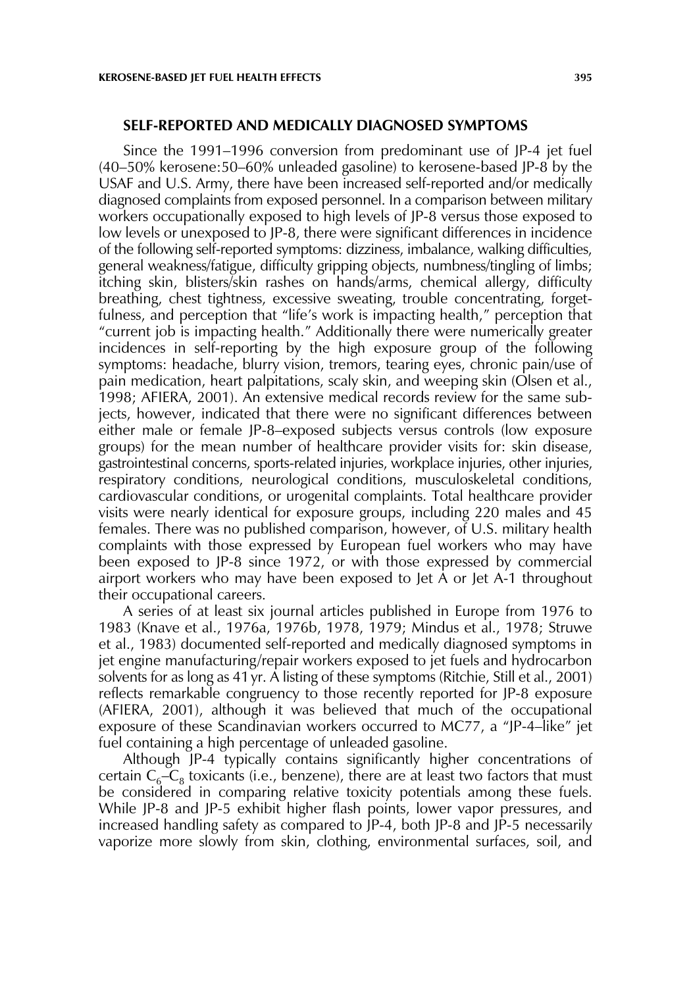Since the 1991–1996 conversion from predominant use of JP-4 jet fuel (40–50% kerosene:50–60% unleaded gasoline) to kerosene-based JP-8 by the USAF and U.S. Army, there have been increased self-reported and/or medically diagnosed complaints from exposed personnel. In a comparison between military workers occupationally exposed to high levels of JP-8 versus those exposed to low levels or unexposed to JP-8, there were significant differences in incidence of the following self-reported symptoms: dizziness, imbalance, walking difficulties, general weakness/fatigue, difficulty gripping objects, numbness/tingling of limbs; itching skin, blisters/skin rashes on hands/arms, chemical allergy, difficulty breathing, chest tightness, excessive sweating, trouble concentrating, forgetfulness, and perception that "life's work is impacting health," perception that "current job is impacting health." Additionally there were numerically greater incidences in self-reporting by the high exposure group of the following symptoms: headache, blurry vision, tremors, tearing eyes, chronic pain/use of pain medication, heart palpitations, scaly skin, and weeping skin (Olsen et al., 1998; AFIERA, 2001). An extensive medical records review for the same subjects, however, indicated that there were no significant differences between either male or female JP-8–exposed subjects versus controls (low exposure groups) for the mean number of healthcare provider visits for: skin disease, gastrointestinal concerns, sports-related injuries, workplace injuries, other injuries, respiratory conditions, neurological conditions, musculoskeletal conditions, cardiovascular conditions, or urogenital complaints. Total healthcare provider visits were nearly identical for exposure groups, including 220 males and 45 females. There was no published comparison, however, of U.S. military health complaints with those expressed by European fuel workers who may have been exposed to JP-8 since 1972, or with those expressed by commercial airport workers who may have been exposed to Jet A or Jet A-1 throughout their occupational careers.

A series of at least six journal articles published in Europe from 1976 to 1983 (Knave et al., 1976a, 1976b, 1978, 1979; Mindus et al., 1978; Struwe et al., 1983) documented self-reported and medically diagnosed symptoms in jet engine manufacturing/repair workers exposed to jet fuels and hydrocarbon solvents for as long as 41yr. A listing of these symptoms (Ritchie, Still et al., 2001) reflects remarkable congruency to those recently reported for JP-8 exposure (AFIERA, 2001), although it was believed that much of the occupational exposure of these Scandinavian workers occurred to MC77, a "JP-4–like" jet fuel containing a high percentage of unleaded gasoline.

Although JP-4 typically contains significantly higher concentrations of certain  $C_6-C_8$  toxicants (i.e., benzene), there are at least two factors that must be considered in comparing relative toxicity potentials among these fuels. While JP-8 and JP-5 exhibit higher flash points, lower vapor pressures, and increased handling safety as compared to JP-4, both JP-8 and JP-5 necessarily vaporize more slowly from skin, clothing, environmental surfaces, soil, and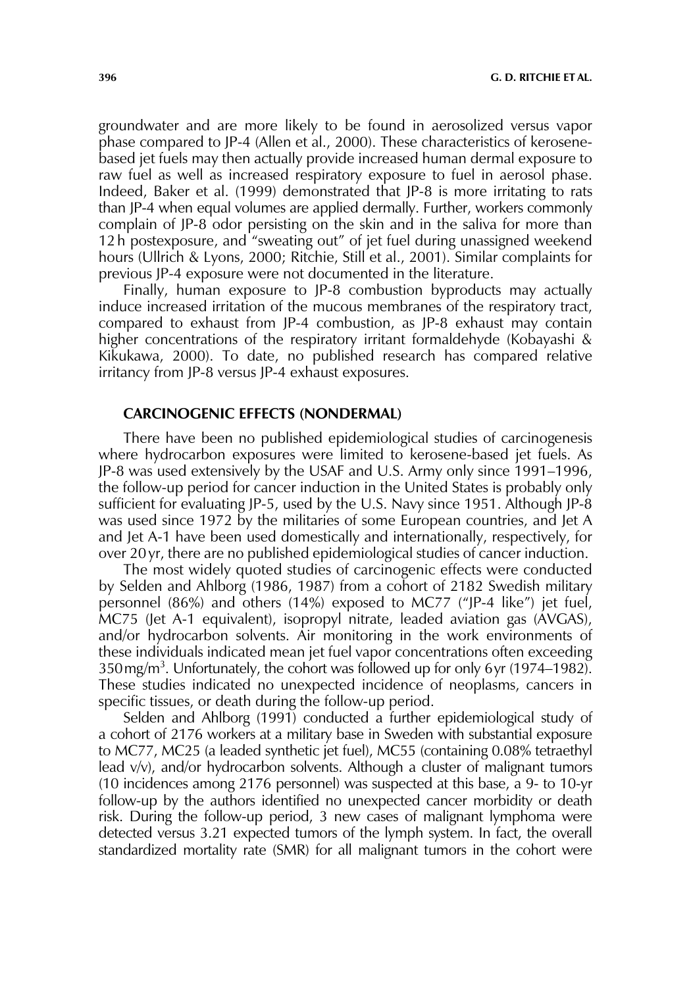groundwater and are more likely to be found in aerosolized versus vapor phase compared to JP-4 (Allen et al., 2000). These characteristics of kerosenebased jet fuels may then actually provide increased human dermal exposure to raw fuel as well as increased respiratory exposure to fuel in aerosol phase. Indeed, Baker et al. (1999) demonstrated that JP-8 is more irritating to rats than JP-4 when equal volumes are applied dermally. Further, workers commonly complain of JP-8 odor persisting on the skin and in the saliva for more than 12h postexposure, and "sweating out" of jet fuel during unassigned weekend hours (Ullrich & Lyons, 2000; Ritchie, Still et al., 2001). Similar complaints for previous JP-4 exposure were not documented in the literature.

Finally, human exposure to JP-8 combustion byproducts may actually induce increased irritation of the mucous membranes of the respiratory tract, compared to exhaust from JP-4 combustion, as JP-8 exhaust may contain higher concentrations of the respiratory irritant formaldehyde (Kobayashi & Kikukawa, 2000). To date, no published research has compared relative irritancy from JP-8 versus JP-4 exhaust exposures.

## **CARCINOGENIC EFFECTS (NONDERMAL)**

There have been no published epidemiological studies of carcinogenesis where hydrocarbon exposures were limited to kerosene-based jet fuels. As JP-8 was used extensively by the USAF and U.S. Army only since 1991–1996, the follow-up period for cancer induction in the United States is probably only sufficient for evaluating JP-5, used by the U.S. Navy since 1951. Although JP-8 was used since 1972 by the militaries of some European countries, and Jet A and Jet A-1 have been used domestically and internationally, respectively, for over 20yr, there are no published epidemiological studies of cancer induction.

The most widely quoted studies of carcinogenic effects were conducted by Selden and Ahlborg (1986, 1987) from a cohort of 2182 Swedish military personnel (86%) and others (14%) exposed to MC77 ("JP-4 like") jet fuel, MC75 (Jet A-1 equivalent), isopropyl nitrate, leaded aviation gas (AVGAS), and/or hydrocarbon solvents. Air monitoring in the work environments of these individuals indicated mean jet fuel vapor concentrations often exceeding 350 mg/m<sup>3</sup>. Unfortunately, the cohort was followed up for only 6 yr (1974–1982). These studies indicated no unexpected incidence of neoplasms, cancers in specific tissues, or death during the follow-up period.

Selden and Ahlborg (1991) conducted a further epidemiological study of a cohort of 2176 workers at a military base in Sweden with substantial exposure to MC77, MC25 (a leaded synthetic jet fuel), MC55 (containing 0.08% tetraethyl lead v/v), and/or hydrocarbon solvents. Although a cluster of malignant tumors (10 incidences among 2176 personnel) was suspected at this base, a 9- to 10-yr follow-up by the authors identified no unexpected cancer morbidity or death risk. During the follow-up period, 3 new cases of malignant lymphoma were detected versus 3.21 expected tumors of the lymph system. In fact, the overall standardized mortality rate (SMR) for all malignant tumors in the cohort were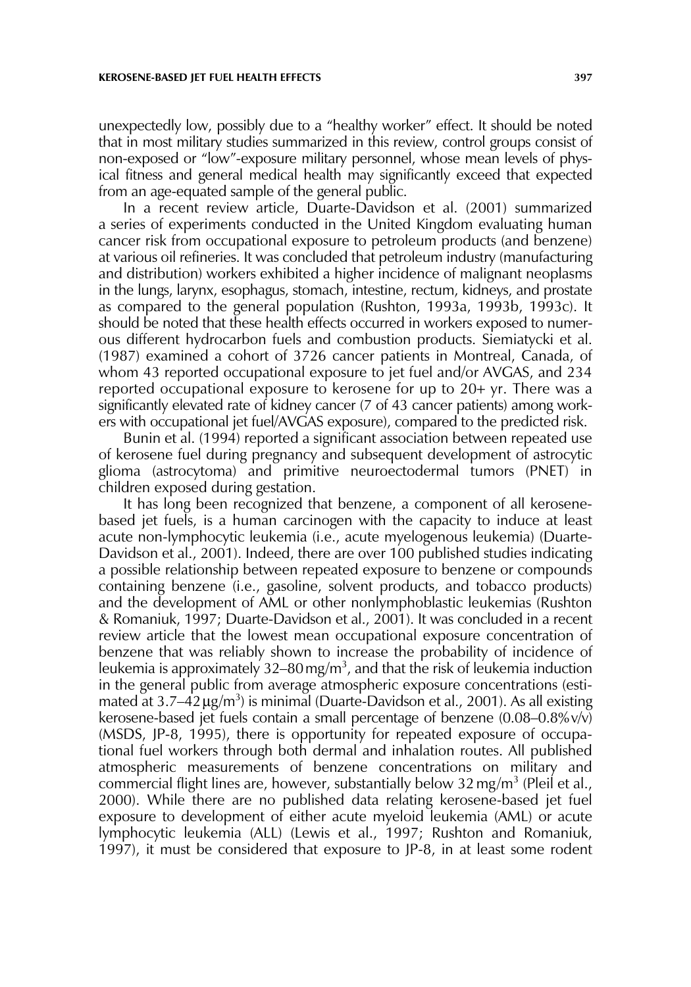#### **KEROSENE-BASED JET FUEL HEALTH EFFECTS 397**

unexpectedly low, possibly due to a "healthy worker" effect. It should be noted that in most military studies summarized in this review, control groups consist of non-exposed or "low"-exposure military personnel, whose mean levels of physical fitness and general medical health may significantly exceed that expected from an age-equated sample of the general public.

In a recent review article, Duarte-Davidson et al. (2001) summarized a series of experiments conducted in the United Kingdom evaluating human cancer risk from occupational exposure to petroleum products (and benzene) at various oil refineries. It was concluded that petroleum industry (manufacturing and distribution) workers exhibited a higher incidence of malignant neoplasms in the lungs, larynx, esophagus, stomach, intestine, rectum, kidneys, and prostate as compared to the general population (Rushton, 1993a, 1993b, 1993c). It should be noted that these health effects occurred in workers exposed to numerous different hydrocarbon fuels and combustion products. Siemiatycki et al. (1987) examined a cohort of 3726 cancer patients in Montreal, Canada, of whom 43 reported occupational exposure to jet fuel and/or AVGAS, and 234 reported occupational exposure to kerosene for up to 20+ yr. There was a significantly elevated rate of kidney cancer (7 of 43 cancer patients) among workers with occupational jet fuel/AVGAS exposure), compared to the predicted risk.

Bunin et al. (1994) reported a significant association between repeated use of kerosene fuel during pregnancy and subsequent development of astrocytic glioma (astrocytoma) and primitive neuroectodermal tumors (PNET) in children exposed during gestation.

It has long been recognized that benzene, a component of all kerosenebased jet fuels, is a human carcinogen with the capacity to induce at least acute non-lymphocytic leukemia (i.e., acute myelogenous leukemia) (Duarte-Davidson et al., 2001). Indeed, there are over 100 published studies indicating a possible relationship between repeated exposure to benzene or compounds containing benzene (i.e., gasoline, solvent products, and tobacco products) and the development of AML or other nonlymphoblastic leukemias (Rushton & Romaniuk, 1997; Duarte-Davidson et al., 2001). It was concluded in a recent review article that the lowest mean occupational exposure concentration of benzene that was reliably shown to increase the probability of incidence of leukemia is approximately 32–80 mg/m<sup>3</sup>, and that the risk of leukemia induction in the general public from average atmospheric exposure concentrations (estimated at  $3.7-42 \mu g/m^3$ ) is minimal (Duarte-Davidson et al., 2001). As all existing kerosene-based jet fuels contain a small percentage of benzene  $(0.08-0.8\%v/v)$ (MSDS, JP-8, 1995), there is opportunity for repeated exposure of occupational fuel workers through both dermal and inhalation routes. All published atmospheric measurements of benzene concentrations on military and commercial flight lines are, however, substantially below 32 mg/m<sup>3</sup> (Pleil et al., 2000). While there are no published data relating kerosene-based jet fuel exposure to development of either acute myeloid leukemia (AML) or acute lymphocytic leukemia (ALL) (Lewis et al., 1997; Rushton and Romaniuk, 1997), it must be considered that exposure to JP-8, in at least some rodent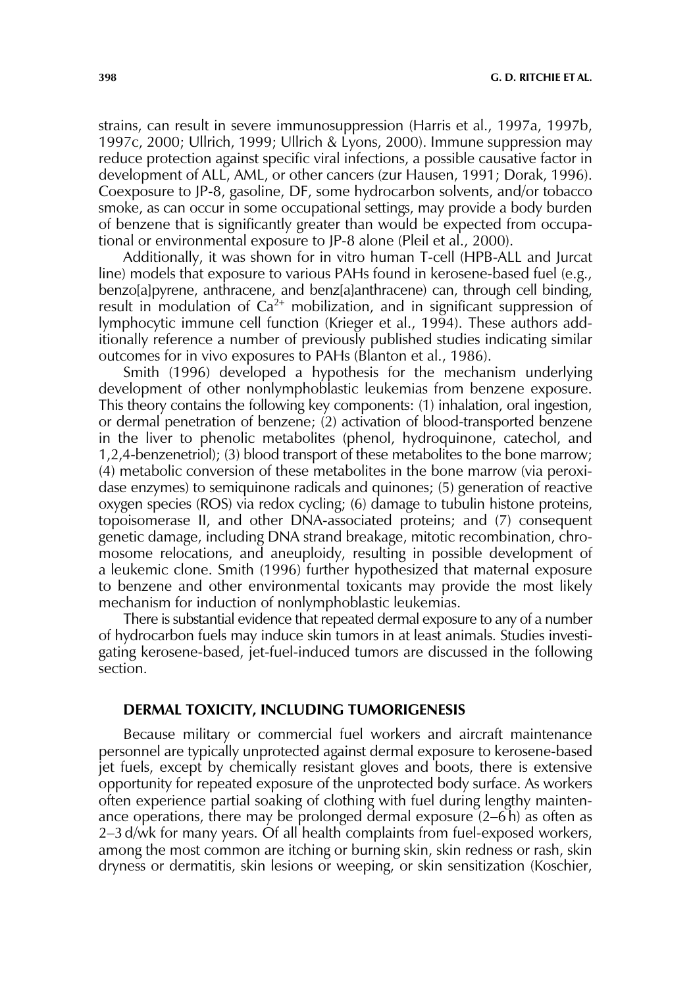strains, can result in severe immunosuppression (Harris et al., 1997a, 1997b, 1997c, 2000; Ullrich, 1999; Ullrich & Lyons, 2000). Immune suppression may reduce protection against specific viral infections, a possible causative factor in development of ALL, AML, or other cancers (zur Hausen, 1991; Dorak, 1996). Coexposure to JP-8, gasoline, DF, some hydrocarbon solvents, and/or tobacco smoke, as can occur in some occupational settings, may provide a body burden of benzene that is significantly greater than would be expected from occupational or environmental exposure to JP-8 alone (Pleil et al., 2000).

Additionally, it was shown for in vitro human T-cell (HPB-ALL and Jurcat line) models that exposure to various PAHs found in kerosene-based fuel (e.g., benzo[a]pyrene, anthracene, and benz[a]anthracene) can, through cell binding, result in modulation of  $Ca^{2+}$  mobilization, and in significant suppression of lymphocytic immune cell function (Krieger et al., 1994). These authors additionally reference a number of previously published studies indicating similar outcomes for in vivo exposures to PAHs (Blanton et al., 1986).

Smith (1996) developed a hypothesis for the mechanism underlying development of other nonlymphoblastic leukemias from benzene exposure. This theory contains the following key components: (1) inhalation, oral ingestion, or dermal penetration of benzene; (2) activation of blood-transported benzene in the liver to phenolic metabolites (phenol, hydroquinone, catechol, and 1,2,4-benzenetriol); (3) blood transport of these metabolites to the bone marrow; (4) metabolic conversion of these metabolites in the bone marrow (via peroxidase enzymes) to semiquinone radicals and quinones; (5) generation of reactive oxygen species (ROS) via redox cycling; (6) damage to tubulin histone proteins, topoisomerase II, and other DNA-associated proteins; and (7) consequent genetic damage, including DNA strand breakage, mitotic recombination, chromosome relocations, and aneuploidy, resulting in possible development of a leukemic clone. Smith (1996) further hypothesized that maternal exposure to benzene and other environmental toxicants may provide the most likely mechanism for induction of nonlymphoblastic leukemias.

There is substantial evidence that repeated dermal exposure to any of a number of hydrocarbon fuels may induce skin tumors in at least animals. Studies investigating kerosene-based, jet-fuel-induced tumors are discussed in the following section.

## **DERMAL TOXICITY, INCLUDING TUMORIGENESIS**

Because military or commercial fuel workers and aircraft maintenance personnel are typically unprotected against dermal exposure to kerosene-based jet fuels, except by chemically resistant gloves and boots, there is extensive opportunity for repeated exposure of the unprotected body surface. As workers often experience partial soaking of clothing with fuel during lengthy maintenance operations, there may be prolonged dermal exposure (2–6h) as often as 2–3 d/wk for many years. Of all health complaints from fuel-exposed workers, among the most common are itching or burning skin, skin redness or rash, skin dryness or dermatitis, skin lesions or weeping, or skin sensitization (Koschier,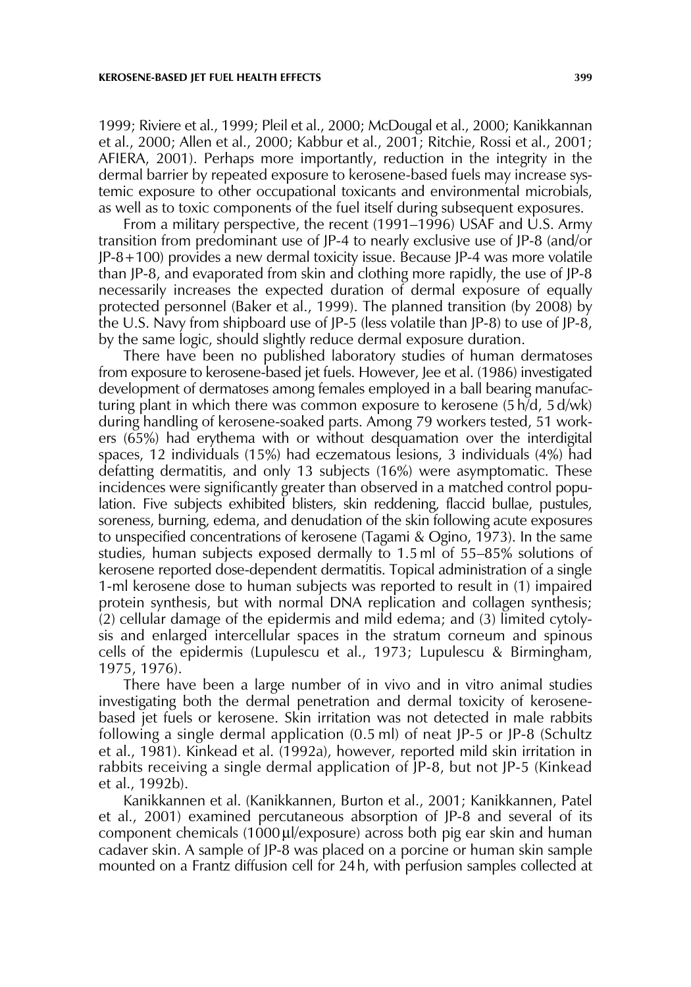1999; Riviere et al., 1999; Pleil et al., 2000; McDougal et al., 2000; Kanikkannan et al., 2000; Allen et al., 2000; Kabbur et al., 2001; Ritchie, Rossi et al., 2001; AFIERA, 2001). Perhaps more importantly, reduction in the integrity in the dermal barrier by repeated exposure to kerosene-based fuels may increase systemic exposure to other occupational toxicants and environmental microbials, as well as to toxic components of the fuel itself during subsequent exposures.

From a military perspective, the recent (1991–1996) USAF and U.S. Army transition from predominant use of JP-4 to nearly exclusive use of JP-8 (and/or JP-8+100) provides a new dermal toxicity issue. Because JP-4 was more volatile than JP-8, and evaporated from skin and clothing more rapidly, the use of JP-8 necessarily increases the expected duration of dermal exposure of equally protected personnel (Baker et al., 1999). The planned transition (by 2008) by the U.S. Navy from shipboard use of JP-5 (less volatile than JP-8) to use of JP-8, by the same logic, should slightly reduce dermal exposure duration.

There have been no published laboratory studies of human dermatoses from exposure to kerosene-based jet fuels. However, Jee et al. (1986) investigated development of dermatoses among females employed in a ball bearing manufacturing plant in which there was common exposure to kerosene  $(5h/d, 5d/wk)$ during handling of kerosene-soaked parts. Among 79 workers tested, 51 workers (65%) had erythema with or without desquamation over the interdigital spaces, 12 individuals (15%) had eczematous lesions, 3 individuals (4%) had defatting dermatitis, and only 13 subjects (16%) were asymptomatic. These incidences were significantly greater than observed in a matched control population. Five subjects exhibited blisters, skin reddening, flaccid bullae, pustules, soreness, burning, edema, and denudation of the skin following acute exposures to unspecified concentrations of kerosene (Tagami & Ogino, 1973). In the same studies, human subjects exposed dermally to 1.5 ml of 55–85% solutions of kerosene reported dose-dependent dermatitis. Topical administration of a single 1-ml kerosene dose to human subjects was reported to result in (1) impaired protein synthesis, but with normal DNA replication and collagen synthesis; (2) cellular damage of the epidermis and mild edema; and (3) limited cytolysis and enlarged intercellular spaces in the stratum corneum and spinous cells of the epidermis (Lupulescu et al., 1973; Lupulescu & Birmingham, 1975, 1976).

There have been a large number of in vivo and in vitro animal studies investigating both the dermal penetration and dermal toxicity of kerosenebased jet fuels or kerosene. Skin irritation was not detected in male rabbits following a single dermal application (0.5 ml) of neat JP-5 or JP-8 (Schultz et al., 1981). Kinkead et al. (1992a), however, reported mild skin irritation in rabbits receiving a single dermal application of JP-8, but not JP-5 (Kinkead et al., 1992b).

Kanikkannen et al. (Kanikkannen, Burton et al., 2001; Kanikkannen, Patel et al., 2001) examined percutaneous absorption of JP-8 and several of its component chemicals (1000µl/exposure) across both pig ear skin and human cadaver skin. A sample of JP-8 was placed on a porcine or human skin sample mounted on a Frantz diffusion cell for 24h, with perfusion samples collected at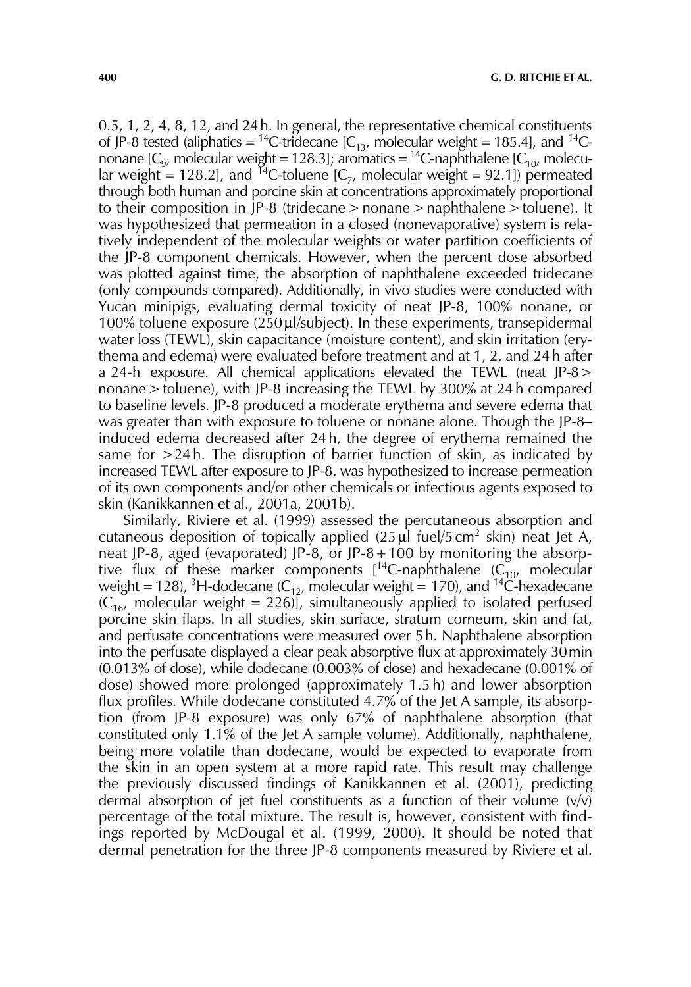0.5, 1, 2, 4, 8, 12, and 24h. In general, the representative chemical constituents of JP-8 tested (aliphatics =  $^{14}$ C-tridecane  $[C_{13}$ , molecular weight = 185.4], and  $^{14}$ Cnonane  $[C_{9}$ , molecular weight = 128.3]; aromatics = <sup>14</sup>C-naphthalene  $[C_{10}$ , molecular weight = 128.2], and <sup>14</sup>C-toluene  $[C_7,$  molecular weight = 92.1]) permeated through both human and porcine skin at concentrations approximately proportional to their composition in  $IP-8$  (tridecane > nonane > naphthalene > toluene). It was hypothesized that permeation in a closed (nonevaporative) system is relatively independent of the molecular weights or water partition coefficients of the JP-8 component chemicals. However, when the percent dose absorbed was plotted against time, the absorption of naphthalene exceeded tridecane (only compounds compared). Additionally, in vivo studies were conducted with Yucan minipigs, evaluating dermal toxicity of neat JP-8, 100% nonane, or 100% toluene exposure (250µl/subject). In these experiments, transepidermal water loss (TEWL), skin capacitance (moisture content), and skin irritation (erythema and edema) were evaluated before treatment and at 1, 2, and 24 h after a 24-h exposure. All chemical applications elevated the TEWL (neat JP-8> nonane  $>$  toluene), with JP-8 increasing the TEWL by 300% at 24h compared to baseline levels. JP-8 produced a moderate erythema and severe edema that was greater than with exposure to toluene or nonane alone. Though the JP-8– induced edema decreased after 24h, the degree of erythema remained the same for  $>24$  h. The disruption of barrier function of skin, as indicated by increased TEWL after exposure to JP-8, was hypothesized to increase permeation of its own components and/or other chemicals or infectious agents exposed to skin (Kanikkannen et al., 2001a, 2001b).

Similarly, Riviere et al. (1999) assessed the percutaneous absorption and cutaneous deposition of topically applied  $(25 \mu)$  fuel/5 cm<sup>2</sup> skin) neat Jet A, neat JP-8, aged (evaporated) JP-8, or JP-8 + 100 by monitoring the absorptive flux of these marker components  $1^{14}$ C-naphthalene (C<sub>10</sub>, molecular weight = 128), <sup>3</sup>H-dodecane ( $C_{12}$ , molecular weight = 170), and <sup>14</sup>C-hexadecane  $(C_{16}$ , molecular weight = 226)], simultaneously applied to isolated perfused porcine skin flaps. In all studies, skin surface, stratum corneum, skin and fat, and perfusate concentrations were measured over 5h. Naphthalene absorption into the perfusate displayed a clear peak absorptive flux at approximately 30min (0.013% of dose), while dodecane (0.003% of dose) and hexadecane (0.001% of dose) showed more prolonged (approximately 1.5 h) and lower absorption flux profiles. While dodecane constituted 4.7% of the Jet A sample, its absorption (from JP-8 exposure) was only 67% of naphthalene absorption (that constituted only 1.1% of the Jet A sample volume). Additionally, naphthalene, being more volatile than dodecane, would be expected to evaporate from the skin in an open system at a more rapid rate. This result may challenge the previously discussed findings of Kanikkannen et al. (2001), predicting dermal absorption of jet fuel constituents as a function of their volume  $(v/v)$ percentage of the total mixture. The result is, however, consistent with findings reported by McDougal et al. (1999, 2000). It should be noted that dermal penetration for the three JP-8 components measured by Riviere et al.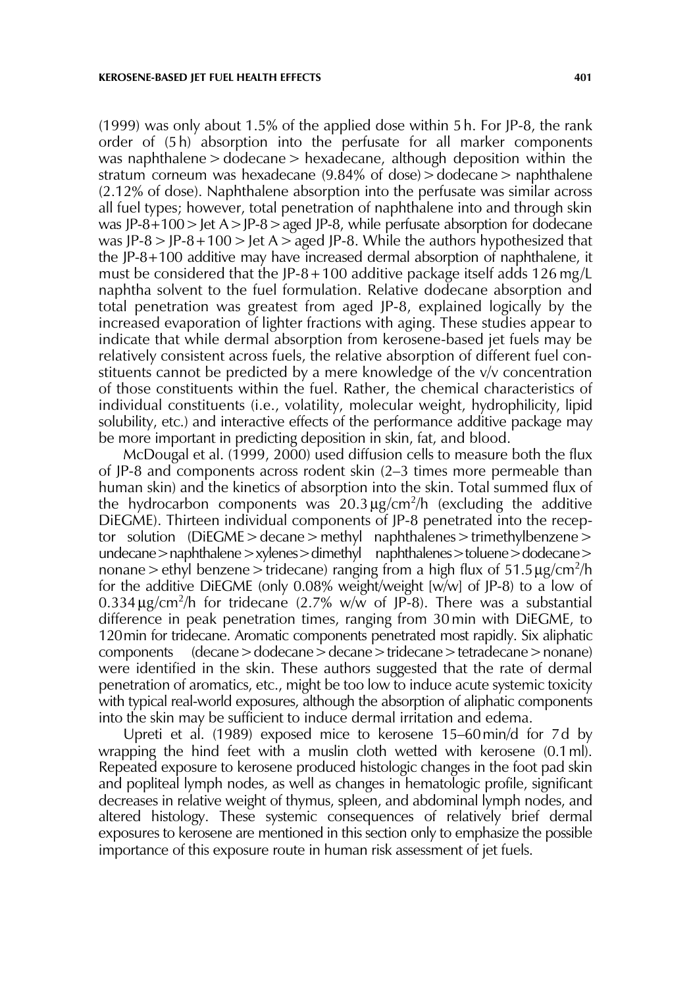(1999) was only about 1.5% of the applied dose within 5 h. For JP-8, the rank order of (5 h) absorption into the perfusate for all marker components was naphthalene  $>$  dodecane  $>$  hexadecane, although deposition within the stratum corneum was hexadecane (9.84% of dose) > dodecane > naphthalene (2.12% of dose). Naphthalene absorption into the perfusate was similar across all fuel types; however, total penetration of naphthalene into and through skin was  $IP-8+100$  > let  $A > IP-8$  > aged IP-8, while perfusate absorption for dodecane was  $IP-8 > IP-8 +100 > let A > a$ ged  $IP-8$ . While the authors hypothesized that the JP-8+100 additive may have increased dermal absorption of naphthalene, it must be considered that the  $IP-8+100$  additive package itself adds 126 mg/L naphtha solvent to the fuel formulation. Relative dodecane absorption and total penetration was greatest from aged JP-8, explained logically by the increased evaporation of lighter fractions with aging. These studies appear to indicate that while dermal absorption from kerosene-based jet fuels may be relatively consistent across fuels, the relative absorption of different fuel constituents cannot be predicted by a mere knowledge of the v/v concentration of those constituents within the fuel. Rather, the chemical characteristics of individual constituents (i.e., volatility, molecular weight, hydrophilicity, lipid solubility, etc.) and interactive effects of the performance additive package may be more important in predicting deposition in skin, fat, and blood.

McDougal et al. (1999, 2000) used diffusion cells to measure both the flux of JP-8 and components across rodent skin (2–3 times more permeable than human skin) and the kinetics of absorption into the skin. Total summed flux of the hydrocarbon components was  $20.3 \mu g/cm^2/h$  (excluding the additive DiEGME). Thirteen individual components of JP-8 penetrated into the receptor solution (DiEGME > decane > methyl naphthalenes > trimethylbenzene > undecane>naphthalene>xylenes>dimethyl naphthalenes>toluene>dodecane> nonane > ethyl benzene > tridecane) ranging from a high flux of  $51.5 \mu g/cm^2/h$ for the additive DiEGME (only 0.08% weight/weight [w/w] of JP-8) to a low of 0.334  $\mu$ g/cm<sup>2</sup>/h for tridecane (2.7% w/w of JP-8). There was a substantial difference in peak penetration times, ranging from 30min with DiEGME, to 120min for tridecane. Aromatic components penetrated most rapidly. Six aliphatic components (decane>dodecane>decane>tridecane>tetradecane>nonane) were identified in the skin. These authors suggested that the rate of dermal penetration of aromatics, etc., might be too low to induce acute systemic toxicity with typical real-world exposures, although the absorption of aliphatic components into the skin may be sufficient to induce dermal irritation and edema.

Upreti et al. (1989) exposed mice to kerosene 15–60min/d for 7d by wrapping the hind feet with a muslin cloth wetted with kerosene (0.1ml). Repeated exposure to kerosene produced histologic changes in the foot pad skin and popliteal lymph nodes, as well as changes in hematologic profile, significant decreases in relative weight of thymus, spleen, and abdominal lymph nodes, and altered histology. These systemic consequences of relatively brief dermal exposures to kerosene are mentioned in this section only to emphasize the possible importance of this exposure route in human risk assessment of jet fuels.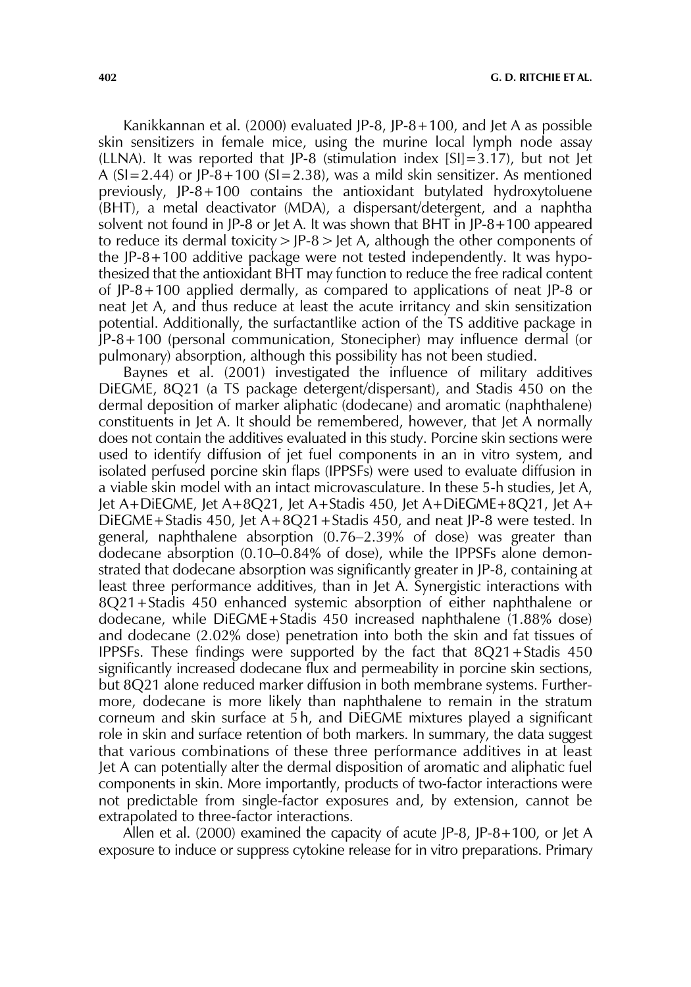Kanikkannan et al. (2000) evaluated JP-8, JP-8+100, and Jet A as possible skin sensitizers in female mice, using the murine local lymph node assay (LLNA). It was reported that  $IP-8$  (stimulation index  $[SI]=3.17$ ), but not let A ( $SI = 2.44$ ) or JP-8+100 ( $SI = 2.38$ ), was a mild skin sensitizer. As mentioned previously,  $IP-8+100$  contains the antioxidant butylated hydroxytoluene (BHT), a metal deactivator (MDA), a dispersant/detergent, and a naphtha solvent not found in JP-8 or Jet A. It was shown that BHT in JP-8+100 appeared to reduce its dermal toxicity  $>$   $|P-8>$  let A, although the other components of the JP-8+100 additive package were not tested independently. It was hypothesized that the antioxidant BHT may function to reduce the free radical content of JP-8 +100 applied dermally, as compared to applications of neat JP-8 or neat Jet A, and thus reduce at least the acute irritancy and skin sensitization potential. Additionally, the surfactantlike action of the TS additive package in JP-8 +100 (personal communication, Stonecipher) may influence dermal (or pulmonary) absorption, although this possibility has not been studied.

Baynes et al. (2001) investigated the influence of military additives DiEGME, 8Q21 (a TS package detergent/dispersant), and Stadis 450 on the dermal deposition of marker aliphatic (dodecane) and aromatic (naphthalene) constituents in Jet A. It should be remembered, however, that Jet A normally does not contain the additives evaluated in this study. Porcine skin sections were used to identify diffusion of jet fuel components in an in vitro system, and isolated perfused porcine skin flaps (IPPSFs) were used to evaluate diffusion in a viable skin model with an intact microvasculature. In these 5-h studies, Jet A, Jet A+DiEGME, Jet A+8Q21, Jet A+Stadis 450, Jet A+DiEGME+8Q21, Jet A+ DIEGME+Stadis 450, Jet A+8O21 + Stadis 450, and neat JP-8 were tested. In general, naphthalene absorption (0.76–2.39% of dose) was greater than dodecane absorption (0.10–0.84% of dose), while the IPPSFs alone demonstrated that dodecane absorption was significantly greater in JP-8, containing at least three performance additives, than in Jet A. Synergistic interactions with 8Q21 +Stadis 450 enhanced systemic absorption of either naphthalene or dodecane, while DiEGME+Stadis 450 increased naphthalene (1.88% dose) and dodecane (2.02% dose) penetration into both the skin and fat tissues of IPPSFs. These findings were supported by the fact that  $8O21 + Stadis 450$ significantly increased dodecane flux and permeability in porcine skin sections, but 8Q21 alone reduced marker diffusion in both membrane systems. Furthermore, dodecane is more likely than naphthalene to remain in the stratum corneum and skin surface at 5 h, and DiEGME mixtures played a significant role in skin and surface retention of both markers. In summary, the data suggest that various combinations of these three performance additives in at least Jet A can potentially alter the dermal disposition of aromatic and aliphatic fuel components in skin. More importantly, products of two-factor interactions were not predictable from single-factor exposures and, by extension, cannot be extrapolated to three-factor interactions.

Allen et al. (2000) examined the capacity of acute JP-8, JP-8+100, or Jet A exposure to induce or suppress cytokine release for in vitro preparations. Primary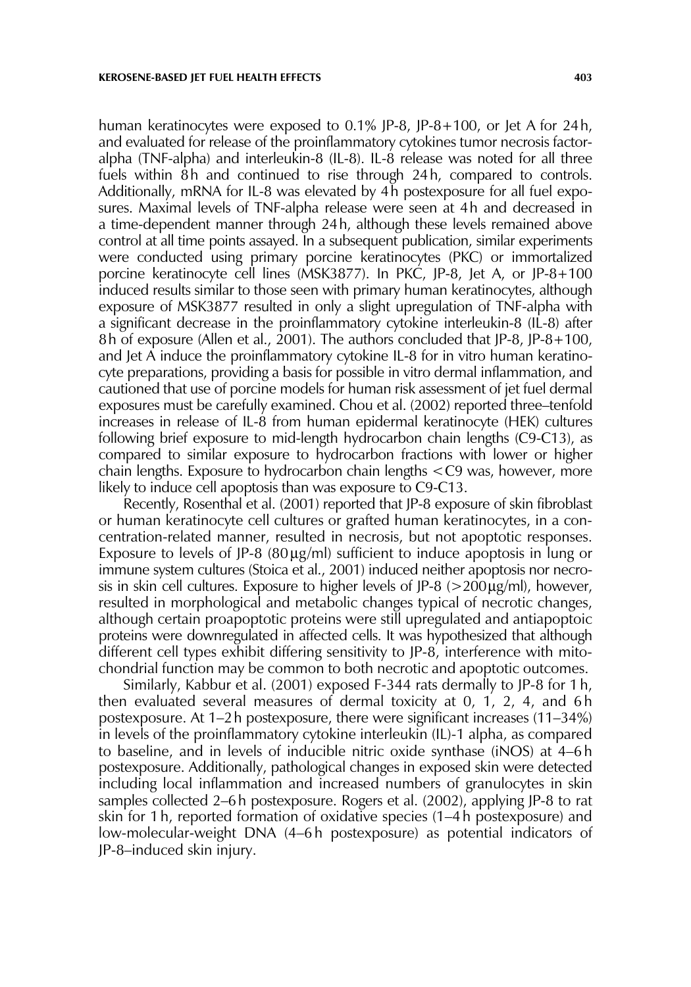human keratinocytes were exposed to 0.1% JP-8, JP-8+100, or Jet A for 24h, and evaluated for release of the proinflammatory cytokines tumor necrosis factoralpha (TNF-alpha) and interleukin-8 (IL-8). IL-8 release was noted for all three fuels within 8h and continued to rise through 24h, compared to controls. Additionally, mRNA for IL-8 was elevated by 4h postexposure for all fuel exposures. Maximal levels of TNF-alpha release were seen at 4h and decreased in a time-dependent manner through 24h, although these levels remained above control at all time points assayed. In a subsequent publication, similar experiments were conducted using primary porcine keratinocytes (PKC) or immortalized porcine keratinocyte cell lines (MSK3877). In PKC, JP-8, Jet A, or JP-8+100 induced results similar to those seen with primary human keratinocytes, although exposure of MSK3877 resulted in only a slight upregulation of TNF-alpha with a significant decrease in the proinflammatory cytokine interleukin-8 (IL-8) after 8h of exposure (Allen et al., 2001). The authors concluded that JP-8, JP-8+100, and Jet A induce the proinflammatory cytokine IL-8 for in vitro human keratinocyte preparations, providing a basis for possible in vitro dermal inflammation, and cautioned that use of porcine models for human risk assessment of jet fuel dermal exposures must be carefully examined. Chou et al. (2002) reported three–tenfold increases in release of IL-8 from human epidermal keratinocyte (HEK) cultures following brief exposure to mid-length hydrocarbon chain lengths (C9-C13), as compared to similar exposure to hydrocarbon fractions with lower or higher chain lengths. Exposure to hydrocarbon chain lengths <C9 was, however, more likely to induce cell apoptosis than was exposure to C9-C13.

Recently, Rosenthal et al. (2001) reported that JP-8 exposure of skin fibroblast or human keratinocyte cell cultures or grafted human keratinocytes, in a concentration-related manner, resulted in necrosis, but not apoptotic responses. Exposure to levels of JP-8 (80µg/ml) sufficient to induce apoptosis in lung or immune system cultures (Stoica et al., 2001) induced neither apoptosis nor necrosis in skin cell cultures. Exposure to higher levels of  $IP-8$  ( $>200\mu g/ml$ ), however, resulted in morphological and metabolic changes typical of necrotic changes, although certain proapoptotic proteins were still upregulated and antiapoptoic proteins were downregulated in affected cells. It was hypothesized that although different cell types exhibit differing sensitivity to JP-8, interference with mitochondrial function may be common to both necrotic and apoptotic outcomes.

Similarly, Kabbur et al. (2001) exposed F-344 rats dermally to JP-8 for 1h, then evaluated several measures of dermal toxicity at 0, 1, 2, 4, and 6h postexposure. At 1–2h postexposure, there were significant increases (11–34%) in levels of the proinflammatory cytokine interleukin (IL)-1 alpha, as compared to baseline, and in levels of inducible nitric oxide synthase (iNOS) at 4–6h postexposure. Additionally, pathological changes in exposed skin were detected including local inflammation and increased numbers of granulocytes in skin samples collected 2–6h postexposure. Rogers et al. (2002), applying JP-8 to rat skin for 1h, reported formation of oxidative species (1–4h postexposure) and low-molecular-weight DNA (4–6 h postexposure) as potential indicators of JP-8–induced skin injury.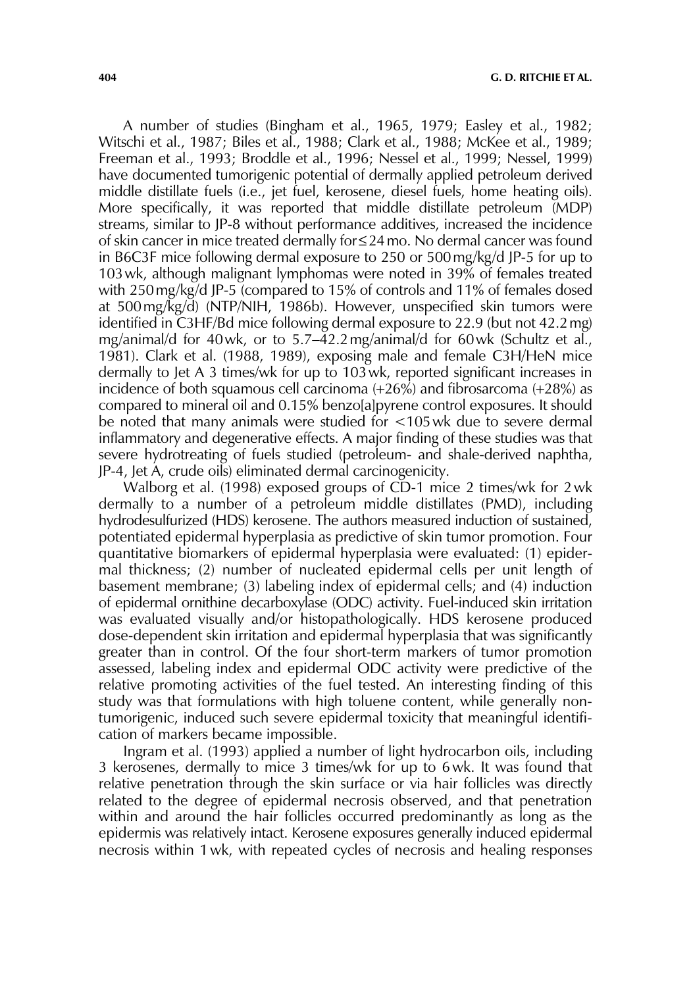A number of studies (Bingham et al., 1965, 1979; Easley et al., 1982; Witschi et al., 1987; Biles et al., 1988; Clark et al., 1988; McKee et al., 1989; Freeman et al., 1993; Broddle et al., 1996; Nessel et al., 1999; Nessel, 1999) have documented tumorigenic potential of dermally applied petroleum derived middle distillate fuels (i.e., jet fuel, kerosene, diesel fuels, home heating oils). More specifically, it was reported that middle distillate petroleum (MDP) streams, similar to JP-8 without performance additives, increased the incidence of skin cancer in mice treated dermally for≤24mo. No dermal cancer was found in B6C3F mice following dermal exposure to 250 or 500mg/kg/d JP-5 for up to 103wk, although malignant lymphomas were noted in 39% of females treated with 250mg/kg/d JP-5 (compared to 15% of controls and 11% of females dosed at 500mg/kg/d) (NTP/NIH, 1986b). However, unspecified skin tumors were identified in C3HF/Bd mice following dermal exposure to 22.9 (but not 42.2mg) mg/animal/d for 40wk, or to 5.7–42.2mg/animal/d for 60wk (Schultz et al., 1981). Clark et al. (1988, 1989), exposing male and female C3H/HeN mice dermally to Jet A 3 times/wk for up to 103wk, reported significant increases in incidence of both squamous cell carcinoma (+26%) and fibrosarcoma (+28%) as compared to mineral oil and 0.15% benzo[a]pyrene control exposures. It should be noted that many animals were studied for <105wk due to severe dermal inflammatory and degenerative effects. A major finding of these studies was that severe hydrotreating of fuels studied (petroleum- and shale-derived naphtha, JP-4, Jet A, crude oils) eliminated dermal carcinogenicity.

Walborg et al. (1998) exposed groups of CD-1 mice 2 times/wk for 2 wk dermally to a number of a petroleum middle distillates (PMD), including hydrodesulfurized (HDS) kerosene. The authors measured induction of sustained, potentiated epidermal hyperplasia as predictive of skin tumor promotion. Four quantitative biomarkers of epidermal hyperplasia were evaluated: (1) epidermal thickness; (2) number of nucleated epidermal cells per unit length of basement membrane; (3) labeling index of epidermal cells; and (4) induction of epidermal ornithine decarboxylase (ODC) activity. Fuel-induced skin irritation was evaluated visually and/or histopathologically. HDS kerosene produced dose-dependent skin irritation and epidermal hyperplasia that was significantly greater than in control. Of the four short-term markers of tumor promotion assessed, labeling index and epidermal ODC activity were predictive of the relative promoting activities of the fuel tested. An interesting finding of this study was that formulations with high toluene content, while generally nontumorigenic, induced such severe epidermal toxicity that meaningful identification of markers became impossible.

Ingram et al. (1993) applied a number of light hydrocarbon oils, including 3 kerosenes, dermally to mice 3 times/wk for up to 6 wk. It was found that relative penetration through the skin surface or via hair follicles was directly related to the degree of epidermal necrosis observed, and that penetration within and around the hair follicles occurred predominantly as long as the epidermis was relatively intact. Kerosene exposures generally induced epidermal necrosis within 1 wk, with repeated cycles of necrosis and healing responses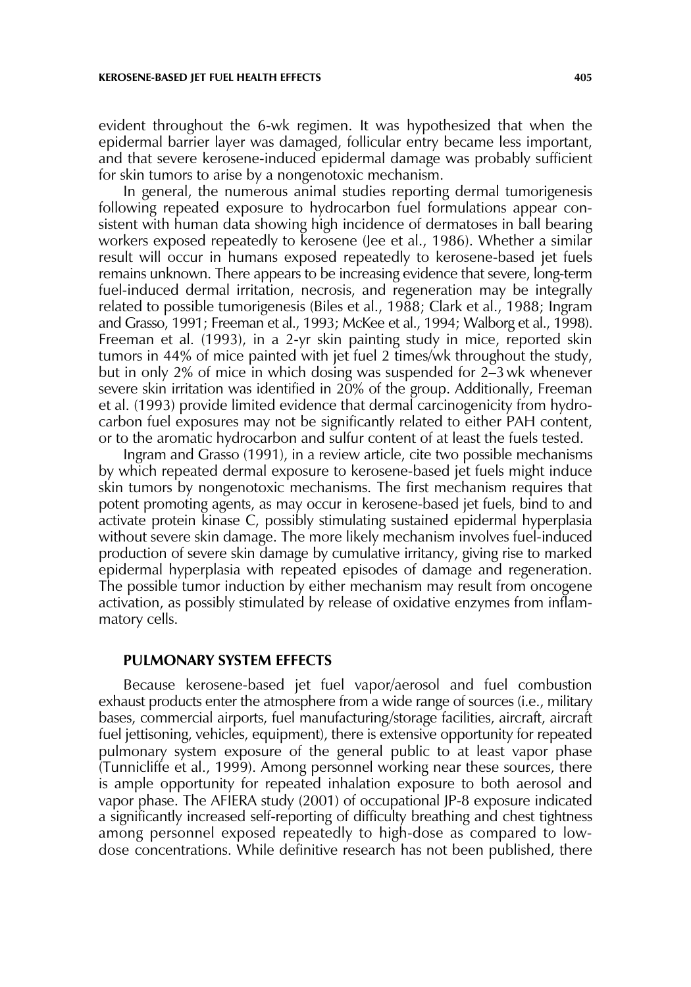#### **KEROSENE-BASED JET FUEL HEALTH EFFECTS 405**

evident throughout the 6-wk regimen. It was hypothesized that when the epidermal barrier layer was damaged, follicular entry became less important, and that severe kerosene-induced epidermal damage was probably sufficient for skin tumors to arise by a nongenotoxic mechanism.

In general, the numerous animal studies reporting dermal tumorigenesis following repeated exposure to hydrocarbon fuel formulations appear consistent with human data showing high incidence of dermatoses in ball bearing workers exposed repeatedly to kerosene (Jee et al., 1986). Whether a similar result will occur in humans exposed repeatedly to kerosene-based jet fuels remains unknown. There appears to be increasing evidence that severe, long-term fuel-induced dermal irritation, necrosis, and regeneration may be integrally related to possible tumorigenesis (Biles et al., 1988; Clark et al., 1988; Ingram and Grasso, 1991; Freeman et al., 1993; McKee et al., 1994; Walborg et al., 1998). Freeman et al. (1993), in a 2-yr skin painting study in mice, reported skin tumors in 44% of mice painted with jet fuel 2 times/wk throughout the study, but in only 2% of mice in which dosing was suspended for 2–3wk whenever severe skin irritation was identified in 20% of the group. Additionally, Freeman et al. (1993) provide limited evidence that dermal carcinogenicity from hydrocarbon fuel exposures may not be significantly related to either PAH content, or to the aromatic hydrocarbon and sulfur content of at least the fuels tested.

Ingram and Grasso (1991), in a review article, cite two possible mechanisms by which repeated dermal exposure to kerosene-based jet fuels might induce skin tumors by nongenotoxic mechanisms. The first mechanism requires that potent promoting agents, as may occur in kerosene-based jet fuels, bind to and activate protein kinase C, possibly stimulating sustained epidermal hyperplasia without severe skin damage. The more likely mechanism involves fuel-induced production of severe skin damage by cumulative irritancy, giving rise to marked epidermal hyperplasia with repeated episodes of damage and regeneration. The possible tumor induction by either mechanism may result from oncogene activation, as possibly stimulated by release of oxidative enzymes from inflammatory cells.

## **PULMONARY SYSTEM EFFECTS**

Because kerosene-based jet fuel vapor/aerosol and fuel combustion exhaust products enter the atmosphere from a wide range of sources (i.e., military bases, commercial airports, fuel manufacturing/storage facilities, aircraft, aircraft fuel jettisoning, vehicles, equipment), there is extensive opportunity for repeated pulmonary system exposure of the general public to at least vapor phase (Tunnicliffe et al., 1999). Among personnel working near these sources, there is ample opportunity for repeated inhalation exposure to both aerosol and vapor phase. The AFIERA study (2001) of occupational JP-8 exposure indicated a significantly increased self-reporting of difficulty breathing and chest tightness among personnel exposed repeatedly to high-dose as compared to lowdose concentrations. While definitive research has not been published, there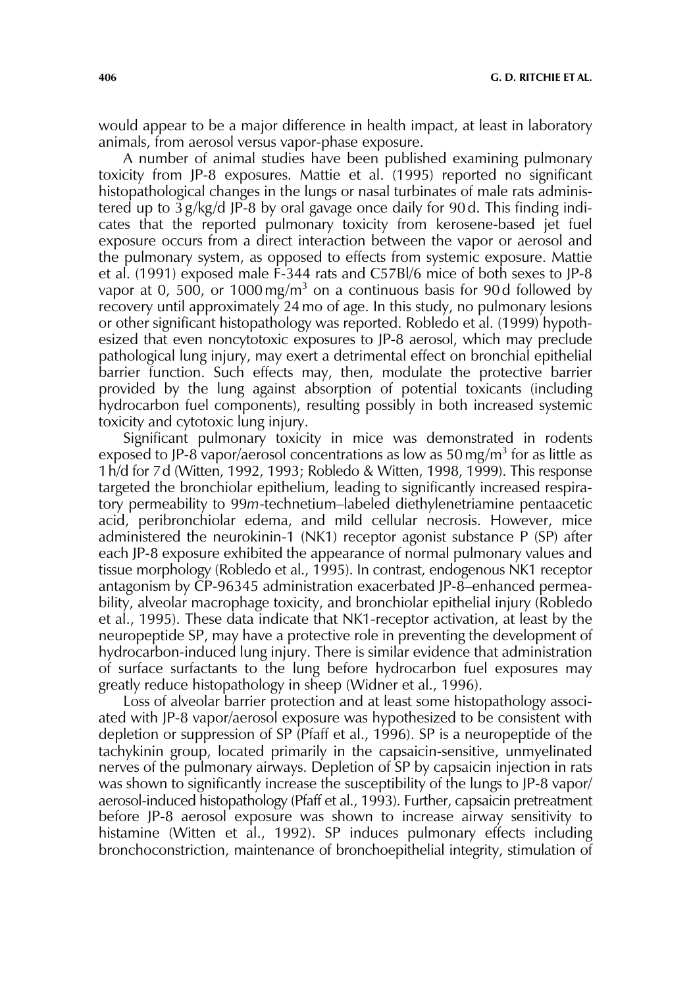would appear to be a major difference in health impact, at least in laboratory animals, from aerosol versus vapor-phase exposure.

A number of animal studies have been published examining pulmonary toxicity from JP-8 exposures. Mattie et al. (1995) reported no significant histopathological changes in the lungs or nasal turbinates of male rats administered up to  $3g/kg/d$  JP-8 by oral gavage once daily for 90d. This finding indicates that the reported pulmonary toxicity from kerosene-based jet fuel exposure occurs from a direct interaction between the vapor or aerosol and the pulmonary system, as opposed to effects from systemic exposure. Mattie et al. (1991) exposed male F-344 rats and C57Bl/6 mice of both sexes to JP-8 vapor at 0, 500, or 1000 mg/m<sup>3</sup> on a continuous basis for 90d followed by recovery until approximately 24 mo of age. In this study, no pulmonary lesions or other significant histopathology was reported. Robledo et al. (1999) hypothesized that even noncytotoxic exposures to JP-8 aerosol, which may preclude pathological lung injury, may exert a detrimental effect on bronchial epithelial barrier function. Such effects may, then, modulate the protective barrier provided by the lung against absorption of potential toxicants (including hydrocarbon fuel components), resulting possibly in both increased systemic toxicity and cytotoxic lung injury.

Significant pulmonary toxicity in mice was demonstrated in rodents exposed to JP-8 vapor/aerosol concentrations as low as 50 mg/m<sup>3</sup> for as little as 1h/d for 7d (Witten, 1992, 1993; Robledo & Witten, 1998, 1999). This response targeted the bronchiolar epithelium, leading to significantly increased respiratory permeability to 99*m*-technetium–labeled diethylenetriamine pentaacetic acid, peribronchiolar edema, and mild cellular necrosis. However, mice administered the neurokinin-1 (NK1) receptor agonist substance P (SP) after each JP-8 exposure exhibited the appearance of normal pulmonary values and tissue morphology (Robledo et al., 1995). In contrast, endogenous NK1 receptor antagonism by CP-96345 administration exacerbated JP-8–enhanced permeability, alveolar macrophage toxicity, and bronchiolar epithelial injury (Robledo et al., 1995). These data indicate that NK1-receptor activation, at least by the neuropeptide SP, may have a protective role in preventing the development of hydrocarbon-induced lung injury. There is similar evidence that administration of surface surfactants to the lung before hydrocarbon fuel exposures may greatly reduce histopathology in sheep (Widner et al., 1996).

Loss of alveolar barrier protection and at least some histopathology associated with JP-8 vapor/aerosol exposure was hypothesized to be consistent with depletion or suppression of SP (Pfaff et al., 1996). SP is a neuropeptide of the tachykinin group, located primarily in the capsaicin-sensitive, unmyelinated nerves of the pulmonary airways. Depletion of SP by capsaicin injection in rats was shown to significantly increase the susceptibility of the lungs to JP-8 vapor/ aerosol-induced histopathology (Pfaff et al., 1993). Further, capsaicin pretreatment before JP-8 aerosol exposure was shown to increase airway sensitivity to histamine (Witten et al., 1992). SP induces pulmonary effects including bronchoconstriction, maintenance of bronchoepithelial integrity, stimulation of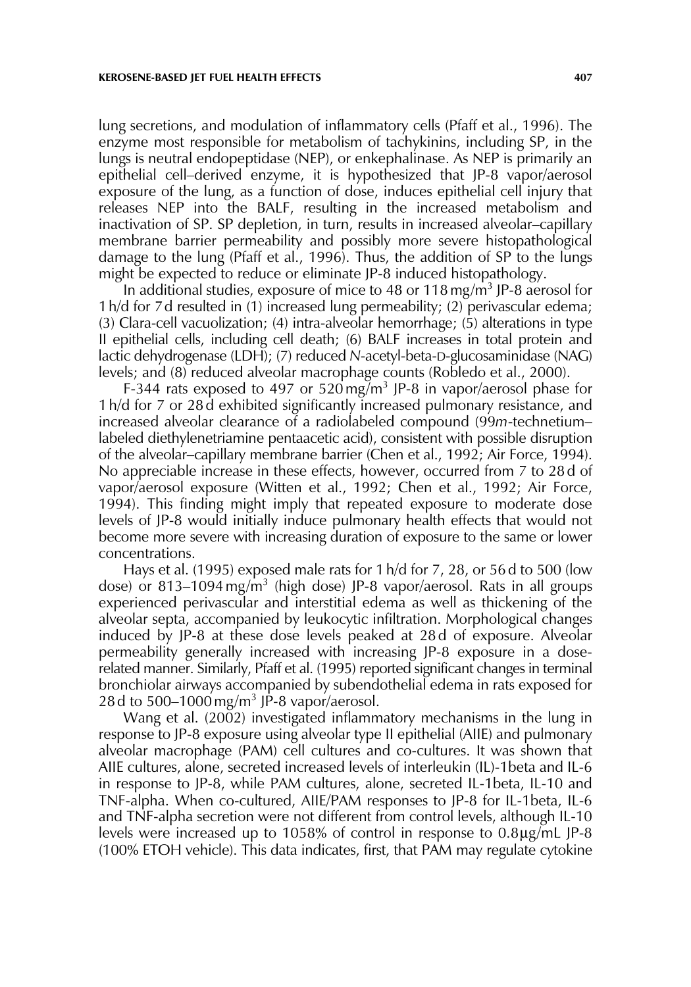lung secretions, and modulation of inflammatory cells (Pfaff et al., 1996). The enzyme most responsible for metabolism of tachykinins, including SP, in the lungs is neutral endopeptidase (NEP), or enkephalinase. As NEP is primarily an epithelial cell–derived enzyme, it is hypothesized that JP-8 vapor/aerosol exposure of the lung, as a function of dose, induces epithelial cell injury that releases NEP into the BALF, resulting in the increased metabolism and inactivation of SP. SP depletion, in turn, results in increased alveolar–capillary membrane barrier permeability and possibly more severe histopathological damage to the lung (Pfaff et al., 1996). Thus, the addition of SP to the lungs might be expected to reduce or eliminate JP-8 induced histopathology.

In additional studies, exposure of mice to 48 or 118 mg/m<sup>3</sup> JP-8 aerosol for 1h/d for 7d resulted in (1) increased lung permeability; (2) perivascular edema; (3) Clara-cell vacuolization; (4) intra-alveolar hemorrhage; (5) alterations in type II epithelial cells, including cell death; (6) BALF increases in total protein and lactic dehydrogenase (LDH); (7) reduced *N*-acetyl-beta-D-glucosaminidase (NAG) levels; and (8) reduced alveolar macrophage counts (Robledo et al., 2000).

F-344 rats exposed to 497 or 520 mg/m<sup>3</sup> JP-8 in vapor/aerosol phase for 1h/d for 7 or 28d exhibited significantly increased pulmonary resistance, and increased alveolar clearance of a radiolabeled compound (99*m*-technetium– labeled diethylenetriamine pentaacetic acid), consistent with possible disruption of the alveolar–capillary membrane barrier (Chen et al., 1992; Air Force, 1994). No appreciable increase in these effects, however, occurred from 7 to 28d of vapor/aerosol exposure (Witten et al., 1992; Chen et al., 1992; Air Force, 1994). This finding might imply that repeated exposure to moderate dose levels of JP-8 would initially induce pulmonary health effects that would not become more severe with increasing duration of exposure to the same or lower concentrations.

Hays et al. (1995) exposed male rats for 1h/d for 7, 28, or 56d to 500 (low dose) or 813–1094 mg/m<sup>3</sup> (high dose) JP-8 vapor/aerosol. Rats in all groups experienced perivascular and interstitial edema as well as thickening of the alveolar septa, accompanied by leukocytic infiltration. Morphological changes induced by JP-8 at these dose levels peaked at 28 d of exposure. Alveolar permeability generally increased with increasing JP-8 exposure in a doserelated manner. Similarly, Pfaff et al. (1995) reported significant changes in terminal bronchiolar airways accompanied by subendothelial edema in rats exposed for 28 d to 500–1000 mg/m<sup>3</sup> JP-8 vapor/aerosol.

Wang et al. (2002) investigated inflammatory mechanisms in the lung in response to JP-8 exposure using alveolar type II epithelial (AIIE) and pulmonary alveolar macrophage (PAM) cell cultures and co-cultures. It was shown that AIIE cultures, alone, secreted increased levels of interleukin (IL)-1beta and IL-6 in response to JP-8, while PAM cultures, alone, secreted IL-1beta, IL-10 and TNF-alpha. When co-cultured, AIIE/PAM responses to JP-8 for IL-1beta, IL-6 and TNF-alpha secretion were not different from control levels, although IL-10 levels were increased up to 1058% of control in response to 0.8µg/mL JP-8 (100% ETOH vehicle). This data indicates, first, that PAM may regulate cytokine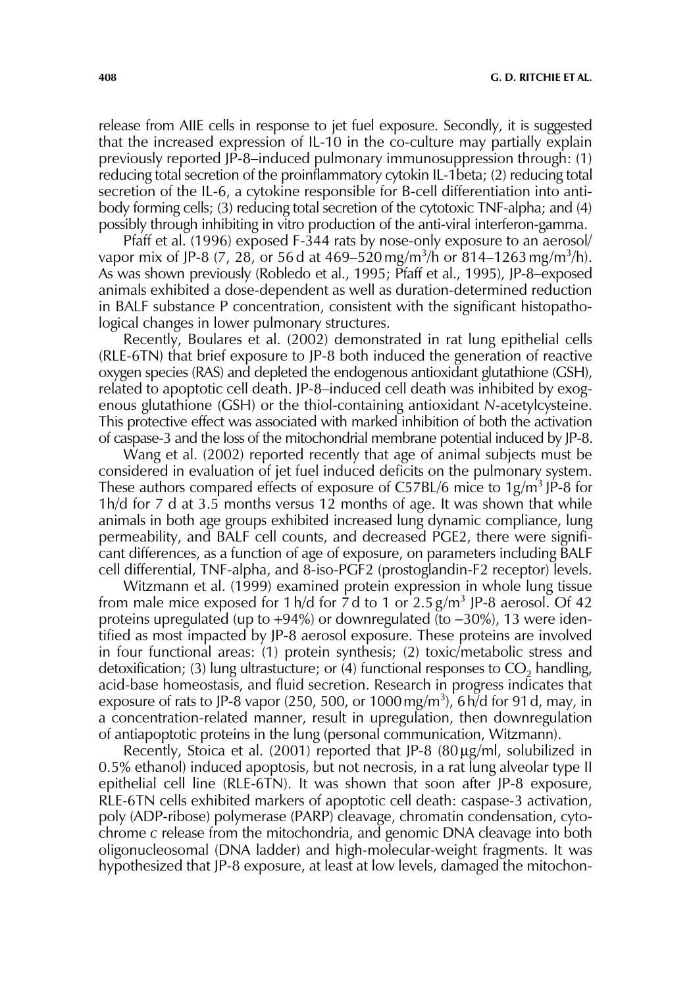release from AIIE cells in response to jet fuel exposure. Secondly, it is suggested that the increased expression of IL-10 in the co-culture may partially explain previously reported JP-8–induced pulmonary immunosuppression through: (1) reducing total secretion of the proinflammatory cytokin IL-1beta; (2) reducing total secretion of the IL-6, a cytokine responsible for B-cell differentiation into antibody forming cells; (3) reducing total secretion of the cytotoxic TNF-alpha; and (4) possibly through inhibiting in vitro production of the anti-viral interferon-gamma.

Pfaff et al. (1996) exposed F-344 rats by nose-only exposure to an aerosol/ vapor mix of JP-8 (7, 28, or 56d at 469–520 mg/m<sup>3</sup>/h or 814–1263 mg/m<sup>3</sup>/h). As was shown previously (Robledo et al., 1995; Pfaff et al., 1995), JP-8–exposed animals exhibited a dose-dependent as well as duration-determined reduction in BALF substance P concentration, consistent with the significant histopathological changes in lower pulmonary structures.

Recently, Boulares et al. (2002) demonstrated in rat lung epithelial cells (RLE-6TN) that brief exposure to JP-8 both induced the generation of reactive oxygen species (RAS) and depleted the endogenous antioxidant glutathione (GSH), related to apoptotic cell death. JP-8–induced cell death was inhibited by exogenous glutathione (GSH) or the thiol-containing antioxidant *N*-acetylcysteine. This protective effect was associated with marked inhibition of both the activation of caspase-3 and the loss of the mitochondrial membrane potential induced by JP-8.

Wang et al. (2002) reported recently that age of animal subjects must be considered in evaluation of jet fuel induced deficits on the pulmonary system. These authors compared effects of exposure of C57BL/6 mice to  $1g/m<sup>3</sup>$  JP-8 for 1h/d for 7 d at 3.5 months versus 12 months of age. It was shown that while animals in both age groups exhibited increased lung dynamic compliance, lung permeability, and BALF cell counts, and decreased PGE2, there were significant differences, as a function of age of exposure, on parameters including BALF cell differential, TNF-alpha, and 8-iso-PGF2 (prostoglandin-F2 receptor) levels.

Witzmann et al. (1999) examined protein expression in whole lung tissue from male mice exposed for 1 h/d for 7 d to 1 or  $2.5 \text{ g/m}^3$  JP-8 aerosol. Of 42 proteins upregulated (up to +94%) or downregulated (to −30%), 13 were identified as most impacted by JP-8 aerosol exposure. These proteins are involved in four functional areas: (1) protein synthesis; (2) toxic/metabolic stress and detoxification; (3) lung ultrastucture; or (4) functional responses to  $CO<sub>2</sub>$  handling, acid-base homeostasis, and fluid secretion. Research in progress indicates that exposure of rats to JP-8 vapor (250, 500, or 1000 mg/m<sup>3</sup>), 6 h/d for 91 d, may, in a concentration-related manner, result in upregulation, then downregulation of antiapoptotic proteins in the lung (personal communication, Witzmann).

Recently, Stoica et al. (2001) reported that JP-8 (80µg/ml, solubilized in 0.5% ethanol) induced apoptosis, but not necrosis, in a rat lung alveolar type II epithelial cell line (RLE-6TN). It was shown that soon after JP-8 exposure, RLE-6TN cells exhibited markers of apoptotic cell death: caspase-3 activation, poly (ADP-ribose) polymerase (PARP) cleavage, chromatin condensation, cytochrome *c* release from the mitochondria, and genomic DNA cleavage into both oligonucleosomal (DNA ladder) and high-molecular-weight fragments. It was hypothesized that JP-8 exposure, at least at low levels, damaged the mitochon-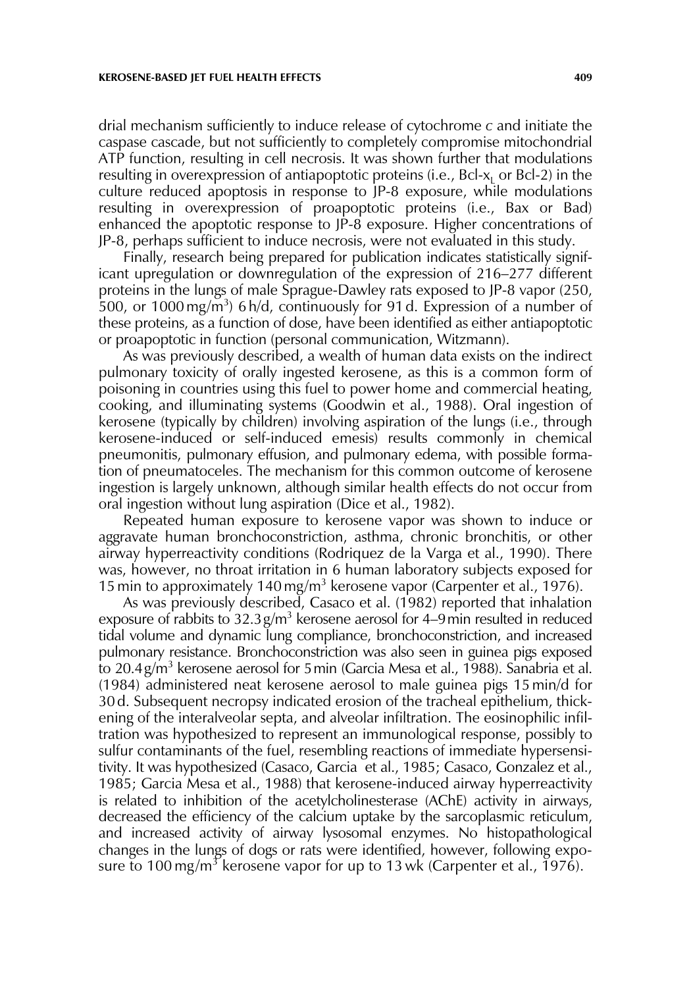drial mechanism sufficiently to induce release of cytochrome *c* and initiate the caspase cascade, but not sufficiently to completely compromise mitochondrial ATP function, resulting in cell necrosis. It was shown further that modulations resulting in overexpression of antiapoptotic proteins (i.e.,  $Bcl-x<sub>L</sub>$  or  $Bcl-2$ ) in the culture reduced apoptosis in response to JP-8 exposure, while modulations resulting in overexpression of proapoptotic proteins (i.e., Bax or Bad) enhanced the apoptotic response to JP-8 exposure. Higher concentrations of JP-8, perhaps sufficient to induce necrosis, were not evaluated in this study.

Finally, research being prepared for publication indicates statistically significant upregulation or downregulation of the expression of 216–277 different proteins in the lungs of male Sprague-Dawley rats exposed to JP-8 vapor (250, 500, or 1000 mg/m<sup>3</sup>) 6 h/d, continuously for 91 d. Expression of a number of these proteins, as a function of dose, have been identified as either antiapoptotic or proapoptotic in function (personal communication, Witzmann).

As was previously described, a wealth of human data exists on the indirect pulmonary toxicity of orally ingested kerosene, as this is a common form of poisoning in countries using this fuel to power home and commercial heating, cooking, and illuminating systems (Goodwin et al., 1988). Oral ingestion of kerosene (typically by children) involving aspiration of the lungs (i.e., through kerosene-induced or self-induced emesis) results commonly in chemical pneumonitis, pulmonary effusion, and pulmonary edema, with possible formation of pneumatoceles. The mechanism for this common outcome of kerosene ingestion is largely unknown, although similar health effects do not occur from oral ingestion without lung aspiration (Dice et al., 1982).

Repeated human exposure to kerosene vapor was shown to induce or aggravate human bronchoconstriction, asthma, chronic bronchitis, or other airway hyperreactivity conditions (Rodriquez de la Varga et al., 1990). There was, however, no throat irritation in 6 human laboratory subjects exposed for 15 min to approximately 140 mg/m<sup>3</sup> kerosene vapor (Carpenter et al., 1976).

As was previously described, Casaco et al. (1982) reported that inhalation exposure of rabbits to 32.3 g/m<sup>3</sup> kerosene aerosol for 4–9 min resulted in reduced tidal volume and dynamic lung compliance, bronchoconstriction, and increased pulmonary resistance. Bronchoconstriction was also seen in guinea pigs exposed to 20.4 $\rm g/m^3$  kerosene aerosol for 5 $\rm min$  (Garcia Mesa et al., 1988). Sanabria et al. (1984) administered neat kerosene aerosol to male guinea pigs 15min/d for 30d. Subsequent necropsy indicated erosion of the tracheal epithelium, thickening of the interalveolar septa, and alveolar infiltration. The eosinophilic infiltration was hypothesized to represent an immunological response, possibly to sulfur contaminants of the fuel, resembling reactions of immediate hypersensitivity. It was hypothesized (Casaco, Garcia et al., 1985; Casaco, Gonzalez et al., 1985; Garcia Mesa et al., 1988) that kerosene-induced airway hyperreactivity is related to inhibition of the acetylcholinesterase (AChE) activity in airways, decreased the efficiency of the calcium uptake by the sarcoplasmic reticulum, and increased activity of airway lysosomal enzymes. No histopathological changes in the lungs of dogs or rats were identified, however, following exposure to 100 mg/m<sup>3</sup> kerosene vapor for up to 13 wk (Carpenter et al., 1976).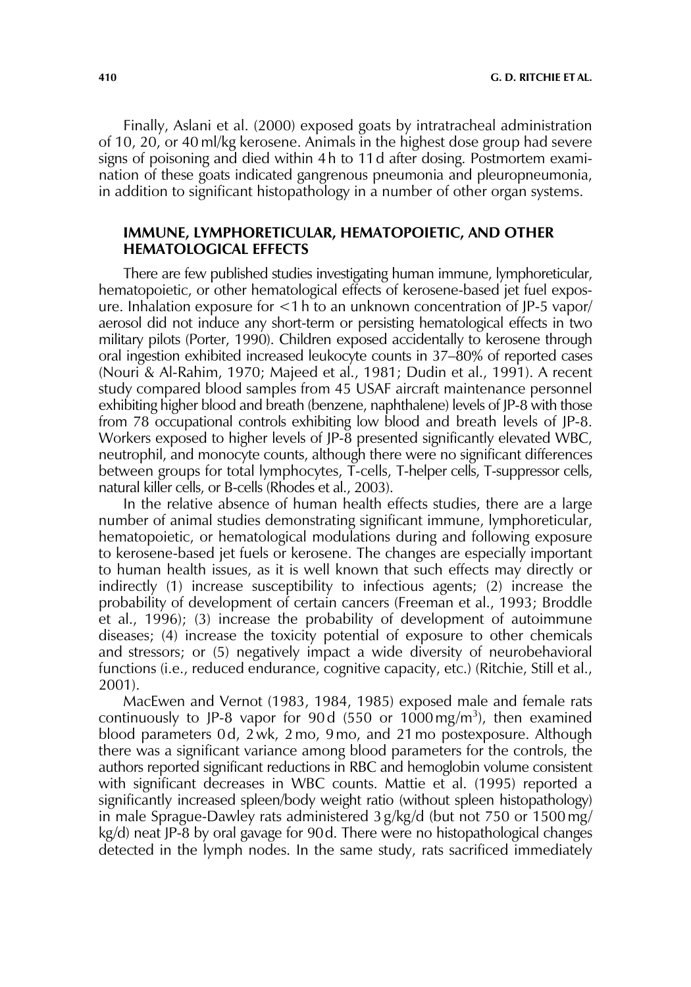Finally, Aslani et al. (2000) exposed goats by intratracheal administration of 10, 20, or 40 ml/kg kerosene. Animals in the highest dose group had severe signs of poisoning and died within 4h to 11d after dosing. Postmortem examination of these goats indicated gangrenous pneumonia and pleuropneumonia, in addition to significant histopathology in a number of other organ systems.

# **IMMUNE, LYMPHORETICULAR, HEMATOPOIETIC, AND OTHER HEMATOLOGICAL EFFECTS**

There are few published studies investigating human immune, lymphoreticular, hematopoietic, or other hematological effects of kerosene-based jet fuel exposure. Inhalation exposure for <1 h to an unknown concentration of JP-5 vapor/ aerosol did not induce any short-term or persisting hematological effects in two military pilots (Porter, 1990). Children exposed accidentally to kerosene through oral ingestion exhibited increased leukocyte counts in 37–80% of reported cases (Nouri & Al-Rahim, 1970; Majeed et al., 1981; Dudin et al., 1991). A recent study compared blood samples from 45 USAF aircraft maintenance personnel exhibiting higher blood and breath (benzene, naphthalene) levels of JP-8 with those from 78 occupational controls exhibiting low blood and breath levels of JP-8. Workers exposed to higher levels of JP-8 presented significantly elevated WBC, neutrophil, and monocyte counts, although there were no significant differences between groups for total lymphocytes, T-cells, T-helper cells, T-suppressor cells, natural killer cells, or B-cells (Rhodes et al., 2003).

In the relative absence of human health effects studies, there are a large number of animal studies demonstrating significant immune, lymphoreticular, hematopoietic, or hematological modulations during and following exposure to kerosene-based jet fuels or kerosene. The changes are especially important to human health issues, as it is well known that such effects may directly or indirectly (1) increase susceptibility to infectious agents; (2) increase the probability of development of certain cancers (Freeman et al., 1993; Broddle et al., 1996); (3) increase the probability of development of autoimmune diseases; (4) increase the toxicity potential of exposure to other chemicals and stressors; or (5) negatively impact a wide diversity of neurobehavioral functions (i.e., reduced endurance, cognitive capacity, etc.) (Ritchie, Still et al., 2001).

MacEwen and Vernot (1983, 1984, 1985) exposed male and female rats continuously to JP-8 vapor for 90d (550 or 1000mg/m<sup>3</sup>), then examined blood parameters 0d, 2 wk, 2mo, 9mo, and 21 mo postexposure. Although there was a significant variance among blood parameters for the controls, the authors reported significant reductions in RBC and hemoglobin volume consistent with significant decreases in WBC counts. Mattie et al. (1995) reported a significantly increased spleen/body weight ratio (without spleen histopathology) in male Sprague-Dawley rats administered 3g/kg/d (but not 750 or 1500 mg/ kg/d) neat JP-8 by oral gavage for 90d. There were no histopathological changes detected in the lymph nodes. In the same study, rats sacrificed immediately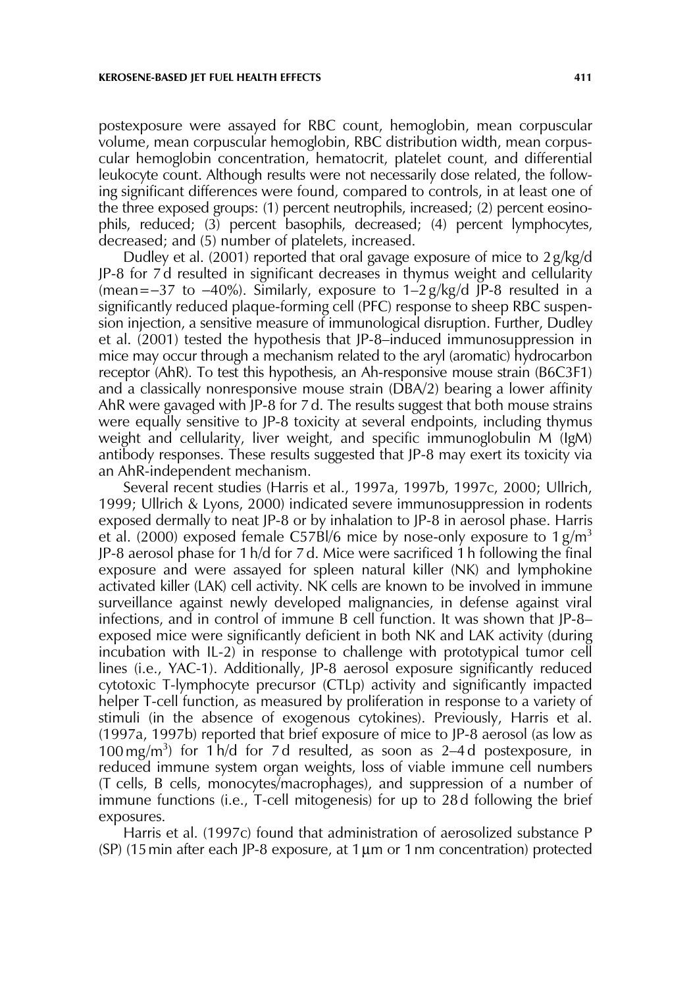postexposure were assayed for RBC count, hemoglobin, mean corpuscular volume, mean corpuscular hemoglobin, RBC distribution width, mean corpuscular hemoglobin concentration, hematocrit, platelet count, and differential leukocyte count. Although results were not necessarily dose related, the following significant differences were found, compared to controls, in at least one of the three exposed groups: (1) percent neutrophils, increased; (2) percent eosinophils, reduced; (3) percent basophils, decreased; (4) percent lymphocytes, decreased; and (5) number of platelets, increased.

Dudley et al. (2001) reported that oral gavage exposure of mice to 2g/kg/d JP-8 for 7d resulted in significant decreases in thymus weight and cellularity (mean=  $-37$  to  $-40\%$ ). Similarly, exposure to  $1-2g/kg/d$  JP-8 resulted in a significantly reduced plaque-forming cell (PFC) response to sheep RBC suspension injection, a sensitive measure of immunological disruption. Further, Dudley et al. (2001) tested the hypothesis that JP-8–induced immunosuppression in mice may occur through a mechanism related to the aryl (aromatic) hydrocarbon receptor (AhR). To test this hypothesis, an Ah-responsive mouse strain (B6C3F1) and a classically nonresponsive mouse strain (DBA/2) bearing a lower affinity AhR were gavaged with JP-8 for 7 d. The results suggest that both mouse strains were equally sensitive to JP-8 toxicity at several endpoints, including thymus weight and cellularity, liver weight, and specific immunoglobulin M (IgM) antibody responses. These results suggested that JP-8 may exert its toxicity via an AhR-independent mechanism.

Several recent studies (Harris et al., 1997a, 1997b, 1997c, 2000; Ullrich, 1999; Ullrich & Lyons, 2000) indicated severe immunosuppression in rodents exposed dermally to neat JP-8 or by inhalation to JP-8 in aerosol phase. Harris et al. (2000) exposed female C57Bl/6 mice by nose-only exposure to  $1 g/m<sup>3</sup>$ JP-8 aerosol phase for 1h/d for 7d. Mice were sacrificed 1 h following the final exposure and were assayed for spleen natural killer (NK) and lymphokine activated killer (LAK) cell activity. NK cells are known to be involved in immune surveillance against newly developed malignancies, in defense against viral infections, and in control of immune B cell function. It was shown that JP-8– exposed mice were significantly deficient in both NK and LAK activity (during incubation with IL-2) in response to challenge with prototypical tumor cell lines (i.e., YAC-1). Additionally, JP-8 aerosol exposure significantly reduced cytotoxic T-lymphocyte precursor (CTLp) activity and significantly impacted helper T-cell function, as measured by proliferation in response to a variety of stimuli (in the absence of exogenous cytokines). Previously, Harris et al. (1997a, 1997b) reported that brief exposure of mice to JP-8 aerosol (as low as 100 mg/m3 ) for 1h/d for 7 d resulted, as soon as 2–4d postexposure, in reduced immune system organ weights, loss of viable immune cell numbers (T cells, B cells, monocytes/macrophages), and suppression of a number of immune functions (i.e., T-cell mitogenesis) for up to 28 d following the brief exposures.

Harris et al. (1997c) found that administration of aerosolized substance P (SP) (15min after each JP-8 exposure, at 1µm or 1nm concentration) protected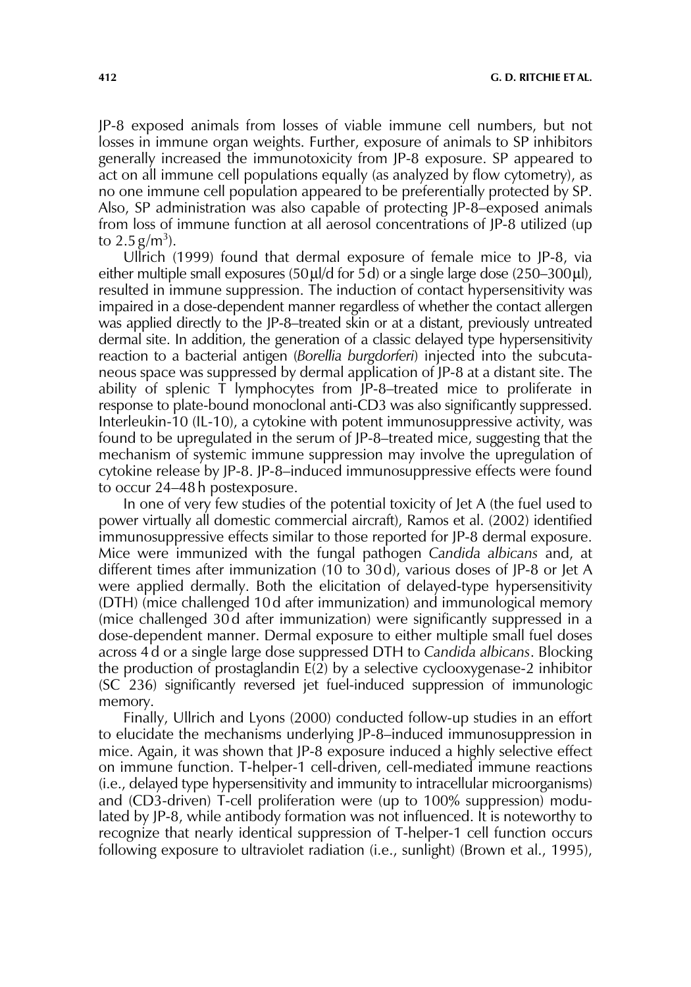JP-8 exposed animals from losses of viable immune cell numbers, but not losses in immune organ weights. Further, exposure of animals to SP inhibitors generally increased the immunotoxicity from JP-8 exposure. SP appeared to act on all immune cell populations equally (as analyzed by flow cytometry), as no one immune cell population appeared to be preferentially protected by SP. Also, SP administration was also capable of protecting JP-8–exposed animals from loss of immune function at all aerosol concentrations of JP-8 utilized (up to  $2.5 \,\mathrm{g/m^3}$ ).

Ullrich (1999) found that dermal exposure of female mice to JP-8, via either multiple small exposures (50µl/d for 5d) or a single large dose (250–300µl), resulted in immune suppression. The induction of contact hypersensitivity was impaired in a dose-dependent manner regardless of whether the contact allergen was applied directly to the JP-8–treated skin or at a distant, previously untreated dermal site. In addition, the generation of a classic delayed type hypersensitivity reaction to a bacterial antigen (*Borellia burgdorferi*) injected into the subcutaneous space was suppressed by dermal application of JP-8 at a distant site. The ability of splenic T lymphocytes from JP-8–treated mice to proliferate in response to plate-bound monoclonal anti-CD3 was also significantly suppressed. Interleukin-10 (IL-10), a cytokine with potent immunosuppressive activity, was found to be upregulated in the serum of JP-8–treated mice, suggesting that the mechanism of systemic immune suppression may involve the upregulation of cytokine release by JP-8. JP-8–induced immunosuppressive effects were found to occur 24–48 h postexposure.

In one of very few studies of the potential toxicity of Jet A (the fuel used to power virtually all domestic commercial aircraft), Ramos et al. (2002) identified immunosuppressive effects similar to those reported for JP-8 dermal exposure. Mice were immunized with the fungal pathogen *Candida albicans* and, at different times after immunization (10 to 30 d), various doses of JP-8 or Jet A were applied dermally. Both the elicitation of delayed-type hypersensitivity (DTH) (mice challenged 10d after immunization) and immunological memory (mice challenged 30 d after immunization) were significantly suppressed in a dose-dependent manner. Dermal exposure to either multiple small fuel doses across 4 d or a single large dose suppressed DTH to *Candida albicans*. Blocking the production of prostaglandin E(2) by a selective cyclooxygenase-2 inhibitor (SC 236) significantly reversed jet fuel-induced suppression of immunologic memory.

Finally, Ullrich and Lyons (2000) conducted follow-up studies in an effort to elucidate the mechanisms underlying JP-8–induced immunosuppression in mice. Again, it was shown that JP-8 exposure induced a highly selective effect on immune function. T-helper-1 cell-driven, cell-mediated immune reactions (i.e., delayed type hypersensitivity and immunity to intracellular microorganisms) and (CD3-driven) T-cell proliferation were (up to 100% suppression) modulated by JP-8, while antibody formation was not influenced. It is noteworthy to recognize that nearly identical suppression of T-helper-1 cell function occurs following exposure to ultraviolet radiation (i.e., sunlight) (Brown et al., 1995),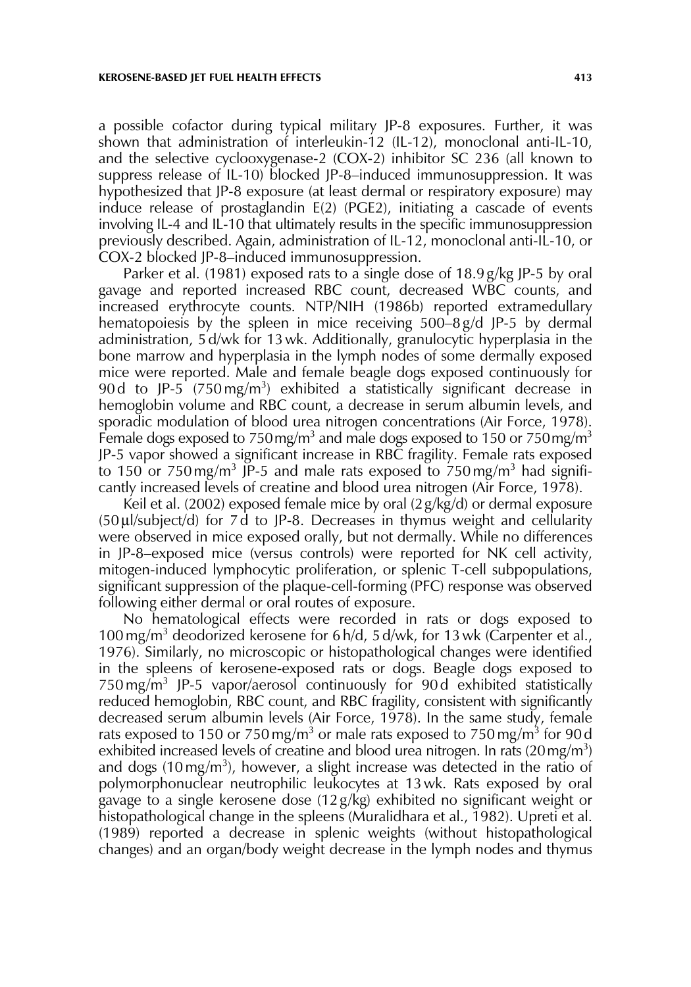a possible cofactor during typical military JP-8 exposures. Further, it was shown that administration of interleukin-12 (IL-12), monoclonal anti-IL-10, and the selective cyclooxygenase-2 (COX-2) inhibitor SC 236 (all known to suppress release of IL-10) blocked JP-8–induced immunosuppression. It was hypothesized that JP-8 exposure (at least dermal or respiratory exposure) may induce release of prostaglandin E(2) (PGE2), initiating a cascade of events involving IL-4 and IL-10 that ultimately results in the specific immunosuppression previously described. Again, administration of IL-12, monoclonal anti-IL-10, or COX-2 blocked JP-8–induced immunosuppression.

Parker et al. (1981) exposed rats to a single dose of 18.9g/kg JP-5 by oral gavage and reported increased RBC count, decreased WBC counts, and increased erythrocyte counts. NTP/NIH (1986b) reported extramedullary hematopoiesis by the spleen in mice receiving  $500-8$  g/d JP-5 by dermal administration, 5 d/wk for 13wk. Additionally, granulocytic hyperplasia in the bone marrow and hyperplasia in the lymph nodes of some dermally exposed mice were reported. Male and female beagle dogs exposed continuously for 90d to JP-5 (750 mg/m<sup>3</sup>) exhibited a statistically significant decrease in hemoglobin volume and RBC count, a decrease in serum albumin levels, and sporadic modulation of blood urea nitrogen concentrations (Air Force, 1978). Female dogs exposed to 750 mg/m<sup>3</sup> and male dogs exposed to 150 or 750 mg/m<sup>3</sup> JP-5 vapor showed a significant increase in RBC fragility. Female rats exposed to 150 or 750 mg/m<sup>3</sup> JP-5 and male rats exposed to 750 mg/m<sup>3</sup> had significantly increased levels of creatine and blood urea nitrogen (Air Force, 1978).

Keil et al. (2002) exposed female mice by oral ( $2g/kg/d$ ) or dermal exposure (50µl/subject/d) for 7d to JP-8. Decreases in thymus weight and cellularity were observed in mice exposed orally, but not dermally. While no differences in JP-8–exposed mice (versus controls) were reported for NK cell activity, mitogen-induced lymphocytic proliferation, or splenic T-cell subpopulations, significant suppression of the plaque-cell-forming (PFC) response was observed following either dermal or oral routes of exposure.

No hematological effects were recorded in rats or dogs exposed to 100 mg/m<sup>3</sup> deodorized kerosene for 6 h/d, 5 d/wk, for 13 wk (Carpenter et al., 1976). Similarly, no microscopic or histopathological changes were identified in the spleens of kerosene-exposed rats or dogs. Beagle dogs exposed to 750 mg/m<sup>3</sup> JP-5 vapor/aerosol continuously for 90 dexhibited statistically reduced hemoglobin, RBC count, and RBC fragility, consistent with significantly decreased serum albumin levels (Air Force, 1978). In the same study, female rats exposed to 150 or 750 mg/m<sup>3</sup> or male rats exposed to 750 mg/m<sup>3</sup> for 90 d exhibited increased levels of creatine and blood urea nitrogen. In rats  $(20 \text{ mg/m}^3)$ and dogs (10 mg/m<sup>3</sup>), however, a slight increase was detected in the ratio of polymorphonuclear neutrophilic leukocytes at 13wk. Rats exposed by oral gavage to a single kerosene dose (12g/kg) exhibited no significant weight or histopathological change in the spleens (Muralidhara et al., 1982). Upreti et al. (1989) reported a decrease in splenic weights (without histopathological changes) and an organ/body weight decrease in the lymph nodes and thymus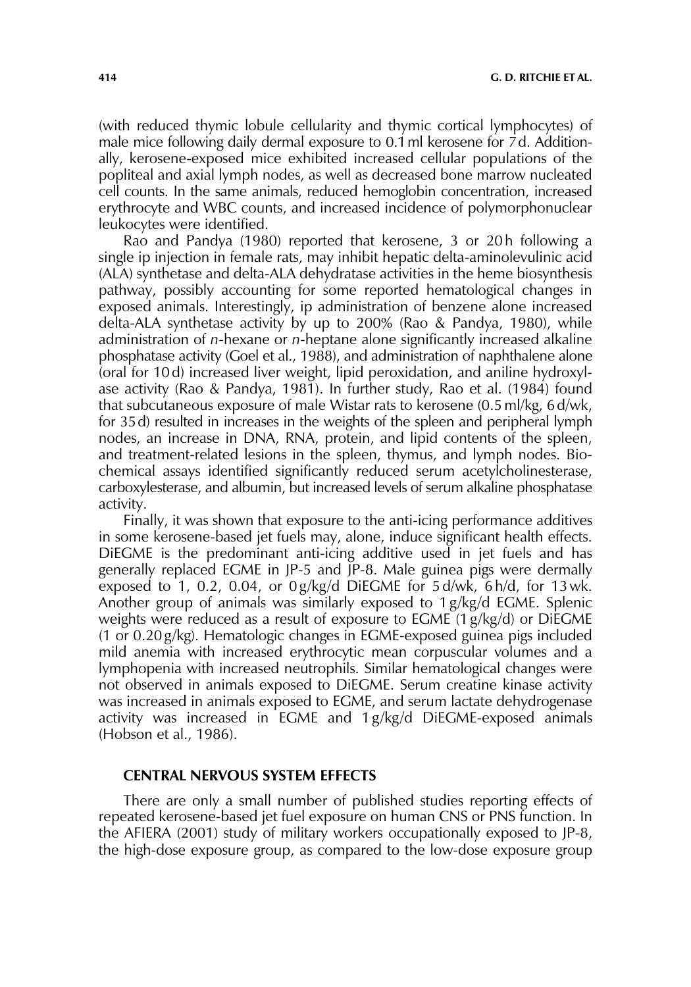(with reduced thymic lobule cellularity and thymic cortical lymphocytes) of male mice following daily dermal exposure to 0.1ml kerosene for 7d. Additionally, kerosene-exposed mice exhibited increased cellular populations of the popliteal and axial lymph nodes, as well as decreased bone marrow nucleated cell counts. In the same animals, reduced hemoglobin concentration, increased erythrocyte and WBC counts, and increased incidence of polymorphonuclear leukocytes were identified.

Rao and Pandya (1980) reported that kerosene, 3 or 20h following a single ip injection in female rats, may inhibit hepatic delta-aminolevulinic acid (ALA) synthetase and delta-ALA dehydratase activities in the heme biosynthesis pathway, possibly accounting for some reported hematological changes in exposed animals. Interestingly, ip administration of benzene alone increased delta-ALA synthetase activity by up to 200% (Rao & Pandya, 1980), while administration of *n*-hexane or *n*-heptane alone significantly increased alkaline phosphatase activity (Goel et al., 1988), and administration of naphthalene alone (oral for 10 d) increased liver weight, lipid peroxidation, and aniline hydroxylase activity (Rao & Pandya, 1981). In further study, Rao et al. (1984) found that subcutaneous exposure of male Wistar rats to kerosene (0.5 ml/kg, 6d/wk, for 35d) resulted in increases in the weights of the spleen and peripheral lymph nodes, an increase in DNA, RNA, protein, and lipid contents of the spleen, and treatment-related lesions in the spleen, thymus, and lymph nodes. Biochemical assays identified significantly reduced serum acetylcholinesterase, carboxylesterase, and albumin, but increased levels of serum alkaline phosphatase activity.

Finally, it was shown that exposure to the anti-icing performance additives in some kerosene-based jet fuels may, alone, induce significant health effects. DiEGME is the predominant anti-icing additive used in jet fuels and has generally replaced EGME in JP-5 and JP-8. Male guinea pigs were dermally exposed to 1, 0.2, 0.04, or  $0g/kg/d$  DiEGME for  $5d/wk$ ,  $6h/d$ , for 13wk. Another group of animals was similarly exposed to  $1g/kg/d$  EGME. Splenic weights were reduced as a result of exposure to EGME (1 g/kg/d) or DiEGME (1 or 0.20g/kg). Hematologic changes in EGME-exposed guinea pigs included mild anemia with increased erythrocytic mean corpuscular volumes and a lymphopenia with increased neutrophils. Similar hematological changes were not observed in animals exposed to DiEGME. Serum creatine kinase activity was increased in animals exposed to EGME, and serum lactate dehydrogenase activity was increased in EGME and 1 g/kg/d DiEGME-exposed animals (Hobson et al., 1986).

## **CENTRAL NERVOUS SYSTEM EFFECTS**

There are only a small number of published studies reporting effects of repeated kerosene-based jet fuel exposure on human CNS or PNS function. In the AFIERA (2001) study of military workers occupationally exposed to JP-8, the high-dose exposure group, as compared to the low-dose exposure group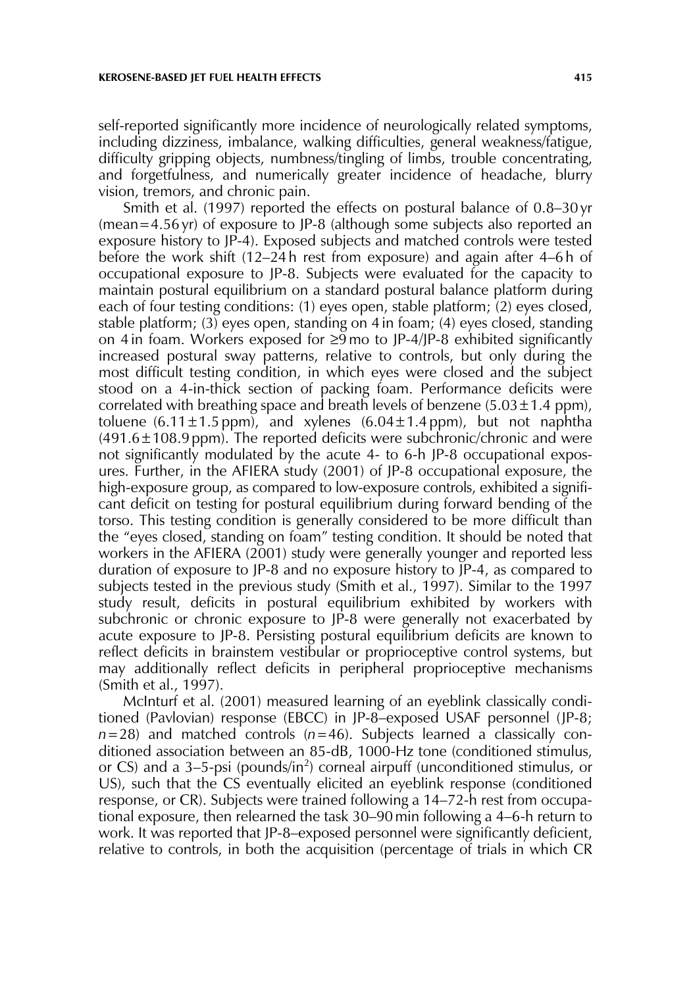self-reported significantly more incidence of neurologically related symptoms, including dizziness, imbalance, walking difficulties, general weakness/fatigue, difficulty gripping objects, numbness/tingling of limbs, trouble concentrating, and forgetfulness, and numerically greater incidence of headache, blurry vision, tremors, and chronic pain.

Smith et al. (1997) reported the effects on postural balance of 0.8–30yr (mean=4.56yr) of exposure to JP-8 (although some subjects also reported an exposure history to JP-4). Exposed subjects and matched controls were tested before the work shift (12–24 h rest from exposure) and again after 4–6h of occupational exposure to JP-8. Subjects were evaluated for the capacity to maintain postural equilibrium on a standard postural balance platform during each of four testing conditions: (1) eyes open, stable platform; (2) eyes closed, stable platform; (3) eyes open, standing on 4 in foam; (4) eyes closed, standing on 4 in foam. Workers exposed for ≥9mo to JP-4/JP-8 exhibited significantly increased postural sway patterns, relative to controls, but only during the most difficult testing condition, in which eyes were closed and the subject stood on a 4-in-thick section of packing foam. Performance deficits were correlated with breathing space and breath levels of benzene  $(5.03 \pm 1.4 \text{ ppm})$ , toluene  $(6.11 \pm 1.5 \,\text{ppm})$ , and xylenes  $(6.04 \pm 1.4 \,\text{ppm})$ , but not naphtha  $(491.6 \pm 108.9$  ppm). The reported deficits were subchronic/chronic and were not significantly modulated by the acute 4- to 6-h JP-8 occupational exposures. Further, in the AFIERA study (2001) of JP-8 occupational exposure, the high-exposure group, as compared to low-exposure controls, exhibited a significant deficit on testing for postural equilibrium during forward bending of the torso. This testing condition is generally considered to be more difficult than the "eyes closed, standing on foam" testing condition. It should be noted that workers in the AFIERA (2001) study were generally younger and reported less duration of exposure to JP-8 and no exposure history to JP-4, as compared to subjects tested in the previous study (Smith et al., 1997). Similar to the 1997 study result, deficits in postural equilibrium exhibited by workers with subchronic or chronic exposure to JP-8 were generally not exacerbated by acute exposure to JP-8. Persisting postural equilibrium deficits are known to reflect deficits in brainstem vestibular or proprioceptive control systems, but may additionally reflect deficits in peripheral proprioceptive mechanisms (Smith et al., 1997).

McInturf et al. (2001) measured learning of an eyeblink classically conditioned (Pavlovian) response (EBCC) in JP-8–exposed USAF personnel (JP-8; *n* =28) and matched controls (*n*=46). Subjects learned a classically conditioned association between an 85-dB, 1000-Hz tone (conditioned stimulus, or CS) and a  $3-5$ -psi (pounds/in<sup>2</sup>) corneal airpuff (unconditioned stimulus, or US), such that the CS eventually elicited an eyeblink response (conditioned response, or CR). Subjects were trained following a 14–72-h rest from occupational exposure, then relearned the task 30–90min following a 4–6-h return to work. It was reported that JP-8–exposed personnel were significantly deficient, relative to controls, in both the acquisition (percentage of trials in which CR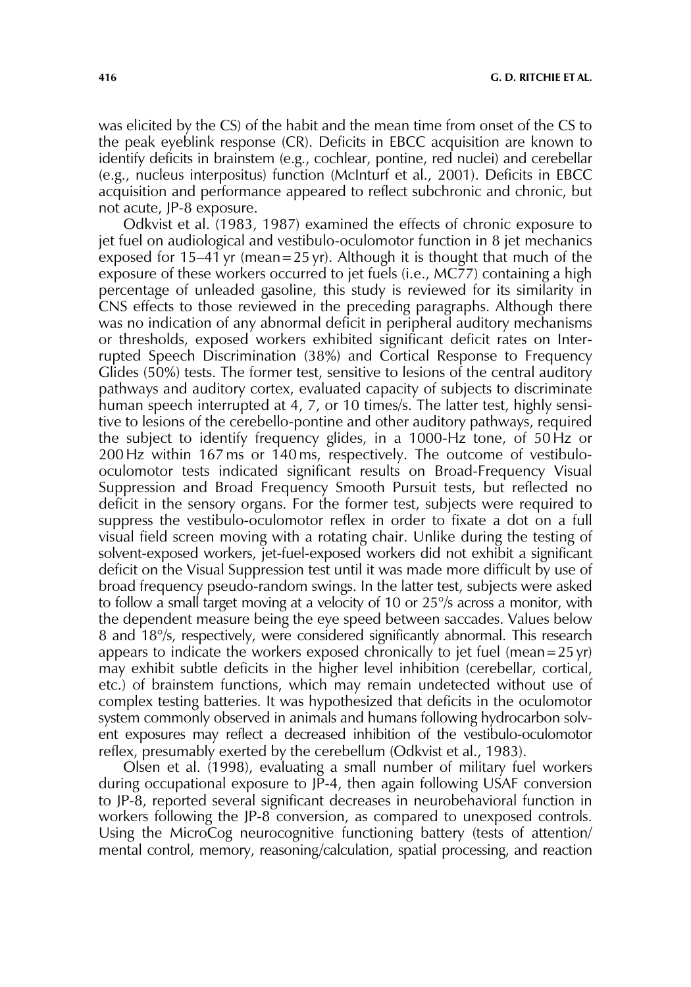was elicited by the CS) of the habit and the mean time from onset of the CS to the peak eyeblink response (CR). Deficits in EBCC acquisition are known to identify deficits in brainstem (e.g., cochlear, pontine, red nuclei) and cerebellar (e.g., nucleus interpositus) function (McInturf et al., 2001). Deficits in EBCC acquisition and performance appeared to reflect subchronic and chronic, but not acute, JP-8 exposure.

Odkvist et al. (1983, 1987) examined the effects of chronic exposure to jet fuel on audiological and vestibulo-oculomotor function in 8 jet mechanics exposed for 15–41 yr (mean =  $25$  yr). Although it is thought that much of the exposure of these workers occurred to jet fuels (i.e., MC77) containing a high percentage of unleaded gasoline, this study is reviewed for its similarity in CNS effects to those reviewed in the preceding paragraphs. Although there was no indication of any abnormal deficit in peripheral auditory mechanisms or thresholds, exposed workers exhibited significant deficit rates on Interrupted Speech Discrimination (38%) and Cortical Response to Frequency Glides (50%) tests. The former test, sensitive to lesions of the central auditory pathways and auditory cortex, evaluated capacity of subjects to discriminate human speech interrupted at 4, 7, or 10 times/s. The latter test, highly sensitive to lesions of the cerebello-pontine and other auditory pathways, required the subject to identify frequency glides, in a 1000-Hz tone, of 50 Hz or 200 Hz within 167 ms or 140 ms, respectively. The outcome of vestibulooculomotor tests indicated significant results on Broad-Frequency Visual Suppression and Broad Frequency Smooth Pursuit tests, but reflected no deficit in the sensory organs. For the former test, subjects were required to suppress the vestibulo-oculomotor reflex in order to fixate a dot on a full visual field screen moving with a rotating chair. Unlike during the testing of solvent-exposed workers, jet-fuel-exposed workers did not exhibit a significant deficit on the Visual Suppression test until it was made more difficult by use of broad frequency pseudo-random swings. In the latter test, subjects were asked to follow a small target moving at a velocity of 10 or 25°/s across a monitor, with the dependent measure being the eye speed between saccades. Values below 8 and 18°/s, respectively, were considered significantly abnormal. This research appears to indicate the workers exposed chronically to jet fuel (mean=25yr) may exhibit subtle deficits in the higher level inhibition (cerebellar, cortical, etc.) of brainstem functions, which may remain undetected without use of complex testing batteries. It was hypothesized that deficits in the oculomotor system commonly observed in animals and humans following hydrocarbon solvent exposures may reflect a decreased inhibition of the vestibulo-oculomotor reflex, presumably exerted by the cerebellum (Odkvist et al., 1983).

Olsen et al. (1998), evaluating a small number of military fuel workers during occupational exposure to JP-4, then again following USAF conversion to JP-8, reported several significant decreases in neurobehavioral function in workers following the JP-8 conversion, as compared to unexposed controls. Using the MicroCog neurocognitive functioning battery (tests of attention/ mental control, memory, reasoning/calculation, spatial processing, and reaction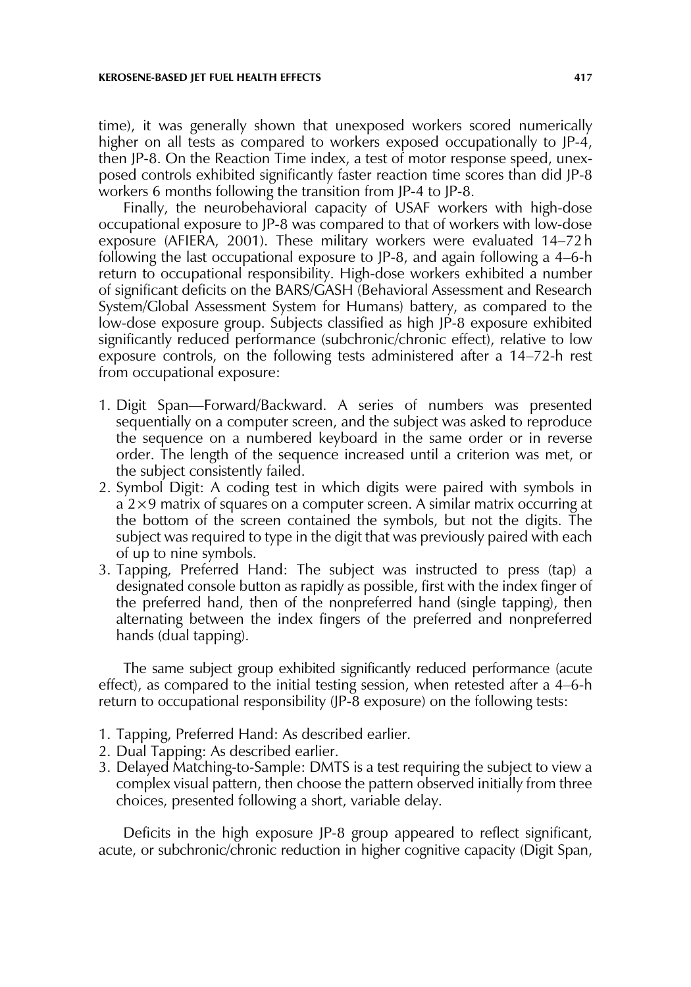#### **KEROSENE-BASED JET FUEL HEALTH EFFECTS 417**

time), it was generally shown that unexposed workers scored numerically higher on all tests as compared to workers exposed occupationally to JP-4, then JP-8. On the Reaction Time index, a test of motor response speed, unexposed controls exhibited significantly faster reaction time scores than did JP-8 workers 6 months following the transition from JP-4 to JP-8.

Finally, the neurobehavioral capacity of USAF workers with high-dose occupational exposure to JP-8 was compared to that of workers with low-dose exposure (AFIERA, 2001). These military workers were evaluated 14–72h following the last occupational exposure to JP-8, and again following a 4–6-h return to occupational responsibility. High-dose workers exhibited a number of significant deficits on the BARS/GASH (Behavioral Assessment and Research System/Global Assessment System for Humans) battery, as compared to the low-dose exposure group. Subjects classified as high JP-8 exposure exhibited significantly reduced performance (subchronic/chronic effect), relative to low exposure controls, on the following tests administered after a 14–72-h rest from occupational exposure:

- 1. Digit Span—Forward/Backward. A series of numbers was presented sequentially on a computer screen, and the subject was asked to reproduce the sequence on a numbered keyboard in the same order or in reverse order. The length of the sequence increased until a criterion was met, or the subject consistently failed.
- 2. Symbol Digit: A coding test in which digits were paired with symbols in a 2×9 matrix of squares on a computer screen. A similar matrix occurring at the bottom of the screen contained the symbols, but not the digits. The subject was required to type in the digit that was previously paired with each of up to nine symbols.
- 3. Tapping, Preferred Hand: The subject was instructed to press (tap) a designated console button as rapidly as possible, first with the index finger of the preferred hand, then of the nonpreferred hand (single tapping), then alternating between the index fingers of the preferred and nonpreferred hands (dual tapping).

The same subject group exhibited significantly reduced performance (acute effect), as compared to the initial testing session, when retested after a 4–6-h return to occupational responsibility (JP-8 exposure) on the following tests:

- 1. Tapping, Preferred Hand: As described earlier.
- 2. Dual Tapping: As described earlier.
- 3. Delayed Matching-to-Sample: DMTS is a test requiring the subject to view a complex visual pattern, then choose the pattern observed initially from three choices, presented following a short, variable delay.

Deficits in the high exposure JP-8 group appeared to reflect significant, acute, or subchronic/chronic reduction in higher cognitive capacity (Digit Span,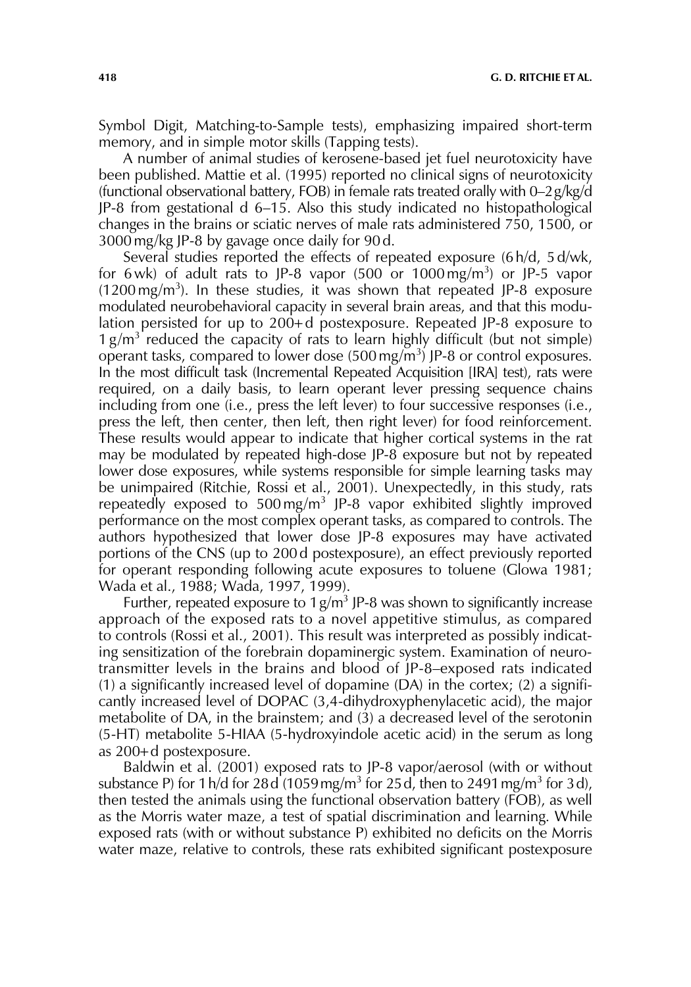**418 G. D. RITCHIE ET AL.**

Symbol Digit, Matching-to-Sample tests), emphasizing impaired short-term memory, and in simple motor skills (Tapping tests).

A number of animal studies of kerosene-based jet fuel neurotoxicity have been published. Mattie et al. (1995) reported no clinical signs of neurotoxicity (functional observational battery, FOB) in female rats treated orally with 0–2g/kg/d JP-8 from gestational d 6–15. Also this study indicated no histopathological changes in the brains or sciatic nerves of male rats administered 750, 1500, or 3000mg/kg JP-8 by gavage once daily for 90d.

Several studies reported the effects of repeated exposure (6h/d, 5d/wk, for 6 wk) of adult rats to JP-8 vapor (500 or 1000 mg/m<sup>3</sup>) or JP-5 vapor  $(1200 \,\text{mg/m}^3)$ . In these studies, it was shown that repeated JP-8 exposure modulated neurobehavioral capacity in several brain areas, and that this modulation persisted for up to 200+ d postexposure. Repeated JP-8 exposure to  $1 g/m<sup>3</sup>$  reduced the capacity of rats to learn highly difficult (but not simple) operant tasks, compared to lower dose  $(500 \,\text{mg/m}^3)$  JP-8 or control exposures. In the most difficult task (Incremental Repeated Acquisition [IRA] test), rats were required, on a daily basis, to learn operant lever pressing sequence chains including from one (i.e., press the left lever) to four successive responses (i.e., press the left, then center, then left, then right lever) for food reinforcement. These results would appear to indicate that higher cortical systems in the rat may be modulated by repeated high-dose JP-8 exposure but not by repeated lower dose exposures, while systems responsible for simple learning tasks may be unimpaired (Ritchie, Rossi et al., 2001). Unexpectedly, in this study, rats repeatedly exposed to  $500 \,\text{mg/m}^3$  JP-8 vapor exhibited slightly improved performance on the most complex operant tasks, as compared to controls. The authors hypothesized that lower dose JP-8 exposures may have activated portions of the CNS (up to 200d postexposure), an effect previously reported for operant responding following acute exposures to toluene (Glowa 1981; Wada et al., 1988; Wada, 1997, 1999).

Further, repeated exposure to  $1g/m^3$  JP-8 was shown to significantly increase approach of the exposed rats to a novel appetitive stimulus, as compared to controls (Rossi et al., 2001). This result was interpreted as possibly indicating sensitization of the forebrain dopaminergic system. Examination of neurotransmitter levels in the brains and blood of JP-8–exposed rats indicated (1) a significantly increased level of dopamine (DA) in the cortex; (2) a significantly increased level of DOPAC (3,4-dihydroxyphenylacetic acid), the major metabolite of DA, in the brainstem; and (3) a decreased level of the serotonin (5-HT) metabolite 5-HIAA (5-hydroxyindole acetic acid) in the serum as long as 200+d postexposure.

Baldwin et al. (2001) exposed rats to JP-8 vapor/aerosol (with or without substance P) for 1 h/d for 28 d (1059 mg/m $^3$  for 25 d, then to 2491 mg/m $^3$  for 3 d), then tested the animals using the functional observation battery (FOB), as well as the Morris water maze, a test of spatial discrimination and learning. While exposed rats (with or without substance P) exhibited no deficits on the Morris water maze, relative to controls, these rats exhibited significant postexposure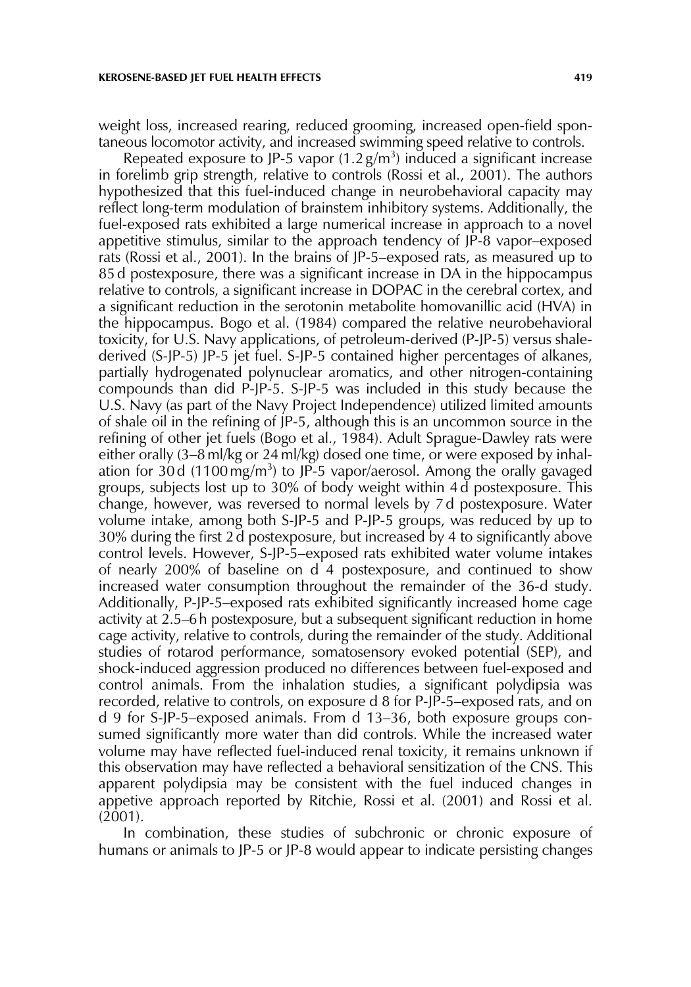weight loss, increased rearing, reduced grooming, increased open-field spontaneous locomotor activity, and increased swimming speed relative to controls.

Repeated exposure to JP-5 vapor  $(1.2 \text{ g/m}^3)$  induced a significant increase in forelimb grip strength, relative to controls (Rossi et al., 2001). The authors hypothesized that this fuel-induced change in neurobehavioral capacity may reflect long-term modulation of brainstem inhibitory systems. Additionally, the fuel-exposed rats exhibited a large numerical increase in approach to a novel appetitive stimulus, similar to the approach tendency of JP-8 vapor–exposed rats (Rossi et al., 2001). In the brains of JP-5–exposed rats, as measured up to 85d postexposure, there was a significant increase in DA in the hippocampus relative to controls, a significant increase in DOPAC in the cerebral cortex, and a significant reduction in the serotonin metabolite homovanillic acid (HVA) in the hippocampus. Bogo et al. (1984) compared the relative neurobehavioral toxicity, for U.S. Navy applications, of petroleum-derived (P-JP-5) versus shalederived (S-JP-5) JP-5 jet fuel. S-JP-5 contained higher percentages of alkanes, partially hydrogenated polynuclear aromatics, and other nitrogen-containing compounds than did P-JP-5. S-JP-5 was included in this study because the U.S. Navy (as part of the Navy Project Independence) utilized limited amounts of shale oil in the refining of JP-5, although this is an uncommon source in the refining of other jet fuels (Bogo et al., 1984). Adult Sprague-Dawley rats were either orally (3–8ml/kg or 24 ml/kg) dosed one time, or were exposed by inhalation for 30d (1100 mg/m<sup>3</sup>) to JP-5 vapor/aerosol. Among the orally gavaged groups, subjects lost up to 30% of body weight within 4 d postexposure. This change, however, was reversed to normal levels by 7d postexposure. Water volume intake, among both S-JP-5 and P-JP-5 groups, was reduced by up to 30% during the first 2d postexposure, but increased by 4 to significantly above control levels. However, S-JP-5–exposed rats exhibited water volume intakes of nearly 200% of baseline on d 4 postexposure, and continued to show increased water consumption throughout the remainder of the 36-d study. Additionally, P-JP-5–exposed rats exhibited significantly increased home cage activity at 2.5–6h postexposure, but a subsequent significant reduction in home cage activity, relative to controls, during the remainder of the study. Additional studies of rotarod performance, somatosensory evoked potential (SEP), and shock-induced aggression produced no differences between fuel-exposed and control animals. From the inhalation studies, a significant polydipsia was recorded, relative to controls, on exposure d 8 for P-JP-5–exposed rats, and on d 9 for S-JP-5–exposed animals. From d 13–36, both exposure groups consumed significantly more water than did controls. While the increased water volume may have reflected fuel-induced renal toxicity, it remains unknown if this observation may have reflected a behavioral sensitization of the CNS. This apparent polydipsia may be consistent with the fuel induced changes in appetive approach reported by Ritchie, Rossi et al. (2001) and Rossi et al.  $(2001)$ .

In combination, these studies of subchronic or chronic exposure of humans or animals to JP-5 or JP-8 would appear to indicate persisting changes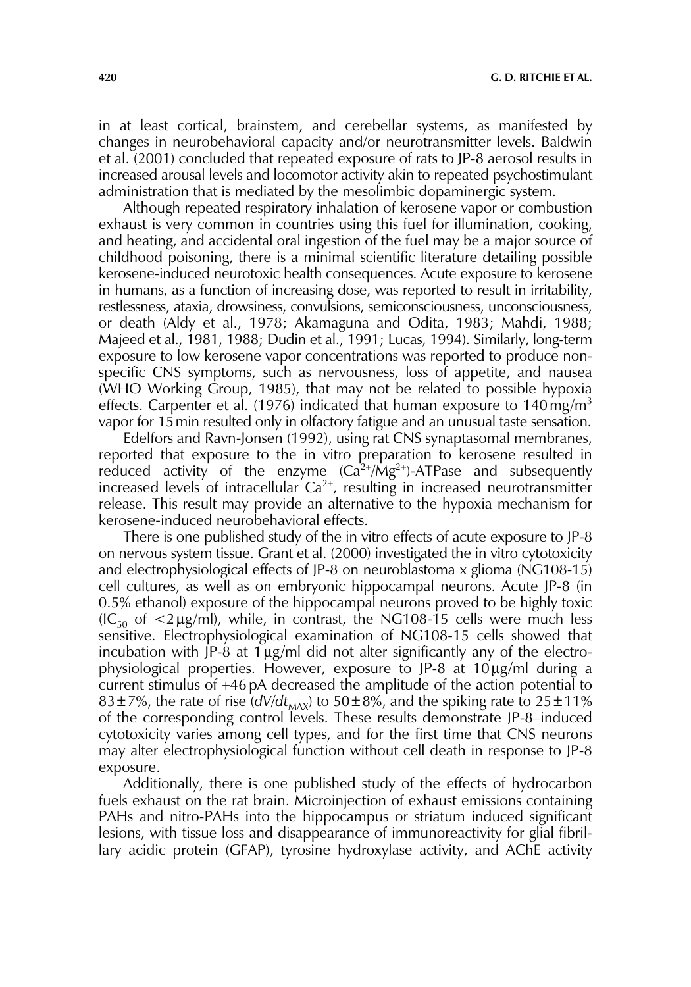in at least cortical, brainstem, and cerebellar systems, as manifested by changes in neurobehavioral capacity and/or neurotransmitter levels. Baldwin et al. (2001) concluded that repeated exposure of rats to JP-8 aerosol results in increased arousal levels and locomotor activity akin to repeated psychostimulant administration that is mediated by the mesolimbic dopaminergic system.

Although repeated respiratory inhalation of kerosene vapor or combustion exhaust is very common in countries using this fuel for illumination, cooking, and heating, and accidental oral ingestion of the fuel may be a major source of childhood poisoning, there is a minimal scientific literature detailing possible kerosene-induced neurotoxic health consequences. Acute exposure to kerosene in humans, as a function of increasing dose, was reported to result in irritability, restlessness, ataxia, drowsiness, convulsions, semiconsciousness, unconsciousness, or death (Aldy et al., 1978; Akamaguna and Odita, 1983; Mahdi, 1988; Majeed et al., 1981, 1988; Dudin et al., 1991; Lucas, 1994). Similarly, long-term exposure to low kerosene vapor concentrations was reported to produce nonspecific CNS symptoms, such as nervousness, loss of appetite, and nausea (WHO Working Group, 1985), that may not be related to possible hypoxia effects. Carpenter et al. (1976) indicated that human exposure to  $140 \,\mathrm{mg/m^3}$ vapor for 15min resulted only in olfactory fatigue and an unusual taste sensation.

Edelfors and Ravn-Jonsen (1992), using rat CNS synaptasomal membranes, reported that exposure to the in vitro preparation to kerosene resulted in reduced activity of the enzyme  $(Ca^{2+}/Mg^{2+})$ -ATPase and subsequently increased levels of intracellular  $Ca^{2+}$ , resulting in increased neurotransmitter release. This result may provide an alternative to the hypoxia mechanism for kerosene-induced neurobehavioral effects.

There is one published study of the in vitro effects of acute exposure to JP-8 on nervous system tissue. Grant et al. (2000) investigated the in vitro cytotoxicity and electrophysiological effects of JP-8 on neuroblastoma x glioma (NG108-15) cell cultures, as well as on embryonic hippocampal neurons. Acute JP-8 (in 0.5% ethanol) exposure of the hippocampal neurons proved to be highly toxic  $(IC_{50}$  of  $\leq$  2  $\mu$ g/ml), while, in contrast, the NG108-15 cells were much less sensitive. Electrophysiological examination of NG108-15 cells showed that incubation with  $IP-8$  at  $I\mu g/ml$  did not alter significantly any of the electrophysiological properties. However, exposure to JP-8 at 10µg/ml during a current stimulus of +46 pA decreased the amplitude of the action potential to  $83\pm7\%$ , the rate of rise ( $dV/dt_{MAX}$ ) to  $50\pm8\%$ , and the spiking rate to  $25\pm11\%$ of the corresponding control levels. These results demonstrate JP-8–induced cytotoxicity varies among cell types, and for the first time that CNS neurons may alter electrophysiological function without cell death in response to JP-8 exposure.

Additionally, there is one published study of the effects of hydrocarbon fuels exhaust on the rat brain. Microinjection of exhaust emissions containing PAHs and nitro-PAHs into the hippocampus or striatum induced significant lesions, with tissue loss and disappearance of immunoreactivity for glial fibrillary acidic protein (GFAP), tyrosine hydroxylase activity, and AChE activity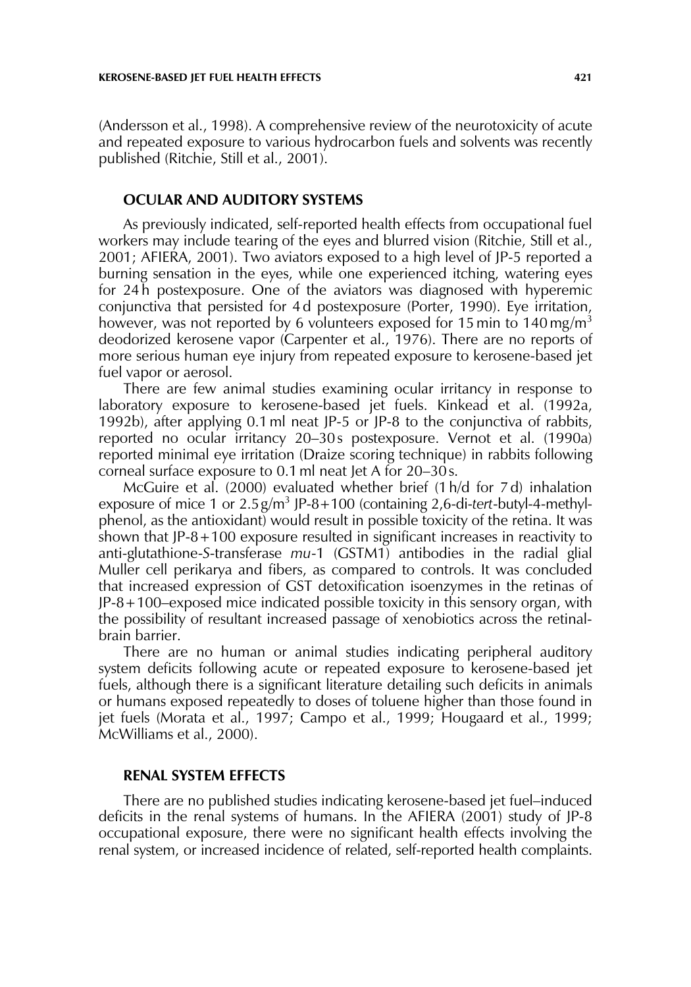(Andersson et al., 1998). A comprehensive review of the neurotoxicity of acute and repeated exposure to various hydrocarbon fuels and solvents was recently published (Ritchie, Still et al., 2001).

## **OCULAR AND AUDITORY SYSTEMS**

As previously indicated, self-reported health effects from occupational fuel workers may include tearing of the eyes and blurred vision (Ritchie, Still et al., 2001; AFIERA, 2001). Two aviators exposed to a high level of JP-5 reported a burning sensation in the eyes, while one experienced itching, watering eyes for 24h postexposure. One of the aviators was diagnosed with hyperemic conjunctiva that persisted for 4 d postexposure (Porter, 1990). Eye irritation, however, was not reported by 6 volunteers exposed for 15 min to 140 mg/m<sup>3</sup> deodorized kerosene vapor (Carpenter et al., 1976). There are no reports of more serious human eye injury from repeated exposure to kerosene-based jet fuel vapor or aerosol.

There are few animal studies examining ocular irritancy in response to laboratory exposure to kerosene-based jet fuels. Kinkead et al. (1992a, 1992b), after applying 0.1ml neat JP-5 or JP-8 to the conjunctiva of rabbits, reported no ocular irritancy 20–30s postexposure. Vernot et al. (1990a) reported minimal eye irritation (Draize scoring technique) in rabbits following corneal surface exposure to 0.1ml neat Jet A for 20–30s.

McGuire et al. (2000) evaluated whether brief (1h/d for 7d) inhalation exposure of mice 1 or 2.5 g/m<sup>3</sup> JP-8 + 100 (containing 2,6-di-tert-butyl-4-methylphenol, as the antioxidant) would result in possible toxicity of the retina. It was shown that JP-8 +100 exposure resulted in significant increases in reactivity to anti-glutathione-*S*-transferase *mu*-1 (GSTM1) antibodies in the radial glial Muller cell perikarya and fibers, as compared to controls. It was concluded that increased expression of GST detoxification isoenzymes in the retinas of JP-8 +100–exposed mice indicated possible toxicity in this sensory organ, with the possibility of resultant increased passage of xenobiotics across the retinalbrain barrier.

There are no human or animal studies indicating peripheral auditory system deficits following acute or repeated exposure to kerosene-based jet fuels, although there is a significant literature detailing such deficits in animals or humans exposed repeatedly to doses of toluene higher than those found in jet fuels (Morata et al., 1997; Campo et al., 1999; Hougaard et al., 1999; McWilliams et al., 2000).

## **RENAL SYSTEM EFFECTS**

There are no published studies indicating kerosene-based jet fuel–induced deficits in the renal systems of humans. In the AFIERA (2001) study of JP-8 occupational exposure, there were no significant health effects involving the renal system, or increased incidence of related, self-reported health complaints.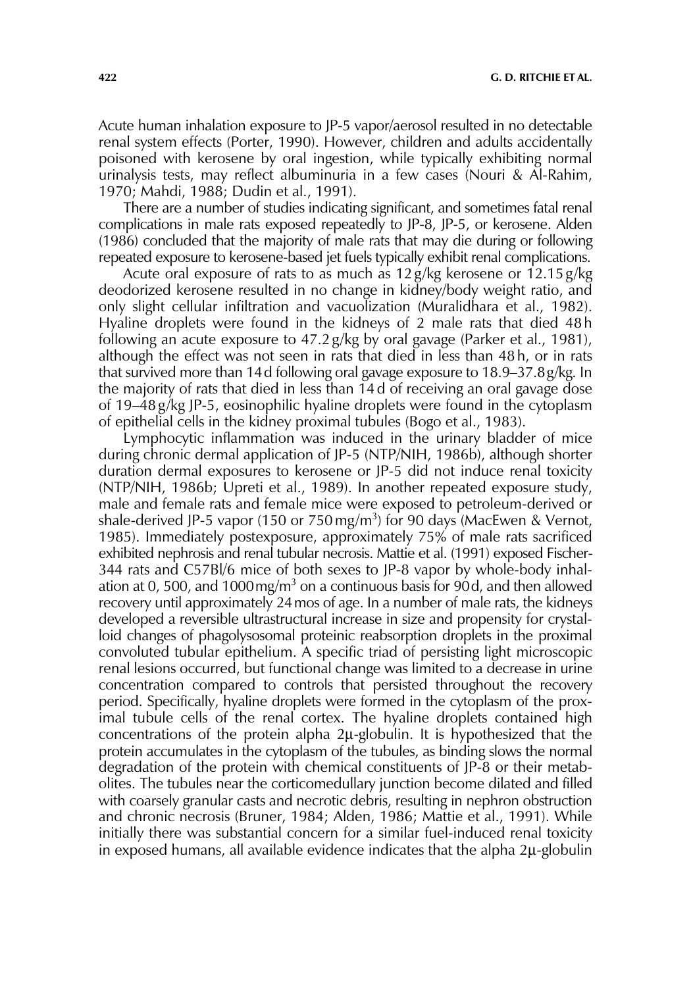Acute human inhalation exposure to JP-5 vapor/aerosol resulted in no detectable renal system effects (Porter, 1990). However, children and adults accidentally poisoned with kerosene by oral ingestion, while typically exhibiting normal urinalysis tests, may reflect albuminuria in a few cases (Nouri & Al-Rahim, 1970; Mahdi, 1988; Dudin et al., 1991).

There are a number of studies indicating significant, and sometimes fatal renal complications in male rats exposed repeatedly to JP-8, JP-5, or kerosene. Alden (1986) concluded that the majority of male rats that may die during or following repeated exposure to kerosene-based jet fuels typically exhibit renal complications.

Acute oral exposure of rats to as much as 12 g/kg kerosene or 12.15g/kg deodorized kerosene resulted in no change in kidney/body weight ratio, and only slight cellular infiltration and vacuolization (Muralidhara et al., 1982). Hyaline droplets were found in the kidneys of 2 male rats that died 48h following an acute exposure to  $47.2$  g/kg by oral gavage (Parker et al., 1981), although the effect was not seen in rats that died in less than 48h, or in rats that survived more than 14d following oral gavage exposure to 18.9–37.8g/kg. In the majority of rats that died in less than 14 d of receiving an oral gavage dose of 19–48g/kg JP-5, eosinophilic hyaline droplets were found in the cytoplasm of epithelial cells in the kidney proximal tubules (Bogo et al., 1983).

Lymphocytic inflammation was induced in the urinary bladder of mice during chronic dermal application of JP-5 (NTP/NIH, 1986b), although shorter duration dermal exposures to kerosene or JP-5 did not induce renal toxicity (NTP/NIH, 1986b; Upreti et al., 1989). In another repeated exposure study, male and female rats and female mice were exposed to petroleum-derived or shale-derived JP-5 vapor (150 or 750 mg/m<sup>3</sup>) for 90 days (MacEwen & Vernot, 1985). Immediately postexposure, approximately 75% of male rats sacrificed exhibited nephrosis and renal tubular necrosis. Mattie et al. (1991) exposed Fischer-344 rats and C57Bl/6 mice of both sexes to JP-8 vapor by whole-body inhalation at 0, 500, and 1000mg/m<sup>3</sup> on a continuous basis for 90d, and then allowed recovery until approximately 24mos of age. In a number of male rats, the kidneys developed a reversible ultrastructural increase in size and propensity for crystalloid changes of phagolysosomal proteinic reabsorption droplets in the proximal convoluted tubular epithelium. A specific triad of persisting light microscopic renal lesions occurred, but functional change was limited to a decrease in urine concentration compared to controls that persisted throughout the recovery period. Specifically, hyaline droplets were formed in the cytoplasm of the proximal tubule cells of the renal cortex. The hyaline droplets contained high concentrations of the protein alpha 2µ-globulin. It is hypothesized that the protein accumulates in the cytoplasm of the tubules, as binding slows the normal degradation of the protein with chemical constituents of JP-8 or their metabolites. The tubules near the corticomedullary junction become dilated and filled with coarsely granular casts and necrotic debris, resulting in nephron obstruction and chronic necrosis (Bruner, 1984; Alden, 1986; Mattie et al., 1991). While initially there was substantial concern for a similar fuel-induced renal toxicity in exposed humans, all available evidence indicates that the alpha 2µ-globulin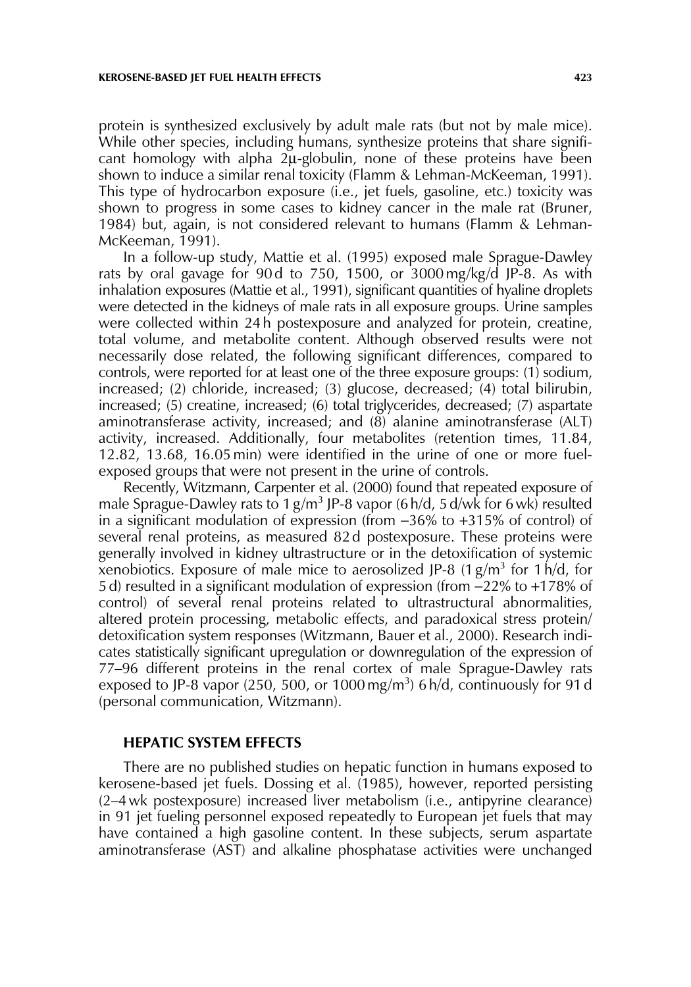#### **KEROSENE-BASED JET FUEL HEALTH EFFECTS 423**

protein is synthesized exclusively by adult male rats (but not by male mice). While other species, including humans, synthesize proteins that share significant homology with alpha  $2\mu$ -globulin, none of these proteins have been shown to induce a similar renal toxicity (Flamm & Lehman-McKeeman, 1991). This type of hydrocarbon exposure (i.e., jet fuels, gasoline, etc.) toxicity was shown to progress in some cases to kidney cancer in the male rat (Bruner, 1984) but, again, is not considered relevant to humans (Flamm & Lehman-McKeeman, 1991).

In a follow-up study, Mattie et al. (1995) exposed male Sprague-Dawley rats by oral gavage for 90d to 750, 1500, or 3000 mg/kg/d JP-8. As with inhalation exposures (Mattie et al., 1991), significant quantities of hyaline droplets were detected in the kidneys of male rats in all exposure groups. Urine samples were collected within 24h postexposure and analyzed for protein, creatine, total volume, and metabolite content. Although observed results were not necessarily dose related, the following significant differences, compared to controls, were reported for at least one of the three exposure groups: (1) sodium, increased; (2) chloride, increased; (3) glucose, decreased; (4) total bilirubin, increased; (5) creatine, increased; (6) total triglycerides, decreased; (7) aspartate aminotransferase activity, increased; and (8) alanine aminotransferase (ALT) activity, increased. Additionally, four metabolites (retention times, 11.84, 12.82, 13.68, 16.05min) were identified in the urine of one or more fuelexposed groups that were not present in the urine of controls.

Recently, Witzmann, Carpenter et al. (2000) found that repeated exposure of male Sprague-Dawley rats to 1  $g/m^3$  JP-8 vapor (6 h/d, 5 d/wk for 6 wk) resulted in a significant modulation of expression (from −36% to +315% of control) of several renal proteins, as measured 82d postexposure. These proteins were generally involved in kidney ultrastructure or in the detoxification of systemic xenobiotics. Exposure of male mice to aerosolized JP-8 (1g/m<sup>3</sup> for 1h/d, for 5d) resulted in a significant modulation of expression (from −22% to +178% of control) of several renal proteins related to ultrastructural abnormalities, altered protein processing, metabolic effects, and paradoxical stress protein/ detoxification system responses (Witzmann, Bauer et al., 2000). Research indicates statistically significant upregulation or downregulation of the expression of 77–96 different proteins in the renal cortex of male Sprague-Dawley rats exposed to JP-8 vapor (250, 500, or 1000 mg/m<sup>3</sup>)  $6 \text{h/d}$ , continuously for 91 d (personal communication, Witzmann).

## **HEPATIC SYSTEM EFFECTS**

There are no published studies on hepatic function in humans exposed to kerosene-based jet fuels. Dossing et al. (1985), however, reported persisting (2–4 wk postexposure) increased liver metabolism (i.e., antipyrine clearance) in 91 jet fueling personnel exposed repeatedly to European jet fuels that may have contained a high gasoline content. In these subjects, serum aspartate aminotransferase (AST) and alkaline phosphatase activities were unchanged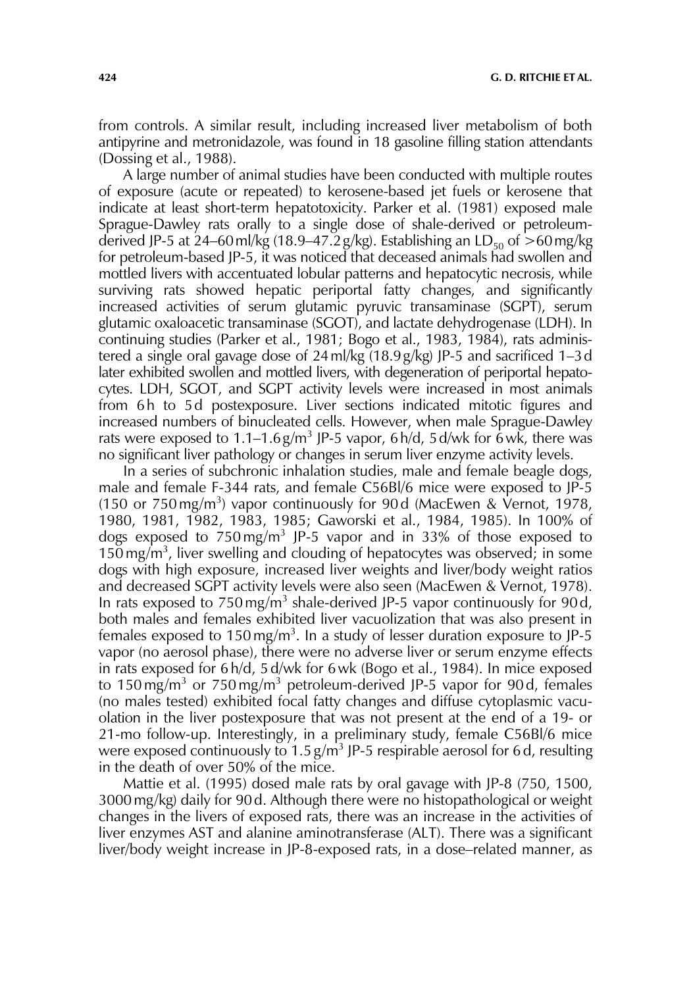from controls. A similar result, including increased liver metabolism of both antipyrine and metronidazole, was found in 18 gasoline filling station attendants (Dossing et al., 1988).

A large number of animal studies have been conducted with multiple routes of exposure (acute or repeated) to kerosene-based jet fuels or kerosene that indicate at least short-term hepatotoxicity. Parker et al. (1981) exposed male Sprague-Dawley rats orally to a single dose of shale-derived or petroleumderived JP-5 at 24–60 ml/kg (18.9–47.2 g/kg). Establishing an  $LD_{50}$  of  $>60$  mg/kg for petroleum-based JP-5, it was noticed that deceased animals had swollen and mottled livers with accentuated lobular patterns and hepatocytic necrosis, while surviving rats showed hepatic periportal fatty changes, and significantly increased activities of serum glutamic pyruvic transaminase (SGPT), serum glutamic oxaloacetic transaminase (SGOT), and lactate dehydrogenase (LDH). In continuing studies (Parker et al., 1981; Bogo et al., 1983, 1984), rats administered a single oral gavage dose of 24ml/kg (18.9g/kg) JP-5 and sacrificed 1–3d later exhibited swollen and mottled livers, with degeneration of periportal hepatocytes. LDH, SGOT, and SGPT activity levels were increased in most animals from 6h to 5d postexposure. Liver sections indicated mitotic figures and increased numbers of binucleated cells. However, when male Sprague-Dawley rats were exposed to 1.1–1.6  $g/m^3$  JP-5 vapor, 6 h/d, 5 d/wk for 6 wk, there was no significant liver pathology or changes in serum liver enzyme activity levels.

In a series of subchronic inhalation studies, male and female beagle dogs, male and female F-344 rats, and female C56Bl/6 mice were exposed to JP-5 (150 or 750 mg/m<sup>3</sup>) vapor continuously for 90d (MacEwen & Vernot, 1978, 1980, 1981, 1982, 1983, 1985; Gaworski et al., 1984, 1985). In 100% of dogs exposed to  $750 \,\text{mg/m}^3$  JP-5 vapor and in 33% of those exposed to  $150$  mg/m<sup>3</sup>, liver swelling and clouding of hepatocytes was observed; in some dogs with high exposure, increased liver weights and liver/body weight ratios and decreased SGPT activity levels were also seen (MacEwen & Vernot, 1978). In rats exposed to  $750 \,\text{mg/m}^3$  shale-derived JP-5 vapor continuously for 90d, both males and females exhibited liver vacuolization that was also present in females exposed to 150 mg/m<sup>3</sup>. In a study of lesser duration exposure to JP-5 vapor (no aerosol phase), there were no adverse liver or serum enzyme effects in rats exposed for 6h/d, 5 d/wk for 6wk (Bogo et al., 1984). In mice exposed to 150 mg/m $^3$  or 750 mg/m $^3$  petroleum-derived JP-5 vapor for 90 d, females (no males tested) exhibited focal fatty changes and diffuse cytoplasmic vacuolation in the liver postexposure that was not present at the end of a 19- or 21-mo follow-up. Interestingly, in a preliminary study, female C56Bl/6 mice were exposed continuously to 1.5  $\rm g/m^3$  JP-5 respirable aerosol for 6 d, resulting in the death of over 50% of the mice.

Mattie et al. (1995) dosed male rats by oral gavage with JP-8 (750, 1500, 3000mg/kg) daily for 90d. Although there were no histopathological or weight changes in the livers of exposed rats, there was an increase in the activities of liver enzymes AST and alanine aminotransferase (ALT). There was a significant liver/body weight increase in JP-8-exposed rats, in a dose–related manner, as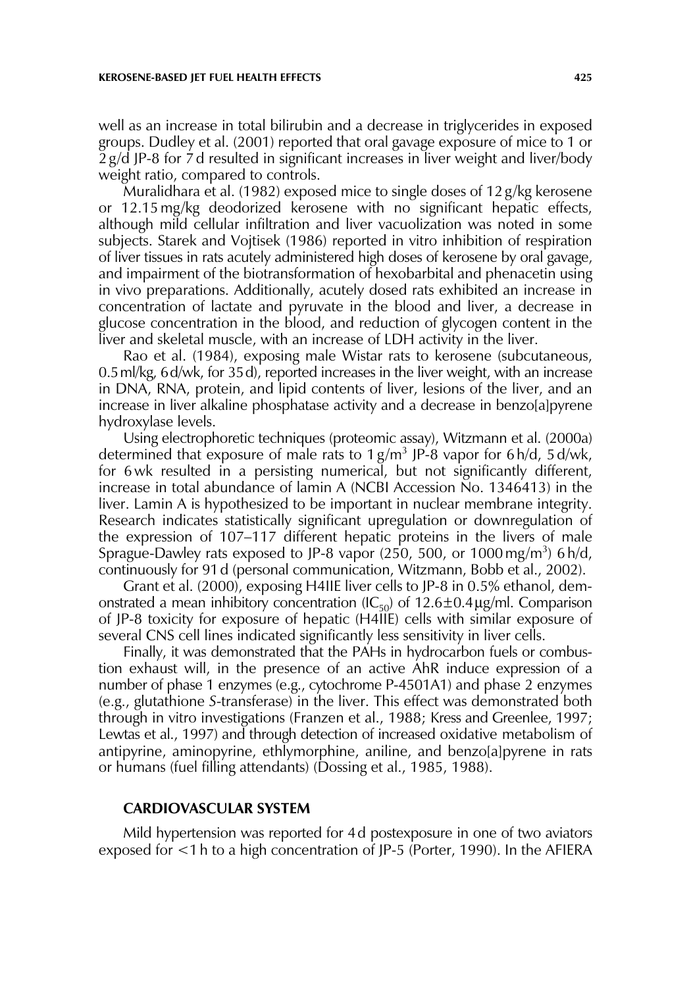well as an increase in total bilirubin and a decrease in triglycerides in exposed groups. Dudley et al. (2001) reported that oral gavage exposure of mice to 1 or 2g/d JP-8 for 7d resulted in significant increases in liver weight and liver/body weight ratio, compared to controls.

Muralidhara et al. (1982) exposed mice to single doses of 12 g/kg kerosene or 12.15mg/kg deodorized kerosene with no significant hepatic effects, although mild cellular infiltration and liver vacuolization was noted in some subjects. Starek and Vojtisek (1986) reported in vitro inhibition of respiration of liver tissues in rats acutely administered high doses of kerosene by oral gavage, and impairment of the biotransformation of hexobarbital and phenacetin using in vivo preparations. Additionally, acutely dosed rats exhibited an increase in concentration of lactate and pyruvate in the blood and liver, a decrease in glucose concentration in the blood, and reduction of glycogen content in the liver and skeletal muscle, with an increase of LDH activity in the liver.

Rao et al. (1984), exposing male Wistar rats to kerosene (subcutaneous, 0.5ml/kg, 6d/wk, for 35d), reported increases in the liver weight, with an increase in DNA, RNA, protein, and lipid contents of liver, lesions of the liver, and an increase in liver alkaline phosphatase activity and a decrease in benzo[a]pyrene hydroxylase levels.

Using electrophoretic techniques (proteomic assay), Witzmann et al. (2000a) determined that exposure of male rats to  $1 \text{ g/m}^3$  JP-8 vapor for 6 h/d, 5 d/wk, for 6 wk resulted in a persisting numerical, but not significantly different, increase in total abundance of lamin A (NCBI Accession No. 1346413) in the liver. Lamin A is hypothesized to be important in nuclear membrane integrity. Research indicates statistically significant upregulation or downregulation of the expression of 107–117 different hepatic proteins in the livers of male Sprague-Dawley rats exposed to JP-8 vapor (250, 500, or 1000 mg/m<sup>3</sup>)  $6 h/d$ , continuously for 91d (personal communication, Witzmann, Bobb et al., 2002).

Grant et al. (2000), exposing H4IIE liver cells to JP-8 in 0.5% ethanol, demonstrated a mean inhibitory concentration  $(IC_{50})$  of 12.6±0.4µg/ml. Comparison of JP-8 toxicity for exposure of hepatic (H4IIE) cells with similar exposure of several CNS cell lines indicated significantly less sensitivity in liver cells.

Finally, it was demonstrated that the PAHs in hydrocarbon fuels or combustion exhaust will, in the presence of an active AhR induce expression of a number of phase 1 enzymes (e.g., cytochrome P-4501A1) and phase 2 enzymes (e.g., glutathione *S*-transferase) in the liver. This effect was demonstrated both through in vitro investigations (Franzen et al., 1988; Kress and Greenlee, 1997; Lewtas et al., 1997) and through detection of increased oxidative metabolism of antipyrine, aminopyrine, ethlymorphine, aniline, and benzo[a]pyrene in rats or humans (fuel filling attendants) (Dossing et al., 1985, 1988).

## **CARDIOVASCULAR SYSTEM**

Mild hypertension was reported for 4d postexposure in one of two aviators exposed for <1h to a high concentration of JP-5 (Porter, 1990). In the AFIERA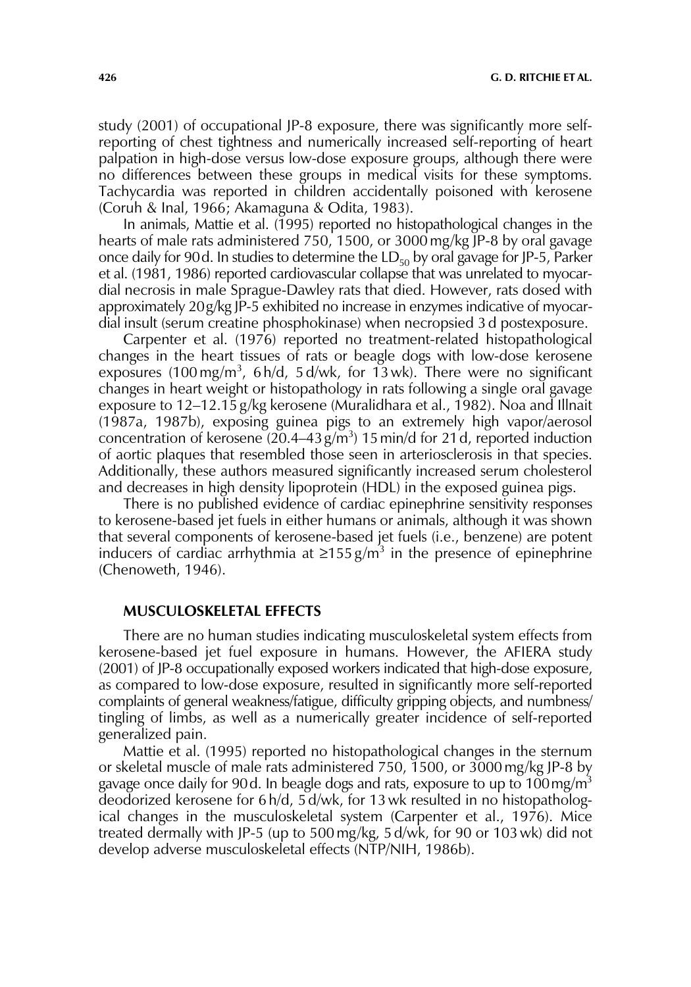study (2001) of occupational JP-8 exposure, there was significantly more selfreporting of chest tightness and numerically increased self-reporting of heart palpation in high-dose versus low-dose exposure groups, although there were no differences between these groups in medical visits for these symptoms. Tachycardia was reported in children accidentally poisoned with kerosene (Coruh & Inal, 1966; Akamaguna & Odita, 1983).

In animals, Mattie et al. (1995) reported no histopathological changes in the hearts of male rats administered 750, 1500, or 3000 mg/kg JP-8 by oral gavage once daily for 90d. In studies to determine the  $LD_{50}$  by oral gavage for JP-5, Parker et al. (1981, 1986) reported cardiovascular collapse that was unrelated to myocardial necrosis in male Sprague-Dawley rats that died. However, rats dosed with approximately 20g/kg JP-5 exhibited no increase in enzymes indicative of myocardial insult (serum creatine phosphokinase) when necropsied 3 d postexposure.

Carpenter et al. (1976) reported no treatment-related histopathological changes in the heart tissues of rats or beagle dogs with low-dose kerosene exposures (100 mg/m<sup>3</sup>, 6 h/d, 5 d/wk, for 13 wk). There were no significant changes in heart weight or histopathology in rats following a single oral gavage exposure to 12–12.15g/kg kerosene (Muralidhara et al., 1982). Noa and Illnait (1987a, 1987b), exposing guinea pigs to an extremely high vapor/aerosol concentration of kerosene ( $20.4-43$  g/m<sup>3</sup>) 15 min/d for 21 d, reported induction of aortic plaques that resembled those seen in arteriosclerosis in that species. Additionally, these authors measured significantly increased serum cholesterol and decreases in high density lipoprotein (HDL) in the exposed guinea pigs.

There is no published evidence of cardiac epinephrine sensitivity responses to kerosene-based jet fuels in either humans or animals, although it was shown that several components of kerosene-based jet fuels (i.e., benzene) are potent inducers of cardiac arrhythmia at ≥155 g/m<sup>3</sup> in the presence of epinephrine (Chenoweth, 1946).

### **MUSCULOSKELETAL EFFECTS**

There are no human studies indicating musculoskeletal system effects from kerosene-based jet fuel exposure in humans. However, the AFIERA study (2001) of JP-8 occupationally exposed workers indicated that high-dose exposure, as compared to low-dose exposure, resulted in significantly more self-reported complaints of general weakness/fatigue, difficulty gripping objects, and numbness/ tingling of limbs, as well as a numerically greater incidence of self-reported generalized pain.

Mattie et al. (1995) reported no histopathological changes in the sternum or skeletal muscle of male rats administered 750, 1500, or 3000mg/kg JP-8 by gavage once daily for 90d. In beagle dogs and rats, exposure to up to 100 mg/m<sup>3</sup> deodorized kerosene for 6h/d, 5d/wk, for 13 wk resulted in no histopathological changes in the musculoskeletal system (Carpenter et al., 1976). Mice treated dermally with JP-5 (up to 500mg/kg, 5d/wk, for 90 or 103wk) did not develop adverse musculoskeletal effects (NTP/NIH, 1986b).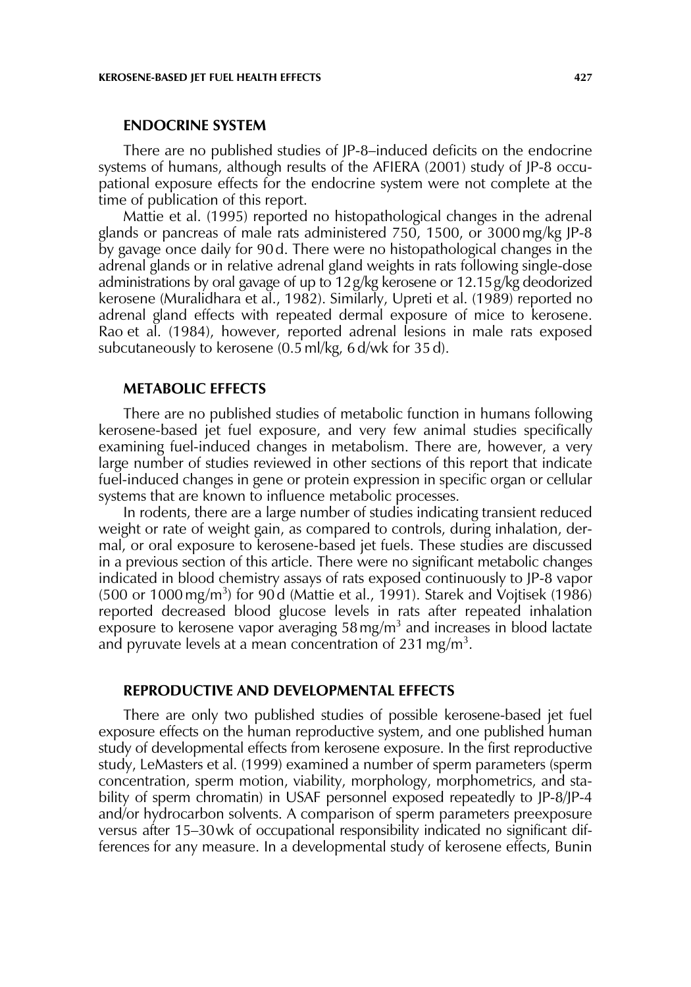# **ENDOCRINE SYSTEM**

There are no published studies of JP-8–induced deficits on the endocrine systems of humans, although results of the AFIERA (2001) study of JP-8 occupational exposure effects for the endocrine system were not complete at the time of publication of this report.

Mattie et al. (1995) reported no histopathological changes in the adrenal glands or pancreas of male rats administered 750, 1500, or 3000 mg/kg JP-8 by gavage once daily for 90d. There were no histopathological changes in the adrenal glands or in relative adrenal gland weights in rats following single-dose administrations by oral gavage of up to 12g/kg kerosene or 12.15g/kg deodorized kerosene (Muralidhara et al., 1982). Similarly, Upreti et al. (1989) reported no adrenal gland effects with repeated dermal exposure of mice to kerosene. Rao et al. (1984), however, reported adrenal lesions in male rats exposed subcutaneously to kerosene (0.5 ml/kg, 6d/wk for 35 d).

## **METABOLIC EFFECTS**

There are no published studies of metabolic function in humans following kerosene-based jet fuel exposure, and very few animal studies specifically examining fuel-induced changes in metabolism. There are, however, a very large number of studies reviewed in other sections of this report that indicate fuel-induced changes in gene or protein expression in specific organ or cellular systems that are known to influence metabolic processes.

In rodents, there are a large number of studies indicating transient reduced weight or rate of weight gain, as compared to controls, during inhalation, dermal, or oral exposure to kerosene-based jet fuels. These studies are discussed in a previous section of this article. There were no significant metabolic changes indicated in blood chemistry assays of rats exposed continuously to JP-8 vapor (500 or 1000 mg/m<sup>3</sup>) for 90 d (Mattie et al., 1991). Starek and Vojtisek (1986) reported decreased blood glucose levels in rats after repeated inhalation exposure to kerosene vapor averaging  $58 \,\text{mg/m}^3$  and increases in blood lactate and pyruvate levels at a mean concentration of 231 mg/m<sup>3</sup>.

## **REPRODUCTIVE AND DEVELOPMENTAL EFFECTS**

There are only two published studies of possible kerosene-based jet fuel exposure effects on the human reproductive system, and one published human study of developmental effects from kerosene exposure. In the first reproductive study, LeMasters et al. (1999) examined a number of sperm parameters (sperm concentration, sperm motion, viability, morphology, morphometrics, and stability of sperm chromatin) in USAF personnel exposed repeatedly to JP-8/JP-4 and/or hydrocarbon solvents. A comparison of sperm parameters preexposure versus after 15–30wk of occupational responsibility indicated no significant differences for any measure. In a developmental study of kerosene effects, Bunin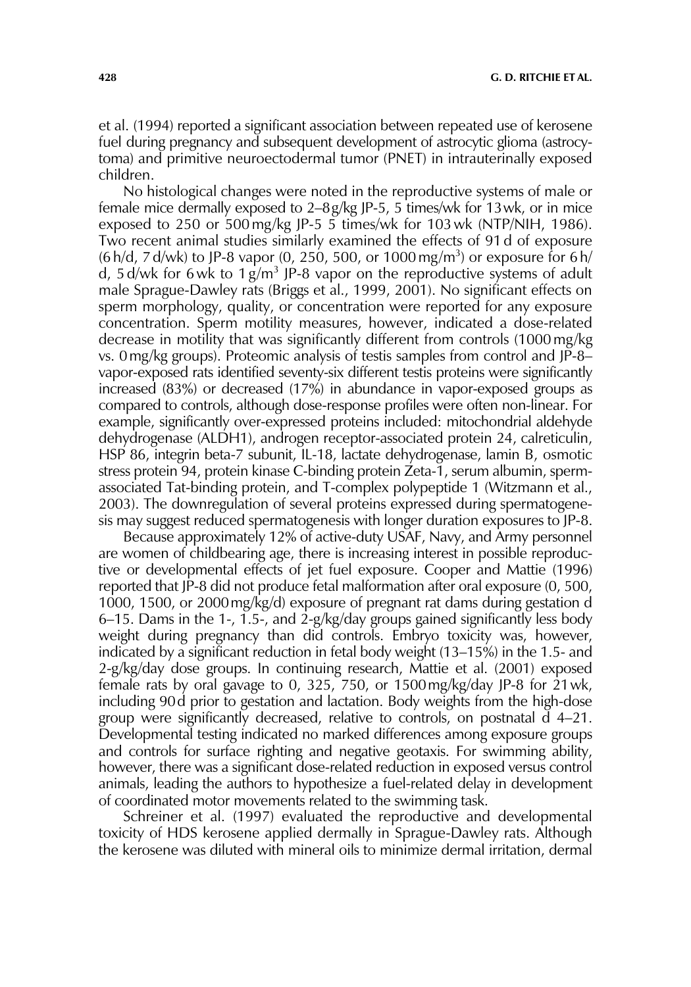et al. (1994) reported a significant association between repeated use of kerosene fuel during pregnancy and subsequent development of astrocytic glioma (astrocytoma) and primitive neuroectodermal tumor (PNET) in intrauterinally exposed children.

No histological changes were noted in the reproductive systems of male or female mice dermally exposed to  $2-8g/kg$  JP-5, 5 times/wk for 13wk, or in mice exposed to 250 or 500 mg/kg  $IP-5$  5 times/wk for 103 wk (NTP/NIH, 1986). Two recent animal studies similarly examined the effects of 91d of exposure (6 h/d, 7 d/wk) to JP-8 vapor (0, 250, 500, or 1000 mg/m<sup>3</sup>) or exposure for 6 h/ d, 5 d/wk for 6 wk to 1  $g/m<sup>3</sup>$  JP-8 vapor on the reproductive systems of adult male Sprague-Dawley rats (Briggs et al., 1999, 2001). No significant effects on sperm morphology, quality, or concentration were reported for any exposure concentration. Sperm motility measures, however, indicated a dose-related decrease in motility that was significantly different from controls (1000 mg/kg vs. 0mg/kg groups). Proteomic analysis of testis samples from control and JP-8– vapor-exposed rats identified seventy-six different testis proteins were significantly increased (83%) or decreased (17%) in abundance in vapor-exposed groups as compared to controls, although dose-response profiles were often non-linear. For example, significantly over-expressed proteins included: mitochondrial aldehyde dehydrogenase (ALDH1), androgen receptor-associated protein 24, calreticulin, HSP 86, integrin beta-7 subunit, IL-18, lactate dehydrogenase, lamin B, osmotic stress protein 94, protein kinase C-binding protein Zeta-1, serum albumin, spermassociated Tat-binding protein, and T-complex polypeptide 1 (Witzmann et al., 2003). The downregulation of several proteins expressed during spermatogenesis may suggest reduced spermatogenesis with longer duration exposures to JP-8.

Because approximately 12% of active-duty USAF, Navy, and Army personnel are women of childbearing age, there is increasing interest in possible reproductive or developmental effects of jet fuel exposure. Cooper and Mattie (1996) reported that JP-8 did not produce fetal malformation after oral exposure (0, 500, 1000, 1500, or 2000mg/kg/d) exposure of pregnant rat dams during gestation d 6–15. Dams in the 1-, 1.5-, and 2-g/kg/day groups gained significantly less body weight during pregnancy than did controls. Embryo toxicity was, however, indicated by a significant reduction in fetal body weight (13–15%) in the 1.5- and 2-g/kg/day dose groups. In continuing research, Mattie et al. (2001) exposed female rats by oral gavage to 0, 325, 750, or 1500mg/kg/day JP-8 for 21wk, including 90d prior to gestation and lactation. Body weights from the high-dose group were significantly decreased, relative to controls, on postnatal d 4–21. Developmental testing indicated no marked differences among exposure groups and controls for surface righting and negative geotaxis. For swimming ability, however, there was a significant dose-related reduction in exposed versus control animals, leading the authors to hypothesize a fuel-related delay in development of coordinated motor movements related to the swimming task.

Schreiner et al. (1997) evaluated the reproductive and developmental toxicity of HDS kerosene applied dermally in Sprague-Dawley rats. Although the kerosene was diluted with mineral oils to minimize dermal irritation, dermal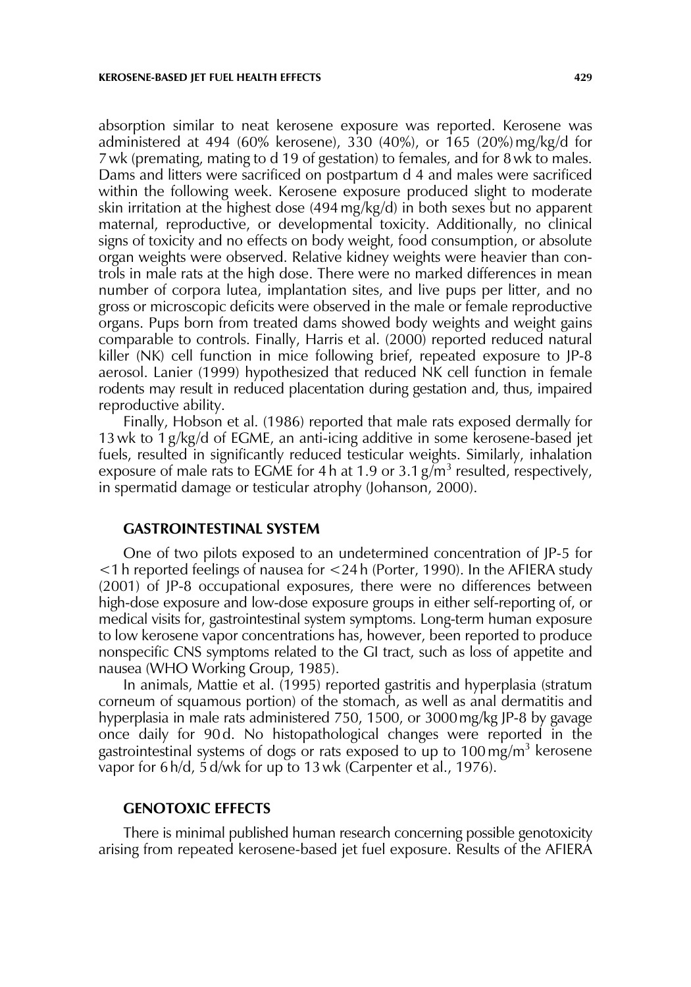absorption similar to neat kerosene exposure was reported. Kerosene was administered at 494 (60% kerosene), 330 (40%), or 165 (20%) mg/kg/d for 7wk (premating, mating to d 19 of gestation) to females, and for 8wk to males. Dams and litters were sacrificed on postpartum d 4 and males were sacrificed within the following week. Kerosene exposure produced slight to moderate skin irritation at the highest dose (494 mg/kg/d) in both sexes but no apparent maternal, reproductive, or developmental toxicity. Additionally, no clinical signs of toxicity and no effects on body weight, food consumption, or absolute organ weights were observed. Relative kidney weights were heavier than controls in male rats at the high dose. There were no marked differences in mean number of corpora lutea, implantation sites, and live pups per litter, and no gross or microscopic deficits were observed in the male or female reproductive organs. Pups born from treated dams showed body weights and weight gains comparable to controls. Finally, Harris et al. (2000) reported reduced natural killer (NK) cell function in mice following brief, repeated exposure to JP-8 aerosol. Lanier (1999) hypothesized that reduced NK cell function in female rodents may result in reduced placentation during gestation and, thus, impaired reproductive ability.

Finally, Hobson et al. (1986) reported that male rats exposed dermally for 13wk to 1 g/kg/d of EGME, an anti-icing additive in some kerosene-based jet fuels, resulted in significantly reduced testicular weights. Similarly, inhalation exposure of male rats to EGME for 4 h at 1.9 or 3.1  $g/m<sup>3</sup>$  resulted, respectively, in spermatid damage or testicular atrophy (Johanson, 2000).

## **GASTROINTESTINAL SYSTEM**

One of two pilots exposed to an undetermined concentration of JP-5 for <1 h reported feelings of nausea for <24h (Porter, 1990). In the AFIERA study (2001) of JP-8 occupational exposures, there were no differences between high-dose exposure and low-dose exposure groups in either self-reporting of, or medical visits for, gastrointestinal system symptoms. Long-term human exposure to low kerosene vapor concentrations has, however, been reported to produce nonspecific CNS symptoms related to the GI tract, such as loss of appetite and nausea (WHO Working Group, 1985).

In animals, Mattie et al. (1995) reported gastritis and hyperplasia (stratum corneum of squamous portion) of the stomach, as well as anal dermatitis and hyperplasia in male rats administered 750, 1500, or 3000mg/kg JP-8 by gavage once daily for 90d. No histopathological changes were reported in the gastrointestinal systems of dogs or rats exposed to up to 100 mg/m<sup>3</sup> kerosene vapor for 6h/d, 5 d/wk for up to 13wk (Carpenter et al., 1976).

# **GENOTOXIC EFFECTS**

There is minimal published human research concerning possible genotoxicity arising from repeated kerosene-based jet fuel exposure. Results of the AFIERA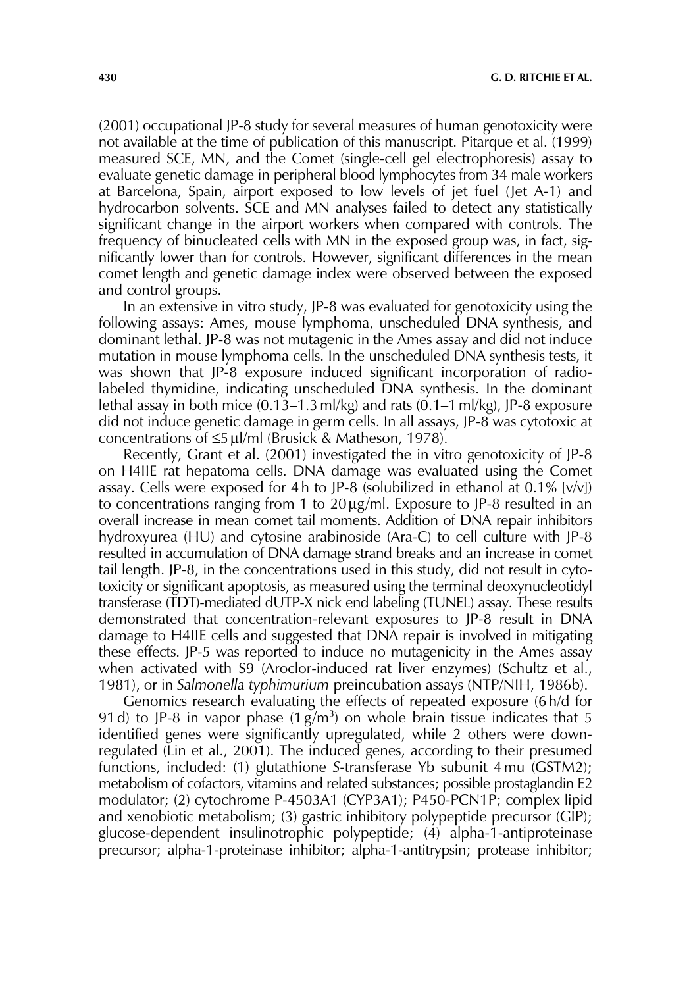(2001) occupational JP-8 study for several measures of human genotoxicity were not available at the time of publication of this manuscript. Pitarque et al. (1999) measured SCE, MN, and the Comet (single-cell gel electrophoresis) assay to evaluate genetic damage in peripheral blood lymphocytes from 34 male workers at Barcelona, Spain, airport exposed to low levels of jet fuel (Jet A-1) and hydrocarbon solvents. SCE and MN analyses failed to detect any statistically significant change in the airport workers when compared with controls. The frequency of binucleated cells with MN in the exposed group was, in fact, significantly lower than for controls. However, significant differences in the mean comet length and genetic damage index were observed between the exposed and control groups.

In an extensive in vitro study, JP-8 was evaluated for genotoxicity using the following assays: Ames, mouse lymphoma, unscheduled DNA synthesis, and dominant lethal. JP-8 was not mutagenic in the Ames assay and did not induce mutation in mouse lymphoma cells. In the unscheduled DNA synthesis tests, it was shown that JP-8 exposure induced significant incorporation of radiolabeled thymidine, indicating unscheduled DNA synthesis. In the dominant lethal assay in both mice  $(0.13-1.3 \text{ m} / \text{kg})$  and rats  $(0.1-1 \text{ m} / \text{kg})$ , JP-8 exposure did not induce genetic damage in germ cells. In all assays, JP-8 was cytotoxic at concentrations of ≤5µl/ml (Brusick & Matheson, 1978).

Recently, Grant et al. (2001) investigated the in vitro genotoxicity of JP-8 on H4IIE rat hepatoma cells. DNA damage was evaluated using the Comet assay. Cells were exposed for 4 h to  $IP-8$  (solubilized in ethanol at 0.1%  $[v/v]$ ) to concentrations ranging from 1 to 20µg/ml. Exposure to JP-8 resulted in an overall increase in mean comet tail moments. Addition of DNA repair inhibitors hydroxyurea (HU) and cytosine arabinoside (Ara-C) to cell culture with JP-8 resulted in accumulation of DNA damage strand breaks and an increase in comet tail length. JP-8, in the concentrations used in this study, did not result in cytotoxicity or significant apoptosis, as measured using the terminal deoxynucleotidyl transferase (TDT)-mediated dUTP-X nick end labeling (TUNEL) assay. These results demonstrated that concentration-relevant exposures to JP-8 result in DNA damage to H4IIE cells and suggested that DNA repair is involved in mitigating these effects. JP-5 was reported to induce no mutagenicity in the Ames assay when activated with S9 (Aroclor-induced rat liver enzymes) (Schultz et al., 1981), or in *Salmonella typhimurium* preincubation assays (NTP/NIH, 1986b).

Genomics research evaluating the effects of repeated exposure (6 h/d for 91 d) to JP-8 in vapor phase (1 $\rm g/m^3$ ) on whole brain tissue indicates that 5 identified genes were significantly upregulated, while 2 others were downregulated (Lin et al., 2001). The induced genes, according to their presumed functions, included: (1) glutathione *S*-transferase Yb subunit 4mu (GSTM2); metabolism of cofactors, vitamins and related substances; possible prostaglandin E2 modulator; (2) cytochrome P-4503A1 (CYP3A1); P450-PCN1P; complex lipid and xenobiotic metabolism; (3) gastric inhibitory polypeptide precursor (GIP); glucose-dependent insulinotrophic polypeptide; (4) alpha-1-antiproteinase precursor; alpha-1-proteinase inhibitor; alpha-1-antitrypsin; protease inhibitor;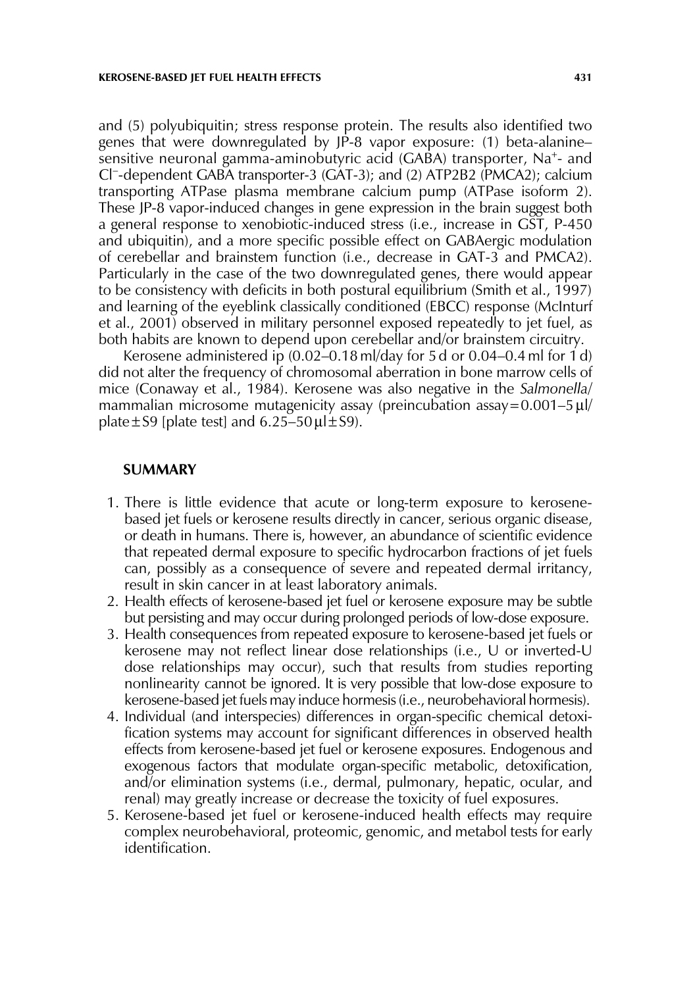and (5) polyubiquitin; stress response protein. The results also identified two genes that were downregulated by JP-8 vapor exposure: (1) beta-alanine–  $\check{\rm s}$ ensitive neuronal gamma-aminobutyric acid (GABA) transporter, Na $^+$ - and Cl<sup>−</sup> -dependent GABA transporter-3 (GAT-3); and (2) ATP2B2 (PMCA2); calcium transporting ATPase plasma membrane calcium pump (ATPase isoform 2). These JP-8 vapor-induced changes in gene expression in the brain suggest both a general response to xenobiotic-induced stress (i.e., increase in GST, P-450 and ubiquitin), and a more specific possible effect on GABAergic modulation of cerebellar and brainstem function (i.e., decrease in GAT-3 and PMCA2). Particularly in the case of the two downregulated genes, there would appear to be consistency with deficits in both postural equilibrium (Smith et al., 1997) and learning of the eyeblink classically conditioned (EBCC) response (McInturf et al., 2001) observed in military personnel exposed repeatedly to jet fuel, as both habits are known to depend upon cerebellar and/or brainstem circuitry.

Kerosene administered ip (0.02–0.18 ml/day for 5d or 0.04–0.4ml for 1 d) did not alter the frequency of chromosomal aberration in bone marrow cells of mice (Conaway et al., 1984). Kerosene was also negative in the *Salmonella*/ mammalian microsome mutagenicity assay (preincubation assay =  $0.001 - 5 \mu$  |/ plate  $\pm$  S9 [plate test] and 6.25–50  $\mu$ l $\pm$  S9).

## **SUMMARY**

- 1. There is little evidence that acute or long-term exposure to kerosenebased jet fuels or kerosene results directly in cancer, serious organic disease, or death in humans. There is, however, an abundance of scientific evidence that repeated dermal exposure to specific hydrocarbon fractions of jet fuels can, possibly as a consequence of severe and repeated dermal irritancy, result in skin cancer in at least laboratory animals.
- 2. Health effects of kerosene-based jet fuel or kerosene exposure may be subtle but persisting and may occur during prolonged periods of low-dose exposure.
- 3. Health consequences from repeated exposure to kerosene-based jet fuels or kerosene may not reflect linear dose relationships (i.e., U or inverted-U dose relationships may occur), such that results from studies reporting nonlinearity cannot be ignored. It is very possible that low-dose exposure to kerosene-based jet fuels may induce hormesis (i.e., neurobehavioral hormesis).
- 4. Individual (and interspecies) differences in organ-specific chemical detoxification systems may account for significant differences in observed health effects from kerosene-based jet fuel or kerosene exposures. Endogenous and exogenous factors that modulate organ-specific metabolic, detoxification, and/or elimination systems (i.e., dermal, pulmonary, hepatic, ocular, and renal) may greatly increase or decrease the toxicity of fuel exposures.
- 5. Kerosene-based jet fuel or kerosene-induced health effects may require complex neurobehavioral, proteomic, genomic, and metabol tests for early identification.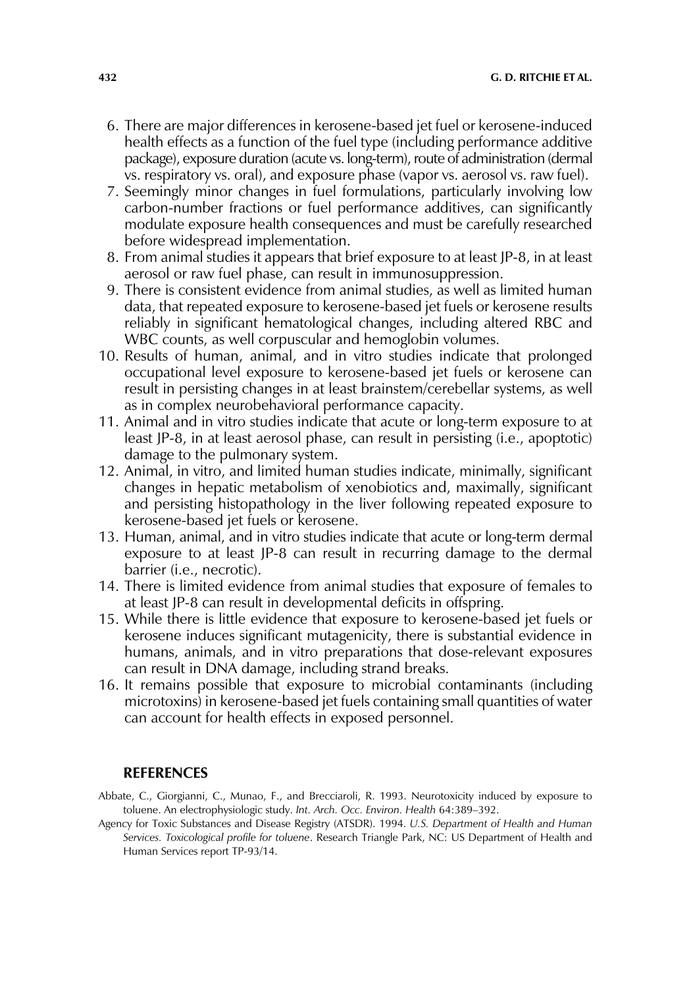- 6. There are major differences in kerosene-based jet fuel or kerosene-induced health effects as a function of the fuel type (including performance additive package), exposure duration (acute vs. long-term), route of administration (dermal vs. respiratory vs. oral), and exposure phase (vapor vs. aerosol vs. raw fuel).
- 7. Seemingly minor changes in fuel formulations, particularly involving low carbon-number fractions or fuel performance additives, can significantly modulate exposure health consequences and must be carefully researched before widespread implementation.
- 8. From animal studies it appears that brief exposure to at least JP-8, in at least aerosol or raw fuel phase, can result in immunosuppression.
- 9. There is consistent evidence from animal studies, as well as limited human data, that repeated exposure to kerosene-based jet fuels or kerosene results reliably in significant hematological changes, including altered RBC and WBC counts, as well corpuscular and hemoglobin volumes.
- 10. Results of human, animal, and in vitro studies indicate that prolonged occupational level exposure to kerosene-based jet fuels or kerosene can result in persisting changes in at least brainstem/cerebellar systems, as well as in complex neurobehavioral performance capacity.
- 11. Animal and in vitro studies indicate that acute or long-term exposure to at least JP-8, in at least aerosol phase, can result in persisting (i.e., apoptotic) damage to the pulmonary system.
- 12. Animal, in vitro, and limited human studies indicate, minimally, significant changes in hepatic metabolism of xenobiotics and, maximally, significant and persisting histopathology in the liver following repeated exposure to kerosene-based jet fuels or kerosene.
- 13. Human, animal, and in vitro studies indicate that acute or long-term dermal exposure to at least JP-8 can result in recurring damage to the dermal barrier (i.e., necrotic).
- 14. There is limited evidence from animal studies that exposure of females to at least JP-8 can result in developmental deficits in offspring.
- 15. While there is little evidence that exposure to kerosene-based jet fuels or kerosene induces significant mutagenicity, there is substantial evidence in humans, animals, and in vitro preparations that dose-relevant exposures can result in DNA damage, including strand breaks.
- 16. It remains possible that exposure to microbial contaminants (including microtoxins) in kerosene-based jet fuels containing small quantities of water can account for health effects in exposed personnel.

# **REFERENCES**

- Abbate, C., Giorgianni, C., Munao, F., and Brecciaroli, R. 1993. Neurotoxicity induced by exposure to toluene. An electrophysiologic study. *Int. Arch. Occ. Environ. Health* 64:389–392.
- Agency for Toxic Substances and Disease Registry (ATSDR). 1994. *U.S. Department of Health and Human Services. Toxicological profile for toluene*. Research Triangle Park, NC: US Department of Health and Human Services report TP-93/14.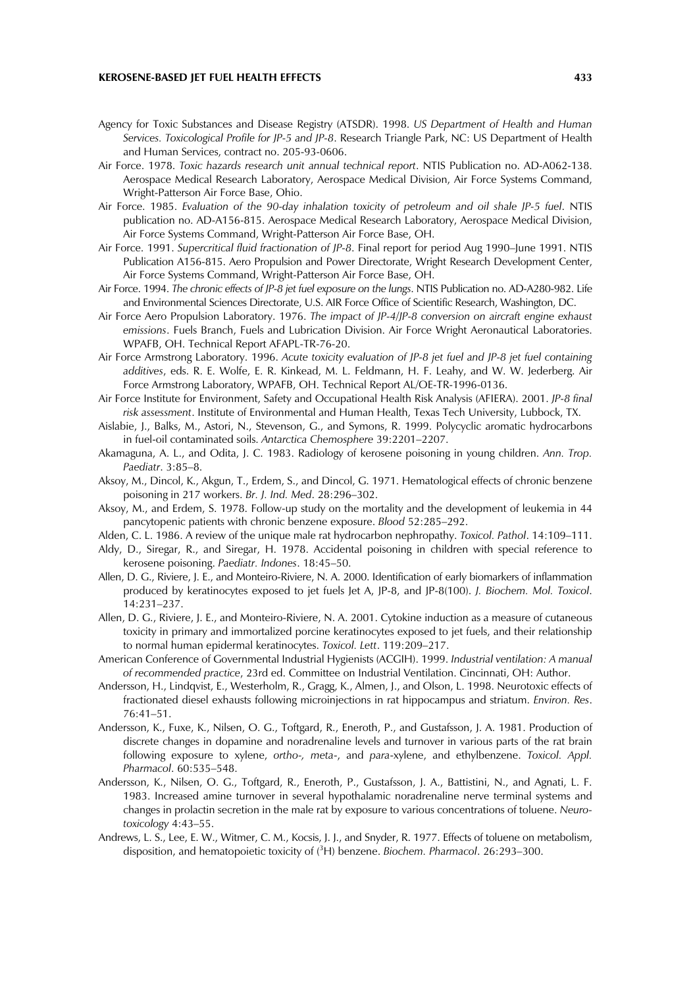- Agency for Toxic Substances and Disease Registry (ATSDR). 1998. *US Department of Health and Human Services. Toxicological Profile for JP-5 and JP-8*. Research Triangle Park, NC: US Department of Health and Human Services, contract no. 205-93-0606.
- Air Force. 1978. *Toxic hazards research unit annual technical report*. NTIS Publication no. AD-A062-138. Aerospace Medical Research Laboratory, Aerospace Medical Division, Air Force Systems Command, Wright-Patterson Air Force Base, Ohio.
- Air Force. 1985. *Evaluation of the 90-day inhalation toxicity of petroleum and oil shale JP-5 fuel*. NTIS publication no. AD-A156-815. Aerospace Medical Research Laboratory, Aerospace Medical Division, Air Force Systems Command, Wright-Patterson Air Force Base, OH.
- Air Force. 1991. *Supercritical fluid fractionation of JP-8*. Final report for period Aug 1990–June 1991. NTIS Publication A156-815. Aero Propulsion and Power Directorate, Wright Research Development Center, Air Force Systems Command, Wright-Patterson Air Force Base, OH.
- Air Force. 1994. *The chronic effects of JP-8 jet fuel exposure on the lungs*. NTIS Publication no. AD-A280-982. Life and Environmental Sciences Directorate, U.S. AIR Force Office of Scientific Research, Washington, DC.
- Air Force Aero Propulsion Laboratory. 1976. *The impact of JP-4/JP-8 conversion on aircraft engine exhaust emissions*. Fuels Branch, Fuels and Lubrication Division. Air Force Wright Aeronautical Laboratories. WPAFB, OH. Technical Report AFAPL-TR-76-20.
- Air Force Armstrong Laboratory. 1996. *Acute toxicity evaluation of JP-8 jet fuel and JP-8 jet fuel containing additives*, eds. R. E. Wolfe, E. R. Kinkead, M. L. Feldmann, H. F. Leahy, and W. W. Jederberg. Air Force Armstrong Laboratory, WPAFB, OH. Technical Report AL/OE-TR-1996-0136.
- Air Force Institute for Environment, Safety and Occupational Health Risk Analysis (AFIERA). 2001. *JP-8 final risk assessment*. Institute of Environmental and Human Health, Texas Tech University, Lubbock, TX.
- Aislabie, J., Balks, M., Astori, N., Stevenson, G., and Symons, R. 1999. Polycyclic aromatic hydrocarbons in fuel-oil contaminated soils. *Antarctica Chemosphere* 39:2201–2207.
- Akamaguna, A. L., and Odita, J. C. 1983. Radiology of kerosene poisoning in young children. *Ann. Trop. Paediatr*. 3:85–8.
- Aksoy, M., Dincol, K., Akgun, T., Erdem, S., and Dincol, G. 1971. Hematological effects of chronic benzene poisoning in 217 workers. *Br. J. Ind. Med*. 28:296–302.
- Aksoy, M., and Erdem, S. 1978. Follow-up study on the mortality and the development of leukemia in 44 pancytopenic patients with chronic benzene exposure. *Blood* 52:285–292.
- Alden, C. L. 1986. A review of the unique male rat hydrocarbon nephropathy. *Toxicol. Pathol*. 14:109–111.
- Aldy, D., Siregar, R., and Siregar, H. 1978. Accidental poisoning in children with special reference to kerosene poisoning. *Paediatr. Indones*. 18:45–50.
- Allen, D. G., Riviere, J. E., and Monteiro-Riviere, N. A. 2000. Identification of early biomarkers of inflammation produced by keratinocytes exposed to jet fuels Jet A, JP-8, and JP-8(100). *J. Biochem. Mol. Toxicol*. 14:231–237.
- Allen, D. G., Riviere, J. E., and Monteiro-Riviere, N. A. 2001. Cytokine induction as a measure of cutaneous toxicity in primary and immortalized porcine keratinocytes exposed to jet fuels, and their relationship to normal human epidermal keratinocytes. *Toxicol. Lett*. 119:209–217.
- American Conference of Governmental Industrial Hygienists (ACGIH). 1999. *Industrial ventilation: A manual of recommended practice*, 23rd ed. Committee on Industrial Ventilation. Cincinnati, OH: Author.
- Andersson, H., Lindqvist, E., Westerholm, R., Gragg, K., Almen, J., and Olson, L. 1998. Neurotoxic effects of fractionated diesel exhausts following microinjections in rat hippocampus and striatum. *Environ. Res*. 76:41–51.
- Andersson, K., Fuxe, K., Nilsen, O. G., Toftgard, R., Eneroth, P., and Gustafsson, J. A. 1981. Production of discrete changes in dopamine and noradrenaline levels and turnover in various parts of the rat brain following exposure to xylene, *ortho-, meta*-, and *para*-xylene, and ethylbenzene. *Toxicol. Appl. Pharmacol*. 60:535–548.
- Andersson, K., Nilsen, O. G., Toftgard, R., Eneroth, P., Gustafsson, J. A., Battistini, N., and Agnati, L. F. 1983. Increased amine turnover in several hypothalamic noradrenaline nerve terminal systems and changes in prolactin secretion in the male rat by exposure to various concentrations of toluene. *Neurotoxicology* 4:43–55.
- Andrews, L. S., Lee, E. W., Witmer, C. M., Kocsis, J. J., and Snyder, R. 1977. Effects of toluene on metabolism, disposition, and hematopoietic toxicity of (3 H) benzene. *Biochem. Pharmacol*. 26:293–300.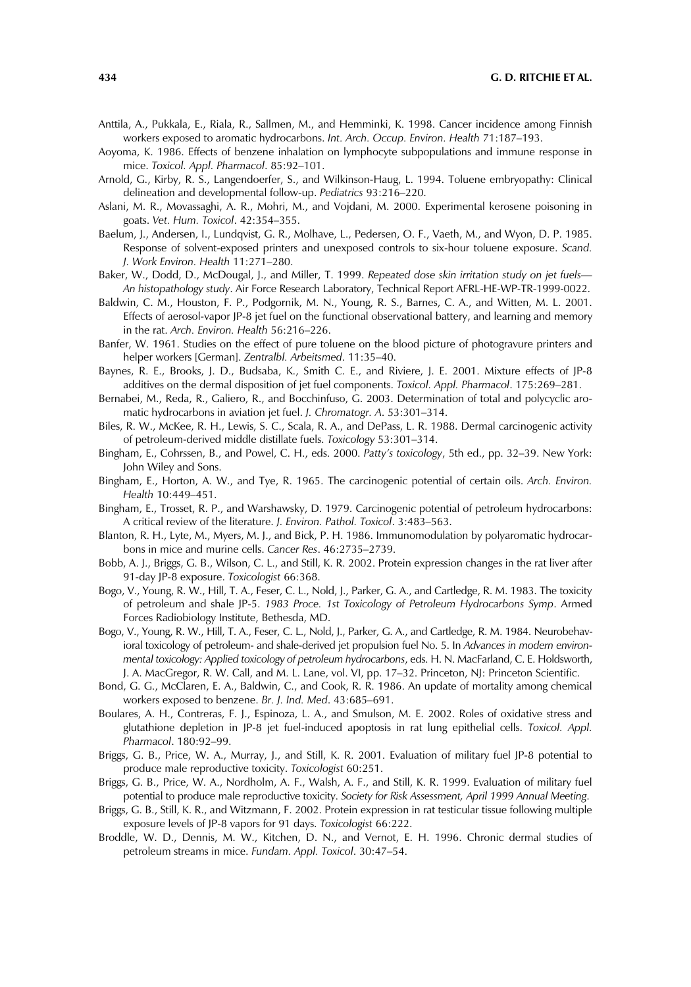- Anttila, A., Pukkala, E., Riala, R., Sallmen, M., and Hemminki, K. 1998. Cancer incidence among Finnish workers exposed to aromatic hydrocarbons. *Int. Arch. Occup. Environ. Health* 71:187–193.
- Aoyoma, K. 1986. Effects of benzene inhalation on lymphocyte subpopulations and immune response in mice. *Toxicol. Appl. Pharmacol*. 85:92–101.
- Arnold, G., Kirby, R. S., Langendoerfer, S., and Wilkinson-Haug, L. 1994. Toluene embryopathy: Clinical delineation and developmental follow-up. *Pediatrics* 93:216–220.
- Aslani, M. R., Movassaghi, A. R., Mohri, M., and Vojdani, M. 2000. Experimental kerosene poisoning in goats. *Vet. Hum. Toxicol*. 42:354–355.
- Baelum, J., Andersen, I., Lundqvist, G. R., Molhave, L., Pedersen, O. F., Vaeth, M., and Wyon, D. P. 1985. Response of solvent-exposed printers and unexposed controls to six-hour toluene exposure. *Scand. J. Work Environ. Health* 11:271–280.
- Baker, W., Dodd, D., McDougal, J., and Miller, T. 1999. *Repeated dose skin irritation study on jet fuels— An histopathology study*. Air Force Research Laboratory, Technical Report AFRL-HE-WP-TR-1999-0022.
- Baldwin, C. M., Houston, F. P., Podgornik, M. N., Young, R. S., Barnes, C. A., and Witten, M. L. 2001. Effects of aerosol-vapor JP-8 jet fuel on the functional observational battery, and learning and memory in the rat. *Arch. Environ. Health* 56:216–226.
- Banfer, W. 1961. Studies on the effect of pure toluene on the blood picture of photogravure printers and helper workers [German]. *Zentralbl. Arbeitsmed*. 11:35–40.
- Baynes, R. E., Brooks, J. D., Budsaba, K., Smith C. E., and Riviere, J. E. 2001. Mixture effects of JP-8 additives on the dermal disposition of jet fuel components. *Toxicol. Appl. Pharmacol*. 175:269–281.
- Bernabei, M., Reda, R., Galiero, R., and Bocchinfuso, G. 2003. Determination of total and polycyclic aromatic hydrocarbons in aviation jet fuel. *J. Chromatogr. A*. 53:301–314.
- Biles, R. W., McKee, R. H., Lewis, S. C., Scala, R. A., and DePass, L. R. 1988. Dermal carcinogenic activity of petroleum-derived middle distillate fuels. *Toxicology* 53:301–314.
- Bingham, E., Cohrssen, B., and Powel, C. H., eds. 2000. *Patty's toxicology*, 5th ed., pp. 32–39. New York: John Wiley and Sons.
- Bingham, E., Horton, A. W., and Tye, R. 1965. The carcinogenic potential of certain oils. *Arch. Environ. Health* 10:449–451.
- Bingham, E., Trosset, R. P., and Warshawsky, D. 1979. Carcinogenic potential of petroleum hydrocarbons: A critical review of the literature. *J. Environ. Pathol. Toxicol*. 3:483–563.
- Blanton, R. H., Lyte, M., Myers, M. J., and Bick, P. H. 1986. Immunomodulation by polyaromatic hydrocarbons in mice and murine cells. *Cancer Res*. 46:2735–2739.
- Bobb, A. J., Briggs, G. B., Wilson, C. L., and Still, K. R. 2002. Protein expression changes in the rat liver after 91-day JP-8 exposure. *Toxicologist* 66:368.
- Bogo, V., Young, R. W., Hill, T. A., Feser, C. L., Nold, J., Parker, G. A., and Cartledge, R. M. 1983. The toxicity of petroleum and shale JP-5. *1983 Proce. 1st Toxicology of Petroleum Hydrocarbons Symp*. Armed Forces Radiobiology Institute, Bethesda, MD.
- Bogo, V., Young, R. W., Hill, T. A., Feser, C. L., Nold, J., Parker, G. A., and Cartledge, R. M. 1984. Neurobehavioral toxicology of petroleum- and shale-derived jet propulsion fuel No. 5. In *Advances in modern environmental toxicology: Applied toxicology of petroleum hydrocarbons*, eds. H. N. MacFarland, C. E. Holdsworth, J. A. MacGregor, R. W. Call, and M. L. Lane, vol. VI, pp. 17–32. Princeton, NJ: Princeton Scientific.
- Bond, G. G., McClaren, E. A., Baldwin, C., and Cook, R. R. 1986. An update of mortality among chemical workers exposed to benzene. *Br. J. Ind. Med*. 43:685–691.
- Boulares, A. H., Contreras, F. J., Espinoza, L. A., and Smulson, M. E. 2002. Roles of oxidative stress and glutathione depletion in JP-8 jet fuel-induced apoptosis in rat lung epithelial cells. *Toxicol. Appl. Pharmacol*. 180:92–99.
- Briggs, G. B., Price, W. A., Murray, J., and Still, K. R. 2001. Evaluation of military fuel JP-8 potential to produce male reproductive toxicity. *Toxicologist* 60:251.
- Briggs, G. B., Price, W. A., Nordholm, A. F., Walsh, A. F., and Still, K. R. 1999. Evaluation of military fuel potential to produce male reproductive toxicity. *Society for Risk Assessment, April 1999 Annual Meeting*.
- Briggs, G. B., Still, K. R., and Witzmann, F. 2002. Protein expression in rat testicular tissue following multiple exposure levels of JP-8 vapors for 91 days. *Toxicologist* 66:222.
- Broddle, W. D., Dennis, M. W., Kitchen, D. N., and Vernot, E. H. 1996. Chronic dermal studies of petroleum streams in mice. *Fundam. Appl. Toxicol*. 30:47–54.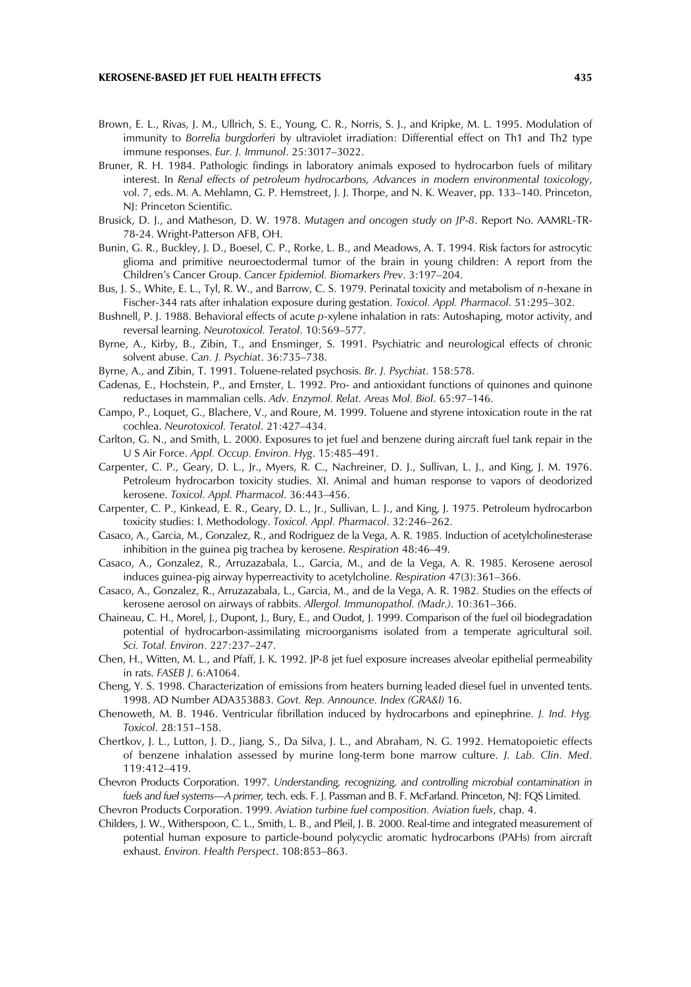- Brown, E. L., Rivas, J. M., Ullrich, S. E., Young, C. R., Norris, S. J., and Kripke, M. L. 1995. Modulation of immunity to *Borrelia burgdorferi* by ultraviolet irradiation: Differential effect on Th1 and Th2 type immune responses. *Eur. J. Immunol*. 25:3017–3022.
- Bruner, R. H. 1984. Pathologic findings in laboratory animals exposed to hydrocarbon fuels of military interest. In *Renal effects of petroleum hydrocarbons, Advances in modern environmental toxicology*, vol. 7, eds. M. A. Mehlamn, G. P. Hemstreet, J. J. Thorpe, and N. K. Weaver, pp. 133–140. Princeton, NJ: Princeton Scientific.
- Brusick, D. J., and Matheson, D. W. 1978. *Mutagen and oncogen study on JP-8*. Report No. AAMRL-TR-78-24. Wright-Patterson AFB, OH.
- Bunin, G. R., Buckley, J. D., Boesel, C. P., Rorke, L. B., and Meadows, A. T. 1994. Risk factors for astrocytic glioma and primitive neuroectodermal tumor of the brain in young children: A report from the Children's Cancer Group. *Cancer Epidemiol. Biomarkers Prev*. 3:197–204.
- Bus, J. S., White, E. L., Tyl, R. W., and Barrow, C. S. 1979. Perinatal toxicity and metabolism of *n*-hexane in Fischer-344 rats after inhalation exposure during gestation. *Toxicol. Appl. Pharmacol*. 51:295–302.
- Bushnell, P. J. 1988. Behavioral effects of acute *p*-xylene inhalation in rats: Autoshaping, motor activity, and reversal learning. *Neurotoxicol. Teratol*. 10:569–577.
- Byrne, A., Kirby, B., Zibin, T., and Ensminger, S. 1991. Psychiatric and neurological effects of chronic solvent abuse. *Can. J. Psychiat*. 36:735–738.
- Byrne, A., and Zibin, T. 1991. Toluene-related psychosis. *Br. J. Psychiat*. 158:578.
- Cadenas, E., Hochstein, P., and Ernster, L. 1992. Pro- and antioxidant functions of quinones and quinone reductases in mammalian cells. *Adv. Enzymol. Relat. Areas Mol. Biol*. 65:97–146.
- Campo, P., Loquet, G., Blachere, V., and Roure, M. 1999. Toluene and styrene intoxication route in the rat cochlea. *Neurotoxicol. Teratol*. 21:427–434.
- Carlton, G. N., and Smith, L. 2000. Exposures to jet fuel and benzene during aircraft fuel tank repair in the U S Air Force. *Appl. Occup. Environ. Hyg*. 15:485–491.
- Carpenter, C. P., Geary, D. L., Jr., Myers, R. C., Nachreiner, D. J., Sullivan, L. J., and King, J. M. 1976. Petroleum hydrocarbon toxicity studies. XI. Animal and human response to vapors of deodorized kerosene. *Toxicol. Appl. Pharmacol*. 36:443–456.
- Carpenter, C. P., Kinkead, E. R., Geary, D. L., Jr., Sullivan, L. J., and King, J. 1975. Petroleum hydrocarbon toxicity studies: I. Methodology. *Toxicol. Appl. Pharmacol*. 32:246–262.
- Casaco, A., Garcia, M., Gonzalez, R., and Rodriguez de la Vega, A. R. 1985. Induction of acetylcholinesterase inhibition in the guinea pig trachea by kerosene. *Respiration* 48:46–49.
- Casaco, A., Gonzalez, R., Arruzazabala, L., Garcia, M., and de la Vega, A. R. 1985. Kerosene aerosol induces guinea-pig airway hyperreactivity to acetylcholine. *Respiration* 47(3):361–366.
- Casaco, A., Gonzalez, R., Arruzazabala, L., Garcia, M., and de la Vega, A. R. 1982. Studies on the effects of kerosene aerosol on airways of rabbits. *Allergol. Immunopathol. (Madr.)*. 10:361–366.
- Chaineau, C. H., Morel, J., Dupont, J., Bury, E., and Oudot, J. 1999. Comparison of the fuel oil biodegradation potential of hydrocarbon-assimilating microorganisms isolated from a temperate agricultural soil. *Sci. Total. Environ*. 227:237–247.
- Chen, H., Witten, M. L., and Pfaff, J. K. 1992. JP-8 jet fuel exposure increases alveolar epithelial permeability in rats. *FASEB J*. 6:A1064.
- Cheng, Y. S. 1998. Characterization of emissions from heaters burning leaded diesel fuel in unvented tents. 1998. AD Number ADA353883. *Govt. Rep. Announce. Index (GRA&I)* 16.
- Chenoweth, M. B. 1946. Ventricular fibrillation induced by hydrocarbons and epinephrine. *J. Ind. Hyg. Toxicol*. 28:151–158.
- Chertkov, J. L., Lutton, J. D., Jiang, S., Da Silva, J. L., and Abraham, N. G. 1992. Hematopoietic effects of benzene inhalation assessed by murine long-term bone marrow culture. *J. Lab. Clin. Med*. 119:412–419.
- Chevron Products Corporation. 1997. *Understanding, recognizing, and controlling microbial contamination in fuels and fuel systems—A primer,* tech. eds. F. J. Passman and B. F. McFarland. Princeton, NJ: FQS Limited.
- Chevron Products Corporation. 1999. *Aviation turbine fuel composition. Aviation fuels*, chap. 4.
- Childers, J. W., Witherspoon, C. L., Smith, L. B., and Pleil, J. B. 2000. Real-time and integrated measurement of potential human exposure to particle-bound polycyclic aromatic hydrocarbons (PAHs) from aircraft exhaust. *Environ. Health Perspect*. 108:853–863.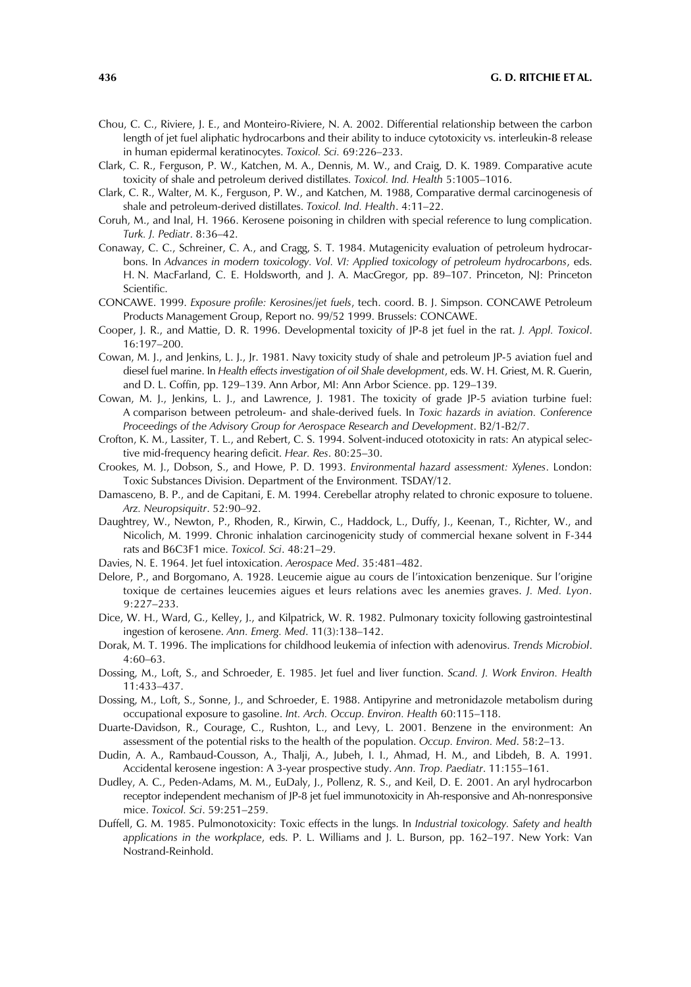- Chou, C. C., Riviere, J. E., and Monteiro-Riviere, N. A. 2002. Differential relationship between the carbon length of jet fuel aliphatic hydrocarbons and their ability to induce cytotoxicity vs. interleukin-8 release in human epidermal keratinocytes. *Toxicol. Sci.* 69:226–233.
- Clark, C. R., Ferguson, P. W., Katchen, M. A., Dennis, M. W., and Craig, D. K. 1989. Comparative acute toxicity of shale and petroleum derived distillates. *Toxicol. Ind. Health* 5:1005–1016.
- Clark, C. R., Walter, M. K., Ferguson, P. W., and Katchen, M. 1988, Comparative dermal carcinogenesis of shale and petroleum-derived distillates. *Toxicol. Ind. Health*. 4:11–22.
- Coruh, M., and Inal, H. 1966. Kerosene poisoning in children with special reference to lung complication. *Turk. J. Pediatr*. 8:36–42.
- Conaway, C. C., Schreiner, C. A., and Cragg, S. T. 1984. Mutagenicity evaluation of petroleum hydrocarbons. In *Advances in modern toxicology. Vol. VI: Applied toxicology of petroleum hydrocarbons*, eds. H. N. MacFarland, C. E. Holdsworth, and J. A. MacGregor, pp. 89–107. Princeton, NJ: Princeton Scientific.
- CONCAWE. 1999. *Exposure profile: Kerosines/jet fuels*, tech. coord. B. J. Simpson. CONCAWE Petroleum Products Management Group, Report no. 99/52 1999. Brussels: CONCAWE.
- Cooper, J. R., and Mattie, D. R. 1996. Developmental toxicity of JP-8 jet fuel in the rat. *J. Appl. Toxicol*. 16:197–200.
- Cowan, M. J., and Jenkins, L. J., Jr. 1981. Navy toxicity study of shale and petroleum JP-5 aviation fuel and diesel fuel marine. In *Health effects investigation of oil Shale development*, eds. W. H. Griest, M. R. Guerin, and D. L. Coffin, pp. 129–139. Ann Arbor, MI: Ann Arbor Science. pp. 129–139.
- Cowan, M. J., Jenkins, L. J., and Lawrence, J. 1981. The toxicity of grade JP-5 aviation turbine fuel: A comparison between petroleum- and shale-derived fuels. In *Toxic hazards in aviation. Conference Proceedings of the Advisory Group for Aerospace Research and Development*. B2/1-B2/7.
- Crofton, K. M., Lassiter, T. L., and Rebert, C. S. 1994. Solvent-induced ototoxicity in rats: An atypical selective mid-frequency hearing deficit. *Hear. Res*. 80:25–30.
- Crookes, M. J., Dobson, S., and Howe, P. D. 1993. *Environmental hazard assessment: Xylenes*. London: Toxic Substances Division. Department of the Environment. TSDAY/12.
- Damasceno, B. P., and de Capitani, E. M. 1994. Cerebellar atrophy related to chronic exposure to toluene. *Arz. Neuropsiquitr*. 52:90–92.
- Daughtrey, W., Newton, P., Rhoden, R., Kirwin, C., Haddock, L., Duffy, J., Keenan, T., Richter, W., and Nicolich, M. 1999. Chronic inhalation carcinogenicity study of commercial hexane solvent in F-344 rats and B6C3F1 mice. *Toxicol. Sci*. 48:21–29.
- Davies, N. E. 1964. Jet fuel intoxication. *Aerospace Med*. 35:481–482.
- Delore, P., and Borgomano, A. 1928. Leucemie aigue au cours de l'intoxication benzenique. Sur l'origine toxique de certaines leucemies aigues et leurs relations avec les anemies graves. *J. Med. Lyon*. 9:227–233.
- Dice, W. H., Ward, G., Kelley, J., and Kilpatrick, W. R. 1982. Pulmonary toxicity following gastrointestinal ingestion of kerosene. *Ann. Emerg. Med*. 11(3):138–142.
- Dorak, M. T. 1996. The implications for childhood leukemia of infection with adenovirus. *Trends Microbiol*. 4:60–63.
- Dossing, M., Loft, S., and Schroeder, E. 1985. Jet fuel and liver function. *Scand. J. Work Environ. Health* 11:433–437.
- Dossing, M., Loft, S., Sonne, J., and Schroeder, E. 1988. Antipyrine and metronidazole metabolism during occupational exposure to gasoline. *Int. Arch. Occup. Environ. Health* 60:115–118.
- Duarte-Davidson, R., Courage, C., Rushton, L., and Levy, L. 2001. Benzene in the environment: An assessment of the potential risks to the health of the population. *Occup. Environ. Med*. 58:2–13.
- Dudin, A. A., Rambaud-Cousson, A., Thalji, A., Jubeh, I. I., Ahmad, H. M., and Libdeh, B. A. 1991. Accidental kerosene ingestion: A 3-year prospective study. *Ann. Trop. Paediatr*. 11:155–161.
- Dudley, A. C., Peden-Adams, M. M., EuDaly, J., Pollenz, R. S., and Keil, D. E. 2001. An aryl hydrocarbon receptor independent mechanism of JP-8 jet fuel immunotoxicity in Ah-responsive and Ah-nonresponsive mice. *Toxicol. Sci*. 59:251–259.
- Duffell, G. M. 1985. Pulmonotoxicity: Toxic effects in the lungs. In *Industrial toxicology. Safety and health applications in the workplace*, eds. P. L. Williams and J. L. Burson, pp. 162–197. New York: Van Nostrand-Reinhold.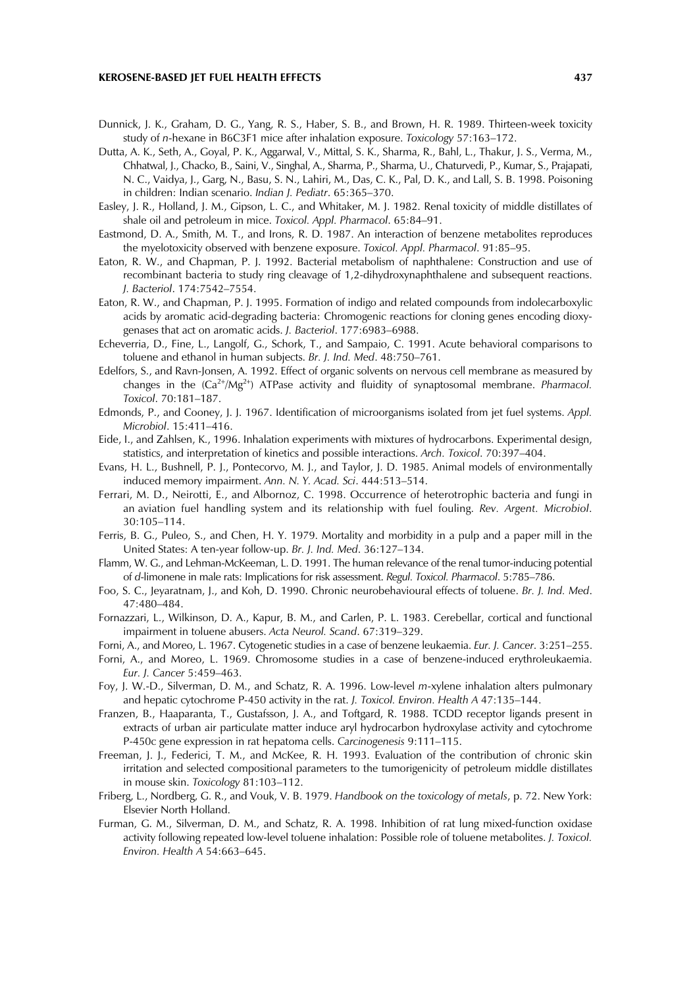- Dunnick, J. K., Graham, D. G., Yang, R. S., Haber, S. B., and Brown, H. R. 1989. Thirteen-week toxicity study of *n*-hexane in B6C3F1 mice after inhalation exposure. *Toxicology* 57:163–172.
- Dutta, A. K., Seth, A., Goyal, P. K., Aggarwal, V., Mittal, S. K., Sharma, R., Bahl, L., Thakur, J. S., Verma, M., Chhatwal, J., Chacko, B., Saini, V., Singhal, A., Sharma, P., Sharma, U., Chaturvedi, P., Kumar, S., Prajapati, N. C., Vaidya, J., Garg, N., Basu, S. N., Lahiri, M., Das, C. K., Pal, D. K., and Lall, S. B. 1998. Poisoning in children: Indian scenario. *Indian J. Pediatr*. 65:365–370.
- Easley, J. R., Holland, J. M., Gipson, L. C., and Whitaker, M. J. 1982. Renal toxicity of middle distillates of shale oil and petroleum in mice. *Toxicol. Appl. Pharmacol*. 65:84–91.
- Eastmond, D. A., Smith, M. T., and Irons, R. D. 1987. An interaction of benzene metabolites reproduces the myelotoxicity observed with benzene exposure. *Toxicol. Appl. Pharmacol*. 91:85–95.
- Eaton, R. W., and Chapman, P. J. 1992. Bacterial metabolism of naphthalene: Construction and use of recombinant bacteria to study ring cleavage of 1,2-dihydroxynaphthalene and subsequent reactions. *J. Bacteriol*. 174:7542–7554.
- Eaton, R. W., and Chapman, P. J. 1995. Formation of indigo and related compounds from indolecarboxylic acids by aromatic acid-degrading bacteria: Chromogenic reactions for cloning genes encoding dioxygenases that act on aromatic acids. *J. Bacteriol*. 177:6983–6988.
- Echeverria, D., Fine, L., Langolf, G., Schork, T., and Sampaio, C. 1991. Acute behavioral comparisons to toluene and ethanol in human subjects. *Br. J. Ind. Med*. 48:750–761.
- Edelfors, S., and Ravn-Jonsen, A. 1992. Effect of organic solvents on nervous cell membrane as measured by changes in the  $(Ca^{2+}/Mg^{2+})$  ATPase activity and fluidity of synaptosomal membrane. *Pharmacol*. *Toxicol*. 70:181–187.
- Edmonds, P., and Cooney, J. J. 1967. Identification of microorganisms isolated from jet fuel systems. *Appl. Microbiol*. 15:411–416.
- Eide, I., and Zahlsen, K., 1996. Inhalation experiments with mixtures of hydrocarbons. Experimental design, statistics, and interpretation of kinetics and possible interactions. *Arch. Toxicol*. 70:397–404.
- Evans, H. L., Bushnell, P. J., Pontecorvo, M. J., and Taylor, J. D. 1985. Animal models of environmentally induced memory impairment. *Ann. N. Y. Acad. Sci*. 444:513–514.
- Ferrari, M. D., Neirotti, E., and Albornoz, C. 1998. Occurrence of heterotrophic bacteria and fungi in an aviation fuel handling system and its relationship with fuel fouling. *Rev. Argent. Microbiol*. 30:105–114.
- Ferris, B. G., Puleo, S., and Chen, H. Y. 1979. Mortality and morbidity in a pulp and a paper mill in the United States: A ten-year follow-up. *Br. J. Ind. Med*. 36:127–134.
- Flamm, W. G., and Lehman-McKeeman, L. D. 1991. The human relevance of the renal tumor-inducing potential of *d*-limonene in male rats: Implications for risk assessment. *Regul. Toxicol. Pharmacol*. 5:785–786.
- Foo, S. C., Jeyaratnam, J., and Koh, D. 1990. Chronic neurobehavioural effects of toluene. *Br. J. Ind. Med*. 47:480–484.
- Fornazzari, L., Wilkinson, D. A., Kapur, B. M., and Carlen, P. L. 1983. Cerebellar, cortical and functional impairment in toluene abusers. *Acta Neurol. Scand*. 67:319–329.
- Forni, A., and Moreo, L. 1967. Cytogenetic studies in a case of benzene leukaemia. *Eur. J. Cancer*. 3:251–255.
- Forni, A., and Moreo, L. 1969. Chromosome studies in a case of benzene-induced erythroleukaemia. *Eur. J. Cancer* 5:459–463.
- Foy, J. W.-D., Silverman, D. M., and Schatz, R. A. 1996. Low-level *m*-xylene inhalation alters pulmonary and hepatic cytochrome P-450 activity in the rat. *J. Toxicol. Environ. Health A* 47:135–144.
- Franzen, B., Haaparanta, T., Gustafsson, J. A., and Toftgard, R. 1988. TCDD receptor ligands present in extracts of urban air particulate matter induce aryl hydrocarbon hydroxylase activity and cytochrome P-450c gene expression in rat hepatoma cells. *Carcinogenesis* 9:111–115.
- Freeman, J. J., Federici, T. M., and McKee, R. H. 1993. Evaluation of the contribution of chronic skin irritation and selected compositional parameters to the tumorigenicity of petroleum middle distillates in mouse skin. *Toxicology* 81:103–112.
- Friberg, L., Nordberg, G. R., and Vouk, V. B. 1979. *Handbook on the toxicology of metals*, p. 72. New York: Elsevier North Holland.
- Furman, G. M., Silverman, D. M., and Schatz, R. A. 1998. Inhibition of rat lung mixed-function oxidase activity following repeated low-level toluene inhalation: Possible role of toluene metabolites. *J. Toxicol. Environ. Health A* 54:663–645.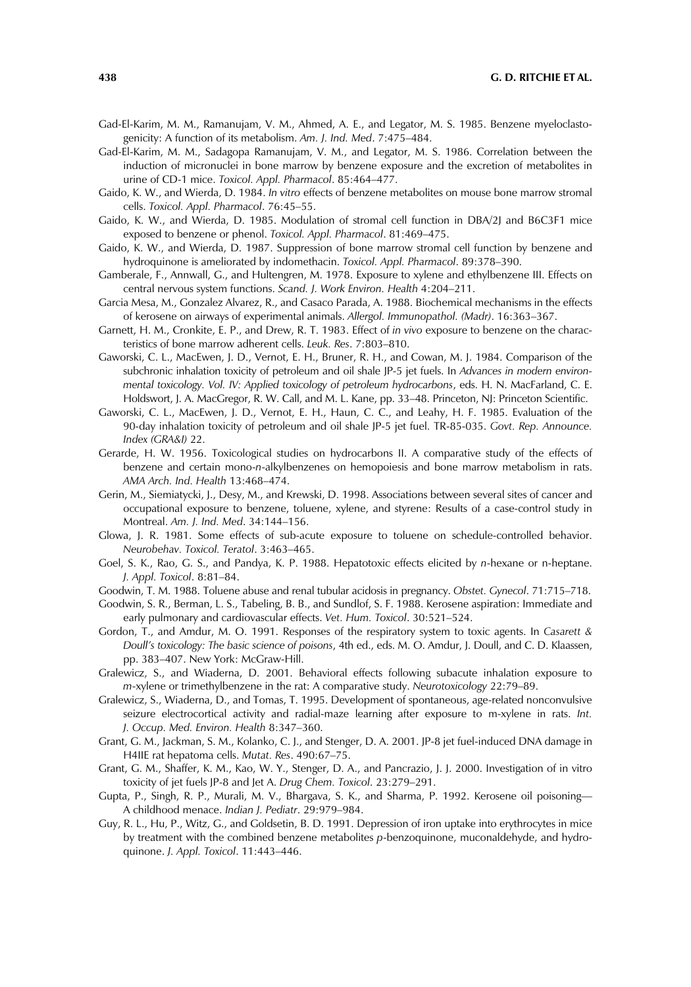- Gad-El-Karim, M. M., Ramanujam, V. M., Ahmed, A. E., and Legator, M. S. 1985. Benzene myeloclastogenicity: A function of its metabolism. *Am. J. Ind. Med*. 7:475–484.
- Gad-El-Karim, M. M., Sadagopa Ramanujam, V. M., and Legator, M. S. 1986. Correlation between the induction of micronuclei in bone marrow by benzene exposure and the excretion of metabolites in urine of CD-1 mice. *Toxicol. Appl. Pharmacol*. 85:464–477.
- Gaido, K. W., and Wierda, D. 1984. *In vitro* effects of benzene metabolites on mouse bone marrow stromal cells. *Toxicol. Appl. Pharmacol*. 76:45–55.
- Gaido, K. W., and Wierda, D. 1985. Modulation of stromal cell function in DBA/2J and B6C3F1 mice exposed to benzene or phenol. *Toxicol. Appl. Pharmacol*. 81:469–475.
- Gaido, K. W., and Wierda, D. 1987. Suppression of bone marrow stromal cell function by benzene and hydroquinone is ameliorated by indomethacin. *Toxicol. Appl. Pharmacol*. 89:378–390.
- Gamberale, F., Annwall, G., and Hultengren, M. 1978. Exposure to xylene and ethylbenzene III. Effects on central nervous system functions. *Scand. J. Work Environ. Health* 4:204–211.
- Garcia Mesa, M., Gonzalez Alvarez, R., and Casaco Parada, A. 1988. Biochemical mechanisms in the effects of kerosene on airways of experimental animals. *Allergol. Immunopathol. (Madr)*. 16:363–367.
- Garnett, H. M., Cronkite, E. P., and Drew, R. T. 1983. Effect of *in vivo* exposure to benzene on the characteristics of bone marrow adherent cells. *Leuk. Res*. 7:803–810.
- Gaworski, C. L., MacEwen, J. D., Vernot, E. H., Bruner, R. H., and Cowan, M. J. 1984. Comparison of the subchronic inhalation toxicity of petroleum and oil shale JP-5 jet fuels. In *Advances in modern environmental toxicology. Vol. IV: Applied toxicology of petroleum hydrocarbons*, eds. H. N. MacFarland, C. E. Holdswort, J. A. MacGregor, R. W. Call, and M. L. Kane, pp. 33–48. Princeton, NJ: Princeton Scientific.
- Gaworski, C. L., MacEwen, J. D., Vernot, E. H., Haun, C. C., and Leahy, H. F. 1985. Evaluation of the 90-day inhalation toxicity of petroleum and oil shale JP-5 jet fuel. TR-85-035. *Govt. Rep. Announce. Index (GRA&I)* 22.
- Gerarde, H. W. 1956. Toxicological studies on hydrocarbons II. A comparative study of the effects of benzene and certain mono-*n*-alkylbenzenes on hemopoiesis and bone marrow metabolism in rats. *AMA Arch. Ind. Health* 13:468–474.
- Gerin, M., Siemiatycki, J., Desy, M., and Krewski, D. 1998. Associations between several sites of cancer and occupational exposure to benzene, toluene, xylene, and styrene: Results of a case-control study in Montreal. *Am. J. Ind. Med*. 34:144–156.
- Glowa, J. R. 1981. Some effects of sub-acute exposure to toluene on schedule-controlled behavior. *Neurobehav. Toxicol. Teratol*. 3:463–465.
- Goel, S. K., Rao, G. S., and Pandya, K. P. 1988. Hepatotoxic effects elicited by *n*-hexane or n-heptane. *J. Appl. Toxicol*. 8:81–84.
- Goodwin, T. M. 1988. Toluene abuse and renal tubular acidosis in pregnancy. *Obstet. Gynecol*. 71:715–718.
- Goodwin, S. R., Berman, L. S., Tabeling, B. B., and Sundlof, S. F. 1988. Kerosene aspiration: Immediate and early pulmonary and cardiovascular effects. *Vet. Hum. Toxicol*. 30:521–524.
- Gordon, T., and Amdur, M. O. 1991. Responses of the respiratory system to toxic agents. In *Casarett & Doull's toxicology: The basic science of poisons*, 4th ed., eds. M. O. Amdur, J. Doull, and C. D. Klaassen, pp. 383–407. New York: McGraw-Hill.
- Gralewicz, S., and Wiaderna, D. 2001. Behavioral effects following subacute inhalation exposure to *m*-xylene or trimethylbenzene in the rat: A comparative study. *Neurotoxicology* 22:79–89.
- Gralewicz, S., Wiaderna, D., and Tomas, T. 1995. Development of spontaneous, age-related nonconvulsive seizure electrocortical activity and radial-maze learning after exposure to m-xylene in rats. *Int. J. Occup. Med. Environ. Health* 8:347–360.
- Grant, G. M., Jackman, S. M., Kolanko, C. J., and Stenger, D. A. 2001. JP-8 jet fuel-induced DNA damage in H4IIE rat hepatoma cells. *Mutat. Res*. 490:67–75.
- Grant, G. M., Shaffer, K. M., Kao, W. Y., Stenger, D. A., and Pancrazio, J. J. 2000. Investigation of in vitro toxicity of jet fuels JP-8 and Jet A. *Drug Chem. Toxicol*. 23:279–291.
- Gupta, P., Singh, R. P., Murali, M. V., Bhargava, S. K., and Sharma, P. 1992. Kerosene oil poisoning— A childhood menace. *Indian J. Pediatr*. 29:979–984.
- Guy, R. L., Hu, P., Witz, G., and Goldsetin, B. D. 1991. Depression of iron uptake into erythrocytes in mice by treatment with the combined benzene metabolites *p*-benzoquinone, muconaldehyde, and hydroquinone. *J. Appl. Toxicol*. 11:443–446.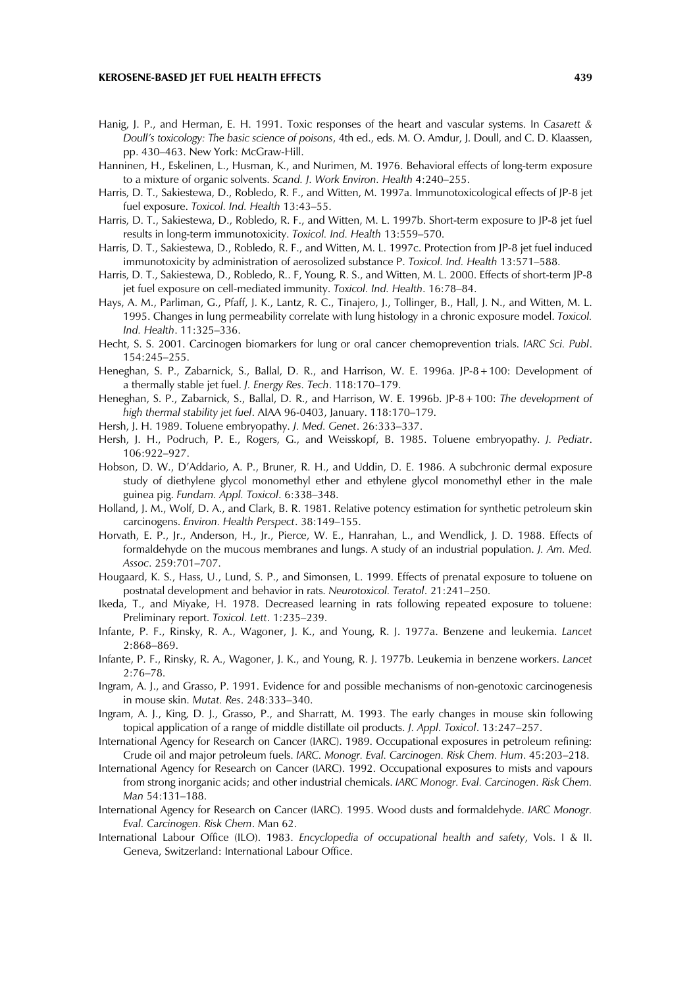- Hanig, J. P., and Herman, E. H. 1991. Toxic responses of the heart and vascular systems. In *Casarett & Doull's toxicology: The basic science of poisons*, 4th ed., eds. M. O. Amdur, J. Doull, and C. D. Klaassen, pp. 430–463. New York: McGraw-Hill.
- Hanninen, H., Eskelinen, L., Husman, K., and Nurimen, M. 1976. Behavioral effects of long-term exposure to a mixture of organic solvents. *Scand. J. Work Environ. Health* 4:240–255.
- Harris, D. T., Sakiestewa, D., Robledo, R. F., and Witten, M. 1997a. Immunotoxicological effects of JP-8 jet fuel exposure. *Toxicol. Ind. Health* 13:43–55.
- Harris, D. T., Sakiestewa, D., Robledo, R. F., and Witten, M. L. 1997b. Short-term exposure to JP-8 jet fuel results in long-term immunotoxicity. *Toxicol. Ind. Health* 13:559–570.
- Harris, D. T., Sakiestewa, D., Robledo, R. F., and Witten, M. L. 1997c. Protection from JP-8 jet fuel induced immunotoxicity by administration of aerosolized substance P. *Toxicol. Ind. Health* 13:571–588.
- Harris, D. T., Sakiestewa, D., Robledo, R.. F, Young, R. S., and Witten, M. L. 2000. Effects of short-term JP-8 jet fuel exposure on cell-mediated immunity. *Toxicol. Ind. Health*. 16:78–84.
- Hays, A. M., Parliman, G., Pfaff, J. K., Lantz, R. C., Tinajero, J., Tollinger, B., Hall, J. N., and Witten, M. L. 1995. Changes in lung permeability correlate with lung histology in a chronic exposure model. *Toxicol. Ind. Health*. 11:325–336.
- Hecht, S. S. 2001. Carcinogen biomarkers for lung or oral cancer chemoprevention trials. *IARC Sci. Publ*. 154:245–255.
- Heneghan, S. P., Zabarnick, S., Ballal, D. R., and Harrison, W. E. 1996a. JP-8 + 100: Development of a thermally stable jet fuel. *J. Energy Res. Tech*. 118:170–179.
- Heneghan, S. P., Zabarnick, S., Ballal, D. R., and Harrison, W. E. 1996b. JP-8 + 100: *The development of high thermal stability jet fuel*. AIAA 96-0403, January. 118:170–179.
- Hersh, J. H. 1989. Toluene embryopathy. *J. Med. Genet*. 26:333–337.
- Hersh, J. H., Podruch, P. E., Rogers, G., and Weisskopf, B. 1985. Toluene embryopathy. *J. Pediatr*. 106:922–927.
- Hobson, D. W., D'Addario, A. P., Bruner, R. H., and Uddin, D. E. 1986. A subchronic dermal exposure study of diethylene glycol monomethyl ether and ethylene glycol monomethyl ether in the male guinea pig. *Fundam. Appl. Toxicol*. 6:338–348.
- Holland, J. M., Wolf, D. A., and Clark, B. R. 1981. Relative potency estimation for synthetic petroleum skin carcinogens. *Environ. Health Perspect*. 38:149–155.
- Horvath, E. P., Jr., Anderson, H., Jr., Pierce, W. E., Hanrahan, L., and Wendlick, J. D. 1988. Effects of formaldehyde on the mucous membranes and lungs. A study of an industrial population. *J. Am. Med. Assoc*. 259:701–707.
- Hougaard, K. S., Hass, U., Lund, S. P., and Simonsen, L. 1999. Effects of prenatal exposure to toluene on postnatal development and behavior in rats. *Neurotoxicol. Teratol*. 21:241–250.
- Ikeda, T., and Miyake, H. 1978. Decreased learning in rats following repeated exposure to toluene: Preliminary report. *Toxicol. Lett*. 1:235–239.
- Infante, P. F., Rinsky, R. A., Wagoner, J. K., and Young, R. J. 1977a. Benzene and leukemia. *Lancet* 2:868–869.
- Infante, P. F., Rinsky, R. A., Wagoner, J. K., and Young, R. J. 1977b. Leukemia in benzene workers. *Lancet* 2:76–78.
- Ingram, A. J., and Grasso, P. 1991. Evidence for and possible mechanisms of non-genotoxic carcinogenesis in mouse skin. *Mutat. Res*. 248:333–340.
- Ingram, A. J., King, D. J., Grasso, P., and Sharratt, M. 1993. The early changes in mouse skin following topical application of a range of middle distillate oil products. *J. Appl. Toxicol*. 13:247–257.
- International Agency for Research on Cancer (IARC). 1989. Occupational exposures in petroleum refining: Crude oil and major petroleum fuels. *IARC. Monogr. Eval. Carcinogen. Risk Chem. Hum*. 45:203–218.
- International Agency for Research on Cancer (IARC). 1992. Occupational exposures to mists and vapours from strong inorganic acids; and other industrial chemicals. *IARC Monogr. Eval. Carcinogen. Risk Chem. Man* 54:131–188.
- International Agency for Research on Cancer (IARC). 1995. Wood dusts and formaldehyde. *IARC Monogr. Eval. Carcinogen. Risk Chem*. Man 62.
- International Labour Office (ILO). 1983. *Encyclopedia of occupational health and safety*, Vols. I & II. Geneva, Switzerland: International Labour Office.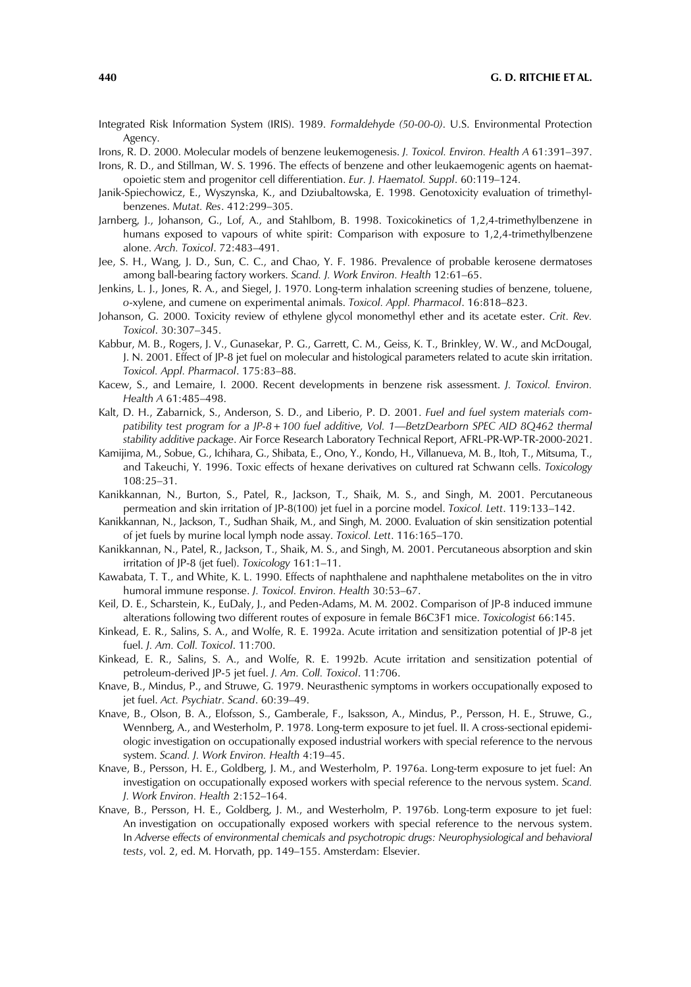- Integrated Risk Information System (IRIS). 1989. *Formaldehyde (50-00-0)*. U.S. Environmental Protection Agency.
- Irons, R. D. 2000. Molecular models of benzene leukemogenesis. *J. Toxicol. Environ. Health A* 61:391–397.
- Irons, R. D., and Stillman, W. S. 1996. The effects of benzene and other leukaemogenic agents on haematopoietic stem and progenitor cell differentiation. *Eur. J. Haematol. Suppl*. 60:119–124.
- Janik-Spiechowicz, E., Wyszynska, K., and Dziubaltowska, E. 1998. Genotoxicity evaluation of trimethylbenzenes. *Mutat. Res*. 412:299–305.
- Jarnberg, J., Johanson, G., Lof, A., and Stahlbom, B. 1998. Toxicokinetics of 1,2,4-trimethylbenzene in humans exposed to vapours of white spirit: Comparison with exposure to 1,2,4-trimethylbenzene alone. *Arch. Toxicol*. 72:483–491.
- Jee, S. H., Wang, J. D., Sun, C. C., and Chao, Y. F. 1986. Prevalence of probable kerosene dermatoses among ball-bearing factory workers. *Scand. J. Work Environ. Health* 12:61–65.
- Jenkins, L. J., Jones, R. A., and Siegel, J. 1970. Long-term inhalation screening studies of benzene, toluene, *o*-xylene, and cumene on experimental animals. *Toxicol. Appl. Pharmacol*. 16:818–823.
- Johanson, G. 2000. Toxicity review of ethylene glycol monomethyl ether and its acetate ester. *Crit. Rev. Toxicol*. 30:307–345.
- Kabbur, M. B., Rogers, J. V., Gunasekar, P. G., Garrett, C. M., Geiss, K. T., Brinkley, W. W., and McDougal, J. N. 2001. Effect of JP-8 jet fuel on molecular and histological parameters related to acute skin irritation. *Toxicol. Appl. Pharmacol*. 175:83–88.
- Kacew, S., and Lemaire, I. 2000. Recent developments in benzene risk assessment. *J. Toxicol. Environ. Health A* 61:485–498.
- Kalt, D. H., Zabarnick, S., Anderson, S. D., and Liberio, P. D. 2001. *Fuel and fuel system materials compatibility test program for a JP-8 + 100 fuel additive, Vol. 1—BetzDearborn SPEC AID 8Q462 thermal stability additive package*. Air Force Research Laboratory Technical Report, AFRL-PR-WP-TR-2000-2021.
- Kamijima, M., Sobue, G., Ichihara, G., Shibata, E., Ono, Y., Kondo, H., Villanueva, M. B., Itoh, T., Mitsuma, T., and Takeuchi, Y. 1996. Toxic effects of hexane derivatives on cultured rat Schwann cells. *Toxicology* 108:25–31.
- Kanikkannan, N., Burton, S., Patel, R., Jackson, T., Shaik, M. S., and Singh, M. 2001. Percutaneous permeation and skin irritation of JP-8(100) jet fuel in a porcine model. *Toxicol. Lett*. 119:133–142.
- Kanikkannan, N., Jackson, T., Sudhan Shaik, M., and Singh, M. 2000. Evaluation of skin sensitization potential of jet fuels by murine local lymph node assay. *Toxicol. Lett*. 116:165–170.
- Kanikkannan, N., Patel, R., Jackson, T., Shaik, M. S., and Singh, M. 2001. Percutaneous absorption and skin irritation of JP-8 (jet fuel). *Toxicology* 161:1–11.
- Kawabata, T. T., and White, K. L. 1990. Effects of naphthalene and naphthalene metabolites on the in vitro humoral immune response. *J. Toxicol. Environ. Health* 30:53–67.
- Keil, D. E., Scharstein, K., EuDaly, J., and Peden-Adams, M. M. 2002. Comparison of JP-8 induced immune alterations following two different routes of exposure in female B6C3F1 mice. *Toxicologist* 66:145.
- Kinkead, E. R., Salins, S. A., and Wolfe, R. E. 1992a. Acute irritation and sensitization potential of JP-8 jet fuel. *J. Am. Coll. Toxicol*. 11:700.
- Kinkead, E. R., Salins, S. A., and Wolfe, R. E. 1992b. Acute irritation and sensitization potential of petroleum-derived JP-5 jet fuel. *J. Am. Coll. Toxicol*. 11:706.
- Knave, B., Mindus, P., and Struwe, G. 1979. Neurasthenic symptoms in workers occupationally exposed to jet fuel. *Act. Psychiatr. Scand*. 60:39–49.
- Knave, B., Olson, B. A., Elofsson, S., Gamberale, F., Isaksson, A., Mindus, P., Persson, H. E., Struwe, G., Wennberg, A., and Westerholm, P. 1978. Long-term exposure to jet fuel. II. A cross-sectional epidemiologic investigation on occupationally exposed industrial workers with special reference to the nervous system. *Scand. J. Work Environ. Health* 4:19–45.
- Knave, B., Persson, H. E., Goldberg, J. M., and Westerholm, P. 1976a. Long-term exposure to jet fuel: An investigation on occupationally exposed workers with special reference to the nervous system. *Scand. J. Work Environ. Health* 2:152–164.
- Knave, B., Persson, H. E., Goldberg, J. M., and Westerholm, P. 1976b. Long-term exposure to jet fuel: An investigation on occupationally exposed workers with special reference to the nervous system. In *Adverse effects of environmental chemicals and psychotropic drugs: Neurophysiological and behavioral tests*, vol. 2, ed. M. Horvath, pp. 149–155. Amsterdam: Elsevier.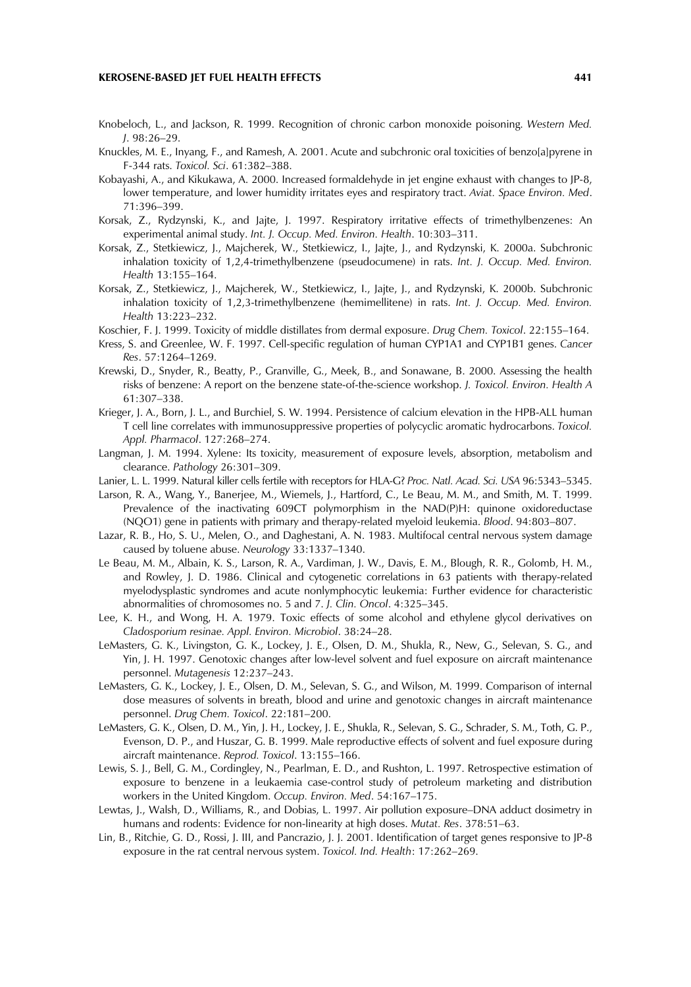- Knobeloch, L., and Jackson, R. 1999. Recognition of chronic carbon monoxide poisoning. *Western Med. J*. 98:26–29.
- Knuckles, M. E., Inyang, F., and Ramesh, A. 2001. Acute and subchronic oral toxicities of benzo[a]pyrene in F-344 rats. *Toxicol. Sci*. 61:382–388.
- Kobayashi, A., and Kikukawa, A. 2000. Increased formaldehyde in jet engine exhaust with changes to JP-8, lower temperature, and lower humidity irritates eyes and respiratory tract. *Aviat. Space Environ. Med*. 71:396–399.
- Korsak, Z., Rydzynski, K., and Jajte, J. 1997. Respiratory irritative effects of trimethylbenzenes: An experimental animal study. *Int. J. Occup. Med. Environ. Health*. 10:303–311.
- Korsak, Z., Stetkiewicz, J., Majcherek, W., Stetkiewicz, I., Jajte, J., and Rydzynski, K. 2000a. Subchronic inhalation toxicity of 1,2,4-trimethylbenzene (pseudocumene) in rats. *Int. J. Occup. Med. Environ. Health* 13:155–164.
- Korsak, Z., Stetkiewicz, J., Majcherek, W., Stetkiewicz, I., Jajte, J., and Rydzynski, K. 2000b. Subchronic inhalation toxicity of 1,2,3-trimethylbenzene (hemimellitene) in rats. *Int. J. Occup. Med. Environ. Health* 13:223–232.
- Koschier, F. J. 1999. Toxicity of middle distillates from dermal exposure. *Drug Chem. Toxicol*. 22:155–164.
- Kress, S. and Greenlee, W. F. 1997. Cell-specific regulation of human CYP1A1 and CYP1B1 genes. *Cancer Res*. 57:1264–1269.
- Krewski, D., Snyder, R., Beatty, P., Granville, G., Meek, B., and Sonawane, B. 2000. Assessing the health risks of benzene: A report on the benzene state-of-the-science workshop. *J. Toxicol. Environ. Health A* 61:307–338.
- Krieger, J. A., Born, J. L., and Burchiel, S. W. 1994. Persistence of calcium elevation in the HPB-ALL human T cell line correlates with immunosuppressive properties of polycyclic aromatic hydrocarbons. *Toxicol. Appl. Pharmacol*. 127:268–274.
- Langman, J. M. 1994. Xylene: Its toxicity, measurement of exposure levels, absorption, metabolism and clearance. *Pathology* 26:301–309.
- Lanier, L. L. 1999. Natural killer cells fertile with receptors for HLA-G? *Proc. Natl. Acad. Sci. USA* 96:5343–5345.
- Larson, R. A., Wang, Y., Banerjee, M., Wiemels, J., Hartford, C., Le Beau, M. M., and Smith, M. T. 1999. Prevalence of the inactivating 609CT polymorphism in the NAD(P)H: quinone oxidoreductase (NQO1) gene in patients with primary and therapy-related myeloid leukemia. *Blood*. 94:803–807.
- Lazar, R. B., Ho, S. U., Melen, O., and Daghestani, A. N. 1983. Multifocal central nervous system damage caused by toluene abuse. *Neurology* 33:1337–1340.
- Le Beau, M. M., Albain, K. S., Larson, R. A., Vardiman, J. W., Davis, E. M., Blough, R. R., Golomb, H. M., and Rowley, J. D. 1986. Clinical and cytogenetic correlations in 63 patients with therapy-related myelodysplastic syndromes and acute nonlymphocytic leukemia: Further evidence for characteristic abnormalities of chromosomes no. 5 and 7. *J. Clin. Oncol*. 4:325–345.
- Lee, K. H., and Wong, H. A. 1979. Toxic effects of some alcohol and ethylene glycol derivatives on *Cladosporium resinae. Appl. Environ. Microbiol*. 38:24–28.
- LeMasters, G. K., Livingston, G. K., Lockey, J. E., Olsen, D. M., Shukla, R., New, G., Selevan, S. G., and Yin, J. H. 1997. Genotoxic changes after low-level solvent and fuel exposure on aircraft maintenance personnel. *Mutagenesis* 12:237–243.
- LeMasters, G. K., Lockey, J. E., Olsen, D. M., Selevan, S. G., and Wilson, M. 1999. Comparison of internal dose measures of solvents in breath, blood and urine and genotoxic changes in aircraft maintenance personnel. *Drug Chem. Toxicol*. 22:181–200.
- LeMasters, G. K., Olsen, D. M., Yin, J. H., Lockey, J. E., Shukla, R., Selevan, S. G., Schrader, S. M., Toth, G. P., Evenson, D. P., and Huszar, G. B. 1999. Male reproductive effects of solvent and fuel exposure during aircraft maintenance. *Reprod. Toxicol*. 13:155–166.
- Lewis, S. J., Bell, G. M., Cordingley, N., Pearlman, E. D., and Rushton, L. 1997. Retrospective estimation of exposure to benzene in a leukaemia case-control study of petroleum marketing and distribution workers in the United Kingdom. *Occup. Environ. Med*. 54:167–175.
- Lewtas, J., Walsh, D., Williams, R., and Dobias, L. 1997. Air pollution exposure–DNA adduct dosimetry in humans and rodents: Evidence for non-linearity at high doses. *Mutat. Res*. 378:51–63.
- Lin, B., Ritchie, G. D., Rossi, J. III, and Pancrazio, J. J. 2001. Identification of target genes responsive to JP-8 exposure in the rat central nervous system. *Toxicol. Ind. Health*: 17:262–269.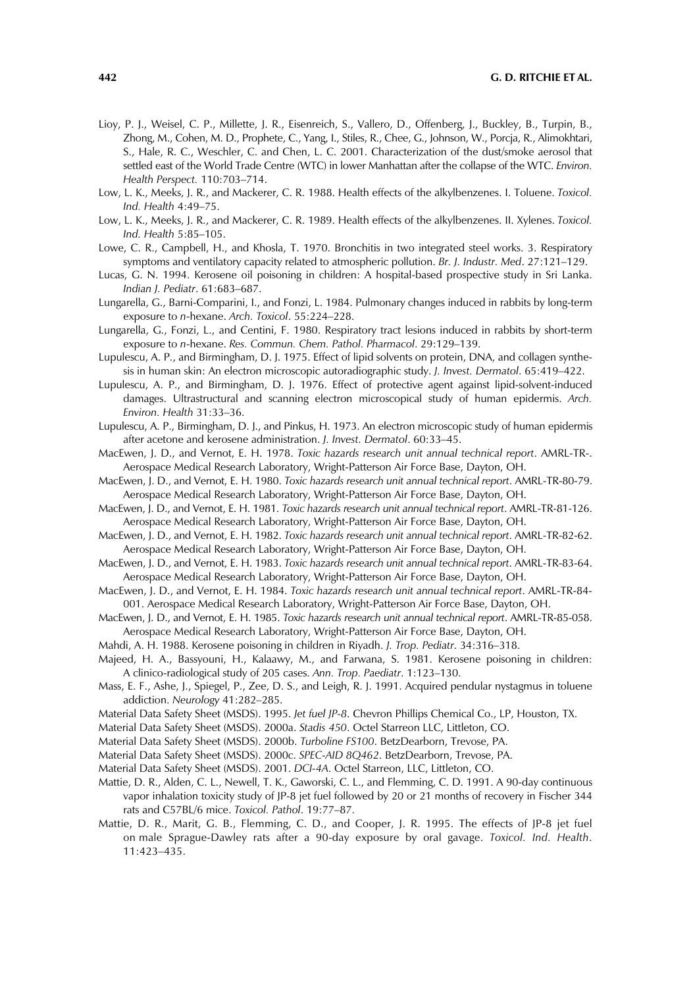### **442 G. D. RITCHIE ET AL.**

- Lioy, P. J., Weisel, C. P., Millette, J. R., Eisenreich, S., Vallero, D., Offenberg, J., Buckley, B., Turpin, B., Zhong, M., Cohen, M. D., Prophete, C., Yang, I., Stiles, R., Chee, G., Johnson, W., Porcja, R., Alimokhtari, S., Hale, R. C., Weschler, C. and Chen, L. C. 2001. Characterization of the dust/smoke aerosol that settled east of the World Trade Centre (WTC) in lower Manhattan after the collapse of the WTC. *Environ. Health Perspect.* 110:703–714.
- Low, L. K., Meeks, J. R., and Mackerer, C. R. 1988. Health effects of the alkylbenzenes. I. Toluene. *Toxicol. Ind. Health* 4:49–75.
- Low, L. K., Meeks, J. R., and Mackerer, C. R. 1989. Health effects of the alkylbenzenes. II. Xylenes. *Toxicol. Ind. Health* 5:85–105.
- Lowe, C. R., Campbell, H., and Khosla, T. 1970. Bronchitis in two integrated steel works. 3. Respiratory symptoms and ventilatory capacity related to atmospheric pollution. *Br. J. Industr. Med*. 27:121–129.
- Lucas, G. N. 1994. Kerosene oil poisoning in children: A hospital-based prospective study in Sri Lanka. *Indian J. Pediatr*. 61:683–687.
- Lungarella, G., Barni-Comparini, I., and Fonzi, L. 1984. Pulmonary changes induced in rabbits by long-term exposure to *n*-hexane. *Arch. Toxicol*. 55:224–228.
- Lungarella, G., Fonzi, L., and Centini, F. 1980. Respiratory tract lesions induced in rabbits by short-term exposure to *n*-hexane. *Res. Commun. Chem. Pathol. Pharmacol*. 29:129–139.
- Lupulescu, A. P., and Birmingham, D. J. 1975. Effect of lipid solvents on protein, DNA, and collagen synthesis in human skin: An electron microscopic autoradiographic study. *J. Invest. Dermatol*. 65:419–422.
- Lupulescu, A. P., and Birmingham, D. J. 1976. Effect of protective agent against lipid-solvent-induced damages. Ultrastructural and scanning electron microscopical study of human epidermis. *Arch. Environ. Health* 31:33–36.
- Lupulescu, A. P., Birmingham, D. J., and Pinkus, H. 1973. An electron microscopic study of human epidermis after acetone and kerosene administration. *J. Invest. Dermatol*. 60:33–45.
- MacEwen, J. D., and Vernot, E. H. 1978. *Toxic hazards research unit annual technical report*. AMRL-TR-. Aerospace Medical Research Laboratory, Wright-Patterson Air Force Base, Dayton, OH.
- MacEwen, J. D., and Vernot, E. H. 1980. *Toxic hazards research unit annual technical report*. AMRL-TR-80-79. Aerospace Medical Research Laboratory, Wright-Patterson Air Force Base, Dayton, OH.
- MacEwen, J. D., and Vernot, E. H. 1981. *Toxic hazards research unit annual technical report*. AMRL-TR-81-126. Aerospace Medical Research Laboratory, Wright-Patterson Air Force Base, Dayton, OH.
- MacEwen, J. D., and Vernot, E. H. 1982. *Toxic hazards research unit annual technical report*. AMRL-TR-82-62. Aerospace Medical Research Laboratory, Wright-Patterson Air Force Base, Dayton, OH.
- MacEwen, J. D., and Vernot, E. H. 1983. *Toxic hazards research unit annual technical report*. AMRL-TR-83-64. Aerospace Medical Research Laboratory, Wright-Patterson Air Force Base, Dayton, OH.
- MacEwen, J. D., and Vernot, E. H. 1984. *Toxic hazards research unit annual technical report*. AMRL-TR-84- 001. Aerospace Medical Research Laboratory, Wright-Patterson Air Force Base, Dayton, OH.
- MacEwen, J. D., and Vernot, E. H. 1985. *Toxic hazards research unit annual technical report*. AMRL-TR-85-058. Aerospace Medical Research Laboratory, Wright-Patterson Air Force Base, Dayton, OH.
- Mahdi, A. H. 1988. Kerosene poisoning in children in Riyadh. *J. Trop. Pediatr*. 34:316–318.
- Majeed, H. A., Bassyouni, H., Kalaawy, M., and Farwana, S. 1981. Kerosene poisoning in children: A clinico-radiological study of 205 cases. *Ann. Trop. Paediatr*. 1:123–130.
- Mass, E. F., Ashe, J., Spiegel, P., Zee, D. S., and Leigh, R. J. 1991. Acquired pendular nystagmus in toluene addiction. *Neurology* 41:282–285.
- Material Data Safety Sheet (MSDS). 1995. *Jet fuel JP-8*. Chevron Phillips Chemical Co., LP, Houston, TX.
- Material Data Safety Sheet (MSDS). 2000a. *Stadis 450*. Octel Starreon LLC, Littleton, CO.
- Material Data Safety Sheet (MSDS). 2000b. *Turboline FS100*. BetzDearborn, Trevose, PA.
- Material Data Safety Sheet (MSDS). 2000c. *SPEC-AID 8Q462*. BetzDearborn, Trevose, PA.
- Material Data Safety Sheet (MSDS). 2001. *DCI-4A*. Octel Starreon, LLC, Littleton, CO.
- Mattie, D. R., Alden, C. L., Newell, T. K., Gaworski, C. L., and Flemming, C. D. 1991. A 90-day continuous vapor inhalation toxicity study of JP-8 jet fuel followed by 20 or 21 months of recovery in Fischer 344 rats and C57BL/6 mice. *Toxicol. Pathol*. 19:77–87.
- Mattie, D. R., Marit, G. B., Flemming, C. D., and Cooper, J. R. 1995. The effects of JP-8 jet fuel on male Sprague-Dawley rats after a 90-day exposure by oral gavage. *Toxicol. Ind. Health*. 11:423–435.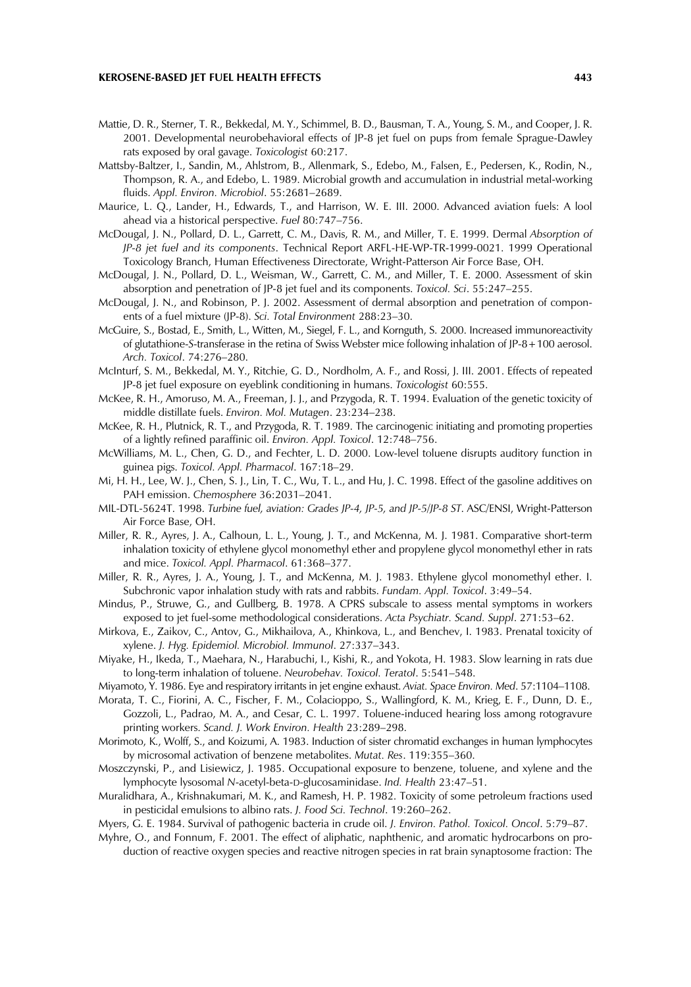- Mattie, D. R., Sterner, T. R., Bekkedal, M. Y., Schimmel, B. D., Bausman, T. A., Young, S. M., and Cooper, J. R. 2001. Developmental neurobehavioral effects of JP-8 jet fuel on pups from female Sprague-Dawley rats exposed by oral gavage. *Toxicologist* 60:217.
- Mattsby-Baltzer, I., Sandin, M., Ahlstrom, B., Allenmark, S., Edebo, M., Falsen, E., Pedersen, K., Rodin, N., Thompson, R. A., and Edebo, L. 1989. Microbial growth and accumulation in industrial metal-working fluids. *Appl. Environ. Microbiol*. 55:2681–2689.
- Maurice, L. Q., Lander, H., Edwards, T., and Harrison, W. E. III. 2000. Advanced aviation fuels: A lool ahead via a historical perspective. *Fuel* 80:747–756.
- McDougal, J. N., Pollard, D. L., Garrett, C. M., Davis, R. M., and Miller, T. E. 1999. Dermal *Absorption of JP-8 jet fuel and its components*. Technical Report ARFL-HE-WP-TR-1999-0021. 1999 Operational Toxicology Branch, Human Effectiveness Directorate, Wright-Patterson Air Force Base, OH.
- McDougal, J. N., Pollard, D. L., Weisman, W., Garrett, C. M., and Miller, T. E. 2000. Assessment of skin absorption and penetration of JP-8 jet fuel and its components. *Toxicol. Sci*. 55:247–255.
- McDougal, J. N., and Robinson, P. J. 2002. Assessment of dermal absorption and penetration of components of a fuel mixture (JP-8). *Sci. Total Environment* 288:23–30.
- McGuire, S., Bostad, E., Smith, L., Witten, M., Siegel, F. L., and Kornguth, S. 2000. Increased immunoreactivity of glutathione-*S*-transferase in the retina of Swiss Webster mice following inhalation of JP-8 + 100 aerosol. *Arch. Toxicol*. 74:276–280.
- McInturf, S. M., Bekkedal, M. Y., Ritchie, G. D., Nordholm, A. F., and Rossi, J. III. 2001. Effects of repeated JP-8 jet fuel exposure on eyeblink conditioning in humans. *Toxicologist* 60:555.
- McKee, R. H., Amoruso, M. A., Freeman, J. J., and Przygoda, R. T. 1994. Evaluation of the genetic toxicity of middle distillate fuels. *Environ. Mol. Mutagen*. 23:234–238.
- McKee, R. H., Plutnick, R. T., and Przygoda, R. T. 1989. The carcinogenic initiating and promoting properties of a lightly refined paraffinic oil. *Environ. Appl. Toxicol*. 12:748–756.
- McWilliams, M. L., Chen, G. D., and Fechter, L. D. 2000. Low-level toluene disrupts auditory function in guinea pigs. *Toxicol. Appl. Pharmacol*. 167:18–29.
- Mi, H. H., Lee, W. J., Chen, S. J., Lin, T. C., Wu, T. L., and Hu, J. C. 1998. Effect of the gasoline additives on PAH emission. *Chemosphere* 36:2031–2041.
- MIL-DTL-5624T. 1998. *Turbine fuel, aviation: Grades JP-4, JP-5, and JP-5/JP-8 ST*. ASC/ENSI, Wright-Patterson Air Force Base, OH.
- Miller, R. R., Ayres, J. A., Calhoun, L. L., Young, J. T., and McKenna, M. J. 1981. Comparative short-term inhalation toxicity of ethylene glycol monomethyl ether and propylene glycol monomethyl ether in rats and mice. *Toxicol. Appl. Pharmacol*. 61:368–377.
- Miller, R. R., Ayres, J. A., Young, J. T., and McKenna, M. J. 1983. Ethylene glycol monomethyl ether. I. Subchronic vapor inhalation study with rats and rabbits. *Fundam. Appl. Toxicol*. 3:49–54.
- Mindus, P., Struwe, G., and Gullberg, B. 1978. A CPRS subscale to assess mental symptoms in workers exposed to jet fuel-some methodological considerations. *Acta Psychiatr. Scand. Suppl*. 271:53–62.
- Mirkova, E., Zaikov, C., Antov, G., Mikhailova, A., Khinkova, L., and Benchev, I. 1983. Prenatal toxicity of xylene. *J. Hyg. Epidemiol. Microbiol. Immunol*. 27:337–343.
- Miyake, H., Ikeda, T., Maehara, N., Harabuchi, I., Kishi, R., and Yokota, H. 1983. Slow learning in rats due to long-term inhalation of toluene. *Neurobehav. Toxicol. Teratol*. 5:541–548.
- Miyamoto, Y. 1986. Eye and respiratory irritants in jet engine exhaust. *Aviat. Space Environ. Med*. 57:1104–1108.
- Morata, T. C., Fiorini, A. C., Fischer, F. M., Colacioppo, S., Wallingford, K. M., Krieg, E. F., Dunn, D. E., Gozzoli, L., Padrao, M. A., and Cesar, C. L. 1997. Toluene-induced hearing loss among rotogravure printing workers. *Scand. J. Work Environ. Health* 23:289–298.
- Morimoto, K., Wolff, S., and Koizumi, A. 1983. Induction of sister chromatid exchanges in human lymphocytes by microsomal activation of benzene metabolites. *Mutat. Res*. 119:355–360.
- Moszczynski, P., and Lisiewicz, J. 1985. Occupational exposure to benzene, toluene, and xylene and the lymphocyte lysosomal *N*-acetyl-beta-D-glucosaminidase. *Ind. Health* 23:47–51.
- Muralidhara, A., Krishnakumari, M. K., and Ramesh, H. P. 1982. Toxicity of some petroleum fractions used in pesticidal emulsions to albino rats. *J. Food Sci. Technol*. 19:260–262.

Myers, G. E. 1984. Survival of pathogenic bacteria in crude oil. *J. Environ. Pathol. Toxicol. Oncol*. 5:79–87.

Myhre, O., and Fonnum, F. 2001. The effect of aliphatic, naphthenic, and aromatic hydrocarbons on production of reactive oxygen species and reactive nitrogen species in rat brain synaptosome fraction: The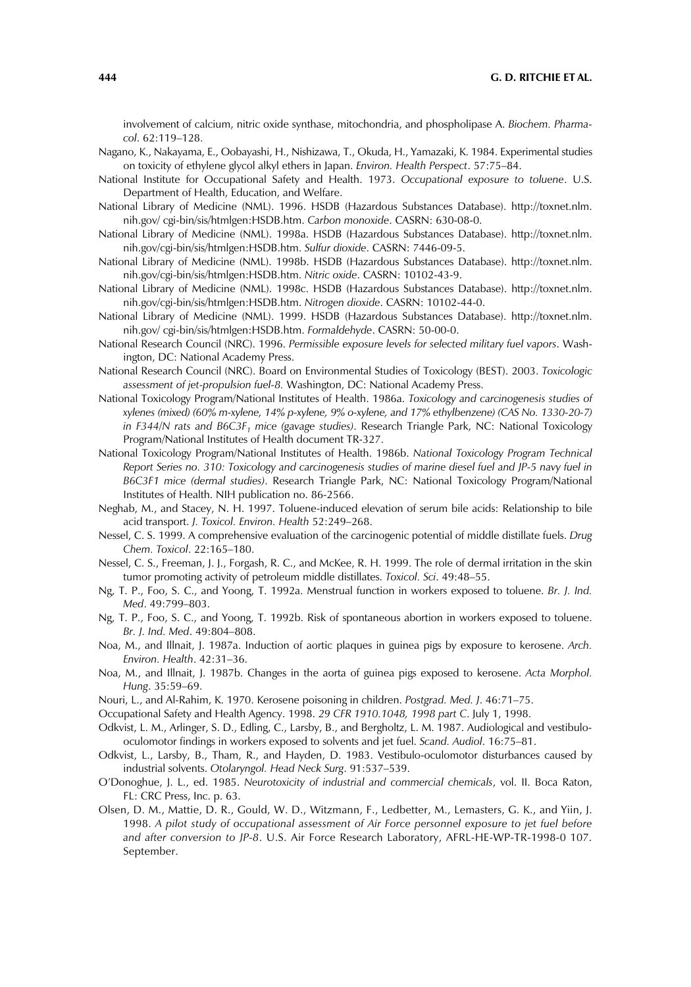involvement of calcium, nitric oxide synthase, mitochondria, and phospholipase A. *Biochem. Pharmacol*. 62:119–128.

- Nagano, K., Nakayama, E., Oobayashi, H., Nishizawa, T., Okuda, H., Yamazaki, K. 1984. Experimental studies on toxicity of ethylene glycol alkyl ethers in Japan. *Environ. Health Perspect*. 57:75–84.
- National Institute for Occupational Safety and Health. 1973. *Occupational exposure to toluene*. U.S. Department of Health, Education, and Welfare.
- National Library of Medicine (NML). 1996. HSDB (Hazardous Substances Database). http://toxnet.nlm. nih.gov/ cgi-bin/sis/htmlgen:HSDB.htm. *Carbon monoxide*. CASRN: 630-08-0.
- National Library of Medicine (NML). 1998a. HSDB (Hazardous Substances Database). http://toxnet.nlm. nih.gov/cgi-bin/sis/htmlgen:HSDB.htm. *Sulfur dioxide*. CASRN: 7446-09-5.
- National Library of Medicine (NML). 1998b. HSDB (Hazardous Substances Database). http://toxnet.nlm. nih.gov/cgi-bin/sis/htmlgen:HSDB.htm. *Nitric oxide*. CASRN: 10102-43-9.
- National Library of Medicine (NML). 1998c. HSDB (Hazardous Substances Database). http://toxnet.nlm. nih.gov/cgi-bin/sis/htmlgen:HSDB.htm. *Nitrogen dioxide*. CASRN: 10102-44-0.
- National Library of Medicine (NML). 1999. HSDB (Hazardous Substances Database). http://toxnet.nlm. nih.gov/ cgi-bin/sis/htmlgen:HSDB.htm. *Formaldehyde*. CASRN: 50-00-0.
- National Research Council (NRC). 1996. *Permissible exposure levels for selected military fuel vapors*. Washington, DC: National Academy Press.
- National Research Council (NRC). Board on Environmental Studies of Toxicology (BEST). 2003. *Toxicologic assessment of jet-propulsion fuel-8.* Washington, DC: National Academy Press.
- National Toxicology Program/National Institutes of Health. 1986a. *Toxicology and carcinogenesis studies of xylenes (mixed) (60% m-xylene, 14% p-xylene, 9% o-xylene, and 17% ethylbenzene) (CAS No. 1330-20-7)* in F344/N rats and B6C3F<sub>1</sub> mice (gavage studies). Research Triangle Park, NC: National Toxicology Program/National Institutes of Health document TR-327.
- National Toxicology Program/National Institutes of Health. 1986b. *National Toxicology Program Technical Report Series no. 310: Toxicology and carcinogenesis studies of marine diesel fuel and JP-5 navy fuel in B6C3F1 mice (dermal studies)*. Research Triangle Park, NC: National Toxicology Program/National Institutes of Health. NIH publication no. 86-2566.
- Neghab, M., and Stacey, N. H. 1997. Toluene-induced elevation of serum bile acids: Relationship to bile acid transport. *J. Toxicol. Environ. Health* 52:249–268.
- Nessel, C. S. 1999. A comprehensive evaluation of the carcinogenic potential of middle distillate fuels. *Drug Chem. Toxicol*. 22:165–180.
- Nessel, C. S., Freeman, J. J., Forgash, R. C., and McKee, R. H. 1999. The role of dermal irritation in the skin tumor promoting activity of petroleum middle distillates. *Toxicol. Sci*. 49:48–55.
- Ng, T. P., Foo, S. C., and Yoong, T. 1992a. Menstrual function in workers exposed to toluene. *Br. J. Ind. Med*. 49:799–803.
- Ng, T. P., Foo, S. C., and Yoong, T. 1992b. Risk of spontaneous abortion in workers exposed to toluene. *Br. J. Ind. Med*. 49:804–808.
- Noa, M., and Illnait, J. 1987a. Induction of aortic plaques in guinea pigs by exposure to kerosene. *Arch. Environ. Health*. 42:31–36.
- Noa, M., and Illnait, J. 1987b. Changes in the aorta of guinea pigs exposed to kerosene. *Acta Morphol. Hung*. 35:59–69.

Nouri, L., and Al-Rahim, K. 1970. Kerosene poisoning in children. *Postgrad. Med. J*. 46:71–75.

Occupational Safety and Health Agency. 1998. *29 CFR 1910.1048, 1998 part C*. July 1, 1998.

- Odkvist, L. M., Arlinger, S. D., Edling, C., Larsby, B., and Bergholtz, L. M. 1987. Audiological and vestibulooculomotor findings in workers exposed to solvents and jet fuel. *Scand. Audiol*. 16:75–81.
- Odkvist, L., Larsby, B., Tham, R., and Hayden, D. 1983. Vestibulo-oculomotor disturbances caused by industrial solvents. *Otolaryngol. Head Neck Surg*. 91:537–539.
- O'Donoghue, J. L., ed. 1985. *Neurotoxicity of industrial and commercial chemicals*, vol. II. Boca Raton, FL: CRC Press, Inc. p. 63.
- Olsen, D. M., Mattie, D. R., Gould, W. D., Witzmann, F., Ledbetter, M., Lemasters, G. K., and Yiin, J. 1998. *A pilot study of occupational assessment of Air Force personnel exposure to jet fuel before and after conversion to JP-8*. U.S. Air Force Research Laboratory, AFRL-HE-WP-TR-1998-0 107. September.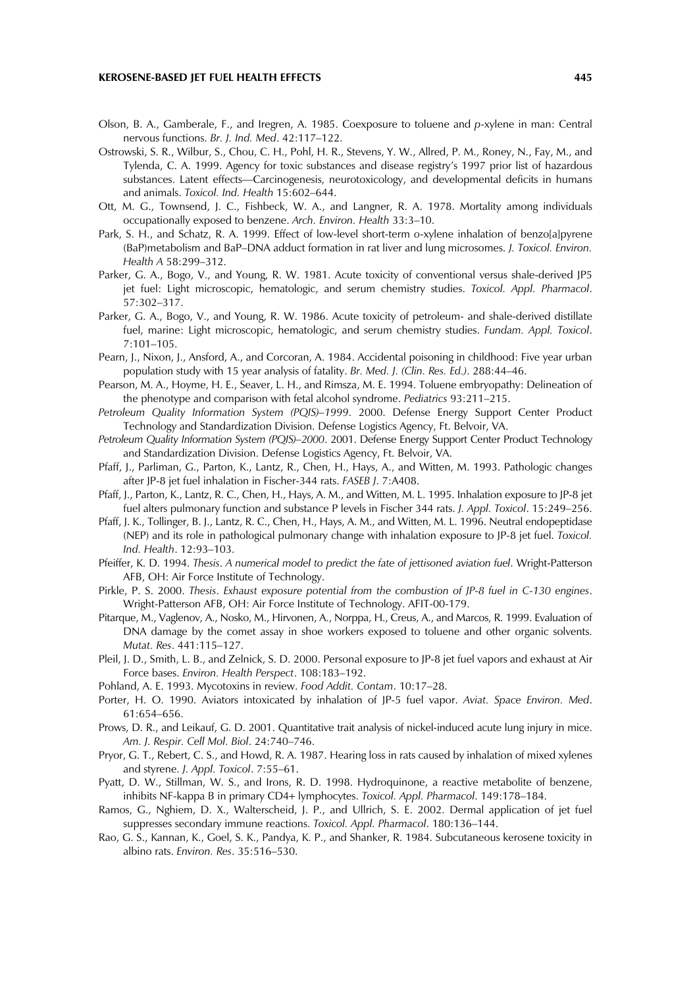- Olson, B. A., Gamberale, F., and Iregren, A. 1985. Coexposure to toluene and *p*-xylene in man: Central nervous functions. *Br. J. Ind. Med*. 42:117–122.
- Ostrowski, S. R., Wilbur, S., Chou, C. H., Pohl, H. R., Stevens, Y. W., Allred, P. M., Roney, N., Fay, M., and Tylenda, C. A. 1999. Agency for toxic substances and disease registry's 1997 prior list of hazardous substances. Latent effects—Carcinogenesis, neurotoxicology, and developmental deficits in humans and animals. *Toxicol. Ind. Health* 15:602–644.
- Ott, M. G., Townsend, J. C., Fishbeck, W. A., and Langner, R. A. 1978. Mortality among individuals occupationally exposed to benzene. *Arch. Environ. Health* 33:3–10.
- Park, S. H., and Schatz, R. A. 1999. Effect of low-level short-term *o*-xylene inhalation of benzo[a]pyrene (BaP)metabolism and BaP–DNA adduct formation in rat liver and lung microsomes. *J. Toxicol. Environ. Health A* 58:299–312.
- Parker, G. A., Bogo, V., and Young, R. W. 1981. Acute toxicity of conventional versus shale-derived JP5 jet fuel: Light microscopic, hematologic, and serum chemistry studies. *Toxicol. Appl. Pharmacol*. 57:302–317.
- Parker, G. A., Bogo, V., and Young, R. W. 1986. Acute toxicity of petroleum- and shale-derived distillate fuel, marine: Light microscopic, hematologic, and serum chemistry studies. *Fundam. Appl. Toxicol*. 7:101–105.
- Pearn, J., Nixon, J., Ansford, A., and Corcoran, A. 1984. Accidental poisoning in childhood: Five year urban population study with 15 year analysis of fatality. *Br. Med. J. (Clin. Res. Ed.)*. 288:44–46.
- Pearson, M. A., Hoyme, H. E., Seaver, L. H., and Rimsza, M. E. 1994. Toluene embryopathy: Delineation of the phenotype and comparison with fetal alcohol syndrome. *Pediatrics* 93:211–215.
- *Petroleum Quality Information System (PQIS)–1999*. 2000. Defense Energy Support Center Product Technology and Standardization Division. Defense Logistics Agency, Ft. Belvoir, VA.
- *Petroleum Quality Information System (PQIS)–2000*. 2001. Defense Energy Support Center Product Technology and Standardization Division. Defense Logistics Agency, Ft. Belvoir, VA.
- Pfaff, J., Parliman, G., Parton, K., Lantz, R., Chen, H., Hays, A., and Witten, M. 1993. Pathologic changes after JP-8 jet fuel inhalation in Fischer-344 rats. *FASEB J*. 7:A408.
- Pfaff, J., Parton, K., Lantz, R. C., Chen, H., Hays, A. M., and Witten, M. L. 1995. Inhalation exposure to JP-8 jet fuel alters pulmonary function and substance P levels in Fischer 344 rats. *J. Appl. Toxicol*. 15:249–256.
- Pfaff, J. K., Tollinger, B. J., Lantz, R. C., Chen, H., Hays, A. M., and Witten, M. L. 1996. Neutral endopeptidase (NEP) and its role in pathological pulmonary change with inhalation exposure to JP-8 jet fuel. *Toxicol. Ind. Health*. 12:93–103.
- Pfeiffer, K. D. 1994. *Thesis*. *A numerical model to predict the fate of jettisoned aviation fuel*. Wright-Patterson AFB, OH: Air Force Institute of Technology.
- Pirkle, P. S. 2000. *Thesis*. *Exhaust exposure potential from the combustion of JP-8 fuel in C-130 engines*. Wright-Patterson AFB, OH: Air Force Institute of Technology. AFIT-00-179.
- Pitarque, M., Vaglenov, A., Nosko, M., Hirvonen, A., Norppa, H., Creus, A., and Marcos, R. 1999. Evaluation of DNA damage by the comet assay in shoe workers exposed to toluene and other organic solvents. *Mutat. Res*. 441:115–127.
- Pleil, J. D., Smith, L. B., and Zelnick, S. D. 2000. Personal exposure to JP-8 jet fuel vapors and exhaust at Air Force bases. *Environ. Health Perspect*. 108:183–192.
- Pohland, A. E. 1993. Mycotoxins in review. *Food Addit. Contam*. 10:17–28.
- Porter, H. O. 1990. Aviators intoxicated by inhalation of JP-5 fuel vapor. *Aviat. Space Environ. Med*. 61:654–656.
- Prows, D. R., and Leikauf, G. D. 2001. Quantitative trait analysis of nickel-induced acute lung injury in mice. *Am. J. Respir. Cell Mol. Biol*. 24:740–746.
- Pryor, G. T., Rebert, C. S., and Howd, R. A. 1987. Hearing loss in rats caused by inhalation of mixed xylenes and styrene. *J. Appl. Toxicol*. 7:55–61.
- Pyatt, D. W., Stillman, W. S., and Irons, R. D. 1998. Hydroquinone, a reactive metabolite of benzene, inhibits NF-kappa B in primary CD4+ lymphocytes. *Toxicol. Appl. Pharmacol*. 149:178–184.
- Ramos, G., Nghiem, D. X., Walterscheid, J. P., and Ullrich, S. E. 2002. Dermal application of jet fuel suppresses secondary immune reactions. *Toxicol. Appl. Pharmacol*. 180:136–144.
- Rao, G. S., Kannan, K., Goel, S. K., Pandya, K. P., and Shanker, R. 1984. Subcutaneous kerosene toxicity in albino rats. *Environ. Res*. 35:516–530.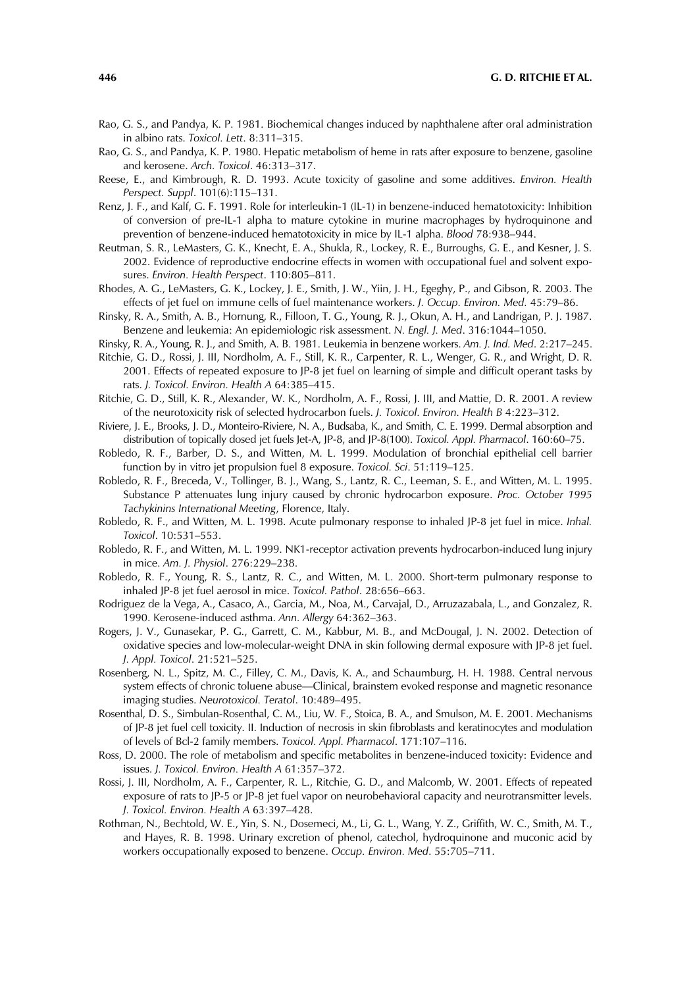- Rao, G. S., and Pandya, K. P. 1981. Biochemical changes induced by naphthalene after oral administration in albino rats. *Toxicol. Lett*. 8:311–315.
- Rao, G. S., and Pandya, K. P. 1980. Hepatic metabolism of heme in rats after exposure to benzene, gasoline and kerosene. *Arch. Toxicol*. 46:313–317.
- Reese, E., and Kimbrough, R. D. 1993. Acute toxicity of gasoline and some additives. *Environ. Health Perspect. Suppl*. 101(6):115–131.
- Renz, J. F., and Kalf, G. F. 1991. Role for interleukin-1 (IL-1) in benzene-induced hematotoxicity: Inhibition of conversion of pre-IL-1 alpha to mature cytokine in murine macrophages by hydroquinone and prevention of benzene-induced hematotoxicity in mice by IL-1 alpha. *Blood* 78:938–944.
- Reutman, S. R., LeMasters, G. K., Knecht, E. A., Shukla, R., Lockey, R. E., Burroughs, G. E., and Kesner, J. S. 2002. Evidence of reproductive endocrine effects in women with occupational fuel and solvent exposures. *Environ. Health Perspect*. 110:805–811.
- Rhodes, A. G., LeMasters, G. K., Lockey, J. E., Smith, J. W., Yiin, J. H., Egeghy, P., and Gibson, R. 2003. The effects of jet fuel on immune cells of fuel maintenance workers. *J. Occup. Environ. Med.* 45:79–86.
- Rinsky, R. A., Smith, A. B., Hornung, R., Filloon, T. G., Young, R. J., Okun, A. H., and Landrigan, P. J. 1987. Benzene and leukemia: An epidemiologic risk assessment. *N. Engl. J. Med*. 316:1044–1050.
- Rinsky, R. A., Young, R. J., and Smith, A. B. 1981. Leukemia in benzene workers. *Am. J. Ind. Med*. 2:217–245.
- Ritchie, G. D., Rossi, J. III, Nordholm, A. F., Still, K. R., Carpenter, R. L., Wenger, G. R., and Wright, D. R. 2001. Effects of repeated exposure to JP-8 jet fuel on learning of simple and difficult operant tasks by rats. *J. Toxicol. Environ. Health A* 64:385–415.
- Ritchie, G. D., Still, K. R., Alexander, W. K., Nordholm, A. F., Rossi, J. III, and Mattie, D. R. 2001. A review of the neurotoxicity risk of selected hydrocarbon fuels. *J. Toxicol. Environ. Health B* 4:223–312.
- Riviere, J. E., Brooks, J. D., Monteiro-Riviere, N. A., Budsaba, K., and Smith, C. E. 1999. Dermal absorption and distribution of topically dosed jet fuels Jet-A, JP-8, and JP-8(100). *Toxicol. Appl. Pharmacol*. 160:60–75.
- Robledo, R. F., Barber, D. S., and Witten, M. L. 1999. Modulation of bronchial epithelial cell barrier function by in vitro jet propulsion fuel 8 exposure. *Toxicol. Sci*. 51:119–125.
- Robledo, R. F., Breceda, V., Tollinger, B. J., Wang, S., Lantz, R. C., Leeman, S. E., and Witten, M. L. 1995. Substance P attenuates lung injury caused by chronic hydrocarbon exposure. *Proc. October 1995 Tachykinins International Meeting*, Florence, Italy.
- Robledo, R. F., and Witten, M. L. 1998. Acute pulmonary response to inhaled JP-8 jet fuel in mice. *Inhal. Toxicol*. 10:531–553.
- Robledo, R. F., and Witten, M. L. 1999. NK1-receptor activation prevents hydrocarbon-induced lung injury in mice. *Am. J. Physiol*. 276:229–238.
- Robledo, R. F., Young, R. S., Lantz, R. C., and Witten, M. L. 2000. Short-term pulmonary response to inhaled JP-8 jet fuel aerosol in mice. *Toxicol. Pathol*. 28:656–663.
- Rodriguez de la Vega, A., Casaco, A., Garcia, M., Noa, M., Carvajal, D., Arruzazabala, L., and Gonzalez, R. 1990. Kerosene-induced asthma. *Ann. Allergy* 64:362–363.
- Rogers, J. V., Gunasekar, P. G., Garrett, C. M., Kabbur, M. B., and McDougal, J. N. 2002. Detection of oxidative species and low-molecular-weight DNA in skin following dermal exposure with JP-8 jet fuel. *J. Appl. Toxicol*. 21:521–525.
- Rosenberg, N. L., Spitz, M. C., Filley, C. M., Davis, K. A., and Schaumburg, H. H. 1988. Central nervous system effects of chronic toluene abuse—Clinical, brainstem evoked response and magnetic resonance imaging studies. *Neurotoxicol. Teratol*. 10:489–495.
- Rosenthal, D. S., Simbulan-Rosenthal, C. M., Liu, W. F., Stoica, B. A., and Smulson, M. E. 2001. Mechanisms of JP-8 jet fuel cell toxicity. II. Induction of necrosis in skin fibroblasts and keratinocytes and modulation of levels of Bcl-2 family members. *Toxicol. Appl. Pharmacol*. 171:107–116.
- Ross, D. 2000. The role of metabolism and specific metabolites in benzene-induced toxicity: Evidence and issues. *J. Toxicol. Environ. Health A* 61:357–372.
- Rossi, J. III, Nordholm, A. F., Carpenter, R. L., Ritchie, G. D., and Malcomb, W. 2001. Effects of repeated exposure of rats to JP-5 or JP-8 jet fuel vapor on neurobehavioral capacity and neurotransmitter levels. *J. Toxicol. Environ. Health A* 63:397–428.
- Rothman, N., Bechtold, W. E., Yin, S. N., Dosemeci, M., Li, G. L., Wang, Y. Z., Griffith, W. C., Smith, M. T., and Hayes, R. B. 1998. Urinary excretion of phenol, catechol, hydroquinone and muconic acid by workers occupationally exposed to benzene. *Occup. Environ. Med*. 55:705–711.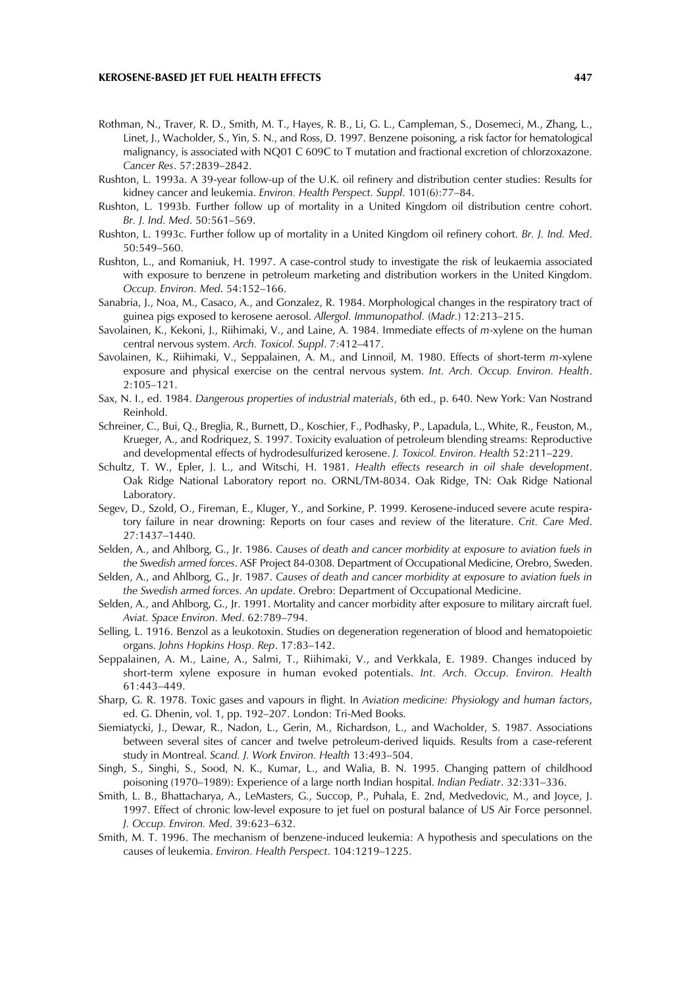- Rothman, N., Traver, R. D., Smith, M. T., Hayes, R. B., Li, G. L., Campleman, S., Dosemeci, M., Zhang, L., Linet, J., Wacholder, S., Yin, S. N., and Ross, D. 1997. Benzene poisoning, a risk factor for hematological malignancy, is associated with NQ01 C 609C to T mutation and fractional excretion of chlorzoxazone. *Cancer Res*. 57:2839–2842.
- Rushton, L. 1993a. A 39-year follow-up of the U.K. oil refinery and distribution center studies: Results for kidney cancer and leukemia. *Environ. Health Perspect. Suppl*. 101(6):77–84.
- Rushton, L. 1993b. Further follow up of mortality in a United Kingdom oil distribution centre cohort. *Br. J. Ind. Med*. 50:561–569.
- Rushton, L. 1993c. Further follow up of mortality in a United Kingdom oil refinery cohort. *Br. J. Ind. Med*. 50:549–560.
- Rushton, L., and Romaniuk, H. 1997. A case-control study to investigate the risk of leukaemia associated with exposure to benzene in petroleum marketing and distribution workers in the United Kingdom. *Occup. Environ. Med*. 54:152–166.
- Sanabria, J., Noa, M., Casaco, A., and Gonzalez, R. 1984. Morphological changes in the respiratory tract of guinea pigs exposed to kerosene aerosol. *Allergol. Immunopathol.* (*Madr.*) 12:213–215.
- Savolainen, K., Kekoni, J., Riihimaki, V., and Laine, A. 1984. Immediate effects of *m*-xylene on the human central nervous system. *Arch. Toxicol. Suppl*. 7:412–417.
- Savolainen, K., Riihimaki, V., Seppalainen, A. M., and Linnoil, M. 1980. Effects of short-term *m*-xylene exposure and physical exercise on the central nervous system. *Int. Arch. Occup. Environ. Health*. 2:105–121.
- Sax, N. I., ed. 1984. *Dangerous properties of industrial materials*, 6th ed., p. 640. New York: Van Nostrand Reinhold.
- Schreiner, C., Bui, Q., Breglia, R., Burnett, D., Koschier, F., Podhasky, P., Lapadula, L., White, R., Feuston, M., Krueger, A., and Rodriquez, S. 1997. Toxicity evaluation of petroleum blending streams: Reproductive and developmental effects of hydrodesulfurized kerosene. *J. Toxicol. Environ. Health* 52:211–229.
- Schultz, T. W., Epler, J. L., and Witschi, H. 1981. *Health effects research in oil shale development*. Oak Ridge National Laboratory report no. ORNL/TM-8034. Oak Ridge, TN: Oak Ridge National Laboratory.
- Segev, D., Szold, O., Fireman, E., Kluger, Y., and Sorkine, P. 1999. Kerosene-induced severe acute respiratory failure in near drowning: Reports on four cases and review of the literature. *Crit. Care Med*. 27:1437–1440.
- Selden, A., and Ahlborg, G., Jr. 1986. *Causes of death and cancer morbidity at exposure to aviation fuels in the Swedish armed forces*. ASF Project 84-0308. Department of Occupational Medicine, Orebro, Sweden.
- Selden, A., and Ahlborg, G., Jr. 1987. *Causes of death and cancer morbidity at exposure to aviation fuels in the Swedish armed forces. An update*. Orebro: Department of Occupational Medicine.
- Selden, A., and Ahlborg, G., Jr. 1991. Mortality and cancer morbidity after exposure to military aircraft fuel. *Aviat. Space Environ. Med*. 62:789–794.
- Selling, L. 1916. Benzol as a leukotoxin. Studies on degeneration regeneration of blood and hematopoietic organs. *Johns Hopkins Hosp. Rep*. 17:83–142.
- Seppalainen, A. M., Laine, A., Salmi, T., Riihimaki, V., and Verkkala, E. 1989. Changes induced by short-term xylene exposure in human evoked potentials. *Int. Arch. Occup. Environ. Health* 61:443–449.
- Sharp, G. R. 1978. Toxic gases and vapours in flight. In *Aviation medicine: Physiology and human factors*, ed. G. Dhenin, vol. 1, pp. 192–207. London: Tri-Med Books.
- Siemiatycki, J., Dewar, R., Nadon, L., Gerin, M., Richardson, L., and Wacholder, S. 1987. Associations between several sites of cancer and twelve petroleum-derived liquids. Results from a case-referent study in Montreal. *Scand. J. Work Environ. Health* 13:493–504.
- Singh, S., Singhi, S., Sood, N. K., Kumar, L., and Walia, B. N. 1995. Changing pattern of childhood poisoning (1970–1989): Experience of a large north Indian hospital. *Indian Pediatr*. 32:331–336.
- Smith, L. B., Bhattacharya, A., LeMasters, G., Succop, P., Puhala, E. 2nd, Medvedovic, M., and Joyce, J. 1997. Effect of chronic low-level exposure to jet fuel on postural balance of US Air Force personnel. *J. Occup. Environ. Med*. 39:623–632.
- Smith, M. T. 1996. The mechanism of benzene-induced leukemia: A hypothesis and speculations on the causes of leukemia. *Environ. Health Perspect*. 104:1219–1225.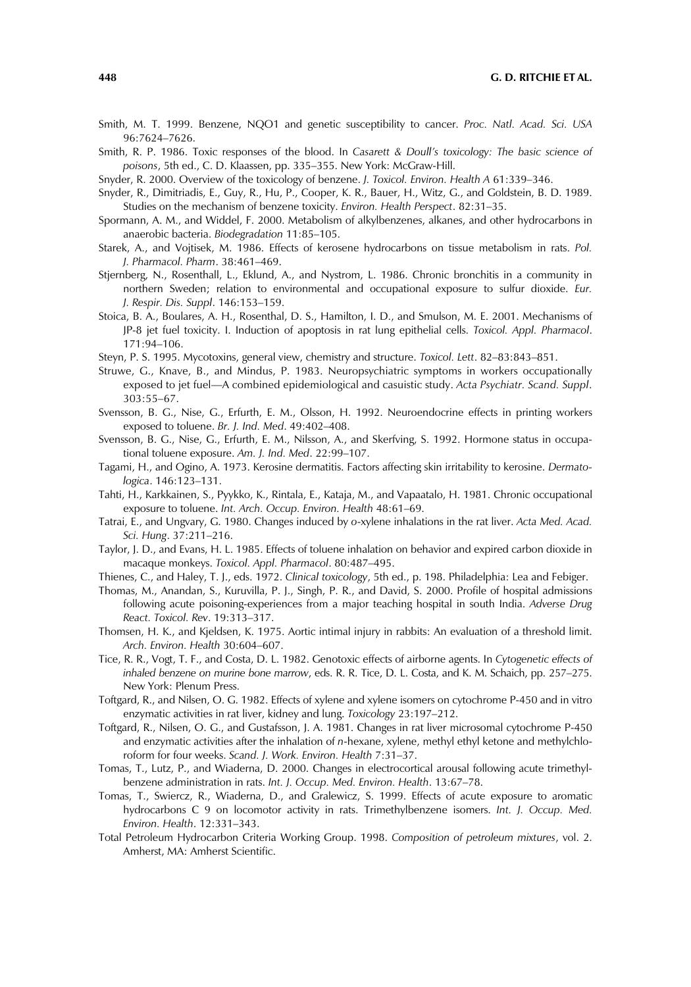- Smith, M. T. 1999. Benzene, NQO1 and genetic susceptibility to cancer. *Proc. Natl. Acad. Sci. USA* 96:7624–7626.
- Smith, R. P. 1986. Toxic responses of the blood. In *Casarett & Doull's toxicology: The basic science of poisons*, 5th ed., C. D. Klaassen, pp. 335–355. New York: McGraw-Hill.
- Snyder, R. 2000. Overview of the toxicology of benzene. *J. Toxicol. Environ. Health A* 61:339–346.
- Snyder, R., Dimitriadis, E., Guy, R., Hu, P., Cooper, K. R., Bauer, H., Witz, G., and Goldstein, B. D. 1989. Studies on the mechanism of benzene toxicity. *Environ. Health Perspect*. 82:31–35.
- Spormann, A. M., and Widdel, F. 2000. Metabolism of alkylbenzenes, alkanes, and other hydrocarbons in anaerobic bacteria. *Biodegradation* 11:85–105.
- Starek, A., and Vojtisek, M. 1986. Effects of kerosene hydrocarbons on tissue metabolism in rats. *Pol. J. Pharmacol. Pharm*. 38:461–469.
- Stjernberg, N., Rosenthall, L., Eklund, A., and Nystrom, L. 1986. Chronic bronchitis in a community in northern Sweden; relation to environmental and occupational exposure to sulfur dioxide. *Eur. J. Respir. Dis. Suppl*. 146:153–159.
- Stoica, B. A., Boulares, A. H., Rosenthal, D. S., Hamilton, I. D., and Smulson, M. E. 2001. Mechanisms of JP-8 jet fuel toxicity. I. Induction of apoptosis in rat lung epithelial cells. *Toxicol. Appl. Pharmacol*. 171:94–106.
- Steyn, P. S. 1995. Mycotoxins, general view, chemistry and structure. *Toxicol. Lett*. 82–83:843–851.
- Struwe, G., Knave, B., and Mindus, P. 1983. Neuropsychiatric symptoms in workers occupationally exposed to jet fuel—A combined epidemiological and casuistic study. *Acta Psychiatr. Scand. Suppl*. 303:55–67.
- Svensson, B. G., Nise, G., Erfurth, E. M., Olsson, H. 1992. Neuroendocrine effects in printing workers exposed to toluene. *Br. J. Ind. Med*. 49:402–408.
- Svensson, B. G., Nise, G., Erfurth, E. M., Nilsson, A., and Skerfving, S. 1992. Hormone status in occupational toluene exposure. *Am. J. Ind. Med*. 22:99–107.
- Tagami, H., and Ogino, A. 1973. Kerosine dermatitis. Factors affecting skin irritability to kerosine. *Dermatologica*. 146:123–131.
- Tahti, H., Karkkainen, S., Pyykko, K., Rintala, E., Kataja, M., and Vapaatalo, H. 1981. Chronic occupational exposure to toluene. *Int. Arch. Occup. Environ. Health* 48:61–69.
- Tatrai, E., and Ungvary, G. 1980. Changes induced by *o*-xylene inhalations in the rat liver. *Acta Med. Acad. Sci. Hung*. 37:211–216.
- Taylor, J. D., and Evans, H. L. 1985. Effects of toluene inhalation on behavior and expired carbon dioxide in macaque monkeys. *Toxicol. Appl. Pharmacol*. 80:487–495.
- Thienes, C., and Haley, T. J., eds. 1972. *Clinical toxicology*, 5th ed., p. 198. Philadelphia: Lea and Febiger.
- Thomas, M., Anandan, S., Kuruvilla, P. J., Singh, P. R., and David, S. 2000. Profile of hospital admissions following acute poisoning-experiences from a major teaching hospital in south India. *Adverse Drug React. Toxicol. Rev*. 19:313–317.
- Thomsen, H. K., and Kjeldsen, K. 1975. Aortic intimal injury in rabbits: An evaluation of a threshold limit. *Arch. Environ. Health* 30:604–607.
- Tice, R. R., Vogt, T. F., and Costa, D. L. 1982. Genotoxic effects of airborne agents. In *Cytogenetic effects of inhaled benzene on murine bone marrow*, eds. R. R. Tice, D. L. Costa, and K. M. Schaich, pp. 257–275. New York: Plenum Press.
- Toftgard, R., and Nilsen, O. G. 1982. Effects of xylene and xylene isomers on cytochrome P-450 and in vitro enzymatic activities in rat liver, kidney and lung. *Toxicology* 23:197–212.
- Toftgard, R., Nilsen, O. G., and Gustafsson, J. A. 1981. Changes in rat liver microsomal cytochrome P-450 and enzymatic activities after the inhalation of *n*-hexane, xylene, methyl ethyl ketone and methylchloroform for four weeks. *Scand. J. Work. Environ. Health* 7:31–37.
- Tomas, T., Lutz, P., and Wiaderna, D. 2000. Changes in electrocortical arousal following acute trimethylbenzene administration in rats. *Int. J. Occup. Med. Environ. Health*. 13:67–78.
- Tomas, T., Swiercz, R., Wiaderna, D., and Gralewicz, S. 1999. Effects of acute exposure to aromatic hydrocarbons C 9 on locomotor activity in rats. Trimethylbenzene isomers. *Int. J. Occup. Med. Environ. Health*. 12:331–343.
- Total Petroleum Hydrocarbon Criteria Working Group. 1998. *Composition of petroleum mixtures*, vol. 2. Amherst, MA: Amherst Scientific.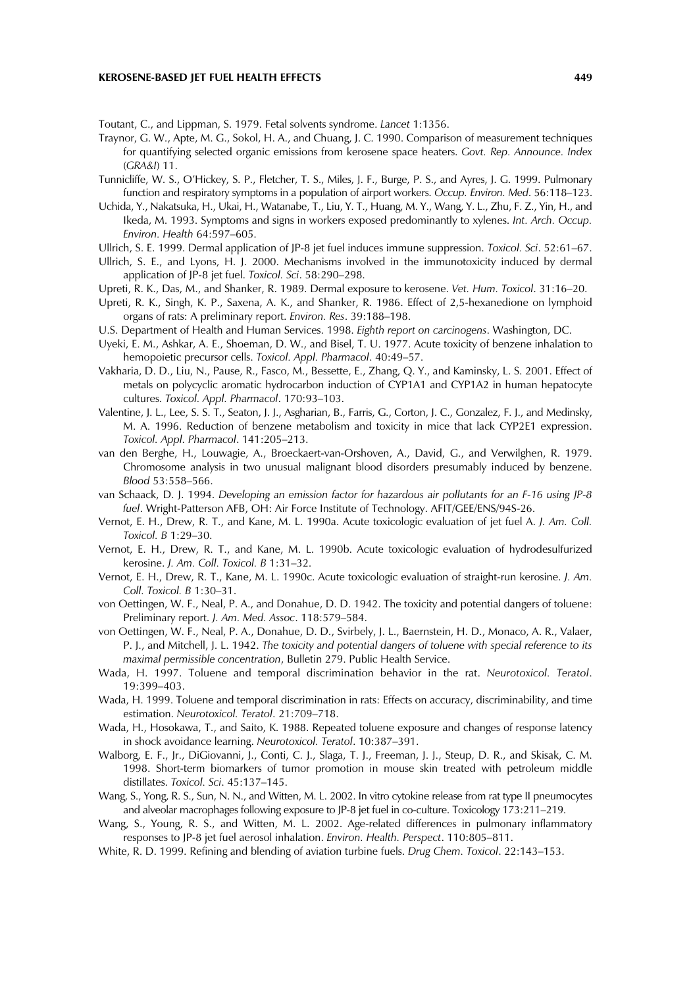Toutant, C., and Lippman, S. 1979. Fetal solvents syndrome. *Lancet* 1:1356.

- Traynor, G. W., Apte, M. G., Sokol, H. A., and Chuang, J. C. 1990. Comparison of measurement techniques for quantifying selected organic emissions from kerosene space heaters. *Govt. Rep. Announce. Index* (*GRA&I*) 11.
- Tunnicliffe, W. S., O'Hickey, S. P., Fletcher, T. S., Miles, J. F., Burge, P. S., and Ayres, J. G. 1999. Pulmonary function and respiratory symptoms in a population of airport workers. *Occup. Environ. Med*. 56:118–123.
- Uchida, Y., Nakatsuka, H., Ukai, H., Watanabe, T., Liu, Y. T., Huang, M. Y., Wang, Y. L., Zhu, F. Z., Yin, H., and Ikeda, M. 1993. Symptoms and signs in workers exposed predominantly to xylenes. *Int. Arch. Occup. Environ. Health* 64:597–605.
- Ullrich, S. E. 1999. Dermal application of JP-8 jet fuel induces immune suppression. *Toxicol. Sci*. 52:61–67.
- Ullrich, S. E., and Lyons, H. J. 2000. Mechanisms involved in the immunotoxicity induced by dermal application of JP-8 jet fuel. *Toxicol. Sci*. 58:290–298.
- Upreti, R. K., Das, M., and Shanker, R. 1989. Dermal exposure to kerosene. *Vet. Hum. Toxicol*. 31:16–20.
- Upreti, R. K., Singh, K. P., Saxena, A. K., and Shanker, R. 1986. Effect of 2,5-hexanedione on lymphoid organs of rats: A preliminary report. *Environ. Res*. 39:188–198.
- U.S. Department of Health and Human Services. 1998. *Eighth report on carcinogens*. Washington, DC.
- Uyeki, E. M., Ashkar, A. E., Shoeman, D. W., and Bisel, T. U. 1977. Acute toxicity of benzene inhalation to hemopoietic precursor cells. *Toxicol. Appl. Pharmacol*. 40:49–57.
- Vakharia, D. D., Liu, N., Pause, R., Fasco, M., Bessette, E., Zhang, Q. Y., and Kaminsky, L. S. 2001. Effect of metals on polycyclic aromatic hydrocarbon induction of CYP1A1 and CYP1A2 in human hepatocyte cultures. *Toxicol. Appl. Pharmacol*. 170:93–103.
- Valentine, J. L., Lee, S. S. T., Seaton, J. J., Asgharian, B., Farris, G., Corton, J. C., Gonzalez, F. J., and Medinsky, M. A. 1996. Reduction of benzene metabolism and toxicity in mice that lack CYP2E1 expression. *Toxicol. Appl. Pharmacol*. 141:205–213.
- van den Berghe, H., Louwagie, A., Broeckaert-van-Orshoven, A., David, G., and Verwilghen, R. 1979. Chromosome analysis in two unusual malignant blood disorders presumably induced by benzene. *Blood* 53:558–566.
- van Schaack, D. J. 1994. *Developing an emission factor for hazardous air pollutants for an F-16 using JP-8 fuel*. Wright-Patterson AFB, OH: Air Force Institute of Technology. AFIT/GEE/ENS/94S-26.
- Vernot, E. H., Drew, R. T., and Kane, M. L. 1990a. Acute toxicologic evaluation of jet fuel A. *J. Am. Coll. Toxicol. B* 1:29–30.
- Vernot, E. H., Drew, R. T., and Kane, M. L. 1990b. Acute toxicologic evaluation of hydrodesulfurized kerosine. *J. Am. Coll. Toxicol. B* 1:31–32.
- Vernot, E. H., Drew, R. T., Kane, M. L. 1990c. Acute toxicologic evaluation of straight-run kerosine. *J. Am. Coll. Toxicol. B* 1:30–31.
- von Oettingen, W. F., Neal, P. A., and Donahue, D. D. 1942. The toxicity and potential dangers of toluene: Preliminary report. *J. Am. Med. Assoc*. 118:579–584.
- von Oettingen, W. F., Neal, P. A., Donahue, D. D., Svirbely, J. L., Baernstein, H. D., Monaco, A. R., Valaer, P. J., and Mitchell, J. L. 1942. *The toxicity and potential dangers of toluene with special reference to its maximal permissible concentration*, Bulletin 279. Public Health Service.
- Wada, H. 1997. Toluene and temporal discrimination behavior in the rat. *Neurotoxicol. Teratol*. 19:399–403.
- Wada, H. 1999. Toluene and temporal discrimination in rats: Effects on accuracy, discriminability, and time estimation. *Neurotoxicol. Teratol*. 21:709–718.
- Wada, H., Hosokawa, T., and Saito, K. 1988. Repeated toluene exposure and changes of response latency in shock avoidance learning. *Neurotoxicol. Teratol*. 10:387–391.
- Walborg, E. F., Jr., DiGiovanni, J., Conti, C. J., Slaga, T. J., Freeman, J. J., Steup, D. R., and Skisak, C. M. 1998. Short-term biomarkers of tumor promotion in mouse skin treated with petroleum middle distillates. *Toxicol. Sci*. 45:137–145.
- Wang, S., Yong, R. S., Sun, N. N., and Witten, M. L. 2002. In vitro cytokine release from rat type II pneumocytes and alveolar macrophages following exposure to JP-8 jet fuel in co-culture. Toxicology 173:211–219.
- Wang, S., Young, R. S., and Witten, M. L. 2002. Age-related differences in pulmonary inflammatory responses to JP-8 jet fuel aerosol inhalation. *Environ. Health. Perspect*. 110:805–811.
- White, R. D. 1999. Refining and blending of aviation turbine fuels. *Drug Chem. Toxicol*. 22:143–153.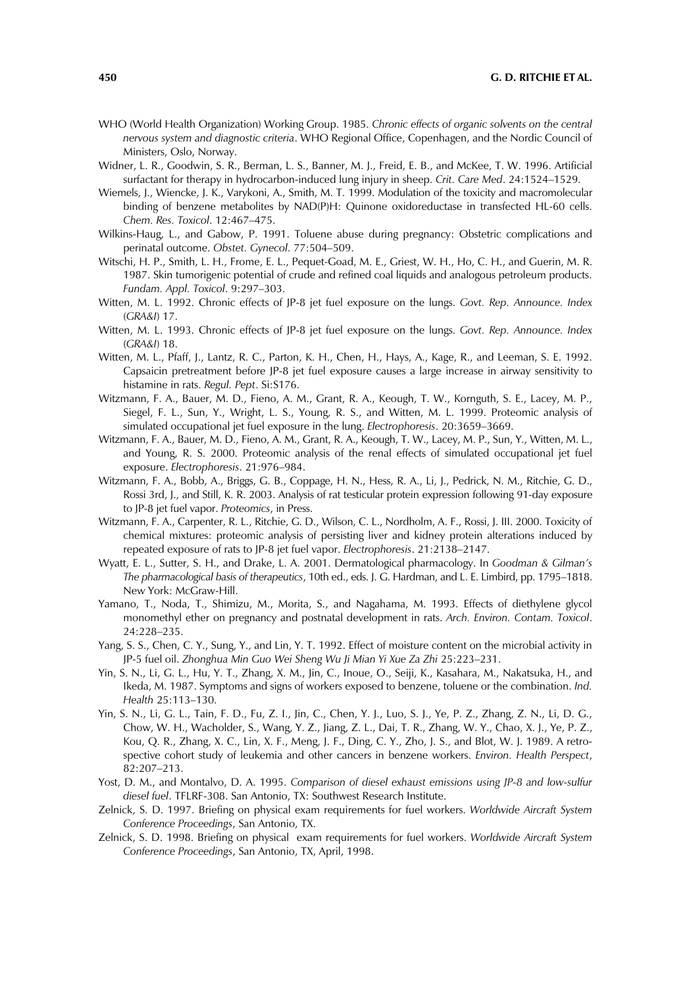- WHO (World Health Organization) Working Group. 1985. *Chronic effects of organic solvents on the central nervous system and diagnostic criteria*. WHO Regional Office, Copenhagen, and the Nordic Council of Ministers, Oslo, Norway.
- Widner, L. R., Goodwin, S. R., Berman, L. S., Banner, M. J., Freid, E. B., and McKee, T. W. 1996. Artificial surfactant for therapy in hydrocarbon-induced lung injury in sheep. *Crit. Care Med*. 24:1524–1529.
- Wiemels, J., Wiencke, J. K., Varykoni, A., Smith, M. T. 1999. Modulation of the toxicity and macromolecular binding of benzene metabolites by NAD(P)H: Quinone oxidoreductase in transfected HL-60 cells. *Chem. Res. Toxicol*. 12:467–475.
- Wilkins-Haug, L., and Gabow, P. 1991. Toluene abuse during pregnancy: Obstetric complications and perinatal outcome. *Obstet. Gynecol*. 77:504–509.
- Witschi, H. P., Smith, L. H., Frome, E. L., Pequet-Goad, M. E., Griest, W. H., Ho, C. H., and Guerin, M. R. 1987. Skin tumorigenic potential of crude and refined coal liquids and analogous petroleum products. *Fundam. Appl. Toxicol*. 9:297–303.
- Witten, M. L. 1992. Chronic effects of JP-8 jet fuel exposure on the lungs. *Govt. Rep. Announce. Index* (*GRA&I*) 17.
- Witten, M. L. 1993. Chronic effects of JP-8 jet fuel exposure on the lungs. *Govt. Rep. Announce. Index* (*GRA&I*) 18.
- Witten, M. L., Pfaff, J., Lantz, R. C., Parton, K. H., Chen, H., Hays, A., Kage, R., and Leeman, S. E. 1992. Capsaicin pretreatment before JP-8 jet fuel exposure causes a large increase in airway sensitivity to histamine in rats. *Regul. Pept*. Si:S176.
- Witzmann, F. A., Bauer, M. D., Fieno, A. M., Grant, R. A., Keough, T. W., Kornguth, S. E., Lacey, M. P., Siegel, F. L., Sun, Y., Wright, L. S., Young, R. S., and Witten, M. L. 1999. Proteomic analysis of simulated occupational jet fuel exposure in the lung. *Electrophoresis*. 20:3659–3669.
- Witzmann, F. A., Bauer, M. D., Fieno, A. M., Grant, R. A., Keough, T. W., Lacey, M. P., Sun, Y., Witten, M. L., and Young, R. S. 2000. Proteomic analysis of the renal effects of simulated occupational jet fuel exposure. *Electrophoresis*. 21:976–984.
- Witzmann, F. A., Bobb, A., Briggs, G. B., Coppage, H. N., Hess, R. A., Li, J., Pedrick, N. M., Ritchie, G. D., Rossi 3rd, J., and Still, K. R. 2003. Analysis of rat testicular protein expression following 91-day exposure to JP-8 jet fuel vapor. *Proteomics*, in Press.
- Witzmann, F. A., Carpenter, R. L., Ritchie, G. D., Wilson, C. L., Nordholm, A. F., Rossi, J. III. 2000. Toxicity of chemical mixtures: proteomic analysis of persisting liver and kidney protein alterations induced by repeated exposure of rats to JP-8 jet fuel vapor. *Electrophoresis*. 21:2138–2147.
- Wyatt, E. L., Sutter, S. H., and Drake, L. A. 2001. Dermatological pharmacology. In *Goodman & Gilman's The pharmacological basis of therapeutics*, 10th ed., eds. J. G. Hardman, and L. E. Limbird, pp. 1795–1818. New York: McGraw-Hill.
- Yamano, T., Noda, T., Shimizu, M., Morita, S., and Nagahama, M. 1993. Effects of diethylene glycol monomethyl ether on pregnancy and postnatal development in rats. *Arch. Environ. Contam. Toxicol*. 24:228–235.
- Yang, S. S., Chen, C. Y., Sung, Y., and Lin, Y. T. 1992. Effect of moisture content on the microbial activity in JP-5 fuel oil. *Zhonghua Min Guo Wei Sheng Wu Ji Mian Yi Xue Za Zhi* 25:223–231.
- Yin, S. N., Li, G. L., Hu, Y. T., Zhang, X. M., Jin, C., Inoue, O., Seiji, K., Kasahara, M., Nakatsuka, H., and Ikeda, M. 1987. Symptoms and signs of workers exposed to benzene, toluene or the combination. *Ind. Health* 25:113–130.
- Yin, S. N., Li, G. L., Tain, F. D., Fu, Z. I., Jin, C., Chen, Y. J., Luo, S. J., Ye, P. Z., Zhang, Z. N., Li, D. G., Chow, W. H., Wacholder, S., Wang, Y. Z., Jiang, Z. L., Dai, T. R., Zhang, W. Y., Chao, X. J., Ye, P. Z., Kou, Q. R., Zhang, X. C., Lin, X. F., Meng, J. F., Ding, C. Y., Zho, J. S., and Blot, W. J. 1989. A retrospective cohort study of leukemia and other cancers in benzene workers. *Environ. Health Perspect*, 82:207–213.
- Yost, D. M., and Montalvo, D. A. 1995. *Comparison of diesel exhaust emissions using JP-8 and low-sulfur diesel fuel*. TFLRF-308. San Antonio, TX: Southwest Research Institute.
- Zelnick, S. D. 1997. Briefing on physical exam requirements for fuel workers. *Worldwide Aircraft System Conference Proceedings*, San Antonio, TX.
- Zelnick, S. D. 1998. Briefing on physical exam requirements for fuel workers. *Worldwide Aircraft System Conference Proceedings*, San Antonio, TX, April, 1998.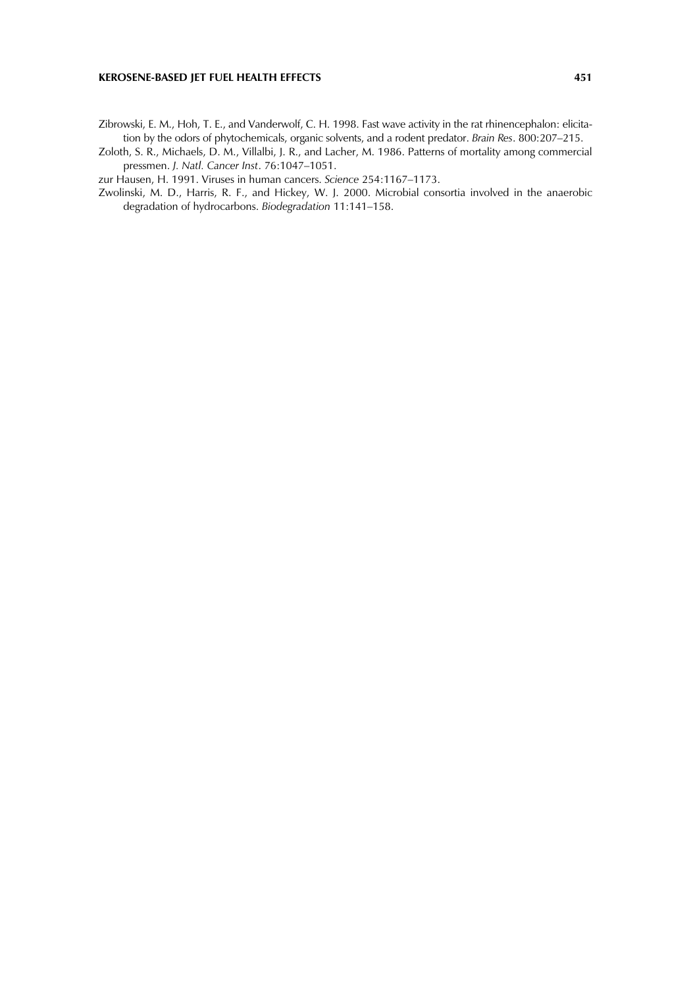Zoloth, S. R., Michaels, D. M., Villalbi, J. R., and Lacher, M. 1986. Patterns of mortality among commercial pressmen. *J. Natl. Cancer Inst*. 76:1047–1051.

zur Hausen, H. 1991. Viruses in human cancers. *Science* 254:1167–1173.

Zwolinski, M. D., Harris, R. F., and Hickey, W. J. 2000. Microbial consortia involved in the anaerobic degradation of hydrocarbons. *Biodegradation* 11:141–158.